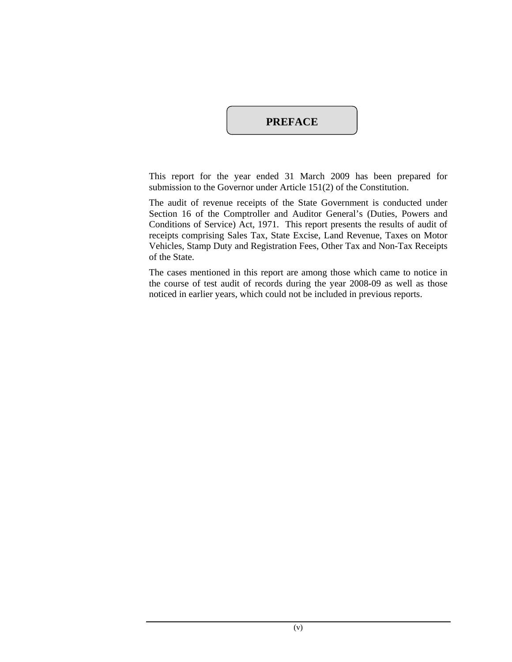# **PREFACE**

This report for the year ended 31 March 2009 has been prepared for submission to the Governor under Article 151(2) of the Constitution.

The audit of revenue receipts of the State Government is conducted under Section 16 of the Comptroller and Auditor General's (Duties, Powers and Conditions of Service) Act, 1971. This report presents the results of audit of receipts comprising Sales Tax, State Excise, Land Revenue, Taxes on Motor Vehicles, Stamp Duty and Registration Fees, Other Tax and Non-Tax Receipts of the State.

The cases mentioned in this report are among those which came to notice in the course of test audit of records during the year 2008-09 as well as those noticed in earlier years, which could not be included in previous reports.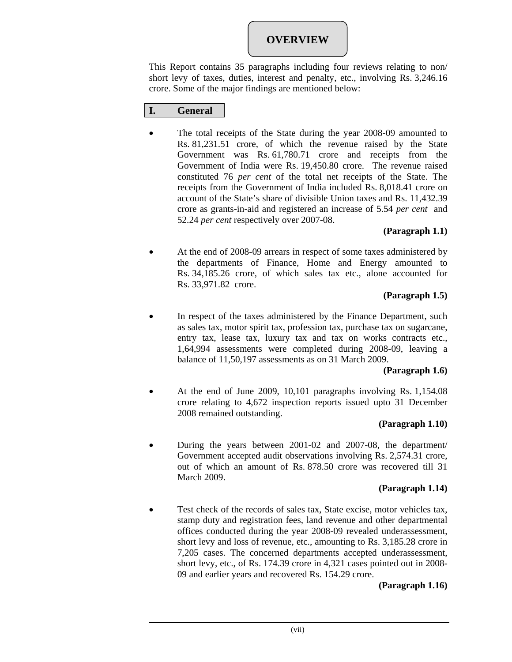# **OVERVIEW**

This Report contains 35 paragraphs including four reviews relating to non/ short levy of taxes, duties, interest and penalty, etc., involving Rs. 3,246.16 crore. Some of the major findings are mentioned below:

# **I. General**

• The total receipts of the State during the year 2008-09 amounted to Rs. 81,231.51 crore, of which the revenue raised by the State Government was Rs. 61,780.71 crore and receipts from the Government of India were Rs. 19,450.80 crore. The revenue raised constituted 76 *per cent* of the total net receipts of the State. The receipts from the Government of India included Rs. 8,018.41 crore on account of the State's share of divisible Union taxes and Rs. 11,432.39 crore as grants-in-aid and registered an increase of 5.54 *per cent* and 52.24 *per cent* respectively over 2007-08.

### **(Paragraph 1.1)**

• At the end of 2008-09 arrears in respect of some taxes administered by the departments of Finance, Home and Energy amounted to Rs. 34,185.26 crore, of which sales tax etc., alone accounted for Rs. 33,971.82 crore.

### **(Paragraph 1.5)**

In respect of the taxes administered by the Finance Department, such as sales tax, motor spirit tax, profession tax, purchase tax on sugarcane, entry tax, lease tax, luxury tax and tax on works contracts etc., 1,64,994 assessments were completed during 2008-09, leaving a balance of 11,50,197 assessments as on 31 March 2009.

### **(Paragraph 1.6)**

• At the end of June 2009, 10,101 paragraphs involving Rs. 1,154.08 crore relating to 4,672 inspection reports issued upto 31 December 2008 remained outstanding.

# **(Paragraph 1.10)**

• During the years between 2001-02 and 2007-08, the department/ Government accepted audit observations involving Rs. 2,574.31 crore, out of which an amount of Rs. 878.50 crore was recovered till 31 March 2009.

# **(Paragraph 1.14)**

Test check of the records of sales tax, State excise, motor vehicles tax, stamp duty and registration fees, land revenue and other departmental offices conducted during the year 2008-09 revealed underassessment, short levy and loss of revenue, etc., amounting to Rs. 3,185.28 crore in 7,205 cases. The concerned departments accepted underassessment, short levy, etc., of Rs. 174.39 crore in 4,321 cases pointed out in 2008- 09 and earlier years and recovered Rs. 154.29 crore.

# **(Paragraph 1.16)**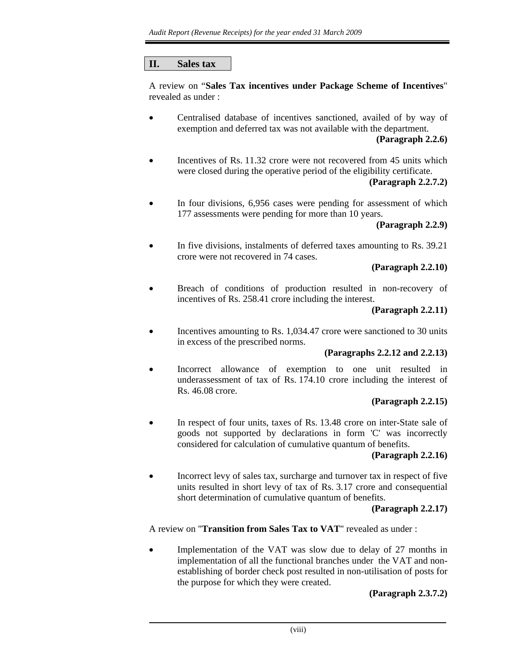### **II. Sales tax**

A review on "**Sales Tax incentives under Package Scheme of Incentives**" revealed as under :

• Centralised database of incentives sanctioned, availed of by way of exemption and deferred tax was not available with the department.

**(Paragraph 2.2.6)** 

Incentives of Rs. 11.32 crore were not recovered from 45 units which were closed during the operative period of the eligibility certificate.

### **(Paragraph 2.2.7.2)**

In four divisions, 6,956 cases were pending for assessment of which 177 assessments were pending for more than 10 years.

#### **(Paragraph 2.2.9)**

• In five divisions, instalments of deferred taxes amounting to Rs. 39.21 crore were not recovered in 74 cases.

#### **(Paragraph 2.2.10)**

Breach of conditions of production resulted in non-recovery of incentives of Rs. 258.41 crore including the interest.

#### **(Paragraph 2.2.11)**

Incentives amounting to Rs. 1,034.47 crore were sanctioned to 30 units in excess of the prescribed norms.

#### **(Paragraphs 2.2.12 and 2.2.13)**

Incorrect allowance of exemption to one unit resulted in underassessment of tax of Rs. 174.10 crore including the interest of Rs. 46.08 crore.

#### **(Paragraph 2.2.15)**

In respect of four units, taxes of Rs. 13.48 crore on inter-State sale of goods not supported by declarations in form 'C' was incorrectly considered for calculation of cumulative quantum of benefits.

#### **(Paragraph 2.2.16)**

• Incorrect levy of sales tax, surcharge and turnover tax in respect of five units resulted in short levy of tax of Rs. 3.17 crore and consequential short determination of cumulative quantum of benefits.

### **(Paragraph 2.2.17)**

A review on "**Transition from Sales Tax to VAT**" revealed as under :

Implementation of the VAT was slow due to delay of 27 months in implementation of all the functional branches under the VAT and nonestablishing of border check post resulted in non-utilisation of posts for the purpose for which they were created.

### **(Paragraph 2.3.7.2)**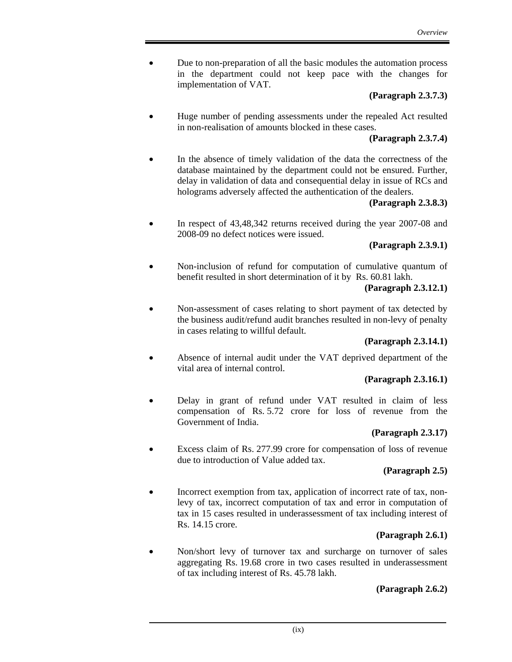• Due to non-preparation of all the basic modules the automation process in the department could not keep pace with the changes for implementation of VAT.

#### **(Paragraph 2.3.7.3)**

• Huge number of pending assessments under the repealed Act resulted in non-realisation of amounts blocked in these cases.

### **(Paragraph 2.3.7.4)**

• In the absence of timely validation of the data the correctness of the database maintained by the department could not be ensured. Further, delay in validation of data and consequential delay in issue of RCs and holograms adversely affected the authentication of the dealers.

#### **(Paragraph 2.3.8.3)**

• In respect of 43,48,342 returns received during the year 2007-08 and 2008-09 no defect notices were issued.

### **(Paragraph 2.3.9.1)**

• Non-inclusion of refund for computation of cumulative quantum of benefit resulted in short determination of it by Rs. 60.81 lakh.

### **(Paragraph 2.3.12.1)**

• Non-assessment of cases relating to short payment of tax detected by the business audit/refund audit branches resulted in non-levy of penalty in cases relating to willful default.

### **(Paragraph 2.3.14.1)**

Absence of internal audit under the VAT deprived department of the vital area of internal control.

### **(Paragraph 2.3.16.1)**

• Delay in grant of refund under VAT resulted in claim of less compensation of Rs. 5.72 crore for loss of revenue from the Government of India.

### **(Paragraph 2.3.17)**

Excess claim of Rs. 277.99 crore for compensation of loss of revenue due to introduction of Value added tax.

### **(Paragraph 2.5)**

Incorrect exemption from tax, application of incorrect rate of tax, nonlevy of tax, incorrect computation of tax and error in computation of tax in 15 cases resulted in underassessment of tax including interest of Rs. 14.15 crore.

# **(Paragraph 2.6.1)**

• Non/short levy of turnover tax and surcharge on turnover of sales aggregating Rs. 19.68 crore in two cases resulted in underassessment of tax including interest of Rs. 45.78 lakh.

# **(Paragraph 2.6.2)**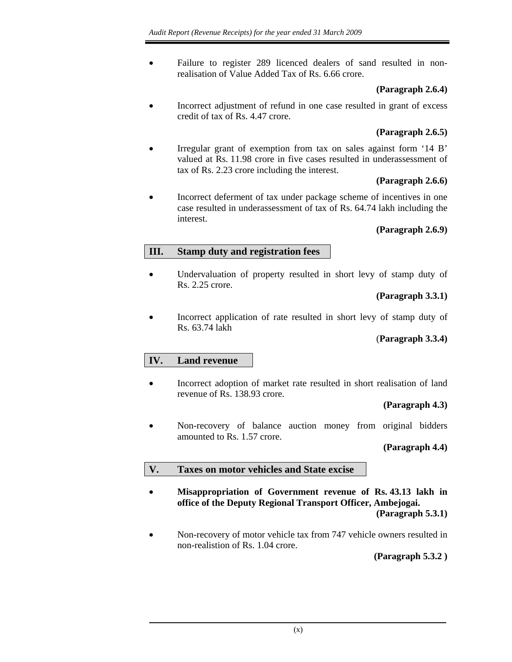• Failure to register 289 licenced dealers of sand resulted in nonrealisation of Value Added Tax of Rs. 6.66 crore.

# **(Paragraph 2.6.4)**

Incorrect adjustment of refund in one case resulted in grant of excess credit of tax of Rs. 4.47 crore.

# **(Paragraph 2.6.5)**

Irregular grant of exemption from tax on sales against form '14 B' valued at Rs. 11.98 crore in five cases resulted in underassessment of tax of Rs. 2.23 crore including the interest.

# **(Paragraph 2.6.6)**

• Incorrect deferment of tax under package scheme of incentives in one case resulted in underassessment of tax of Rs. 64.74 lakh including the interest.

# **(Paragraph 2.6.9)**

# **III. Stamp duty and registration fees**

• Undervaluation of property resulted in short levy of stamp duty of Rs. 2.25 crore.

### **(Paragraph 3.3.1)**

• Incorrect application of rate resulted in short levy of stamp duty of Rs. 63.74 lakh

# (**Paragraph 3.3.4)**

# **IV. Land revenue**

• Incorrect adoption of market rate resulted in short realisation of land revenue of Rs. 138.93 crore.

### **(Paragraph 4.3)**

Non-recovery of balance auction money from original bidders amounted to Rs. 1.57 crore.

# **(Paragraph 4.4)**

# **V. Taxes on motor vehicles and State excise**

- **Misappropriation of Government revenue of Rs. 43.13 lakh in office of the Deputy Regional Transport Officer, Ambejogai. (Paragraph 5.3.1)**
- Non-recovery of motor vehicle tax from 747 vehicle owners resulted in non-realistion of Rs. 1.04 crore.

**(Paragraph 5.3.2 )**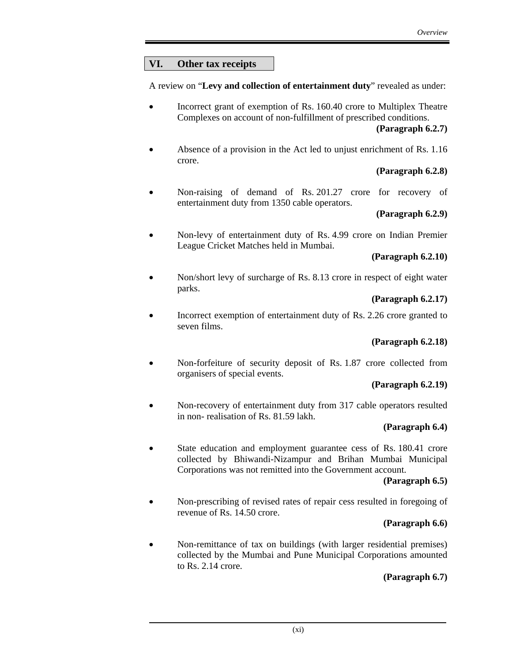# **VI. Other tax receipts**

A review on "**Levy and collection of entertainment duty**" revealed as under:

• Incorrect grant of exemption of Rs. 160.40 crore to Multiplex Theatre Complexes on account of non-fulfillment of prescribed conditions.

**(Paragraph 6.2.7)** 

• Absence of a provision in the Act led to unjust enrichment of Rs. 1.16 crore.

# **(Paragraph 6.2.8)**

Non-raising of demand of Rs. 201.27 crore for recovery of entertainment duty from 1350 cable operators.

# **(Paragraph 6.2.9)**

• Non-levy of entertainment duty of Rs. 4.99 crore on Indian Premier League Cricket Matches held in Mumbai.

### **(Paragraph 6.2.10)**

• Non/short levy of surcharge of Rs. 8.13 crore in respect of eight water parks.

# **(Paragraph 6.2.17)**

Incorrect exemption of entertainment duty of Rs. 2.26 crore granted to seven films.

# **(Paragraph 6.2.18)**

• Non-forfeiture of security deposit of Rs. 1.87 crore collected from organisers of special events.

# **(Paragraph 6.2.19)**

• Non-recovery of entertainment duty from 317 cable operators resulted in non- realisation of Rs. 81.59 lakh.

# **(Paragraph 6.4)**

State education and employment guarantee cess of Rs. 180.41 crore collected by Bhiwandi-Nizampur and Brihan Mumbai Municipal Corporations was not remitted into the Government account.

# **(Paragraph 6.5)**

• Non-prescribing of revised rates of repair cess resulted in foregoing of revenue of Rs. 14.50 crore.

# **(Paragraph 6.6)**

• Non-remittance of tax on buildings (with larger residential premises) collected by the Mumbai and Pune Municipal Corporations amounted to Rs. 2.14 crore.

# **(Paragraph 6.7)**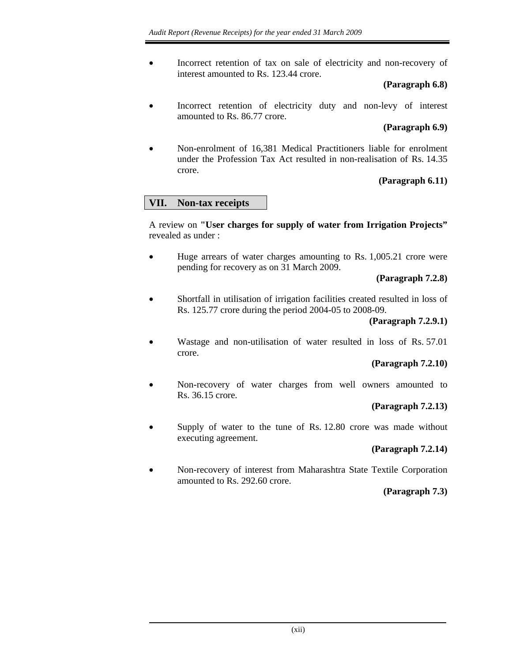• Incorrect retention of tax on sale of electricity and non-recovery of interest amounted to Rs. 123.44 crore.

### **(Paragraph 6.8)**

Incorrect retention of electricity duty and non-levy of interest amounted to Rs. 86.77 crore.

### **(Paragraph 6.9)**

• Non-enrolment of 16,381 Medical Practitioners liable for enrolment under the Profession Tax Act resulted in non-realisation of Rs. 14.35 crore.

### **(Paragraph 6.11)**

# **VII. Non-tax receipts**

A review on **"User charges for supply of water from Irrigation Projects"**  revealed as under :

Huge arrears of water charges amounting to Rs. 1,005.21 crore were pending for recovery as on 31 March 2009.

### **(Paragraph 7.2.8)**

• Shortfall in utilisation of irrigation facilities created resulted in loss of Rs. 125.77 crore during the period 2004-05 to 2008-09.

### **(Paragraph 7.2.9.1)**

• Wastage and non-utilisation of water resulted in loss of Rs. 57.01 crore.

### **(Paragraph 7.2.10)**

• Non-recovery of water charges from well owners amounted to Rs. 36.15 crore.

### **(Paragraph 7.2.13)**

Supply of water to the tune of Rs. 12.80 crore was made without executing agreement.

### **(Paragraph 7.2.14)**

• Non-recovery of interest from Maharashtra State Textile Corporation amounted to Rs. 292.60 crore.

### **(Paragraph 7.3)**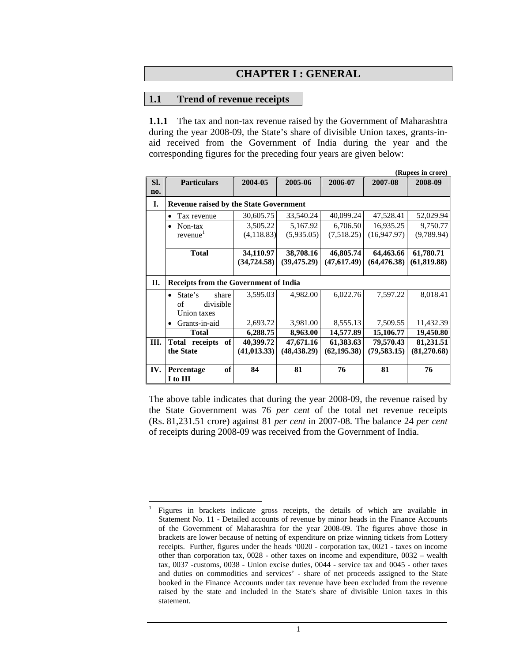### **CHAPTER I : GENERAL**

#### **1.1 Trend of revenue receipts**

 $\overline{a}$ 1

**1.1.1** The tax and non-tax revenue raised by the Government of Maharashtra during the year 2008-09, the State's share of divisible Union taxes, grants-inaid received from the Government of India during the year and the corresponding figures for the preceding four years are given below:

|     |                                                  |              |                        |              |               | (Rupees in crore) |
|-----|--------------------------------------------------|--------------|------------------------|--------------|---------------|-------------------|
| SI. | <b>Particulars</b>                               | 2004-05      | 2005-06                | 2006-07      | 2007-08       | 2008-09           |
| no. |                                                  |              |                        |              |               |                   |
| I.  | <b>Revenue raised by the State Government</b>    |              |                        |              |               |                   |
|     | Tax revenue<br>$\bullet$                         | 30,605.75    | 33,540.24              | 40,099.24    | 47,528.41     | 52,029.94         |
|     | Non-tax                                          | 3,505.22     | 5,167.92               | 6,706.50     | 16,935.25     | 9,750.77          |
|     | revenue <sup>1</sup>                             | (4, 118.83)  | (5,935.05)             | (7,518.25)   | (16,947.97)   | (9,789.94)        |
|     | <b>Total</b>                                     | 34,110.97    | 38,708.16<br>46,805.74 |              | 64,463.66     | 61,780.71         |
|     |                                                  | (34, 724.58) | (39, 475.29)           | (47, 617.49) | (64, 476, 38) | (61, 819.88)      |
| П.  | <b>Receipts from the Government of India</b>     |              |                        |              |               |                   |
|     | State's<br>share<br>$\bullet$<br>of<br>divisible | 3,595.03     | 4,982.00               | 6,022.76     | 7,597.22      | 8,018.41          |
|     | Union taxes                                      |              |                        |              |               |                   |
|     | Grants-in-aid                                    | 2,693.72     | 3,981.00               | 8,555.13     | 7,509.55      | 11,432.39         |
|     | <b>Total</b>                                     | 6,288.75     | 8,963.00               | 14,577.89    | 15,106.77     | 19,450.80         |
| Ш.  | Total<br>of<br>receipts                          | 40,399.72    | 47,671.16              | 61,383.63    | 79,570.43     | 81,231.51         |
|     | the State                                        | (41, 013.33) | (48, 438.29)           | (62, 195.38) | (79, 583.15)  | (81,270.68)       |
| IV. | of<br>Percentage<br>I to III                     | 84           | 81                     | 76           | 81            | 76                |

The above table indicates that during the year 2008-09, the revenue raised by the State Government was 76 *per cent* of the total net revenue receipts (Rs. 81,231.51 crore) against 81 *per cent* in 2007-08. The balance 24 *per cent* of receipts during 2008-09 was received from the Government of India.

Figures in brackets indicate gross receipts, the details of which are available in Statement No. 11 - Detailed accounts of revenue by minor heads in the Finance Accounts of the Government of Maharashtra for the year 2008-09. The figures above those in brackets are lower because of netting of expenditure on prize winning tickets from Lottery receipts. Further, figures under the heads '0020 - corporation tax, 0021 - taxes on income other than corporation tax, 0028 - other taxes on income and expenditure, 0032 – wealth tax, 0037 -customs, 0038 - Union excise duties, 0044 - service tax and 0045 - other taxes and duties on commodities and services' - share of net proceeds assigned to the State booked in the Finance Accounts under tax revenue have been excluded from the revenue raised by the state and included in the State's share of divisible Union taxes in this statement.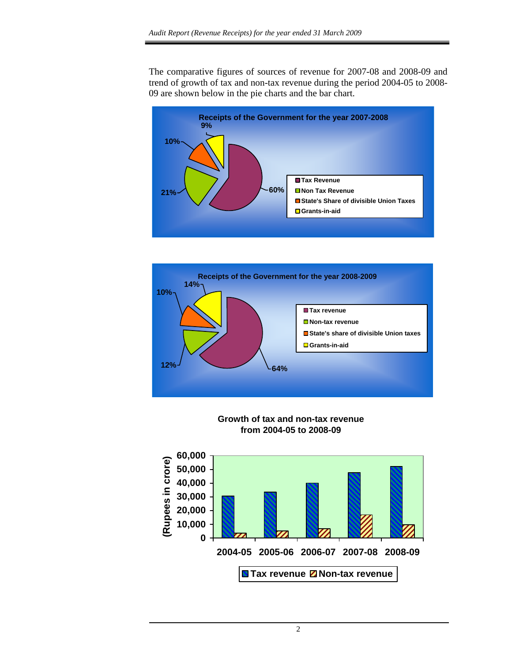The comparative figures of sources of revenue for 2007-08 and 2008-09 and trend of growth of tax and non-tax revenue during the period 2004-05 to 2008- 09 are shown below in the pie charts and the bar chart.





**Growth of tax and non-tax revenue from 2004-05 to 2008-09**

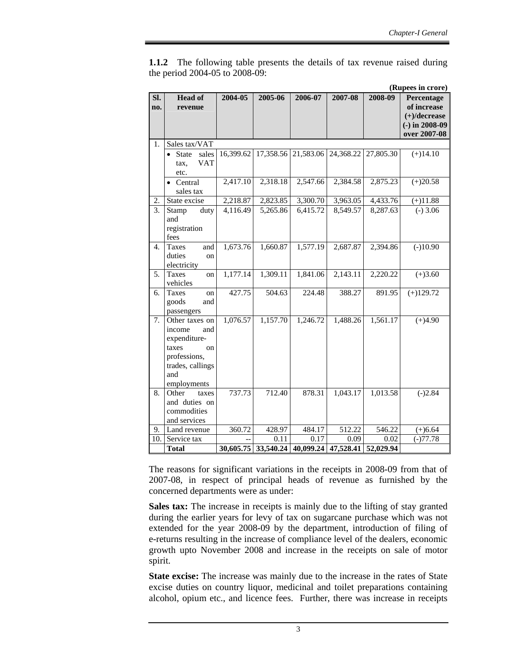**1.1.2** The following table presents the details of tax revenue raised during the period 2004-05 to 2008-09:

|                  |                         |           |           |           |                                         |           | (Rupees in crore) |
|------------------|-------------------------|-----------|-----------|-----------|-----------------------------------------|-----------|-------------------|
| Sl.              | <b>Head of</b>          | 2004-05   | 2005-06   | 2006-07   | 2007-08                                 | 2008-09   | Percentage        |
| no.              | revenue                 |           |           |           |                                         |           | of increase       |
|                  |                         |           |           |           |                                         |           | $(+)/$ decrease   |
|                  |                         |           |           |           |                                         |           | $(-)$ in 2008-09  |
|                  |                         |           |           |           |                                         |           | over 2007-08      |
| 1.               | Sales tax/VAT           |           |           |           |                                         |           |                   |
|                  | sales<br><b>State</b>   | 16,399.62 | 17,358.56 | 21,583.06 | 24,368.22                               | 27,805.30 | $(+)14.10$        |
|                  | VAT<br>tax,             |           |           |           |                                         |           |                   |
|                  | etc.                    |           |           |           |                                         |           |                   |
|                  | • Central               | 2,417.10  | 2,318.18  | 2,547.66  | 2,384.58                                | 2,875.23  | $(+)20.58$        |
|                  | sales tax               |           |           |           |                                         |           |                   |
| 2.               | State excise            | 2,218.87  | 2,823.85  | 3,300.70  | 3,963.05                                | 4,433.76  | $(+)11.88$        |
| 3.               | Stamp<br>duty           | 4,116.49  | 5,265.86  | 6,415.72  | 8,549.57                                | 8,287.63  | $(-)$ 3.06        |
|                  | and                     |           |           |           |                                         |           |                   |
|                  | registration            |           |           |           |                                         |           |                   |
|                  | fees                    |           |           |           |                                         |           |                   |
| $\overline{4}$ . | <b>Taxes</b><br>and     | 1,673.76  | 1,660.87  | 1,577.19  | 2,687.87                                | 2,394.86  | $(-)10.90$        |
|                  | duties<br>on            |           |           |           |                                         |           |                   |
|                  | electricity             |           |           |           |                                         |           |                   |
| 5.               | <b>Taxes</b><br>on      | 1,177.14  | 1,309.11  | 1,841.06  | 2,143.11                                | 2,220.22  | $(+)3.60$         |
|                  | vehicles                |           |           |           |                                         |           |                   |
| 6.               | <b>Taxes</b><br>on      | 427.75    | 504.63    | 224.48    | 388.27                                  | 891.95    | $(+)129.72$       |
|                  | goods<br>and            |           |           |           |                                         |           |                   |
|                  | passengers              |           |           |           |                                         |           |                   |
| $\overline{7}$ . | Other taxes on          | 1,076.57  | 1,157.70  | 1,246.72  | 1,488.26                                | 1,561.17  | $(+)4.90$         |
|                  | income<br>and           |           |           |           |                                         |           |                   |
|                  | expenditure-            |           |           |           |                                         |           |                   |
|                  | taxes<br>on             |           |           |           |                                         |           |                   |
|                  | professions,            |           |           |           |                                         |           |                   |
|                  | trades, callings<br>and |           |           |           |                                         |           |                   |
|                  | employments             |           |           |           |                                         |           |                   |
| 8.               | Other<br>taxes          | 737.73    | 712.40    | 878.31    | 1,043.17                                | 1,013.58  | $(-)2.84$         |
|                  | and duties on           |           |           |           |                                         |           |                   |
|                  | commodities             |           |           |           |                                         |           |                   |
|                  | and services            |           |           |           |                                         |           |                   |
| 9.               | Land revenue            | 360.72    | 428.97    | 484.17    | 512.22                                  | 546.22    | $(+)6.64$         |
| 10.              | Service tax             |           | 0.11      | 0.17      | 0.09                                    | 0.02      | $(-)77.78$        |
|                  | <b>Total</b>            |           |           |           | 30,605.75 33,540.24 40,099.24 47,528.41 | 52,029.94 |                   |

The reasons for significant variations in the receipts in 2008-09 from that of 2007-08, in respect of principal heads of revenue as furnished by the concerned departments were as under:

**Sales tax:** The increase in receipts is mainly due to the lifting of stay granted during the earlier years for levy of tax on sugarcane purchase which was not extended for the year 2008-09 by the department, introduction of filing of e-returns resulting in the increase of compliance level of the dealers, economic growth upto November 2008 and increase in the receipts on sale of motor spirit.

**State excise:** The increase was mainly due to the increase in the rates of State excise duties on country liquor, medicinal and toilet preparations containing alcohol, opium etc., and licence fees. Further, there was increase in receipts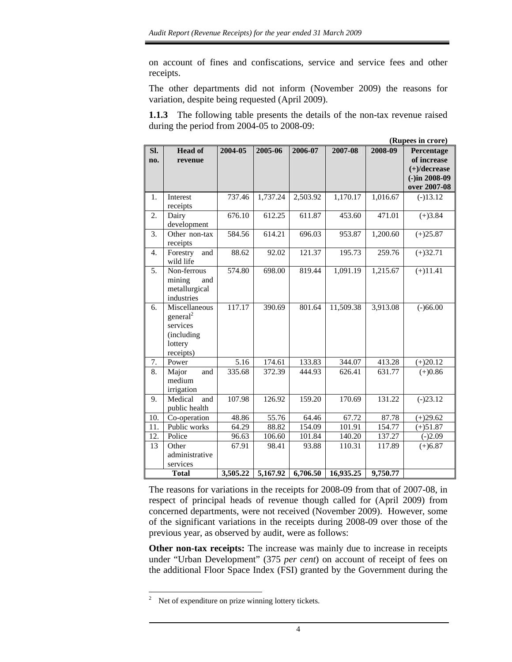on account of fines and confiscations, service and service fees and other receipts.

The other departments did not inform (November 2009) the reasons for variation, despite being requested (April 2009).

**1.1.3** The following table presents the details of the non-tax revenue raised during the period from 2004-05 to 2008-09:

|                  | (Rupees in crore)                                                                       |          |          |          |           |          |                                                                                  |  |  |
|------------------|-----------------------------------------------------------------------------------------|----------|----------|----------|-----------|----------|----------------------------------------------------------------------------------|--|--|
| Sl.<br>no.       | <b>Head of</b><br>revenue                                                               | 2004-05  | 2005-06  | 2006-07  | 2007-08   | 2008-09  | Percentage<br>of increase<br>$(+)/$ decrease<br>$(-)$ in 2008-09<br>over 2007-08 |  |  |
| 1.               | Interest<br>receipts                                                                    | 737.46   | 1,737.24 | 2,503.92 | 1,170.17  | 1,016.67 | $(-)13.12$                                                                       |  |  |
| 2.               | Dairy<br>development                                                                    | 676.10   | 612.25   | 611.87   | 453.60    | 471.01   | $(+)3.84$                                                                        |  |  |
| 3.               | Other non-tax<br>receipts                                                               | 584.56   | 614.21   | 696.03   | 953.87    | 1,200.60 | $(+)25.87$                                                                       |  |  |
| $\overline{4}$ . | Forestry<br>and<br>wild life                                                            | 88.62    | 92.02    | 121.37   | 195.73    | 259.76   | $(+)32.71$                                                                       |  |  |
| 5.               | Non-ferrous<br>mining<br>and<br>metallurgical<br>industries                             | 574.80   | 698.00   | 819.44   | 1,091.19  | 1,215.67 | $(+)11.41$                                                                       |  |  |
| 6.               | Miscellaneous<br>general <sup>2</sup><br>services<br>(including<br>lottery<br>receipts) | 117.17   | 390.69   | 801.64   | 11,509.38 | 3,913.08 | $(-)66.00$                                                                       |  |  |
| 7.               | Power                                                                                   | 5.16     | 174.61   | 133.83   | 344.07    | 413.28   | $(+)20.12$                                                                       |  |  |
| 8.               | Major<br>and<br>medium<br>irrigation                                                    | 335.68   | 372.39   | 444.93   | 626.41    | 631.77   | $(+)0.86$                                                                        |  |  |
| 9.               | Medical<br>and<br>public health                                                         | 107.98   | 126.92   | 159.20   | 170.69    | 131.22   | $(-)23.12$                                                                       |  |  |
| 10.              | Co-operation                                                                            | 48.86    | 55.76    | 64.46    | 67.72     | 87.78    | $(+)29.62$                                                                       |  |  |
| 11.              | Public works                                                                            | 64.29    | 88.82    | 154.09   | 101.91    | 154.77   | $(+)51.87$                                                                       |  |  |
| 12.              | Police                                                                                  | 96.63    | 106.60   | 101.84   | 140.20    | 137.27   | $(-)2.09$                                                                        |  |  |
| 13               | Other<br>administrative<br>services                                                     | 67.91    | 98.41    | 93.88    | 110.31    | 117.89   | $(+)6.87$                                                                        |  |  |
|                  | <b>Total</b>                                                                            | 3,505.22 | 5,167.92 | 6,706.50 | 16,935.25 | 9,750.77 |                                                                                  |  |  |

The reasons for variations in the receipts for 2008-09 from that of 2007-08, in respect of principal heads of revenue though called for (April 2009) from concerned departments, were not received (November 2009). However, some of the significant variations in the receipts during 2008-09 over those of the previous year, as observed by audit, were as follows:

**Other non-tax receipts:** The increase was mainly due to increase in receipts under "Urban Development" (375 *per cent*) on account of receipt of fees on the additional Floor Space Index (FSI) granted by the Government during the

 $\frac{1}{2}$ Net of expenditure on prize winning lottery tickets.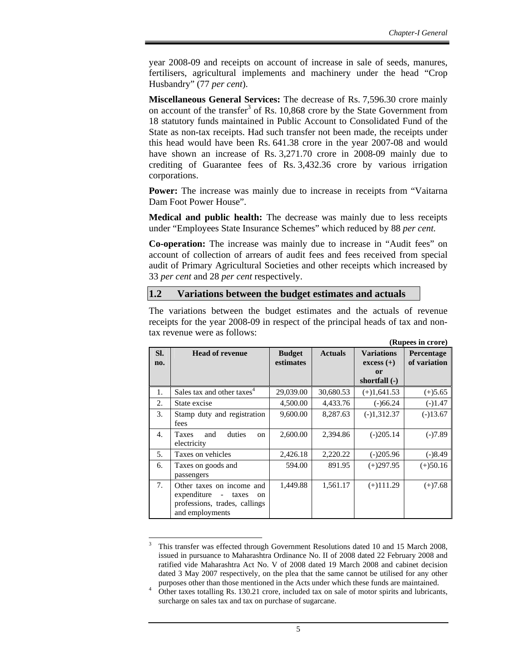**(Rupees in crore)** 

year 2008-09 and receipts on account of increase in sale of seeds, manures, fertilisers, agricultural implements and machinery under the head "Crop Husbandry" (77 *per cent*).

**Miscellaneous General Services:** The decrease of Rs. 7,596.30 crore mainly on account of the transfer<sup>3</sup> of Rs. 10,868 crore by the State Government from 18 statutory funds maintained in Public Account to Consolidated Fund of the State as non-tax receipts. Had such transfer not been made, the receipts under this head would have been Rs. 641.38 crore in the year 2007-08 and would have shown an increase of Rs. 3,271.70 crore in 2008-09 mainly due to crediting of Guarantee fees of Rs. 3,432.36 crore by various irrigation corporations.

**Power:** The increase was mainly due to increase in receipts from "Vaitarna" Dam Foot Power House".

**Medical and public health:** The decrease was mainly due to less receipts under "Employees State Insurance Schemes" which reduced by 88 *per cent.* 

**Co-operation:** The increase was mainly due to increase in "Audit fees" on account of collection of arrears of audit fees and fees received from special audit of Primary Agricultural Societies and other receipts which increased by 33 *per cent* and 28 *per cent* respectively.

### **1.2 Variations between the budget estimates and actuals**

The variations between the budget estimates and the actuals of revenue receipts for the year 2008-09 in respect of the principal heads of tax and nontax revenue were as follows:

|            |                                                                                                                                                    |                            |                |                                                                 | (Kupees ill clote)         |
|------------|----------------------------------------------------------------------------------------------------------------------------------------------------|----------------------------|----------------|-----------------------------------------------------------------|----------------------------|
| SI.<br>no. | <b>Head of revenue</b>                                                                                                                             | <b>Budget</b><br>estimates | <b>Actuals</b> | <b>Variations</b><br>$excess (+)$<br><b>or</b><br>shortfall (-) | Percentage<br>of variation |
| 1.         | Sales tax and other taxes <sup>4</sup>                                                                                                             | 29,039.00                  | 30,680.53      | $(+)1,641.53$                                                   | $(+)5.65$                  |
| 2.         | State excise                                                                                                                                       | 4,500.00                   | 4,433.76       | $(-)66.24$                                                      | $(-)1.47$                  |
| 3.         | Stamp duty and registration<br>fees                                                                                                                | 9,600.00                   | 8,287.63       | $(-)1,312.37$                                                   | $(-)13.67$                 |
| 4.         | duties<br>and<br><b>Taxes</b><br><sub>on</sub><br>electricity                                                                                      | 2,600.00                   | 2,394.86       | $(-)205.14$                                                     | $(-)7.89$                  |
| 5.         | Taxes on vehicles                                                                                                                                  | 2,426.18                   | 2,220.22       | $(-)205.96$                                                     | $(-)8.49$                  |
| 6.         | Taxes on goods and<br>passengers                                                                                                                   | 594.00                     | 891.95         | $(+)297.95$                                                     | $(+)50.16$                 |
| 7.         | Other taxes on income and<br>expenditure<br>taxes<br>$\overline{\phantom{a}}$<br><sub>on</sub><br>professions, trades, callings<br>and employments | 1,449.88                   | 1,561.17       | $(+)111.29$                                                     | $(+)7.68$                  |

 $\overline{a}$ 3 This transfer was effected through Government Resolutions dated 10 and 15 March 2008, issued in pursuance to Maharashtra Ordinance No. II of 2008 dated 22 February 2008 and ratified vide Maharashtra Act No. V of 2008 dated 19 March 2008 and cabinet decision dated 3 May 2007 respectively, on the plea that the same cannot be utilised for any other purposes other than those mentioned in the Acts under which these funds are maintained.

<sup>4</sup> Other taxes totalling Rs. 130.21 crore, included tax on sale of motor spirits and lubricants, surcharge on sales tax and tax on purchase of sugarcane.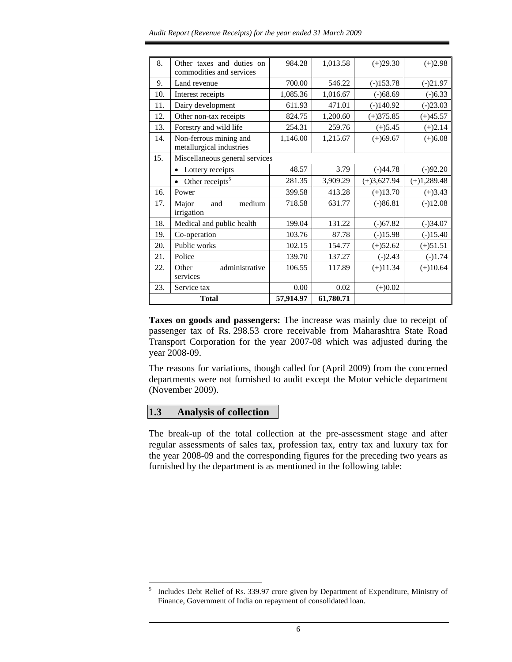| 8.  | Other taxes and duties on<br>commodities and services | 984.28    | 1,013.58  | $(+)29.30$    | $(+)2.98$     |
|-----|-------------------------------------------------------|-----------|-----------|---------------|---------------|
| 9.  | Land revenue                                          | 700.00    | 546.22    | $(-)153.78$   | $(-)21.97$    |
| 10. | Interest receipts                                     | 1,085.36  | 1,016.67  | $(-)68.69$    | $(-)6.33$     |
| 11. | Dairy development                                     | 611.93    | 471.01    | $(-)140.92$   | $(-)23.03$    |
| 12. | Other non-tax receipts                                | 824.75    | 1,200.60  | $(+)375.85$   | $(+)45.57$    |
| 13. | Forestry and wild life                                | 254.31    | 259.76    | $(+)5.45$     | $(+)2.14$     |
| 14. | Non-ferrous mining and<br>metallurgical industries    | 1,146.00  | 1,215.67  | $(+)69.67$    | $(+)6.08$     |
| 15. | Miscellaneous general services                        |           |           |               |               |
|     | Lottery receipts<br>$\bullet$                         | 48.57     | 3.79      | $(-)44.78$    | $(-)92.20$    |
|     | Other receipts <sup>5</sup>                           | 281.35    | 3,909.29  | $(+)3,627.94$ | $(+)1,289.48$ |
| 16. | Power                                                 | 399.58    | 413.28    | $(+)13.70$    | $(+)3.43$     |
| 17. | Major<br>medium<br>and<br>irrigation                  | 718.58    | 631.77    | $(-)86.81$    | $(-)12.08$    |
| 18. | Medical and public health                             | 199.04    | 131.22    | $(-)67.82$    | $(-)34.07$    |
| 19. | Co-operation                                          | 103.76    | 87.78     | $(-)15.98$    | $(-)15.40$    |
| 20. | Public works                                          | 102.15    | 154.77    | $(+)52.62$    | $(+)51.51$    |
| 21. | Police                                                | 139.70    | 137.27    | $(-)2.43$     | $(-)1.74$     |
| 22. | administrative<br>Other<br>services                   | 106.55    | 117.89    | $(+)11.34$    | $(+)10.64$    |
| 23. | Service tax                                           | 0.00      | 0.02      | $(+)0.02$     |               |
|     | <b>Total</b>                                          | 57,914.97 | 61,780.71 |               |               |

**Taxes on goods and passengers:** The increase was mainly due to receipt of passenger tax of Rs. 298.53 crore receivable from Maharashtra State Road Transport Corporation for the year 2007-08 which was adjusted during the year 2008-09.

The reasons for variations, though called for (April 2009) from the concerned departments were not furnished to audit except the Motor vehicle department (November 2009).

# **1.3 Analysis of collection**

The break-up of the total collection at the pre-assessment stage and after regular assessments of sales tax, profession tax, entry tax and luxury tax for the year 2008-09 and the corresponding figures for the preceding two years as furnished by the department is as mentioned in the following table:

 $\overline{a}$ 5 Includes Debt Relief of Rs. 339.97 crore given by Department of Expenditure, Ministry of Finance, Government of India on repayment of consolidated loan.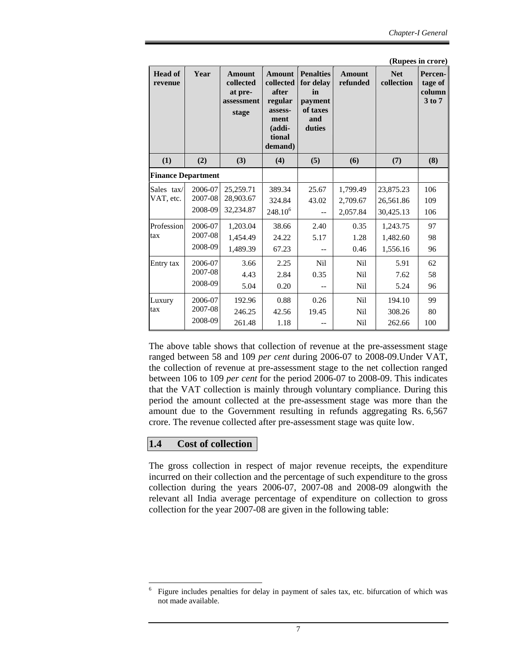|                           |                               |                                                              |                                                                                                  |                                                                             |                                        |                                     | (Rupees in crore)                      |
|---------------------------|-------------------------------|--------------------------------------------------------------|--------------------------------------------------------------------------------------------------|-----------------------------------------------------------------------------|----------------------------------------|-------------------------------------|----------------------------------------|
| <b>Head of</b><br>revenue | Year                          | <b>Amount</b><br>collected<br>at pre-<br>assessment<br>stage | <b>Amount</b><br>collected<br>after<br>regular<br>assess-<br>ment<br>(addi-<br>tional<br>demand) | <b>Penalties</b><br>for delay<br>in<br>payment<br>of taxes<br>and<br>duties | <b>Amount</b><br>refunded              | <b>Net</b><br>collection            | Percen-<br>tage of<br>column<br>3 to 7 |
| (1)                       | (2)                           | (3)                                                          | (4)                                                                                              | (5)                                                                         | (6)                                    | (7)                                 | (8)                                    |
| <b>Finance Department</b> |                               |                                                              |                                                                                                  |                                                                             |                                        |                                     |                                        |
| Sales tax/<br>VAT, etc.   | 2006-07<br>2007-08<br>2008-09 | 25,259.71<br>28,903.67<br>32,234.87                          | 389.34<br>324.84<br>$248.10^{6}$                                                                 | 25.67<br>43.02                                                              | 1,799.49<br>2,709.67<br>2,057.84       | 23,875.23<br>26,561.86<br>30,425.13 | 106<br>109<br>106                      |
| Profession<br>tax         | 2006-07<br>2007-08<br>2008-09 | 1,203.04<br>1,454.49<br>1.489.39                             | 38.66<br>24.22<br>67.23                                                                          | 2.40<br>5.17                                                                | 0.35<br>1.28<br>0.46                   | 1,243.75<br>1,482.60<br>1,556.16    | 97<br>98<br>96                         |
| Entry tax                 | 2006-07<br>2007-08<br>2008-09 | 3.66<br>4.43<br>5.04                                         | 2.25<br>2.84<br>0.20                                                                             | N <sub>il</sub><br>0.35                                                     | <b>Nil</b><br><b>Nil</b><br><b>Nil</b> | 5.91<br>7.62<br>5.24                | 62<br>58<br>96                         |
| Luxury<br>tax             | 2006-07<br>2007-08<br>2008-09 | 192.96<br>246.25<br>261.48                                   | 0.88<br>42.56<br>1.18                                                                            | 0.26<br>19.45                                                               | <b>Nil</b><br><b>Nil</b><br>Nil        | 194.10<br>308.26<br>262.66          | 99<br>80<br>100                        |

The above table shows that collection of revenue at the pre-assessment stage ranged between 58 and 109 *per cent* during 2006-07 to 2008-09.Under VAT, the collection of revenue at pre-assessment stage to the net collection ranged between 106 to 109 *per cent* for the period 2006-07 to 2008-09. This indicates that the VAT collection is mainly through voluntary compliance. During this period the amount collected at the pre-assessment stage was more than the amount due to the Government resulting in refunds aggregating Rs. 6,567 crore. The revenue collected after pre-assessment stage was quite low.

# **1.4 Cost of collection**

 $\overline{a}$ 

The gross collection in respect of major revenue receipts, the expenditure incurred on their collection and the percentage of such expenditure to the gross collection during the years 2006-07, 2007-08 and 2008-09 alongwith the relevant all India average percentage of expenditure on collection to gross collection for the year 2007-08 are given in the following table:

<sup>6</sup> Figure includes penalties for delay in payment of sales tax, etc. bifurcation of which was not made available.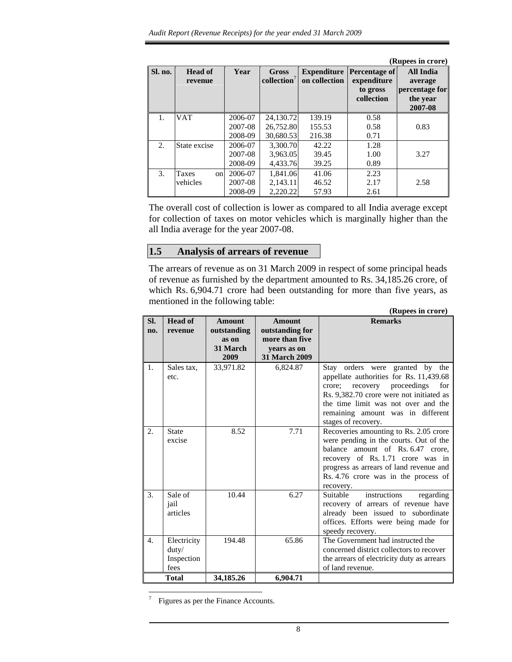|         |                           |                               |                                     |                                     |                                                        | (Rupees in crore)                                                    |
|---------|---------------------------|-------------------------------|-------------------------------------|-------------------------------------|--------------------------------------------------------|----------------------------------------------------------------------|
| Sl. no. | <b>Head of</b><br>revenue | Year                          | Gross<br>$\textbf{collection}^7$    | <b>Expenditure</b><br>on collection | Percentage of<br>expenditure<br>to gross<br>collection | <b>All India</b><br>average<br>percentage for<br>the year<br>2007-08 |
| 1.      | <b>VAT</b>                | 2006-07<br>2007-08<br>2008-09 | 24,130.72<br>26,752.80<br>30.680.53 | 139.19<br>155.53<br>216.38          | 0.58<br>0.58<br>0.71                                   | 0.83                                                                 |
| 2.      | State excise              | 2006-07<br>2007-08<br>2008-09 | 3.300.70<br>3,963.05<br>4.433.76    | 42.22<br>39.45<br>39.25             | 1.28<br>1.00<br>0.89                                   | 3.27                                                                 |
| 3.      | Taxes<br>onl<br>vehicles  | 2006-07<br>2007-08<br>2008-09 | 1.841.06<br>2,143.11<br>2.220.22    | 41.06<br>46.52<br>57.93             | 2.23<br>2.17<br>2.61                                   | 2.58                                                                 |

The overall cost of collection is lower as compared to all India average except for collection of taxes on motor vehicles which is marginally higher than the all India average for the year 2007-08.

# **1.5 Analysis of arrears of revenue**

The arrears of revenue as on 31 March 2009 in respect of some principal heads of revenue as furnished by the department amounted to Rs. 34,185.26 crore, of which Rs. 6,904.71 crore had been outstanding for more than five years, as mentioned in the following table:

|                  | (Rupees in crore)                          |                                                           |                                                                                           |                                                                                                                                                                                                                                                              |  |  |  |  |
|------------------|--------------------------------------------|-----------------------------------------------------------|-------------------------------------------------------------------------------------------|--------------------------------------------------------------------------------------------------------------------------------------------------------------------------------------------------------------------------------------------------------------|--|--|--|--|
| Sl.<br>no.       | <b>Head of</b><br>revenue                  | <b>Amount</b><br>outstanding<br>as on<br>31 March<br>2009 | <b>Amount</b><br>outstanding for<br>more than five<br>years as on<br><b>31 March 2009</b> | <b>Remarks</b>                                                                                                                                                                                                                                               |  |  |  |  |
| 1.               | Sales tax,<br>etc.                         | 33,971.82                                                 | 6,824.87                                                                                  | Stay orders were granted by the<br>appellate authorities for Rs. 11,439.68<br>crore; recovery proceedings for<br>Rs. 9,382.70 crore were not initiated as<br>the time limit was not over and the<br>remaining amount was in different<br>stages of recovery. |  |  |  |  |
| $\overline{2}$ . | State<br>excise                            | 8.52                                                      | 7.71                                                                                      | Recoveries amounting to Rs. 2.05 crore<br>were pending in the courts. Out of the<br>balance amount of Rs. 6.47 crore,<br>recovery of Rs. 1.71 crore was in<br>progress as arrears of land revenue and<br>Rs. 4.76 crore was in the process of<br>recovery.   |  |  |  |  |
| 3.               | Sale of<br>jail<br>articles                | 10.44                                                     | 6.27                                                                                      | instructions<br>Suitable<br>regarding<br>recovery of arrears of revenue have<br>already been issued to subordinate<br>offices. Efforts were being made for<br>speedy recovery.                                                                               |  |  |  |  |
| $\overline{4}$ . | Electricity<br>duty/<br>Inspection<br>fees | 194.48                                                    | 65.86                                                                                     | The Government had instructed the<br>concerned district collectors to recover<br>the arrears of electricity duty as arrears<br>of land revenue.                                                                                                              |  |  |  |  |
|                  | <b>Total</b>                               | 34,185.26                                                 | 6,904.71                                                                                  |                                                                                                                                                                                                                                                              |  |  |  |  |

-<br>7 Figures as per the Finance Accounts.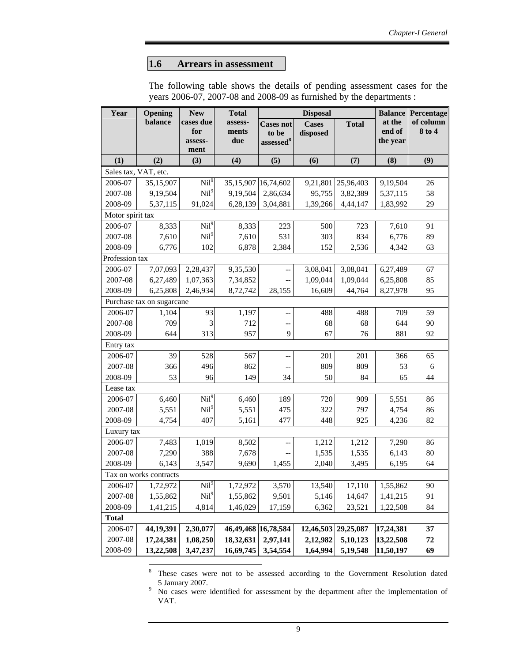### **1.6 Arrears in assessment**

The following table shows the details of pending assessment cases for the years 2006-07, 2007-08 and 2008-09 as furnished by the departments :

| Year                 | Opening                   | <b>New</b>       | <b>Total</b>            |                          | <b>Disposal</b> |              | <b>Balance</b>   | Percentage          |
|----------------------|---------------------------|------------------|-------------------------|--------------------------|-----------------|--------------|------------------|---------------------|
|                      | balance                   | cases due<br>for | assess-<br>ments        | <b>Cases not</b>         | <b>Cases</b>    | <b>Total</b> | at the<br>end of | of column<br>8 to 4 |
|                      |                           | assess-          | due                     | to be<br>$assessed^8$    | disposed        |              | the year         |                     |
|                      |                           | ment             |                         |                          |                 |              |                  |                     |
| (1)                  | (2)                       | (3)              | (4)                     | (5)                      | (6)             | (7)          | (8)              | (9)                 |
| Sales tax, VAT, etc. |                           |                  |                         |                          |                 |              |                  |                     |
| 2006-07              | 35,15,907                 | Nil <sup>9</sup> | 35,15,907 16,74,602     |                          | 9,21,801        | 25,96,403    | 9,19,504         | 26                  |
| 2007-08              | 9,19,504                  | Nil <sup>9</sup> | 9,19,504                | 2,86,634                 | 95,755          | 3,82,389     | 5,37,115         | 58                  |
| 2008-09              | 5,37,115                  | 91,024           | 6,28,139                | 3,04,881                 | 1,39,266        | 4,44,147     | 1,83,992         | 29                  |
| Motor spirit tax     |                           |                  |                         |                          |                 |              |                  |                     |
| 2006-07              | 8,333                     | $\mathrm{Nil}^9$ | 8,333                   | 223                      | 500             | 723          | 7,610            | 91                  |
| 2007-08              | 7,610                     | Nil <sup>9</sup> | 7,610                   | 531                      | 303             | 834          | 6,776            | 89                  |
| 2008-09              | 6,776                     | 102              | 6,878                   | 2,384                    | 152             | 2,536        | 4,342            | 63                  |
| Profession tax       |                           |                  |                         |                          |                 |              |                  |                     |
| 2006-07              | 7,07,093                  | 2,28,437         | 9,35,530                | $-$                      | 3,08,041        | 3,08,041     | 6,27,489         | 67                  |
| 2007-08              | 6,27,489                  | 1,07,363         | 7,34,852                |                          | 1,09,044        | 1,09,044     | 6,25,808         | 85                  |
| 2008-09              | 6,25,808                  | 2,46,934         | 8,72,742                | 28,155                   | 16,609          | 44,764       | 8,27,978         | 95                  |
|                      | Purchase tax on sugarcane |                  |                         |                          |                 |              |                  |                     |
| 2006-07              | 1,104                     | 93               | 1,197                   | $\overline{\phantom{a}}$ | 488             | 488          | 709              | 59                  |
| 2007-08              | 709                       | 3                | 712                     | $\overline{\phantom{a}}$ | 68              | 68           | 644              | 90                  |
| 2008-09              | 644                       | 313              | 957                     | 9                        | 67              | 76           | 881              | 92                  |
| Entry tax            |                           |                  |                         |                          |                 |              |                  |                     |
| 2006-07              | 39                        | 528              | 567                     | $\overline{\phantom{a}}$ | 201             | 201          | 366              | 65                  |
| 2007-08              | 366                       | 496              | 862                     |                          | 809             | 809          | 53               | 6                   |
| 2008-09              | 53                        | 96               | 149                     | 34                       | 50              | 84           | 65               | 44                  |
| Lease tax            |                           |                  |                         |                          |                 |              |                  |                     |
| 2006-07              | 6,460                     | Nil <sup>9</sup> | 6,460                   | 189                      | 720             | 909          | 5,551            | 86                  |
| 2007-08              | 5,551                     | Nil <sup>9</sup> | 5,551                   | 475                      | 322             | 797          | 4,754            | 86                  |
| 2008-09              | 4,754                     | 407              | 5,161                   | 477                      | 448             | 925          | 4,236            | 82                  |
| Luxury tax           |                           |                  |                         |                          |                 |              |                  |                     |
| 2006-07              | 7,483                     | 1,019            | 8,502                   |                          | 1,212           | 1,212        | 7,290            | 86                  |
| 2007-08              | 7,290                     | 388              | 7,678                   |                          | 1,535           | 1,535        | 6,143            | $80\,$              |
| 2008-09              | 6,143                     | 3,547            | 9,690                   | 1,455                    | 2,040           | 3,495        | 6,195            | 64                  |
|                      | Tax on works contracts    |                  |                         |                          |                 |              |                  |                     |
| 2006-07              | 1,72,972                  | Nil <sup>9</sup> | 1,72,972                | 3,570                    | 13,540          | 17,110       | 1,55,862         | 90                  |
| 2007-08              | 1,55,862                  | Nil <sup>9</sup> | 1,55,862                | 9,501                    | 5,146           | 14,647       | 1,41,215         | 91                  |
| 2008-09              | 1,41,215                  | 4,814            | 1,46,029                | 17,159                   | 6,362           | 23,521       | 1,22,508         | 84                  |
| <b>Total</b>         |                           |                  |                         |                          |                 |              |                  |                     |
| 2006-07              | 44,19,391                 | 2,30,077         | 46, 49, 468 16, 78, 584 |                          | 12,46,503       | 29,25,087    | 17,24,381        | 37                  |
| 2007-08              | 17,24,381                 | 1,08,250         | 18,32,631               | 2,97,141                 | 2,12,982        | 5,10,123     | 13,22,508        | 72                  |
| 2008-09              | 13,22,508                 | 3,47,237         | 16,69,745               | 3,54,554                 | 1,64,994        | 5,19,548     | 11,50,197        | 69                  |

8 These cases were not to be assessed according to the Government Resolution dated 5 January 2007. 9

 $\overline{a}$ 

No cases were identified for assessment by the department after the implementation of VAT.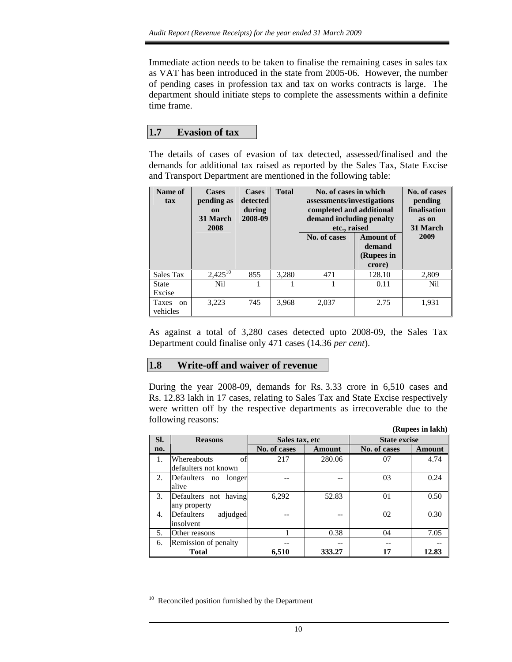Immediate action needs to be taken to finalise the remaining cases in sales tax as VAT has been introduced in the state from 2005-06. However, the number of pending cases in profession tax and tax on works contracts is large. The department should initiate steps to complete the assessments within a definite time frame.

### **1.7 Evasion of tax**

The details of cases of evasion of tax detected, assessed/finalised and the demands for additional tax raised as reported by the Sales Tax, State Excise and Transport Department are mentioned in the following table:

| Name of<br>tax                            | <b>Cases</b><br>pending as<br><b>on</b><br>31 March<br>2008 | <b>Cases</b><br>detected<br>during<br>2008-09 | <b>Total</b> | No. of cases in which<br>assessments/investigations<br>completed and additional<br>demand including penalty<br>etc., raised<br>No. of cases | <b>Amount of</b><br>demand<br>(Rupees in<br>crore) | No. of cases<br>pending<br>finalisation<br>as on<br>31 March<br>2009 |
|-------------------------------------------|-------------------------------------------------------------|-----------------------------------------------|--------------|---------------------------------------------------------------------------------------------------------------------------------------------|----------------------------------------------------|----------------------------------------------------------------------|
| Sales Tax                                 | $2,425^{10}$                                                | 855                                           | 3,280        | 471                                                                                                                                         | 128.10                                             | 2,809                                                                |
| <b>State</b><br>Excise                    | Nil                                                         |                                               |              |                                                                                                                                             | 0.11                                               | N <sub>i</sub> l                                                     |
| <b>Taxes</b><br><sub>on</sub><br>vehicles | 3,223                                                       | 745                                           | 3,968        | 2,037                                                                                                                                       | 2.75                                               | 1,931                                                                |

As against a total of 3,280 cases detected upto 2008-09, the Sales Tax Department could finalise only 471 cases (14.36 *per cent*).

### **1.8 Write-off and waiver of revenue**

During the year 2008-09, demands for Rs. 3.33 crore in 6,510 cases and Rs. 12.83 lakh in 17 cases, relating to Sales Tax and State Excise respectively were written off by the respective departments as irrecoverable due to the following reasons:

|     |                                           |                |               |                     | (Rupees in lakh) |  |
|-----|-------------------------------------------|----------------|---------------|---------------------|------------------|--|
| SI. | <b>Reasons</b>                            | Sales tax, etc |               | <b>State excise</b> |                  |  |
| no. |                                           | No. of cases   | <b>Amount</b> | No. of cases        | <b>Amount</b>    |  |
| 1.  | Whereabouts<br>of<br>defaulters not known | 217            | 280.06        | 07                  | 4.74             |  |
| 2.  | Defaulters<br>longer<br>no<br>alive       |                |               | 03                  | 0.24             |  |
| 3.  | Defaulters not having<br>any property     | 6,292          | 52.83         | 01                  | 0.50             |  |
| 4.  | adjudged<br>Defaulters<br>insolvent       |                |               | 02                  | 0.30             |  |
| 5.  | Other reasons                             |                | 0.38          | 04                  | 7.05             |  |
| 6.  | Remission of penalty                      |                | --            |                     |                  |  |
|     | <b>Total</b>                              | 6,510          | 333.27        | 17                  | 12.83            |  |

 $10\,$ Reconciled position furnished by the Department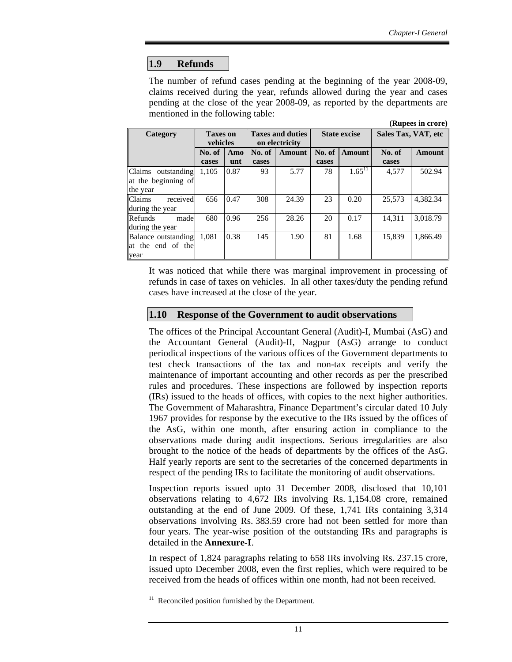# **1.9 Refunds**

The number of refund cases pending at the beginning of the year 2008-09, claims received during the year, refunds allowed during the year and cases pending at the close of the year 2008-09, as reported by the departments are mentioned in the following table: **(Rupees in crore)** 

| $(\mathbf{N} \mathbf{u} \mathbf{p} \mathbf{c} \mathbf{s} \mathbf{m} \mathbf{u} \mathbf{v} \mathbf{r})$ |                             |      |                                           |               |                     |               |                     |               |
|--------------------------------------------------------------------------------------------------------|-----------------------------|------|-------------------------------------------|---------------|---------------------|---------------|---------------------|---------------|
| Category                                                                                               | <b>Taxes on</b><br>vehicles |      | <b>Taxes and duties</b><br>on electricity |               | <b>State excise</b> |               | Sales Tax, VAT, etc |               |
|                                                                                                        | No. of                      | Amo  | No. of                                    | <b>Amount</b> | No. of              | <b>Amount</b> | No. of              | <b>Amount</b> |
|                                                                                                        | cases                       | unt  | cases                                     |               | cases               |               | cases               |               |
| Claims outstanding                                                                                     | 1.105                       | 0.87 | 93                                        | 5.77          | 78                  | $1.65^{11}$   | 4,577               | 502.94        |
| at the beginning of                                                                                    |                             |      |                                           |               |                     |               |                     |               |
| the year                                                                                               |                             |      |                                           |               |                     |               |                     |               |
| <b>Claims</b><br>received                                                                              | 656                         | 0.47 | 308                                       | 24.39         | 23                  | 0.20          | 25.573              | 4,382.34      |
| during the year                                                                                        |                             |      |                                           |               |                     |               |                     |               |
| Refunds<br>made                                                                                        | 680                         | 0.96 | 256                                       | 28.26         | 20                  | 0.17          | 14.311              | 3.018.79      |
| during the year                                                                                        |                             |      |                                           |               |                     |               |                     |               |
| Balance outstanding                                                                                    | 1.081                       | 0.38 | 145                                       | 1.90          | 81                  | 1.68          | 15.839              | 1.866.49      |
| at the end of the                                                                                      |                             |      |                                           |               |                     |               |                     |               |
| year                                                                                                   |                             |      |                                           |               |                     |               |                     |               |

It was noticed that while there was marginal improvement in processing of refunds in case of taxes on vehicles. In all other taxes/duty the pending refund cases have increased at the close of the year.

#### **1.10 Response of the Government to audit observations**

The offices of the Principal Accountant General (Audit)-I, Mumbai (AsG) and the Accountant General (Audit)-II, Nagpur (AsG) arrange to conduct periodical inspections of the various offices of the Government departments to test check transactions of the tax and non-tax receipts and verify the maintenance of important accounting and other records as per the prescribed rules and procedures. These inspections are followed by inspection reports (IRs) issued to the heads of offices, with copies to the next higher authorities. The Government of Maharashtra, Finance Department's circular dated 10 July 1967 provides for response by the executive to the IRs issued by the offices of the AsG, within one month, after ensuring action in compliance to the observations made during audit inspections. Serious irregularities are also brought to the notice of the heads of departments by the offices of the AsG. Half yearly reports are sent to the secretaries of the concerned departments in respect of the pending IRs to facilitate the monitoring of audit observations.

Inspection reports issued upto 31 December 2008, disclosed that 10,101 observations relating to 4,672 IRs involving Rs. 1,154.08 crore, remained outstanding at the end of June 2009. Of these, 1,741 IRs containing 3,314 observations involving Rs. 383.59 crore had not been settled for more than four years. The year-wise position of the outstanding IRs and paragraphs is detailed in the **Annexure-I**.

In respect of 1,824 paragraphs relating to 658 IRs involving Rs. 237.15 crore, issued upto December 2008, even the first replies, which were required to be received from the heads of offices within one month, had not been received.

 $11\,$ Reconciled position furnished by the Department.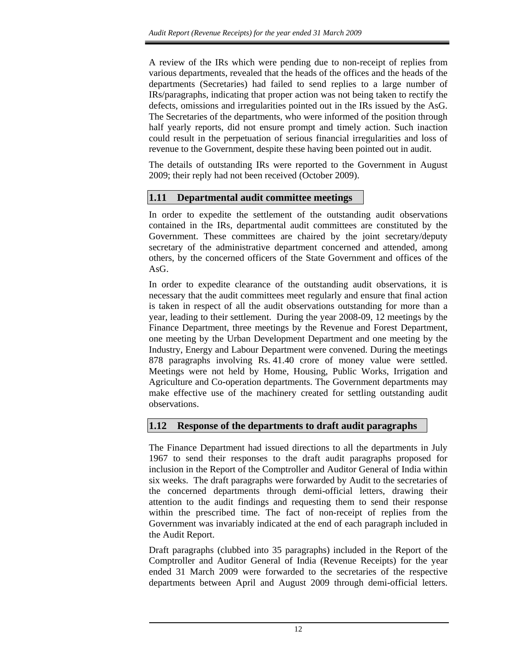A review of the IRs which were pending due to non-receipt of replies from various departments, revealed that the heads of the offices and the heads of the departments (Secretaries) had failed to send replies to a large number of IRs/paragraphs, indicating that proper action was not being taken to rectify the defects, omissions and irregularities pointed out in the IRs issued by the AsG. The Secretaries of the departments, who were informed of the position through half yearly reports, did not ensure prompt and timely action. Such inaction could result in the perpetuation of serious financial irregularities and loss of revenue to the Government, despite these having been pointed out in audit.

The details of outstanding IRs were reported to the Government in August 2009; their reply had not been received (October 2009).

# **1.11 Departmental audit committee meetings**

In order to expedite the settlement of the outstanding audit observations contained in the IRs, departmental audit committees are constituted by the Government. These committees are chaired by the joint secretary/deputy secretary of the administrative department concerned and attended, among others, by the concerned officers of the State Government and offices of the AsG.

In order to expedite clearance of the outstanding audit observations, it is necessary that the audit committees meet regularly and ensure that final action is taken in respect of all the audit observations outstanding for more than a year, leading to their settlement. During the year 2008-09, 12 meetings by the Finance Department, three meetings by the Revenue and Forest Department, one meeting by the Urban Development Department and one meeting by the Industry, Energy and Labour Department were convened. During the meetings 878 paragraphs involving Rs. 41.40 crore of money value were settled. Meetings were not held by Home, Housing, Public Works, Irrigation and Agriculture and Co-operation departments. The Government departments may make effective use of the machinery created for settling outstanding audit observations.

# **1.12 Response of the departments to draft audit paragraphs**

The Finance Department had issued directions to all the departments in July 1967 to send their responses to the draft audit paragraphs proposed for inclusion in the Report of the Comptroller and Auditor General of India within six weeks. The draft paragraphs were forwarded by Audit to the secretaries of the concerned departments through demi-official letters, drawing their attention to the audit findings and requesting them to send their response within the prescribed time. The fact of non-receipt of replies from the Government was invariably indicated at the end of each paragraph included in the Audit Report.

Draft paragraphs (clubbed into 35 paragraphs) included in the Report of the Comptroller and Auditor General of India (Revenue Receipts) for the year ended 31 March 2009 were forwarded to the secretaries of the respective departments between April and August 2009 through demi-official letters.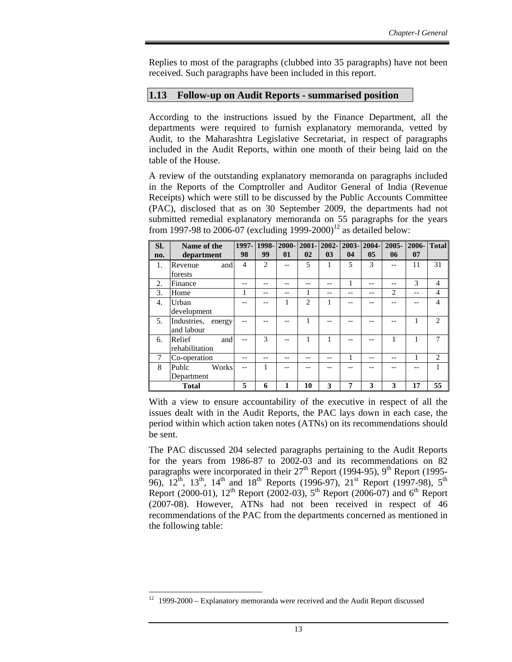Replies to most of the paragraphs (clubbed into 35 paragraphs) have not been received. Such paragraphs have been included in this report.

# **1.13 Follow-up on Audit Reports - summarised position**

According to the instructions issued by the Finance Department, all the departments were required to furnish explanatory memoranda, vetted by Audit, to the Maharashtra Legislative Secretariat, in respect of paragraphs included in the Audit Reports, within one month of their being laid on the table of the House.

A review of the outstanding explanatory memoranda on paragraphs included in the Reports of the Comptroller and Auditor General of India (Revenue Receipts) which were still to be discussed by the Public Accounts Committee (PAC), disclosed that as on 30 September 2009, the departments had not submitted remedial explanatory memoranda on 55 paragraphs for the years from 1997-98 to 2006-07 (excluding 1999-2000)<sup>12</sup> as detailed below:

| SI. | Name of the        |                |                | 1997-1998-2000-2001-2002-2003-2004-1 |                |                |    |                | $2005 -$       | <b>2006-</b> Total |                             |
|-----|--------------------|----------------|----------------|--------------------------------------|----------------|----------------|----|----------------|----------------|--------------------|-----------------------------|
| no. | department         | 98             | 99             | 01                                   | 02             | 0 <sub>3</sub> | 04 | 0 <sub>5</sub> | 06             | 07                 |                             |
| 1.  | Revenue<br>and     | $\overline{4}$ | $\overline{c}$ |                                      | 5              |                | 5  | 3              |                | 11                 | 31                          |
|     | forests            |                |                |                                      |                |                |    |                |                |                    |                             |
| 2.  | Finance            |                |                |                                      |                |                | 1  |                |                | 3                  | $\overline{4}$              |
| 3.  | Home               |                | --             | --                                   |                | --             |    | --             | $\mathfrak{D}$ |                    | $\overline{4}$              |
| 4.  | Urban              |                | --             |                                      | $\overline{2}$ |                |    |                |                |                    | $\overline{4}$              |
|     | development        |                |                |                                      |                |                |    |                |                |                    |                             |
| 5.  | Industries, energy |                |                |                                      | 1              |                |    |                |                | 1                  | $\mathcal{D}_{\mathcal{L}}$ |
|     | and labour         |                |                |                                      |                |                |    |                |                |                    |                             |
| 6.  | Relief<br>and      |                | $\mathcal{R}$  |                                      | 1              |                |    |                |                | 1                  | 7                           |
|     | rehabilitation     |                |                |                                      |                |                |    |                |                |                    |                             |
|     | Co-operation       |                |                |                                      |                |                | 1  | --             |                |                    | 2                           |
| 8   | Publc<br>Works     |                |                |                                      |                |                |    |                |                |                    |                             |
|     | Department         |                |                |                                      |                |                |    |                |                |                    |                             |
|     | <b>Total</b>       | 5              | 6              | 1                                    | 10             | 3              | 7  | 3              | 3              | 17                 | 55                          |

With a view to ensure accountability of the executive in respect of all the issues dealt with in the Audit Reports, the PAC lays down in each case, the period within which action taken notes (ATNs) on its recommendations should be sent.

The PAC discussed 204 selected paragraphs pertaining to the Audit Reports for the years from 1986-87 to 2002-03 and its recommendations on 82 paragraphs were incorporated in their  $27<sup>th</sup>$  Report (1994-95), 9<sup>th</sup> Report (1995-96),  $12^{th}$ ,  $13^{th}$ ,  $14^{th}$  and  $18^{th}$  Reports (1996-97),  $21^{st}$  Report (1997-98),  $5^{th}$ Report (2000-01),  $12^{th}$  Report (2002-03),  $5^{th}$  Report (2006-07) and 6<sup>th</sup> Report (2007-08). However, ATNs had not been received in respect of 46 recommendations of the PAC from the departments concerned as mentioned in the following table:

 $\overline{a}$ 

 $12$  1999-2000 – Explanatory memoranda were received and the Audit Report discussed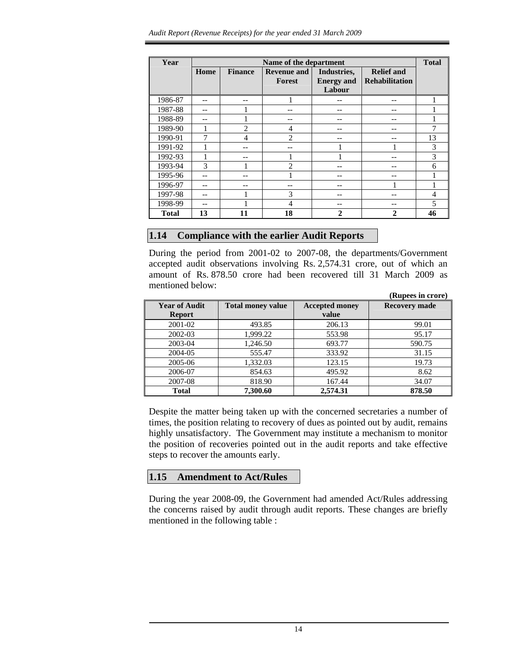| Year         |      |                | Name of the department       |                                            |                                            | <b>Total</b> |
|--------------|------|----------------|------------------------------|--------------------------------------------|--------------------------------------------|--------------|
|              | Home | <b>Finance</b> | <b>Revenue and</b><br>Forest | Industries,<br><b>Energy and</b><br>Labour | <b>Relief</b> and<br><b>Rehabilitation</b> |              |
| 1986-87      |      |                |                              |                                            |                                            |              |
| 1987-88      |      |                |                              |                                            |                                            |              |
| 1988-89      |      |                |                              |                                            |                                            |              |
| 1989-90      |      | $\overline{c}$ | 4                            |                                            |                                            |              |
| 1990-91      |      | 4              | $\overline{c}$               | --                                         |                                            | 13           |
| 1991-92      |      |                | --                           |                                            |                                            | 3            |
| 1992-93      |      |                |                              |                                            |                                            | 3            |
| 1993-94      | 3    |                | 2                            |                                            |                                            | 6            |
| 1995-96      |      |                |                              |                                            |                                            |              |
| 1996-97      |      |                |                              |                                            |                                            |              |
| 1997-98      |      |                | 3                            |                                            |                                            | 4            |
| 1998-99      |      |                | 4                            |                                            |                                            | 5            |
| <b>Total</b> | 13   | 11             | 18                           | $\mathbf{2}$                               | 2                                          | 46           |

### **1.14 Compliance with the earlier Audit Reports**

During the period from 2001-02 to 2007-08, the departments/Government accepted audit observations involving Rs. 2,574.31 crore, out of which an amount of Rs. 878.50 crore had been recovered till 31 March 2009 as mentioned below: **(Rupees in crore)** 

|                                       |                          |                                | (Kupees in crore)    |
|---------------------------------------|--------------------------|--------------------------------|----------------------|
| <b>Year of Audit</b><br><b>Report</b> | <b>Total money value</b> | <b>Accepted money</b><br>value | <b>Recovery made</b> |
|                                       |                          |                                |                      |
| 2001-02                               | 493.85                   | 206.13                         | 99.01                |
| 2002-03                               | 1,999.22                 | 553.98                         | 95.17                |
| 2003-04                               | 1,246.50                 | 693.77                         | 590.75               |
| 2004-05                               | 555.47                   | 333.92                         | 31.15                |
| 2005-06                               | 1,332.03                 | 123.15                         | 19.73                |
| 2006-07                               | 854.63                   | 495.92                         | 8.62                 |
| 2007-08                               | 818.90                   | 167.44                         | 34.07                |
| <b>Total</b>                          | 7.300.60                 | 2,574.31                       | 878.50               |

Despite the matter being taken up with the concerned secretaries a number of times, the position relating to recovery of dues as pointed out by audit, remains highly unsatisfactory. The Government may institute a mechanism to monitor the position of recoveries pointed out in the audit reports and take effective steps to recover the amounts early.

### **1.15 Amendment to Act/Rules**

During the year 2008-09, the Government had amended Act/Rules addressing the concerns raised by audit through audit reports. These changes are briefly mentioned in the following table :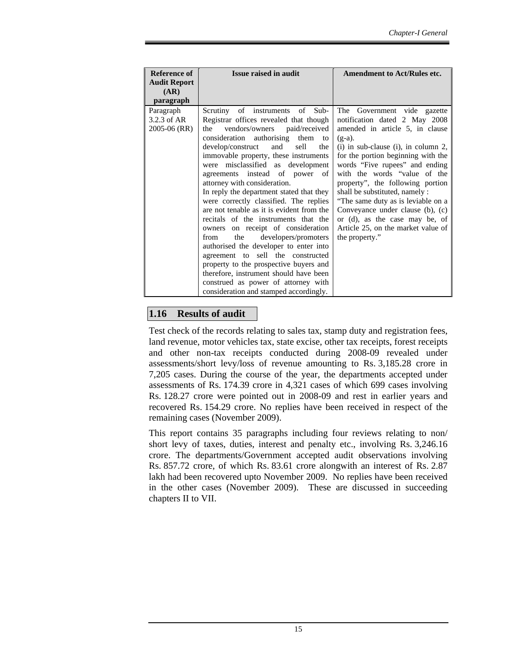| Reference of<br><b>Audit Report</b><br>(AR)           | <b>Issue raised in audit</b>                                                                                                                                                                                                                                                                                                                                                                                                                                                                                                                                      | <b>Amendment to Act/Rules etc.</b>                                                                                                                                                                                                                                                                                                                                                                                                                                                       |
|-------------------------------------------------------|-------------------------------------------------------------------------------------------------------------------------------------------------------------------------------------------------------------------------------------------------------------------------------------------------------------------------------------------------------------------------------------------------------------------------------------------------------------------------------------------------------------------------------------------------------------------|------------------------------------------------------------------------------------------------------------------------------------------------------------------------------------------------------------------------------------------------------------------------------------------------------------------------------------------------------------------------------------------------------------------------------------------------------------------------------------------|
| paragraph<br>Paragraph<br>3.2.3 of AR<br>2005-06 (RR) | Scrutiny of instruments of Sub-<br>Registrar offices revealed that though<br>vendors/owners paid/received<br>the<br>consideration authorising them to<br>develop/construct<br>and<br>sell<br>the<br>immovable property, these instruments<br>were misclassified as development<br>agreements instead of power of<br>attorney with consideration.<br>In reply the department stated that they<br>were correctly classified. The replies<br>are not tenable as it is evident from the<br>recitals of the instruments that the<br>owners on receipt of consideration | The Government vide gazette<br>notification dated 2 May 2008<br>amended in article 5, in clause<br>$(g-a)$ .<br>$(i)$ in sub-clause $(i)$ , in column 2,<br>for the portion beginning with the<br>words "Five rupees" and ending<br>with the words "value of the<br>property", the following portion<br>shall be substituted, namely :<br>"The same duty as is leviable on a<br>Conveyance under clause (b), (c)<br>or (d), as the case may be, of<br>Article 25, on the market value of |
|                                                       | developers/promoters<br>the<br>from<br>authorised the developer to enter into<br>agreement to sell the constructed<br>property to the prospective buyers and<br>therefore, instrument should have been<br>construed as power of attorney with<br>consideration and stamped accordingly.                                                                                                                                                                                                                                                                           | the property."                                                                                                                                                                                                                                                                                                                                                                                                                                                                           |

# **1.16 Results of audit**

Test check of the records relating to sales tax, stamp duty and registration fees, land revenue, motor vehicles tax, state excise, other tax receipts, forest receipts and other non-tax receipts conducted during 2008-09 revealed under assessments/short levy/loss of revenue amounting to Rs. 3,185.28 crore in 7,205 cases. During the course of the year, the departments accepted under assessments of Rs. 174.39 crore in 4,321 cases of which 699 cases involving Rs. 128.27 crore were pointed out in 2008-09 and rest in earlier years and recovered Rs. 154.29 crore. No replies have been received in respect of the remaining cases (November 2009).

This report contains 35 paragraphs including four reviews relating to non/ short levy of taxes, duties, interest and penalty etc., involving Rs. 3,246.16 crore. The departments/Government accepted audit observations involving Rs. 857.72 crore, of which Rs. 83.61 crore alongwith an interest of Rs. 2.87 lakh had been recovered upto November 2009. No replies have been received in the other cases (November 2009). These are discussed in succeeding chapters II to VII.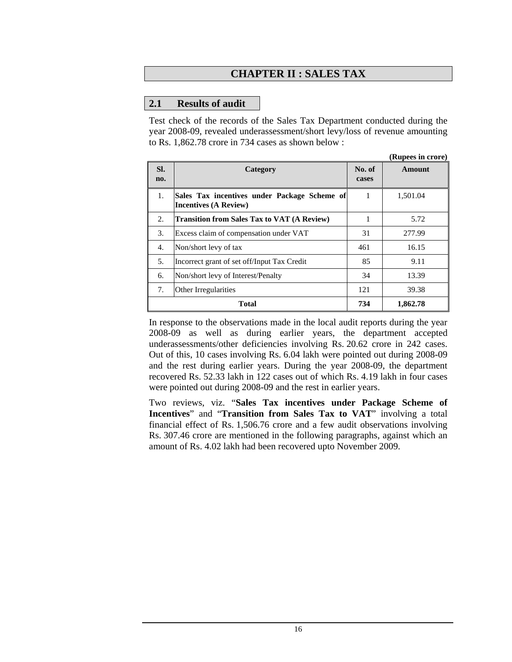# **CHAPTER II : SALES TAX**

### **2.1 Results of audit**

Test check of the records of the Sales Tax Department conducted during the year 2008-09, revealed underassessment/short levy/loss of revenue amounting to Rs. 1,862.78 crore in 734 cases as shown below :

|            |                                                                              |                 | (Rupees in crore) |
|------------|------------------------------------------------------------------------------|-----------------|-------------------|
| SI.<br>no. | Category                                                                     | No. of<br>cases | Amount            |
| 1.         | Sales Tax incentives under Package Scheme of<br><b>Incentives (A Review)</b> | 1               | 1,501.04          |
| 2.         | <b>Transition from Sales Tax to VAT (A Review)</b>                           |                 | 5.72              |
| 3.         | Excess claim of compensation under VAT                                       | 31              | 277.99            |
| 4.         | Non/short levy of tax                                                        | 461             | 16.15             |
| 5.         | Incorrect grant of set off/Input Tax Credit                                  | 85              | 9.11              |
| 6.         | Non/short levy of Interest/Penalty                                           | 34              | 13.39             |
| 7.         | Other Irregularities                                                         | 121             | 39.38             |
|            | <b>Total</b>                                                                 | 734             | 1.862.78          |

In response to the observations made in the local audit reports during the year 2008-09 as well as during earlier years, the department accepted underassessments/other deficiencies involving Rs. 20.62 crore in 242 cases. Out of this, 10 cases involving Rs. 6.04 lakh were pointed out during 2008-09 and the rest during earlier years. During the year 2008-09, the department recovered Rs. 52.33 lakh in 122 cases out of which Rs. 4.19 lakh in four cases were pointed out during 2008-09 and the rest in earlier years.

Two reviews, viz. "**Sales Tax incentives under Package Scheme of Incentives**" and "**Transition from Sales Tax to VAT**" involving a total financial effect of Rs. 1,506.76 crore and a few audit observations involving Rs. 307.46 crore are mentioned in the following paragraphs, against which an amount of Rs. 4.02 lakh had been recovered upto November 2009.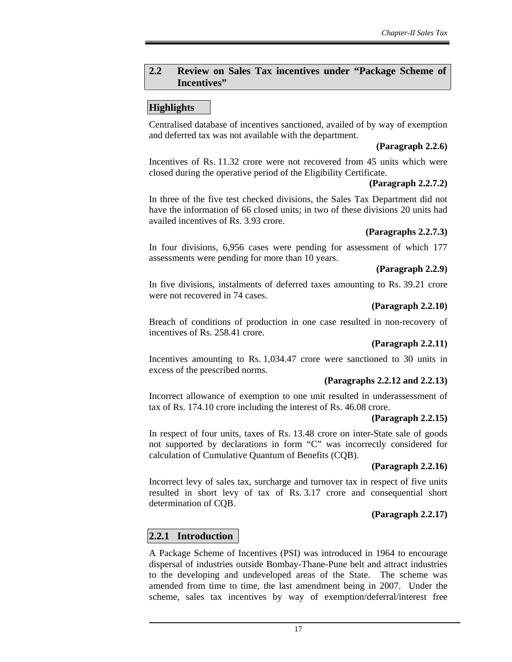### **2.2 Review on Sales Tax incentives under "Package Scheme of Incentives"**

# **Highlights**

Centralised database of incentives sanctioned, availed of by way of exemption and deferred tax was not available with the department.

### **(Paragraph 2.2.6)**

Incentives of Rs. 11.32 crore were not recovered from 45 units which were closed during the operative period of the Eligibility Certificate.

### **(Paragraph 2.2.7.2)**

In three of the five test checked divisions, the Sales Tax Department did not have the information of 66 closed units; in two of these divisions 20 units had availed incentives of Rs. 3.93 crore.

# **(Paragraphs 2.2.7.3)**

In four divisions, 6,956 cases were pending for assessment of which 177 assessments were pending for more than 10 years.

# **(Paragraph 2.2.9)**

In five divisions, instalments of deferred taxes amounting to Rs. 39.21 crore were not recovered in 74 cases.

### **(Paragraph 2.2.10)**

Breach of conditions of production in one case resulted in non-recovery of incentives of Rs. 258.41 crore.

# **(Paragraph 2.2.11)**

Incentives amounting to Rs. 1,034.47 crore were sanctioned to 30 units in excess of the prescribed norms.

### **(Paragraphs 2.2.12 and 2.2.13)**

Incorrect allowance of exemption to one unit resulted in underassessment of tax of Rs. 174.10 crore including the interest of Rs. 46.08 crore.

### **(Paragraph 2.2.15)**

In respect of four units, taxes of Rs. 13.48 crore on inter-State sale of goods not supported by declarations in form "C" was incorrectly considered for calculation of Cumulative Quantum of Benefits (CQB).

### **(Paragraph 2.2.16)**

Incorrect levy of sales tax, surcharge and turnover tax in respect of five units resulted in short levy of tax of Rs. 3.17 crore and consequential short determination of CQB.

# **(Paragraph 2.2.17)**

# **2.2.1 Introduction**

A Package Scheme of Incentives (PSI) was introduced in 1964 to encourage dispersal of industries outside Bombay-Thane-Pune belt and attract industries to the developing and undeveloped areas of the State. The scheme was amended from time to time, the last amendment being in 2007. Under the scheme, sales tax incentives by way of exemption/deferral/interest free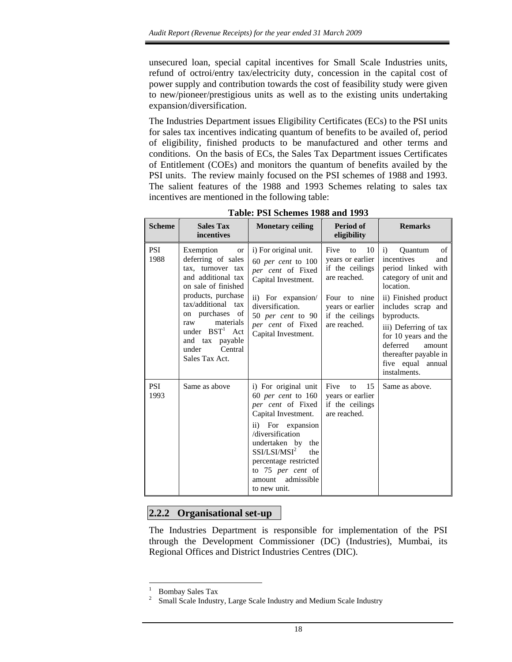unsecured loan, special capital incentives for Small Scale Industries units, refund of octroi/entry tax/electricity duty, concession in the capital cost of power supply and contribution towards the cost of feasibility study were given to new/pioneer/prestigious units as well as to the existing units undertaking expansion/diversification.

The Industries Department issues Eligibility Certificates (ECs) to the PSI units for sales tax incentives indicating quantum of benefits to be availed of, period of eligibility, finished products to be manufactured and other terms and conditions. On the basis of ECs, the Sales Tax Department issues Certificates of Entitlement (COEs) and monitors the quantum of benefits availed by the PSI units. The review mainly focused on the PSI schemes of 1988 and 1993. The salient features of the 1988 and 1993 Schemes relating to sales tax incentives are mentioned in the following table:

| <b>Scheme</b>      | <b>Sales Tax</b><br>incentives                                                                                                                                                                                                                                                 | <b>Monetary ceiling</b>                                                                                                                                                                                                                                                           | Period of<br>eligibility                                                                                                                       | <b>Remarks</b>                                                                                                                                                                                                                                                                                                         |
|--------------------|--------------------------------------------------------------------------------------------------------------------------------------------------------------------------------------------------------------------------------------------------------------------------------|-----------------------------------------------------------------------------------------------------------------------------------------------------------------------------------------------------------------------------------------------------------------------------------|------------------------------------------------------------------------------------------------------------------------------------------------|------------------------------------------------------------------------------------------------------------------------------------------------------------------------------------------------------------------------------------------------------------------------------------------------------------------------|
| PSI<br>1988        | Exemption<br><b>or</b><br>deferring of sales<br>tax, turnover tax<br>and additional tax<br>on sale of finished<br>products, purchase<br>tax/additional tax<br>on purchases of<br>raw<br>materials<br>under $BST1$ Act<br>and tax payable<br>Central<br>under<br>Sales Tax Act. | i) For original unit.<br>$60$ per cent to $100$<br>per cent of Fixed<br>Capital Investment.<br>ii) For expansion/<br>diversification.<br>50 per cent to 90<br>per cent of Fixed<br>Capital Investment.                                                                            | 10<br>Five<br>to<br>vears or earlier<br>if the ceilings<br>are reached.<br>Four to nine<br>years or earlier<br>if the ceilings<br>are reached. | of<br><b>Ouantum</b><br>$\mathbf{i}$<br>incentives<br>and<br>period linked with<br>category of unit and<br>location.<br>ii) Finished product<br>includes scrap and<br>byproducts.<br>iii) Deferring of tax<br>for 10 years and the<br>deferred<br>amount<br>thereafter payable in<br>five equal annual<br>instalments. |
| <b>PSI</b><br>1993 | Same as above                                                                                                                                                                                                                                                                  | i) For original unit<br>$60$ per cent to $160$<br>per cent of Fixed<br>Capital Investment.<br>ii) For expansion<br>/diversification<br>undertaken by the<br>SSI/LSI/MSI <sup>2</sup><br>the<br>percentage restricted<br>to 75 per cent of<br>admissible<br>amount<br>to new unit. | Five<br>15<br>to<br>years or earlier<br>if the ceilings<br>are reached.                                                                        | Same as above.                                                                                                                                                                                                                                                                                                         |

**Table: PSI Schemes 1988 and 1993**

# **2.2.2 Organisational set-up**

The Industries Department is responsible for implementation of the PSI through the Development Commissioner (DC) (Industries), Mumbai, its Regional Offices and District Industries Centres (DIC).

 $\overline{a}$ 

<sup>1</sup> Bombay Sales Tax

<sup>2</sup> Small Scale Industry, Large Scale Industry and Medium Scale Industry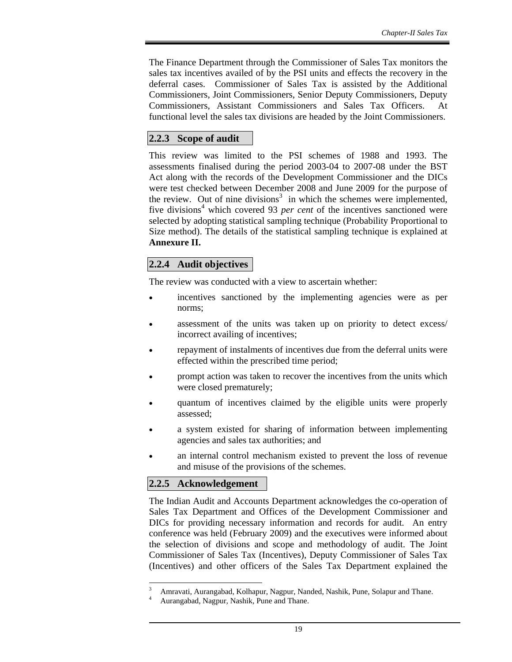The Finance Department through the Commissioner of Sales Tax monitors the sales tax incentives availed of by the PSI units and effects the recovery in the deferral cases. Commissioner of Sales Tax is assisted by the Additional Commissioners, Joint Commissioners, Senior Deputy Commissioners, Deputy Commissioners, Assistant Commissioners and Sales Tax Officers. At functional level the sales tax divisions are headed by the Joint Commissioners.

# **2.2.3 Scope of audit**

This review was limited to the PSI schemes of 1988 and 1993. The assessments finalised during the period 2003-04 to 2007-08 under the BST Act along with the records of the Development Commissioner and the DICs were test checked between December 2008 and June 2009 for the purpose of the review. Out of nine divisions<sup>3</sup> in which the schemes were implemented, five divisions<sup>4</sup> which covered 93 *per cent* of the incentives sanctioned were selected by adopting statistical sampling technique (Probability Proportional to Size method). The details of the statistical sampling technique is explained at **Annexure II.** 

# **2.2.4 Audit objectives**

The review was conducted with a view to ascertain whether:

- incentives sanctioned by the implementing agencies were as per norms;
- assessment of the units was taken up on priority to detect excess/ incorrect availing of incentives;
- repayment of instalments of incentives due from the deferral units were effected within the prescribed time period;
- prompt action was taken to recover the incentives from the units which were closed prematurely;
- quantum of incentives claimed by the eligible units were properly assessed;
- a system existed for sharing of information between implementing agencies and sales tax authorities; and
- an internal control mechanism existed to prevent the loss of revenue and misuse of the provisions of the schemes.

# **2.2.5 Acknowledgement**

 $\overline{a}$ 

The Indian Audit and Accounts Department acknowledges the co-operation of Sales Tax Department and Offices of the Development Commissioner and DICs for providing necessary information and records for audit. An entry conference was held (February 2009) and the executives were informed about the selection of divisions and scope and methodology of audit. The Joint Commissioner of Sales Tax (Incentives), Deputy Commissioner of Sales Tax (Incentives) and other officers of the Sales Tax Department explained the

<sup>3</sup> Amravati, Aurangabad, Kolhapur, Nagpur, Nanded, Nashik, Pune, Solapur and Thane. 4

Aurangabad, Nagpur, Nashik, Pune and Thane.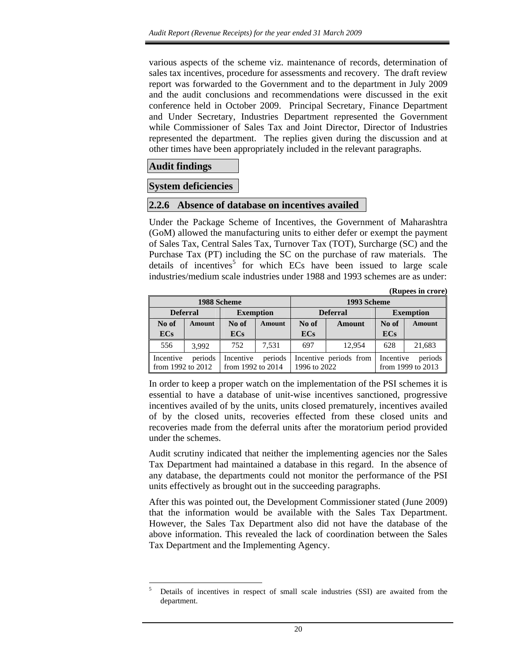various aspects of the scheme viz. maintenance of records, determination of sales tax incentives, procedure for assessments and recovery. The draft review report was forwarded to the Government and to the department in July 2009 and the audit conclusions and recommendations were discussed in the exit conference held in October 2009. Principal Secretary, Finance Department and Under Secretary, Industries Department represented the Government while Commissioner of Sales Tax and Joint Director, Director of Industries represented the department. The replies given during the discussion and at other times have been appropriately included in the relevant paragraphs.

### **Audit findings**

 $\overline{a}$ 

### **System deficiencies**

### **2.2.6 Absence of database on incentives availed**

Under the Package Scheme of Incentives, the Government of Maharashtra (GoM) allowed the manufacturing units to either defer or exempt the payment of Sales Tax, Central Sales Tax, Turnover Tax (TOT), Surcharge (SC) and the Purchase Tax (PT) including the SC on the purchase of raw materials. The details of incentives<sup>5</sup> for which ECs have been issued to large scale industries/medium scale industries under 1988 and 1993 schemes are as under:

|                                             |        |                                |               |              |                        |            | (Rupees in crore)            |  |
|---------------------------------------------|--------|--------------------------------|---------------|--------------|------------------------|------------|------------------------------|--|
|                                             |        | 1988 Scheme                    |               |              | 1993 Scheme            |            |                              |  |
| <b>Deferral</b>                             |        | <b>Exemption</b>               |               |              | <b>Deferral</b>        |            | <b>Exemption</b>             |  |
| No of                                       | Amount | No of                          | <b>Amount</b> | No of        | Amount                 | No of      | Amount                       |  |
| <b>ECs</b>                                  |        | <b>ECs</b>                     |               | <b>ECs</b>   |                        | <b>ECs</b> |                              |  |
| 556                                         | 3.992  | 752                            | 7.531         | 697          | 12,954                 | 628        | 21,683                       |  |
| Incentive<br>periods<br>from 1992 to $2012$ |        | Incentive<br>from 1992 to 2014 | periods       | 1996 to 2022 | Incentive periods from | Incentive  | periods<br>from 1999 to 2013 |  |

In order to keep a proper watch on the implementation of the PSI schemes it is essential to have a database of unit-wise incentives sanctioned, progressive incentives availed of by the units, units closed prematurely, incentives availed of by the closed units, recoveries effected from these closed units and recoveries made from the deferral units after the moratorium period provided under the schemes.

Audit scrutiny indicated that neither the implementing agencies nor the Sales Tax Department had maintained a database in this regard. In the absence of any database, the departments could not monitor the performance of the PSI units effectively as brought out in the succeeding paragraphs.

After this was pointed out, the Development Commissioner stated (June 2009) that the information would be available with the Sales Tax Department. However, the Sales Tax Department also did not have the database of the above information. This revealed the lack of coordination between the Sales Tax Department and the Implementing Agency.

<sup>5</sup> Details of incentives in respect of small scale industries (SSI) are awaited from the department.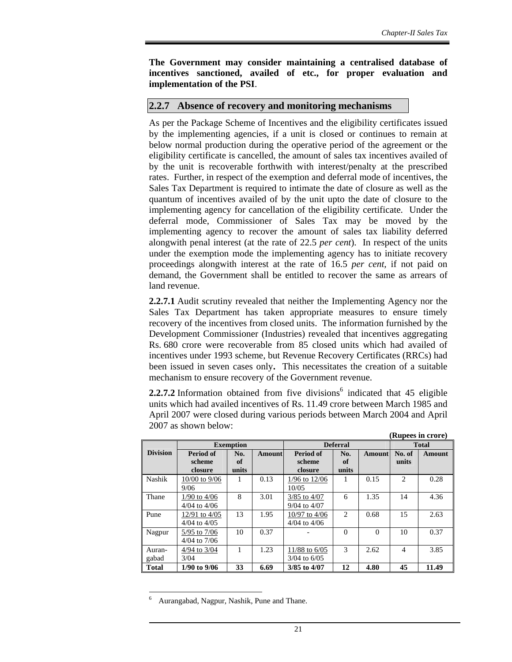**The Government may consider maintaining a centralised database of incentives sanctioned, availed of etc., for proper evaluation and implementation of the PSI**.

### **2.2.7 Absence of recovery and monitoring mechanisms**

As per the Package Scheme of Incentives and the eligibility certificates issued by the implementing agencies, if a unit is closed or continues to remain at below normal production during the operative period of the agreement or the eligibility certificate is cancelled, the amount of sales tax incentives availed of by the unit is recoverable forthwith with interest/penalty at the prescribed rates. Further, in respect of the exemption and deferral mode of incentives, the Sales Tax Department is required to intimate the date of closure as well as the quantum of incentives availed of by the unit upto the date of closure to the implementing agency for cancellation of the eligibility certificate. Under the deferral mode, Commissioner of Sales Tax may be moved by the implementing agency to recover the amount of sales tax liability deferred alongwith penal interest (at the rate of 22.5 *per cent*). In respect of the units under the exemption mode the implementing agency has to initiate recovery proceedings alongwith interest at the rate of 16.5 *per cent,* if not paid on demand, the Government shall be entitled to recover the same as arrears of land revenue.

**2.2.7.1** Audit scrutiny revealed that neither the Implementing Agency nor the Sales Tax Department has taken appropriate measures to ensure timely recovery of the incentives from closed units. The information furnished by the Development Commissioner (Industries) revealed that incentives aggregating Rs. 680 crore were recoverable from 85 closed units which had availed of incentives under 1993 scheme, but Revenue Recovery Certificates (RRCs) had been issued in seven cases only**.** This necessitates the creation of a suitable mechanism to ensure recovery of the Government revenue.

**2.2.7.2** Information obtained from five divisions<sup>6</sup> indicated that  $45$  eligible units which had availed incentives of Rs. 11.49 crore between March 1985 and April 2007 were closed during various periods between March 2004 and April 2007 as shown below: **(Rupees in crore)** 

|                 |                                      |                    |        |                                       |                    |               |                               | (Kupees in crore) |
|-----------------|--------------------------------------|--------------------|--------|---------------------------------------|--------------------|---------------|-------------------------------|-------------------|
|                 |                                      | <b>Exemption</b>   |        | <b>Deferral</b>                       | <b>Total</b>       |               |                               |                   |
| <b>Division</b> | Period of<br>scheme<br>closure       | No.<br>of<br>units | Amount | Period of<br>scheme<br>closure        | No.<br>of<br>units | <b>Amount</b> | No. of<br>units               | <b>Amount</b>     |
| Nashik          | $10/00$ to $9/06$<br>9/06            |                    | 0.13   | $1/96$ to $12/06$<br>10/0.5           |                    | 0.15          | $\mathfrak{D}_{\mathfrak{p}}$ | 0.28              |
| Thane           | $1/90$ to $4/06$<br>$4/04$ to $4/06$ | 8                  | 3.01   | $3/85$ to $4/07$<br>$9/04$ to $4/07$  | 6                  | 1.35          | 14                            | 4.36              |
| Pune            | 12/91 to 4/05<br>$4/04$ to $4/05$    | 13                 | 1.95   | $10/97$ to $4/06$<br>$4/04$ to $4/06$ | 2                  | 0.68          | 15                            | 2.63              |
| Nagpur          | 5/95 to 7/06<br>$4/04$ to $7/06$     | 10                 | 0.37   |                                       | $\Omega$           | $\Omega$      | 10                            | 0.37              |
| Auran-<br>gabad | 4/94 to 3/04<br>3/04                 |                    | 1.23   | 11/88 to 6/05<br>$3/04$ to $6/05$     | $\mathcal{R}$      | 2.62          | $\overline{4}$                | 3.85              |
| <b>Total</b>    | $1/90$ to $9/06$                     | 33                 | 6.69   | 3/85 to 4/07                          | 12                 | 4.80          | 45                            | 11.49             |

<sup>6</sup> Aurangabad, Nagpur, Nashik, Pune and Thane.

 $\overline{a}$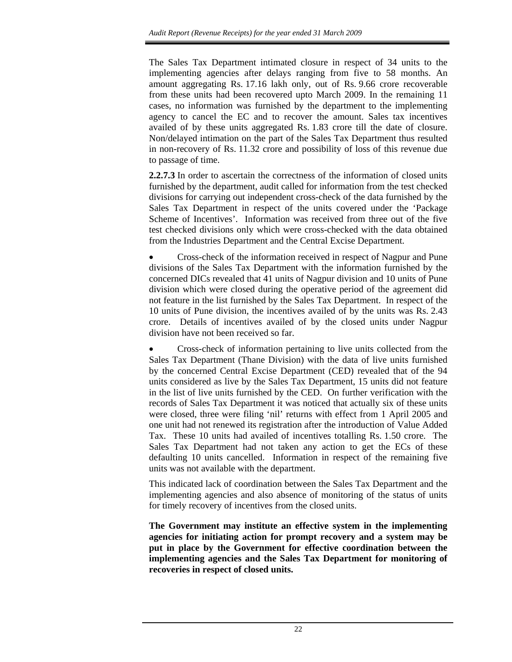The Sales Tax Department intimated closure in respect of 34 units to the implementing agencies after delays ranging from five to 58 months. An amount aggregating Rs. 17.16 lakh only, out of Rs. 9.66 crore recoverable from these units had been recovered upto March 2009. In the remaining 11 cases, no information was furnished by the department to the implementing agency to cancel the EC and to recover the amount. Sales tax incentives availed of by these units aggregated Rs. 1.83 crore till the date of closure. Non/delayed intimation on the part of the Sales Tax Department thus resulted in non-recovery of Rs. 11.32 crore and possibility of loss of this revenue due to passage of time.

**2.2.7.3** In order to ascertain the correctness of the information of closed units furnished by the department, audit called for information from the test checked divisions for carrying out independent cross-check of the data furnished by the Sales Tax Department in respect of the units covered under the 'Package Scheme of Incentives'. Information was received from three out of the five test checked divisions only which were cross-checked with the data obtained from the Industries Department and the Central Excise Department.

• Cross-check of the information received in respect of Nagpur and Pune divisions of the Sales Tax Department with the information furnished by the concerned DICs revealed that 41 units of Nagpur division and 10 units of Pune division which were closed during the operative period of the agreement did not feature in the list furnished by the Sales Tax Department. In respect of the 10 units of Pune division, the incentives availed of by the units was Rs. 2.43 crore. Details of incentives availed of by the closed units under Nagpur division have not been received so far.

• Cross-check of information pertaining to live units collected from the Sales Tax Department (Thane Division) with the data of live units furnished by the concerned Central Excise Department (CED) revealed that of the 94 units considered as live by the Sales Tax Department, 15 units did not feature in the list of live units furnished by the CED. On further verification with the records of Sales Tax Department it was noticed that actually six of these units were closed, three were filing 'nil' returns with effect from 1 April 2005 and one unit had not renewed its registration after the introduction of Value Added Tax. These 10 units had availed of incentives totalling Rs. 1.50 crore. The Sales Tax Department had not taken any action to get the ECs of these defaulting 10 units cancelled. Information in respect of the remaining five units was not available with the department.

This indicated lack of coordination between the Sales Tax Department and the implementing agencies and also absence of monitoring of the status of units for timely recovery of incentives from the closed units.

**The Government may institute an effective system in the implementing agencies for initiating action for prompt recovery and a system may be put in place by the Government for effective coordination between the implementing agencies and the Sales Tax Department for monitoring of recoveries in respect of closed units.**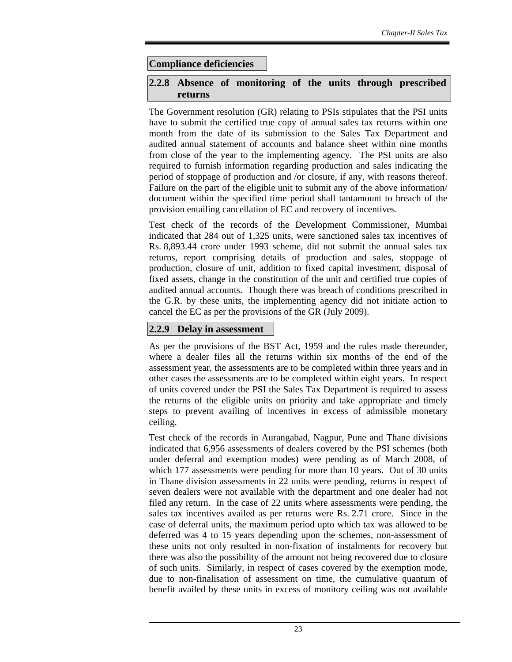### **Compliance deficiencies**

### **2.2.8 Absence of monitoring of the units through prescribed returns**

The Government resolution (GR) relating to PSIs stipulates that the PSI units have to submit the certified true copy of annual sales tax returns within one month from the date of its submission to the Sales Tax Department and audited annual statement of accounts and balance sheet within nine months from close of the year to the implementing agency. The PSI units are also required to furnish information regarding production and sales indicating the period of stoppage of production and /or closure, if any, with reasons thereof. Failure on the part of the eligible unit to submit any of the above information/ document within the specified time period shall tantamount to breach of the provision entailing cancellation of EC and recovery of incentives.

Test check of the records of the Development Commissioner, Mumbai indicated that 284 out of 1,325 units, were sanctioned sales tax incentives of Rs. 8,893.44 crore under 1993 scheme, did not submit the annual sales tax returns, report comprising details of production and sales, stoppage of production, closure of unit, addition to fixed capital investment, disposal of fixed assets, change in the constitution of the unit and certified true copies of audited annual accounts. Though there was breach of conditions prescribed in the G.R. by these units, the implementing agency did not initiate action to cancel the EC as per the provisions of the GR (July 2009).

### **2.2.9 Delay in assessment**

As per the provisions of the BST Act, 1959 and the rules made thereunder, where a dealer files all the returns within six months of the end of the assessment year, the assessments are to be completed within three years and in other cases the assessments are to be completed within eight years. In respect of units covered under the PSI the Sales Tax Department is required to assess the returns of the eligible units on priority and take appropriate and timely steps to prevent availing of incentives in excess of admissible monetary ceiling.

Test check of the records in Aurangabad, Nagpur, Pune and Thane divisions indicated that 6,956 assessments of dealers covered by the PSI schemes (both under deferral and exemption modes) were pending as of March 2008, of which 177 assessments were pending for more than 10 years. Out of 30 units in Thane division assessments in 22 units were pending, returns in respect of seven dealers were not available with the department and one dealer had not filed any return. In the case of 22 units where assessments were pending, the sales tax incentives availed as per returns were Rs. 2.71 crore. Since in the case of deferral units, the maximum period upto which tax was allowed to be deferred was 4 to 15 years depending upon the schemes, non-assessment of these units not only resulted in non-fixation of instalments for recovery but there was also the possibility of the amount not being recovered due to closure of such units. Similarly, in respect of cases covered by the exemption mode, due to non-finalisation of assessment on time, the cumulative quantum of benefit availed by these units in excess of monitory ceiling was not available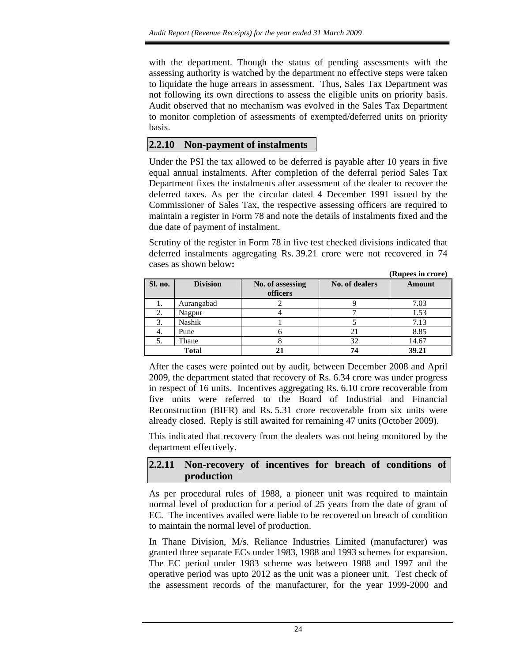with the department. Though the status of pending assessments with the assessing authority is watched by the department no effective steps were taken to liquidate the huge arrears in assessment. Thus, Sales Tax Department was not following its own directions to assess the eligible units on priority basis. Audit observed that no mechanism was evolved in the Sales Tax Department to monitor completion of assessments of exempted/deferred units on priority basis.

# **2.2.10 Non-payment of instalments**

Under the PSI the tax allowed to be deferred is payable after 10 years in five equal annual instalments. After completion of the deferral period Sales Tax Department fixes the instalments after assessment of the dealer to recover the deferred taxes. As per the circular dated 4 December 1991 issued by the Commissioner of Sales Tax, the respective assessing officers are required to maintain a register in Form 78 and note the details of instalments fixed and the due date of payment of instalment.

Scrutiny of the register in Form 78 in five test checked divisions indicated that deferred instalments aggregating Rs. 39.21 crore were not recovered in 74 cases as shown below**:** 

|         |                 |                              |                | (Rupees in crore) |
|---------|-----------------|------------------------------|----------------|-------------------|
| Sl. no. | <b>Division</b> | No. of assessing<br>officers | No. of dealers | <b>Amount</b>     |
|         | Aurangabad      |                              |                | 7.03              |
|         | Nagpur          |                              |                | 1.53              |
|         | <b>Nashik</b>   |                              |                | 7.13              |
|         | Pune            |                              |                | 8.85              |
|         | Thane           |                              | 32             | 14.67             |
|         | <b>Total</b>    |                              | 74             | 39.21             |

After the cases were pointed out by audit, between December 2008 and April 2009, the department stated that recovery of Rs. 6.34 crore was under progress in respect of 16 units. Incentives aggregating Rs. 6.10 crore recoverable from five units were referred to the Board of Industrial and Financial Reconstruction (BIFR) and Rs. 5.31 crore recoverable from six units were already closed. Reply is still awaited for remaining 47 units (October 2009).

This indicated that recovery from the dealers was not being monitored by the department effectively.

### **2.2.11 Non-recovery of incentives for breach of conditions of production**

As per procedural rules of 1988, a pioneer unit was required to maintain normal level of production for a period of 25 years from the date of grant of EC. The incentives availed were liable to be recovered on breach of condition to maintain the normal level of production.

In Thane Division, M/s. Reliance Industries Limited (manufacturer) was granted three separate ECs under 1983, 1988 and 1993 schemes for expansion. The EC period under 1983 scheme was between 1988 and 1997 and the operative period was upto 2012 as the unit was a pioneer unit. Test check of the assessment records of the manufacturer, for the year 1999-2000 and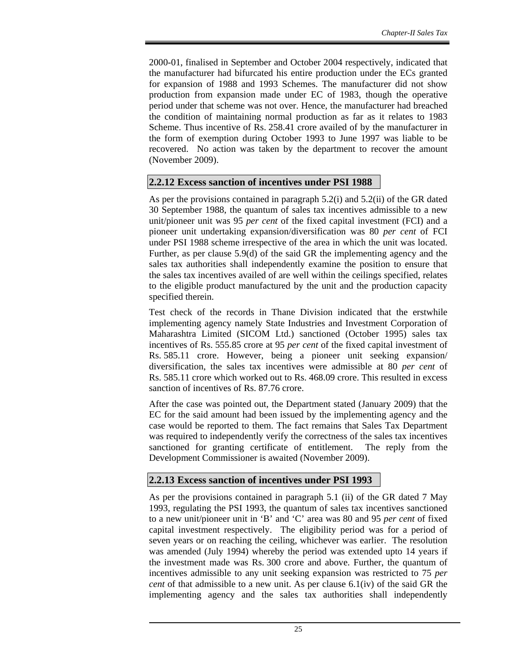2000-01, finalised in September and October 2004 respectively, indicated that the manufacturer had bifurcated his entire production under the ECs granted for expansion of 1988 and 1993 Schemes. The manufacturer did not show production from expansion made under EC of 1983, though the operative period under that scheme was not over. Hence, the manufacturer had breached the condition of maintaining normal production as far as it relates to 1983 Scheme. Thus incentive of Rs. 258.41 crore availed of by the manufacturer in the form of exemption during October 1993 to June 1997 was liable to be recovered. No action was taken by the department to recover the amount (November 2009).

# **2.2.12 Excess sanction of incentives under PSI 1988**

As per the provisions contained in paragraph 5.2(i) and 5.2(ii) of the GR dated 30 September 1988, the quantum of sales tax incentives admissible to a new unit/pioneer unit was 95 *per cent* of the fixed capital investment (FCI) and a pioneer unit undertaking expansion/diversification was 80 *per cent* of FCI under PSI 1988 scheme irrespective of the area in which the unit was located. Further, as per clause 5.9(d) of the said GR the implementing agency and the sales tax authorities shall independently examine the position to ensure that the sales tax incentives availed of are well within the ceilings specified, relates to the eligible product manufactured by the unit and the production capacity specified therein.

Test check of the records in Thane Division indicated that the erstwhile implementing agency namely State Industries and Investment Corporation of Maharashtra Limited (SICOM Ltd.) sanctioned (October 1995) sales tax incentives of Rs. 555.85 crore at 95 *per cent* of the fixed capital investment of Rs. 585.11 crore. However, being a pioneer unit seeking expansion/ diversification, the sales tax incentives were admissible at 80 *per cent* of Rs. 585.11 crore which worked out to Rs. 468.09 crore. This resulted in excess sanction of incentives of Rs. 87.76 crore.

After the case was pointed out, the Department stated (January 2009) that the EC for the said amount had been issued by the implementing agency and the case would be reported to them. The fact remains that Sales Tax Department was required to independently verify the correctness of the sales tax incentives sanctioned for granting certificate of entitlement. The reply from the Development Commissioner is awaited (November 2009).

### **2.2.13 Excess sanction of incentives under PSI 1993**

As per the provisions contained in paragraph 5.1 (ii) of the GR dated 7 May 1993, regulating the PSI 1993, the quantum of sales tax incentives sanctioned to a new unit/pioneer unit in 'B' and 'C' area was 80 and 95 *per cent* of fixed capital investment respectively. The eligibility period was for a period of seven years or on reaching the ceiling, whichever was earlier. The resolution was amended (July 1994) whereby the period was extended upto 14 years if the investment made was Rs. 300 crore and above. Further, the quantum of incentives admissible to any unit seeking expansion was restricted to 75 *per cent* of that admissible to a new unit. As per clause 6.1(iv) of the said GR the implementing agency and the sales tax authorities shall independently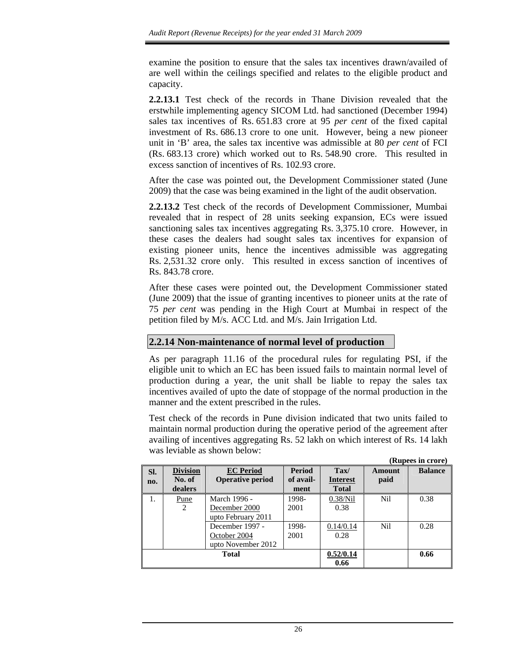examine the position to ensure that the sales tax incentives drawn/availed of are well within the ceilings specified and relates to the eligible product and capacity.

**2.2.13.1** Test check of the records in Thane Division revealed that the erstwhile implementing agency SICOM Ltd. had sanctioned (December 1994) sales tax incentives of Rs. 651.83 crore at 95 *per cent* of the fixed capital investment of Rs. 686.13 crore to one unit. However, being a new pioneer unit in 'B' area, the sales tax incentive was admissible at 80 *per cent* of FCI (Rs. 683.13 crore) which worked out to Rs. 548.90 crore. This resulted in excess sanction of incentives of Rs. 102.93 crore.

After the case was pointed out, the Development Commissioner stated (June 2009) that the case was being examined in the light of the audit observation.

**2.2.13.2** Test check of the records of Development Commissioner, Mumbai revealed that in respect of 28 units seeking expansion, ECs were issued sanctioning sales tax incentives aggregating Rs. 3,375.10 crore. However, in these cases the dealers had sought sales tax incentives for expansion of existing pioneer units, hence the incentives admissible was aggregating Rs. 2,531.32 crore only. This resulted in excess sanction of incentives of Rs. 843.78 crore.

After these cases were pointed out, the Development Commissioner stated (June 2009) that the issue of granting incentives to pioneer units at the rate of 75 *per cent* was pending in the High Court at Mumbai in respect of the petition filed by M/s. ACC Ltd. and M/s. Jain Irrigation Ltd.

# **2.2.14 Non-maintenance of normal level of production**

As per paragraph 11.16 of the procedural rules for regulating PSI, if the eligible unit to which an EC has been issued fails to maintain normal level of production during a year, the unit shall be liable to repay the sales tax incentives availed of upto the date of stoppage of the normal production in the manner and the extent prescribed in the rules.

Test check of the records in Pune division indicated that two units failed to maintain normal production during the operative period of the agreement after availing of incentives aggregating Rs. 52 lakh on which interest of Rs. 14 lakh was leviable as shown below:

|            |                                      |                                                       |                                    |                                                    |                | (Rupees in crore) |
|------------|--------------------------------------|-------------------------------------------------------|------------------------------------|----------------------------------------------------|----------------|-------------------|
| SI.<br>no. | <b>Division</b><br>No. of<br>dealers | <b>EC</b> Period<br><b>Operative period</b>           | <b>Period</b><br>of avail-<br>ment | $\textbf{Tax}/$<br><b>Interest</b><br><b>Total</b> | Amount<br>paid | <b>Balance</b>    |
| 1.         | Pune<br>$\overline{2}$               | March 1996 -<br>December 2000<br>upto February 2011   | 1998-<br>2001                      | 0.38/Nil<br>0.38                                   | Nil            | 0.38              |
|            |                                      | December 1997 -<br>October 2004<br>upto November 2012 | 1998-<br>2001                      | 0.14/0.14<br>0.28                                  | N <sub>i</sub> | 0.28              |
|            |                                      | <b>Total</b>                                          | 0.52/0.14<br>0.66                  |                                                    | 0.66           |                   |

26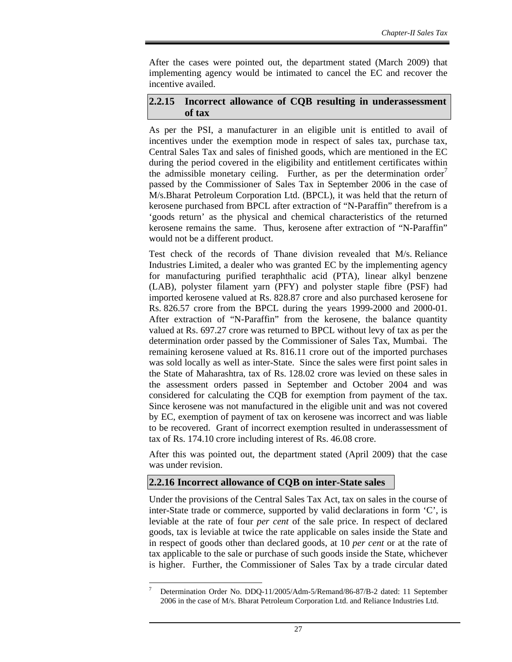After the cases were pointed out, the department stated (March 2009) that implementing agency would be intimated to cancel the EC and recover the incentive availed.

### **2.2.15 Incorrect allowance of CQB resulting in underassessment of tax**

As per the PSI, a manufacturer in an eligible unit is entitled to avail of incentives under the exemption mode in respect of sales tax, purchase tax, Central Sales Tax and sales of finished goods, which are mentioned in the EC during the period covered in the eligibility and entitlement certificates within the admissible monetary ceiling. Further, as per the determination order<sup> $\prime$ </sup> passed by the Commissioner of Sales Tax in September 2006 in the case of M/s.Bharat Petroleum Corporation Ltd. (BPCL), it was held that the return of kerosene purchased from BPCL after extraction of "N-Paraffin" therefrom is a 'goods return' as the physical and chemical characteristics of the returned kerosene remains the same. Thus, kerosene after extraction of "N-Paraffin" would not be a different product.

Test check of the records of Thane division revealed that M/s. Reliance Industries Limited, a dealer who was granted EC by the implementing agency for manufacturing purified teraphthalic acid (PTA), linear alkyl benzene (LAB), polyster filament yarn (PFY) and polyster staple fibre (PSF) had imported kerosene valued at Rs. 828.87 crore and also purchased kerosene for Rs. 826.57 crore from the BPCL during the years 1999-2000 and 2000-01. After extraction of "N-Paraffin" from the kerosene, the balance quantity valued at Rs. 697.27 crore was returned to BPCL without levy of tax as per the determination order passed by the Commissioner of Sales Tax, Mumbai. The remaining kerosene valued at Rs. 816.11 crore out of the imported purchases was sold locally as well as inter-State. Since the sales were first point sales in the State of Maharashtra, tax of Rs. 128.02 crore was levied on these sales in the assessment orders passed in September and October 2004 and was considered for calculating the CQB for exemption from payment of the tax. Since kerosene was not manufactured in the eligible unit and was not covered by EC, exemption of payment of tax on kerosene was incorrect and was liable to be recovered. Grant of incorrect exemption resulted in underassessment of tax of Rs. 174.10 crore including interest of Rs. 46.08 crore.

After this was pointed out, the department stated (April 2009) that the case was under revision.

# **2.2.16 Incorrect allowance of CQB on inter-State sales**

Under the provisions of the Central Sales Tax Act, tax on sales in the course of inter-State trade or commerce, supported by valid declarations in form 'C', is leviable at the rate of four *per cent* of the sale price. In respect of declared goods, tax is leviable at twice the rate applicable on sales inside the State and in respect of goods other than declared goods, at 10 *per cent* or at the rate of tax applicable to the sale or purchase of such goods inside the State, whichever is higher. Further, the Commissioner of Sales Tax by a trade circular dated

 $\overline{a}$ 7 Determination Order No. DDQ-11/2005/Adm-5/Remand/86-87/B-2 dated: 11 September 2006 in the case of M/s. Bharat Petroleum Corporation Ltd. and Reliance Industries Ltd.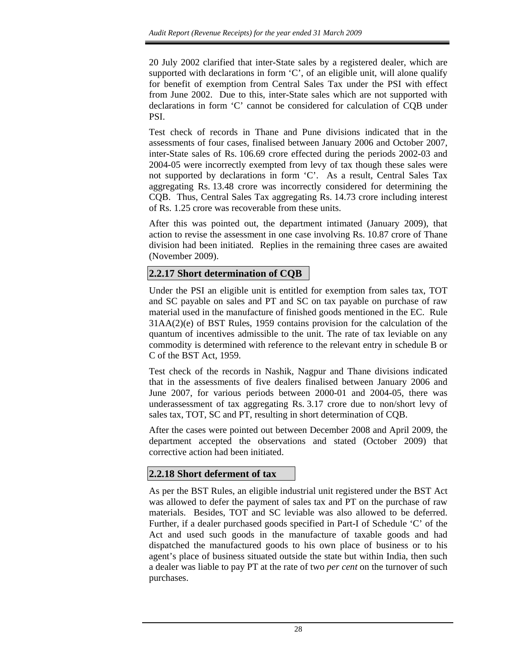20 July 2002 clarified that inter-State sales by a registered dealer, which are supported with declarations in form 'C', of an eligible unit, will alone qualify for benefit of exemption from Central Sales Tax under the PSI with effect from June 2002. Due to this, inter-State sales which are not supported with declarations in form 'C' cannot be considered for calculation of CQB under PSI.

Test check of records in Thane and Pune divisions indicated that in the assessments of four cases, finalised between January 2006 and October 2007, inter-State sales of Rs. 106.69 crore effected during the periods 2002-03 and 2004-05 were incorrectly exempted from levy of tax though these sales were not supported by declarations in form 'C'. As a result, Central Sales Tax aggregating Rs. 13.48 crore was incorrectly considered for determining the CQB. Thus, Central Sales Tax aggregating Rs. 14.73 crore including interest of Rs. 1.25 crore was recoverable from these units.

After this was pointed out, the department intimated (January 2009), that action to revise the assessment in one case involving Rs. 10.87 crore of Thane division had been initiated. Replies in the remaining three cases are awaited (November 2009).

# **2.2.17 Short determination of CQB**

Under the PSI an eligible unit is entitled for exemption from sales tax, TOT and SC payable on sales and PT and SC on tax payable on purchase of raw material used in the manufacture of finished goods mentioned in the EC. Rule 31AA(2)(e) of BST Rules, 1959 contains provision for the calculation of the quantum of incentives admissible to the unit. The rate of tax leviable on any commodity is determined with reference to the relevant entry in schedule B or C of the BST Act, 1959.

Test check of the records in Nashik, Nagpur and Thane divisions indicated that in the assessments of five dealers finalised between January 2006 and June 2007, for various periods between 2000-01 and 2004-05, there was underassessment of tax aggregating Rs. 3.17 crore due to non/short levy of sales tax, TOT, SC and PT, resulting in short determination of CQB.

After the cases were pointed out between December 2008 and April 2009, the department accepted the observations and stated (October 2009) that corrective action had been initiated.

# **2.2.18 Short deferment of tax**

As per the BST Rules, an eligible industrial unit registered under the BST Act was allowed to defer the payment of sales tax and PT on the purchase of raw materials. Besides, TOT and SC leviable was also allowed to be deferred. Further, if a dealer purchased goods specified in Part-I of Schedule 'C' of the Act and used such goods in the manufacture of taxable goods and had dispatched the manufactured goods to his own place of business or to his agent's place of business situated outside the state but within India, then such a dealer was liable to pay PT at the rate of two *per cent* on the turnover of such purchases.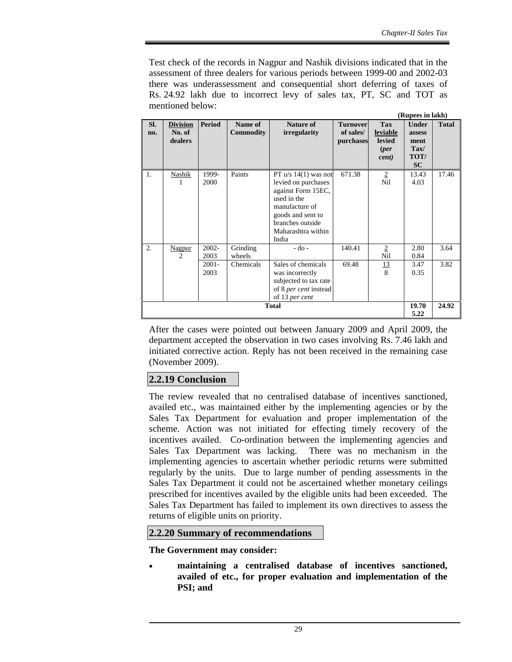Test check of the records in Nagpur and Nashik divisions indicated that in the assessment of three dealers for various periods between 1999-00 and 2002-03 there was underassessment and consequential short deferring of taxes of Rs. 24.92 lakh due to incorrect levy of sales tax, PT, SC and TOT as mentioned below:

|            |                                      |                  |                             |                                                                                                                                                                              |                                           |                                                          | (Rupees in lakh)                                                     |              |
|------------|--------------------------------------|------------------|-----------------------------|------------------------------------------------------------------------------------------------------------------------------------------------------------------------------|-------------------------------------------|----------------------------------------------------------|----------------------------------------------------------------------|--------------|
| SI.<br>no. | <b>Division</b><br>No. of<br>dealers | <b>Period</b>    | Name of<br><b>Commodity</b> | <b>Nature of</b><br><i>irregularity</i>                                                                                                                                      | <b>Turnover</b><br>of sales/<br>purchases | <b>Tax</b><br>leviable<br><b>levied</b><br>(per<br>cent) | <b>Under</b><br>assess<br>ment<br>$\text{Tax}/$<br>TOT/<br><b>SC</b> | <b>Total</b> |
| 1.         | Nashik<br>1                          | 1999-<br>2000    | Paints                      | PT $u/s$ 14(1) was not<br>levied on purchases<br>against Form 15EC,<br>used in the<br>manufacture of<br>goods and sent to<br>branches outside<br>Maharashtra within<br>India | 671.38                                    | $\overline{2}$<br>Nil                                    | 13.43<br>4.03                                                        | 17.46        |
| 2.         | Nagpur<br>$\mathfrak{D}$             | $2002 -$<br>2003 | Grinding<br>wheels          | $-do -$                                                                                                                                                                      | 140.41                                    | $\overline{2}$<br>Nil                                    | 2.80<br>0.84                                                         | 3.64         |
|            |                                      | $2001 -$<br>2003 | Chemicals                   | Sales of chemicals<br>was incorrectly<br>subjected to tax rate<br>of 8 <i>per cent</i> instead<br>of 13 per cent                                                             | 69.48                                     | 13<br>$\mathbf{8}$                                       | 3.47<br>0.35                                                         | 3.82         |
|            |                                      |                  |                             | <b>Total</b>                                                                                                                                                                 |                                           |                                                          | 19.70<br>5.22                                                        | 24.92        |

After the cases were pointed out between January 2009 and April 2009, the department accepted the observation in two cases involving Rs. 7.46 lakh and initiated corrective action. Reply has not been received in the remaining case (November 2009).

# **2.2.19 Conclusion**

The review revealed that no centralised database of incentives sanctioned, availed etc., was maintained either by the implementing agencies or by the Sales Tax Department for evaluation and proper implementation of the scheme. Action was not initiated for effecting timely recovery of the incentives availed. Co-ordination between the implementing agencies and Sales Tax Department was lacking. There was no mechanism in the implementing agencies to ascertain whether periodic returns were submitted regularly by the units. Due to large number of pending assessments in the Sales Tax Department it could not be ascertained whether monetary ceilings prescribed for incentives availed by the eligible units had been exceeded. The Sales Tax Department has failed to implement its own directives to assess the returns of eligible units on priority.

# **2.2.20 Summary of recommendations**

**The Government may consider:** 

• **maintaining a centralised database of incentives sanctioned, availed of etc., for proper evaluation and implementation of the PSI; and**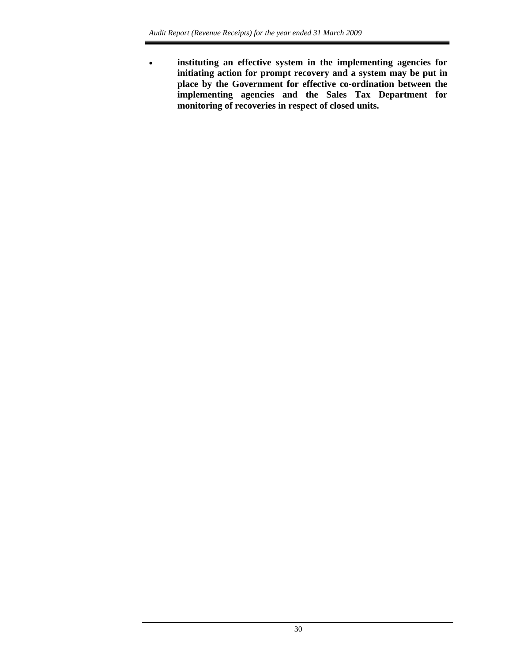• **instituting an effective system in the implementing agencies for initiating action for prompt recovery and a system may be put in place by the Government for effective co-ordination between the implementing agencies and the Sales Tax Department for monitoring of recoveries in respect of closed units.**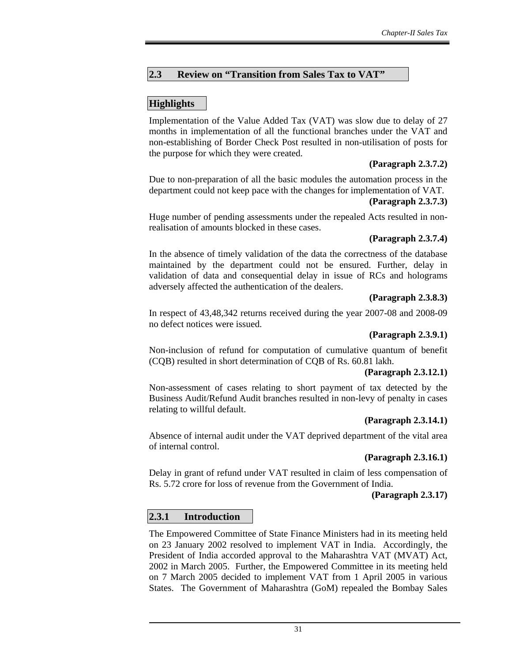## **2.3 Review on "Transition from Sales Tax to VAT"**

## **Highlights**

Implementation of the Value Added Tax (VAT) was slow due to delay of 27 months in implementation of all the functional branches under the VAT and non-establishing of Border Check Post resulted in non-utilisation of posts for the purpose for which they were created.

### **(Paragraph 2.3.7.2)**

Due to non-preparation of all the basic modules the automation process in the department could not keep pace with the changes for implementation of VAT. **(Paragraph 2.3.7.3)** 

Huge number of pending assessments under the repealed Acts resulted in nonrealisation of amounts blocked in these cases.

### **(Paragraph 2.3.7.4)**

In the absence of timely validation of the data the correctness of the database maintained by the department could not be ensured. Further, delay in validation of data and consequential delay in issue of RCs and holograms adversely affected the authentication of the dealers.

#### **(Paragraph 2.3.8.3)**

In respect of 43,48,342 returns received during the year 2007-08 and 2008-09 no defect notices were issued.

### **(Paragraph 2.3.9.1)**

Non-inclusion of refund for computation of cumulative quantum of benefit (CQB) resulted in short determination of CQB of Rs. 60.81 lakh.

#### **(Paragraph 2.3.12.1)**

Non-assessment of cases relating to short payment of tax detected by the Business Audit/Refund Audit branches resulted in non-levy of penalty in cases relating to willful default.

### **(Paragraph 2.3.14.1)**

Absence of internal audit under the VAT deprived department of the vital area of internal control.

### **(Paragraph 2.3.16.1)**

Delay in grant of refund under VAT resulted in claim of less compensation of Rs. 5.72 crore for loss of revenue from the Government of India.

#### **(Paragraph 2.3.17)**

### **2.3.1 Introduction**

The Empowered Committee of State Finance Ministers had in its meeting held on 23 January 2002 resolved to implement VAT in India. Accordingly, the President of India accorded approval to the Maharashtra VAT (MVAT) Act, 2002 in March 2005. Further, the Empowered Committee in its meeting held on 7 March 2005 decided to implement VAT from 1 April 2005 in various States. The Government of Maharashtra (GoM) repealed the Bombay Sales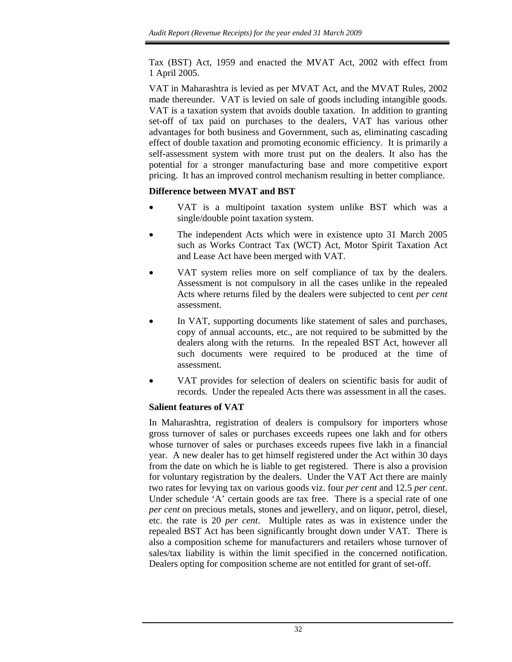Tax (BST) Act, 1959 and enacted the MVAT Act, 2002 with effect from 1 April 2005.

VAT in Maharashtra is levied as per MVAT Act, and the MVAT Rules, 2002 made thereunder. VAT is levied on sale of goods including intangible goods. VAT is a taxation system that avoids double taxation. In addition to granting set-off of tax paid on purchases to the dealers, VAT has various other advantages for both business and Government, such as, eliminating cascading effect of double taxation and promoting economic efficiency. It is primarily a self-assessment system with more trust put on the dealers. It also has the potential for a stronger manufacturing base and more competitive export pricing. It has an improved control mechanism resulting in better compliance.

### **Difference between MVAT and BST**

- VAT is a multipoint taxation system unlike BST which was a single/double point taxation system.
- The independent Acts which were in existence upto 31 March 2005 such as Works Contract Tax (WCT) Act, Motor Spirit Taxation Act and Lease Act have been merged with VAT.
- VAT system relies more on self compliance of tax by the dealers. Assessment is not compulsory in all the cases unlike in the repealed Acts where returns filed by the dealers were subjected to cent *per cent* assessment.
- In VAT, supporting documents like statement of sales and purchases, copy of annual accounts, etc., are not required to be submitted by the dealers along with the returns. In the repealed BST Act, however all such documents were required to be produced at the time of assessment.
- VAT provides for selection of dealers on scientific basis for audit of records. Under the repealed Acts there was assessment in all the cases.

### **Salient features of VAT**

In Maharashtra, registration of dealers is compulsory for importers whose gross turnover of sales or purchases exceeds rupees one lakh and for others whose turnover of sales or purchases exceeds rupees five lakh in a financial year. A new dealer has to get himself registered under the Act within 30 days from the date on which he is liable to get registered. There is also a provision for voluntary registration by the dealers. Under the VAT Act there are mainly two rates for levying tax on various goods viz. four *per cent* and 12.5 *per cent*. Under schedule 'A' certain goods are tax free. There is a special rate of one *per cent* on precious metals, stones and jewellery, and on liquor, petrol, diesel, etc. the rate is 20 *per cent*. Multiple rates as was in existence under the repealed BST Act has been significantly brought down under VAT. There is also a composition scheme for manufacturers and retailers whose turnover of sales/tax liability is within the limit specified in the concerned notification. Dealers opting for composition scheme are not entitled for grant of set-off.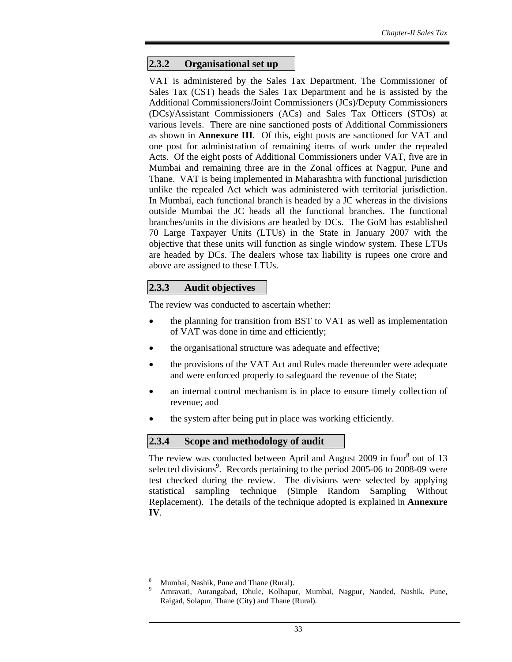### **2.3.2 Organisational set up**

VAT is administered by the Sales Tax Department. The Commissioner of Sales Tax (CST) heads the Sales Tax Department and he is assisted by the Additional Commissioners/Joint Commissioners (JCs)/Deputy Commissioners (DCs)/Assistant Commissioners (ACs) and Sales Tax Officers (STOs) at various levels. There are nine sanctioned posts of Additional Commissioners as shown in **Annexure III**. Of this, eight posts are sanctioned for VAT and one post for administration of remaining items of work under the repealed Acts. Of the eight posts of Additional Commissioners under VAT, five are in Mumbai and remaining three are in the Zonal offices at Nagpur, Pune and Thane. VAT is being implemented in Maharashtra with functional jurisdiction unlike the repealed Act which was administered with territorial jurisdiction. In Mumbai, each functional branch is headed by a JC whereas in the divisions outside Mumbai the JC heads all the functional branches. The functional branches/units in the divisions are headed by DCs. The GoM has established 70 Large Taxpayer Units (LTUs) in the State in January 2007 with the objective that these units will function as single window system. These LTUs are headed by DCs. The dealers whose tax liability is rupees one crore and above are assigned to these LTUs.

## **2.3.3 Audit objectives**

The review was conducted to ascertain whether:

- the planning for transition from BST to VAT as well as implementation of VAT was done in time and efficiently;
- the organisational structure was adequate and effective;
- the provisions of the VAT Act and Rules made thereunder were adequate and were enforced properly to safeguard the revenue of the State;
- an internal control mechanism is in place to ensure timely collection of revenue; and
- the system after being put in place was working efficiently.

### **2.3.4 Scope and methodology of audit**

The review was conducted between April and August 2009 in four<sup>8</sup> out of 13 selected divisions<sup>9</sup>. Records pertaining to the period 2005-06 to 2008-09 were test checked during the review. The divisions were selected by applying statistical sampling technique (Simple Random Sampling Without Replacement). The details of the technique adopted is explained in **Annexure IV**.

l

<sup>8</sup> Mumbai, Nashik, Pune and Thane (Rural).

<sup>9</sup> Amravati, Aurangabad, Dhule, Kolhapur, Mumbai, Nagpur, Nanded, Nashik, Pune, Raigad, Solapur, Thane (City) and Thane (Rural).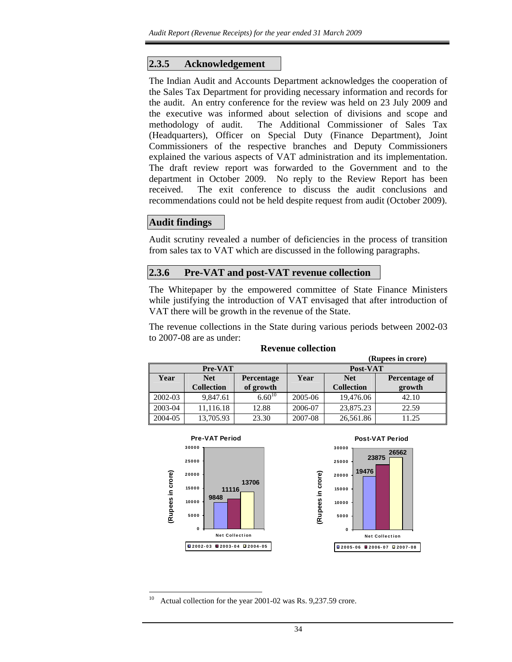### **2.3.5 Acknowledgement**

The Indian Audit and Accounts Department acknowledges the cooperation of the Sales Tax Department for providing necessary information and records for the audit. An entry conference for the review was held on 23 July 2009 and the executive was informed about selection of divisions and scope and methodology of audit. The Additional Commissioner of Sales Tax (Headquarters), Officer on Special Duty (Finance Department), Joint Commissioners of the respective branches and Deputy Commissioners explained the various aspects of VAT administration and its implementation. The draft review report was forwarded to the Government and to the department in October 2009. No reply to the Review Report has been received. The exit conference to discuss the audit conclusions and recommendations could not be held despite request from audit (October 2009).

## **Audit findings**

Audit scrutiny revealed a number of deficiencies in the process of transition from sales tax to VAT which are discussed in the following paragraphs.

#### **2.3.6 Pre-VAT and post-VAT revenue collection**

The Whitepaper by the empowered committee of State Finance Ministers while justifying the introduction of VAT envisaged that after introduction of VAT there will be growth in the revenue of the State.

The revenue collections in the State during various periods between 2002-03 to 2007-08 are as under:

|         | (Rupees in crore) |                   |                                     |                   |        |  |  |  |  |
|---------|-------------------|-------------------|-------------------------------------|-------------------|--------|--|--|--|--|
|         | <b>Pre-VAT</b>    |                   | Post-VAT                            |                   |        |  |  |  |  |
| Year    | <b>Net</b>        | <b>Percentage</b> | Year<br><b>Net</b><br>Percentage of |                   |        |  |  |  |  |
|         | <b>Collection</b> | of growth         |                                     | <b>Collection</b> | growth |  |  |  |  |
| 2002-03 | 9,847.61          | $6.60^{10}$       | 2005-06                             | 19,476.06         | 42.10  |  |  |  |  |
| 2003-04 | 11,116.18         | 12.88             | 2006-07                             | 23,875.23         | 22.59  |  |  |  |  |
| 2004-05 | 13,705.93         | 23.30             | 2007-08                             | 26,561.86         | 11.25  |  |  |  |  |



#### **Revenue collection**

10 Actual collection for the year 2001-02 was Rs. 9,237.59 crore.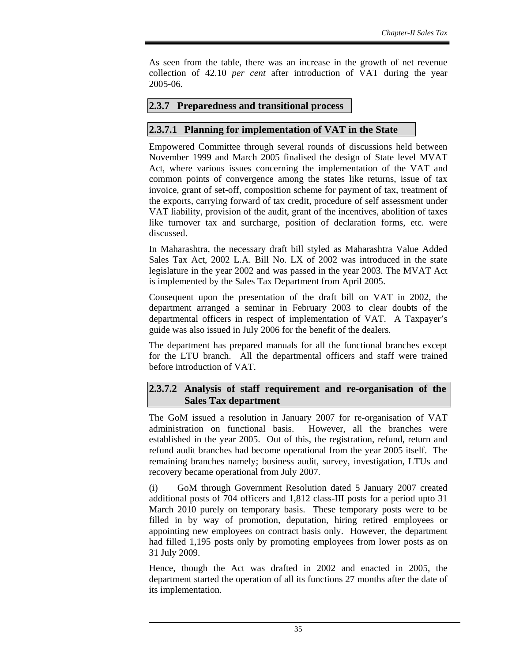As seen from the table, there was an increase in the growth of net revenue collection of 42.10 *per cent* after introduction of VAT during the year 2005-06.

### **2.3.7 Preparedness and transitional process**

### **2.3.7.1 Planning for implementation of VAT in the State**

Empowered Committee through several rounds of discussions held between November 1999 and March 2005 finalised the design of State level MVAT Act, where various issues concerning the implementation of the VAT and common points of convergence among the states like returns, issue of tax invoice, grant of set-off, composition scheme for payment of tax, treatment of the exports, carrying forward of tax credit, procedure of self assessment under VAT liability, provision of the audit, grant of the incentives, abolition of taxes like turnover tax and surcharge, position of declaration forms, etc. were discussed.

In Maharashtra, the necessary draft bill styled as Maharashtra Value Added Sales Tax Act, 2002 L.A. Bill No. LX of 2002 was introduced in the state legislature in the year 2002 and was passed in the year 2003. The MVAT Act is implemented by the Sales Tax Department from April 2005.

Consequent upon the presentation of the draft bill on VAT in 2002, the department arranged a seminar in February 2003 to clear doubts of the departmental officers in respect of implementation of VAT. A Taxpayer's guide was also issued in July 2006 for the benefit of the dealers.

The department has prepared manuals for all the functional branches except for the LTU branch. All the departmental officers and staff were trained before introduction of VAT.

### **2.3.7.2 Analysis of staff requirement and re-organisation of the Sales Tax department**

The GoM issued a resolution in January 2007 for re-organisation of VAT administration on functional basis. However, all the branches were established in the year 2005. Out of this, the registration, refund, return and refund audit branches had become operational from the year 2005 itself. The remaining branches namely; business audit, survey, investigation, LTUs and recovery became operational from July 2007.

(i) GoM through Government Resolution dated 5 January 2007 created additional posts of 704 officers and 1,812 class-III posts for a period upto 31 March 2010 purely on temporary basis. These temporary posts were to be filled in by way of promotion, deputation, hiring retired employees or appointing new employees on contract basis only. However, the department had filled 1,195 posts only by promoting employees from lower posts as on 31 July 2009.

Hence, though the Act was drafted in 2002 and enacted in 2005, the department started the operation of all its functions 27 months after the date of its implementation.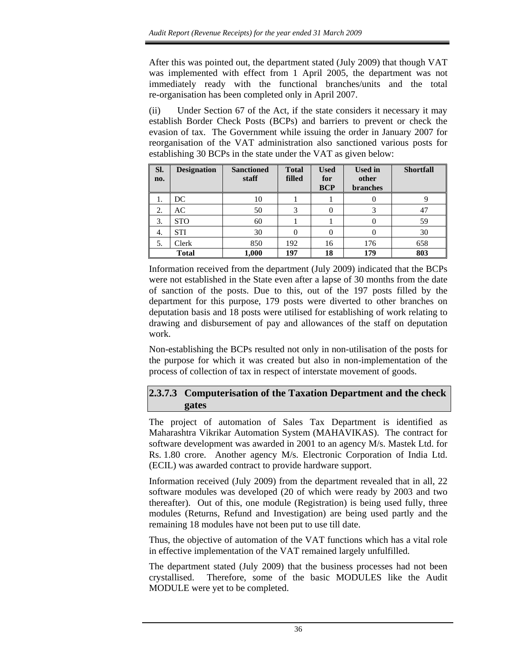After this was pointed out, the department stated (July 2009) that though VAT was implemented with effect from 1 April 2005, the department was not immediately ready with the functional branches/units and the total re-organisation has been completed only in April 2007.

(ii) Under Section 67 of the Act, if the state considers it necessary it may establish Border Check Posts (BCPs) and barriers to prevent or check the evasion of tax. The Government while issuing the order in January 2007 for reorganisation of the VAT administration also sanctioned various posts for establishing 30 BCPs in the state under the VAT as given below:

| Sl.<br>no.    | <b>Designation</b> | <b>Sanctioned</b><br>staff | <b>Total</b><br>filled | <b>Used</b><br>for<br><b>BCP</b> | <b>Used in</b><br>other<br><b>branches</b> | <b>Shortfall</b> |
|---------------|--------------------|----------------------------|------------------------|----------------------------------|--------------------------------------------|------------------|
|               | DC                 | 10                         |                        |                                  |                                            |                  |
| $\mathcal{D}$ | AC                 | 50                         | 3                      |                                  | 3                                          | 47               |
| 3.            | <b>STO</b>         | 60                         |                        |                                  |                                            | 59               |
| 4.            | <b>STI</b>         | 30                         |                        |                                  |                                            | 30               |
| 5.            | Clerk              | 850                        | 192                    | 16                               | 176                                        | 658              |
|               | <b>Total</b>       | 1,000                      | 197                    | 18                               | 179                                        | 803              |

Information received from the department (July 2009) indicated that the BCPs were not established in the State even after a lapse of 30 months from the date of sanction of the posts. Due to this, out of the 197 posts filled by the department for this purpose, 179 posts were diverted to other branches on deputation basis and 18 posts were utilised for establishing of work relating to drawing and disbursement of pay and allowances of the staff on deputation work.

Non-establishing the BCPs resulted not only in non-utilisation of the posts for the purpose for which it was created but also in non-implementation of the process of collection of tax in respect of interstate movement of goods.

## **2.3.7.3 Computerisation of the Taxation Department and the check gates**

The project of automation of Sales Tax Department is identified as Maharashtra Vikrikar Automation System (MAHAVIKAS). The contract for software development was awarded in 2001 to an agency M/s. Mastek Ltd. for Rs. 1.80 crore. Another agency M/s. Electronic Corporation of India Ltd. (ECIL) was awarded contract to provide hardware support.

Information received (July 2009) from the department revealed that in all, 22 software modules was developed (20 of which were ready by 2003 and two thereafter). Out of this, one module (Registration) is being used fully, three modules (Returns, Refund and Investigation) are being used partly and the remaining 18 modules have not been put to use till date.

Thus, the objective of automation of the VAT functions which has a vital role in effective implementation of the VAT remained largely unfulfilled.

The department stated (July 2009) that the business processes had not been crystallised. Therefore, some of the basic MODULES like the Audit MODULE were yet to be completed.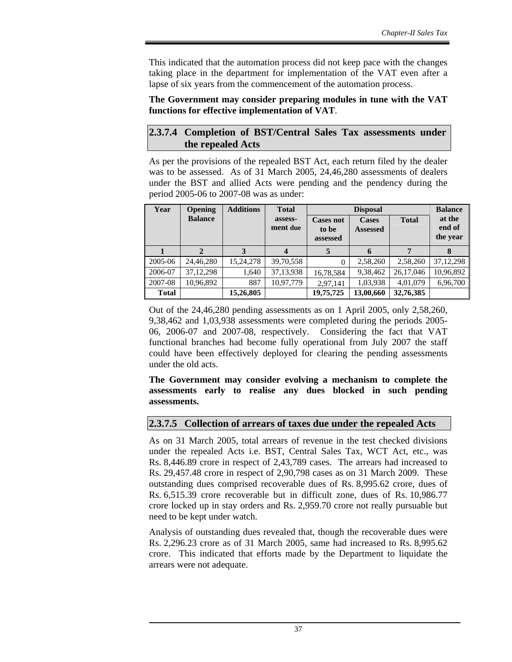This indicated that the automation process did not keep pace with the changes taking place in the department for implementation of the VAT even after a lapse of six years from the commencement of the automation process.

#### **The Government may consider preparing modules in tune with the VAT functions for effective implementation of VAT**.

#### **2.3.7.4 Completion of BST/Central Sales Tax assessments under the repealed Acts**

As per the provisions of the repealed BST Act, each return filed by the dealer was to be assessed. As of 31 March 2005, 24,46,280 assessments of dealers under the BST and allied Acts were pending and the pendency during the period 2005-06 to 2007-08 was as under:

| Year         | <b>Opening</b> | <b>Additions</b> | <b>Total</b>        |                                       | <b>Disposal</b>                 |              |                              |  |
|--------------|----------------|------------------|---------------------|---------------------------------------|---------------------------------|--------------|------------------------------|--|
|              | <b>Balance</b> |                  | assess-<br>ment due | <b>Cases not</b><br>to be<br>assessed | <b>Cases</b><br><b>Assessed</b> | <b>Total</b> | at the<br>end of<br>the year |  |
|              |                |                  | $\boldsymbol{4}$    | 5                                     | 6                               | 7            | 8                            |  |
| 2005-06      | 24,46,280      | 15,24,278        | 39,70,558           | $\Omega$                              | 2,58,260                        | 2,58,260     | 37, 12, 298                  |  |
| 2006-07      | 37, 12, 298    | 1,640            | 37,13,938           | 16,78,584                             | 9,38,462                        | 26,17,046    | 10,96,892                    |  |
| 2007-08      | 10,96,892      | 887              | 10,97,779           | 2,97,141                              | 1,03,938                        | 4,01,079     | 6,96,700                     |  |
| <b>Total</b> |                | 15,26,805        |                     | 19,75,725                             | 13,00,660                       | 32,76,385    |                              |  |

Out of the 24,46,280 pending assessments as on 1 April 2005, only 2,58,260, 9,38,462 and 1,03,938 assessments were completed during the periods 2005- 06, 2006-07 and 2007-08, respectively. Considering the fact that VAT functional branches had become fully operational from July 2007 the staff could have been effectively deployed for clearing the pending assessments under the old acts.

#### **The Government may consider evolving a mechanism to complete the assessments early to realise any dues blocked in such pending assessments.**

### **2.3.7.5 Collection of arrears of taxes due under the repealed Acts**

As on 31 March 2005, total arrears of revenue in the test checked divisions under the repealed Acts i.e. BST, Central Sales Tax, WCT Act, etc., was Rs. 8,446.89 crore in respect of 2,43,789 cases. The arrears had increased to Rs. 29,457.48 crore in respect of 2,90,798 cases as on 31 March 2009. These outstanding dues comprised recoverable dues of Rs. 8,995.62 crore, dues of Rs. 6,515.39 crore recoverable but in difficult zone, dues of Rs. 10,986.77 crore locked up in stay orders and Rs. 2,959.70 crore not really pursuable but need to be kept under watch.

Analysis of outstanding dues revealed that, though the recoverable dues were Rs. 2,296.23 crore as of 31 March 2005, same had increased to Rs. 8,995.62 crore. This indicated that efforts made by the Department to liquidate the arrears were not adequate.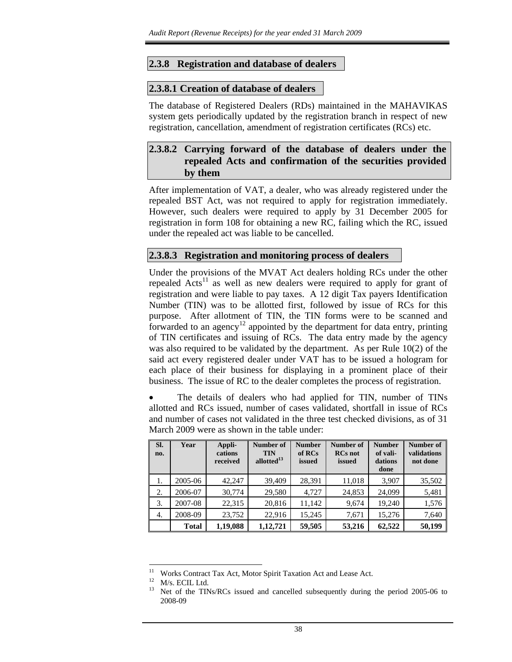#### **2.3.8 Registration and database of dealers**

#### **2.3.8.1 Creation of database of dealers**

The database of Registered Dealers (RDs) maintained in the MAHAVIKAS system gets periodically updated by the registration branch in respect of new registration, cancellation, amendment of registration certificates (RCs) etc.

## **2.3.8.2 Carrying forward of the database of dealers under the repealed Acts and confirmation of the securities provided by them**

After implementation of VAT, a dealer, who was already registered under the repealed BST Act, was not required to apply for registration immediately. However, such dealers were required to apply by 31 December 2005 for registration in form 108 for obtaining a new RC, failing which the RC, issued under the repealed act was liable to be cancelled.

#### **2.3.8.3 Registration and monitoring process of dealers**

Under the provisions of the MVAT Act dealers holding RCs under the other repealed  $Acts<sup>11</sup>$  as well as new dealers were required to apply for grant of registration and were liable to pay taxes. A 12 digit Tax payers Identification Number (TIN) was to be allotted first, followed by issue of RCs for this purpose. After allotment of TIN, the TIN forms were to be scanned and forwarded to an agency<sup>12</sup> appointed by the department for data entry, printing of TIN certificates and issuing of RCs. The data entry made by the agency was also required to be validated by the department. As per Rule 10(2) of the said act every registered dealer under VAT has to be issued a hologram for each place of their business for displaying in a prominent place of their business. The issue of RC to the dealer completes the process of registration.

The details of dealers who had applied for TIN, number of TINs allotted and RCs issued, number of cases validated, shortfall in issue of RCs and number of cases not validated in the three test checked divisions, as of 31 March 2009 were as shown in the table under:

| Sl.<br>no. | Year         | Appli-<br>cations<br>received | Number of<br><b>TIN</b><br>allotted <sup>13</sup> | <b>Number</b><br>of RCs<br>issued | Number of<br><b>RCs</b> not<br>issued | <b>Number</b><br>of vali-<br>dations<br>done | Number of<br>validations<br>not done |
|------------|--------------|-------------------------------|---------------------------------------------------|-----------------------------------|---------------------------------------|----------------------------------------------|--------------------------------------|
| 1.         | 2005-06      | 42,247                        | 39,409                                            | 28,391                            | 11,018                                | 3,907                                        | 35,502                               |
| 2.         | 2006-07      | 30,774                        | 29,580                                            | 4,727                             | 24,853                                | 24,099                                       | 5,481                                |
| 3.         | 2007-08      | 22,315                        | 20,816                                            | 11,142                            | 9,674                                 | 19.240                                       | 1,576                                |
| 4.         | 2008-09      | 23,752                        | 22,916                                            | 15,245                            | 7,671                                 | 15.276                                       | 7,640                                |
|            | <b>Total</b> | 1,19,088                      | 1,12,721                                          | 59,505                            | 53,216                                | 62,522                                       | 50,199                               |

l

<sup>11</sup> Works Contract Tax Act, Motor Spirit Taxation Act and Lease Act.

 $12$  M/s. ECIL Ltd.<br> $13$  Net of the TIN

<sup>13</sup> Net of the TINs/RCs issued and cancelled subsequently during the period 2005-06 to 2008-09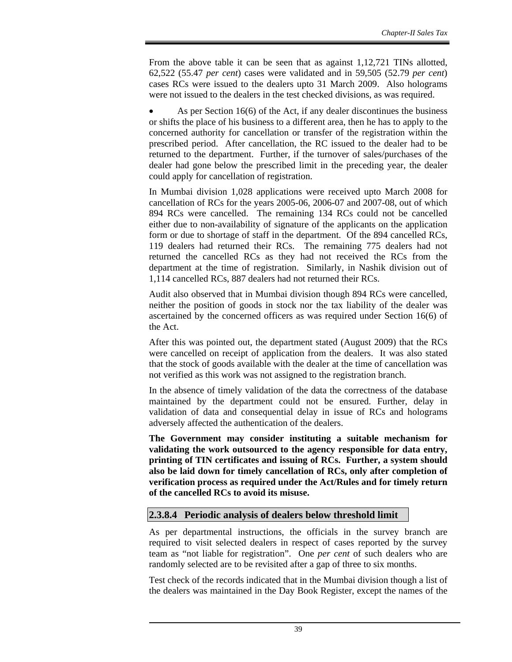From the above table it can be seen that as against 1,12,721 TINs allotted, 62,522 (55.47 *per cent*) cases were validated and in 59,505 (52.79 *per cent*) cases RCs were issued to the dealers upto 31 March 2009. Also holograms were not issued to the dealers in the test checked divisions, as was required.

• As per Section 16(6) of the Act, if any dealer discontinues the business or shifts the place of his business to a different area, then he has to apply to the concerned authority for cancellation or transfer of the registration within the prescribed period. After cancellation, the RC issued to the dealer had to be returned to the department. Further, if the turnover of sales/purchases of the dealer had gone below the prescribed limit in the preceding year, the dealer could apply for cancellation of registration.

In Mumbai division 1,028 applications were received upto March 2008 for cancellation of RCs for the years 2005-06, 2006-07 and 2007-08, out of which 894 RCs were cancelled. The remaining 134 RCs could not be cancelled either due to non-availability of signature of the applicants on the application form or due to shortage of staff in the department. Of the 894 cancelled RCs, 119 dealers had returned their RCs. The remaining 775 dealers had not returned the cancelled RCs as they had not received the RCs from the department at the time of registration. Similarly, in Nashik division out of 1,114 cancelled RCs, 887 dealers had not returned their RCs.

Audit also observed that in Mumbai division though 894 RCs were cancelled, neither the position of goods in stock nor the tax liability of the dealer was ascertained by the concerned officers as was required under Section 16(6) of the Act.

After this was pointed out, the department stated (August 2009) that the RCs were cancelled on receipt of application from the dealers. It was also stated that the stock of goods available with the dealer at the time of cancellation was not verified as this work was not assigned to the registration branch.

In the absence of timely validation of the data the correctness of the database maintained by the department could not be ensured. Further, delay in validation of data and consequential delay in issue of RCs and holograms adversely affected the authentication of the dealers.

**The Government may consider instituting a suitable mechanism for validating the work outsourced to the agency responsible for data entry, printing of TIN certificates and issuing of RCs. Further, a system should also be laid down for timely cancellation of RCs, only after completion of verification process as required under the Act/Rules and for timely return of the cancelled RCs to avoid its misuse.** 

### **2.3.8.4 Periodic analysis of dealers below threshold limit**

As per departmental instructions, the officials in the survey branch are required to visit selected dealers in respect of cases reported by the survey team as "not liable for registration". One *per cent* of such dealers who are randomly selected are to be revisited after a gap of three to six months.

Test check of the records indicated that in the Mumbai division though a list of the dealers was maintained in the Day Book Register, except the names of the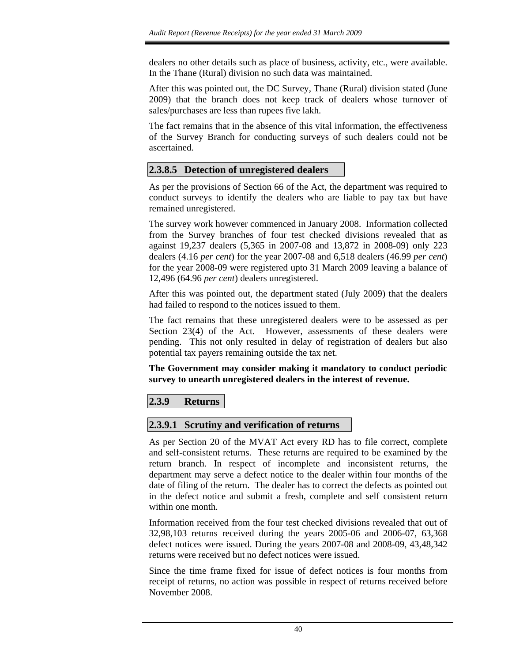dealers no other details such as place of business, activity, etc., were available. In the Thane (Rural) division no such data was maintained.

After this was pointed out, the DC Survey, Thane (Rural) division stated (June 2009) that the branch does not keep track of dealers whose turnover of sales/purchases are less than rupees five lakh.

The fact remains that in the absence of this vital information, the effectiveness of the Survey Branch for conducting surveys of such dealers could not be ascertained.

## **2.3.8.5 Detection of unregistered dealers**

As per the provisions of Section 66 of the Act, the department was required to conduct surveys to identify the dealers who are liable to pay tax but have remained unregistered.

The survey work however commenced in January 2008. Information collected from the Survey branches of four test checked divisions revealed that as against 19,237 dealers (5,365 in 2007-08 and 13,872 in 2008-09) only 223 dealers (4.16 *per cent*) for the year 2007-08 and 6,518 dealers (46.99 *per cent*) for the year 2008-09 were registered upto 31 March 2009 leaving a balance of 12,496 (64.96 *per cent*) dealers unregistered.

After this was pointed out, the department stated (July 2009) that the dealers had failed to respond to the notices issued to them.

The fact remains that these unregistered dealers were to be assessed as per Section 23(4) of the Act. However, assessments of these dealers were pending. This not only resulted in delay of registration of dealers but also potential tax payers remaining outside the tax net.

**The Government may consider making it mandatory to conduct periodic survey to unearth unregistered dealers in the interest of revenue.** 

## **2.3.9 Returns**

### **2.3.9.1 Scrutiny and verification of returns**

As per Section 20 of the MVAT Act every RD has to file correct, complete and self-consistent returns. These returns are required to be examined by the return branch. In respect of incomplete and inconsistent returns, the department may serve a defect notice to the dealer within four months of the date of filing of the return. The dealer has to correct the defects as pointed out in the defect notice and submit a fresh, complete and self consistent return within one month.

Information received from the four test checked divisions revealed that out of 32,98,103 returns received during the years 2005-06 and 2006-07, 63,368 defect notices were issued. During the years 2007-08 and 2008-09, 43,48,342 returns were received but no defect notices were issued.

Since the time frame fixed for issue of defect notices is four months from receipt of returns, no action was possible in respect of returns received before November 2008.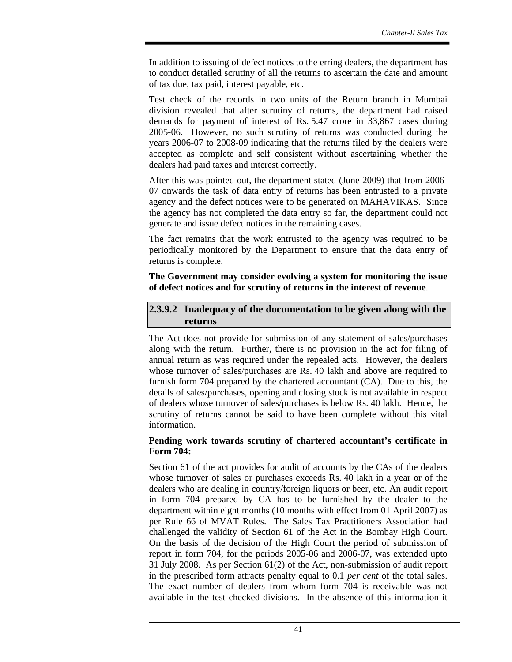In addition to issuing of defect notices to the erring dealers, the department has to conduct detailed scrutiny of all the returns to ascertain the date and amount of tax due, tax paid, interest payable, etc.

Test check of the records in two units of the Return branch in Mumbai division revealed that after scrutiny of returns, the department had raised demands for payment of interest of Rs. 5.47 crore in 33,867 cases during 2005-06. However, no such scrutiny of returns was conducted during the years 2006-07 to 2008-09 indicating that the returns filed by the dealers were accepted as complete and self consistent without ascertaining whether the dealers had paid taxes and interest correctly.

After this was pointed out, the department stated (June 2009) that from 2006- 07 onwards the task of data entry of returns has been entrusted to a private agency and the defect notices were to be generated on MAHAVIKAS. Since the agency has not completed the data entry so far, the department could not generate and issue defect notices in the remaining cases.

The fact remains that the work entrusted to the agency was required to be periodically monitored by the Department to ensure that the data entry of returns is complete.

**The Government may consider evolving a system for monitoring the issue of defect notices and for scrutiny of returns in the interest of revenue**.

### **2.3.9.2 Inadequacy of the documentation to be given along with the returns**

The Act does not provide for submission of any statement of sales/purchases along with the return. Further, there is no provision in the act for filing of annual return as was required under the repealed acts. However, the dealers whose turnover of sales/purchases are Rs. 40 lakh and above are required to furnish form 704 prepared by the chartered accountant (CA). Due to this, the details of sales/purchases, opening and closing stock is not available in respect of dealers whose turnover of sales/purchases is below Rs. 40 lakh. Hence, the scrutiny of returns cannot be said to have been complete without this vital information.

#### **Pending work towards scrutiny of chartered accountant's certificate in Form 704:**

Section 61 of the act provides for audit of accounts by the CAs of the dealers whose turnover of sales or purchases exceeds Rs. 40 lakh in a year or of the dealers who are dealing in country/foreign liquors or beer, etc. An audit report in form 704 prepared by CA has to be furnished by the dealer to the department within eight months (10 months with effect from 01 April 2007) as per Rule 66 of MVAT Rules. The Sales Tax Practitioners Association had challenged the validity of Section 61 of the Act in the Bombay High Court. On the basis of the decision of the High Court the period of submission of report in form 704, for the periods 2005-06 and 2006-07, was extended upto 31 July 2008. As per Section 61(2) of the Act, non-submission of audit report in the prescribed form attracts penalty equal to 0.1 *per cent* of the total sales. The exact number of dealers from whom form 704 is receivable was not available in the test checked divisions. In the absence of this information it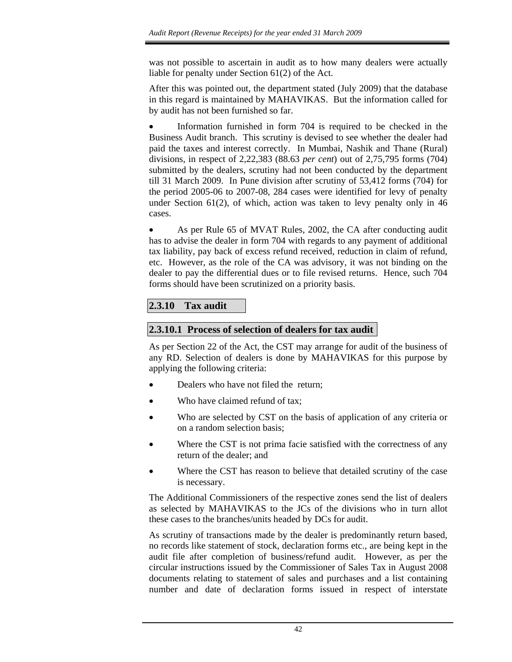was not possible to ascertain in audit as to how many dealers were actually liable for penalty under Section 61(2) of the Act.

After this was pointed out, the department stated (July 2009) that the database in this regard is maintained by MAHAVIKAS. But the information called for by audit has not been furnished so far.

Information furnished in form 704 is required to be checked in the Business Audit branch. This scrutiny is devised to see whether the dealer had paid the taxes and interest correctly. In Mumbai, Nashik and Thane (Rural) divisions, in respect of 2,22,383 (88.63 *per cent*) out of 2,75,795 forms (704) submitted by the dealers, scrutiny had not been conducted by the department till 31 March 2009. In Pune division after scrutiny of 53,412 forms (704) for the period 2005-06 to 2007-08, 284 cases were identified for levy of penalty under Section 61(2), of which, action was taken to levy penalty only in 46 cases.

• As per Rule 65 of MVAT Rules, 2002, the CA after conducting audit has to advise the dealer in form 704 with regards to any payment of additional tax liability, pay back of excess refund received, reduction in claim of refund, etc. However, as the role of the CA was advisory, it was not binding on the dealer to pay the differential dues or to file revised returns. Hence, such 704 forms should have been scrutinized on a priority basis.

# **2.3.10 Tax audit**

## **2.3.10.1 Process of selection of dealers for tax audit**

As per Section 22 of the Act, the CST may arrange for audit of the business of any RD. Selection of dealers is done by MAHAVIKAS for this purpose by applying the following criteria:

- Dealers who have not filed the return;
- Who have claimed refund of tax;
- Who are selected by CST on the basis of application of any criteria or on a random selection basis;
- Where the CST is not prima facie satisfied with the correctness of any return of the dealer; and
- Where the CST has reason to believe that detailed scrutiny of the case is necessary.

The Additional Commissioners of the respective zones send the list of dealers as selected by MAHAVIKAS to the JCs of the divisions who in turn allot these cases to the branches/units headed by DCs for audit.

As scrutiny of transactions made by the dealer is predominantly return based, no records like statement of stock, declaration forms etc., are being kept in the audit file after completion of business/refund audit. However, as per the circular instructions issued by the Commissioner of Sales Tax in August 2008 documents relating to statement of sales and purchases and a list containing number and date of declaration forms issued in respect of interstate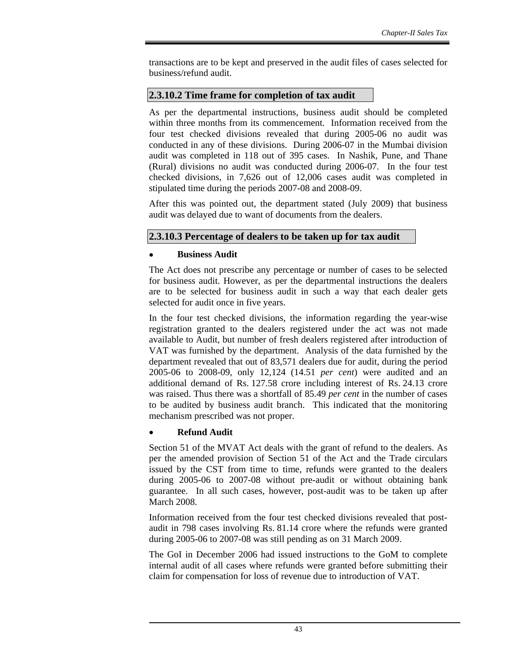transactions are to be kept and preserved in the audit files of cases selected for business/refund audit.

#### **2.3.10.2 Time frame for completion of tax audit**

As per the departmental instructions, business audit should be completed within three months from its commencement. Information received from the four test checked divisions revealed that during 2005-06 no audit was conducted in any of these divisions. During 2006-07 in the Mumbai division audit was completed in 118 out of 395 cases. In Nashik, Pune, and Thane (Rural) divisions no audit was conducted during 2006-07. In the four test checked divisions, in 7,626 out of 12,006 cases audit was completed in stipulated time during the periods 2007-08 and 2008-09.

After this was pointed out, the department stated (July 2009) that business audit was delayed due to want of documents from the dealers.

### **2.3.10.3 Percentage of dealers to be taken up for tax audit**

#### • **Business Audit**

The Act does not prescribe any percentage or number of cases to be selected for business audit. However, as per the departmental instructions the dealers are to be selected for business audit in such a way that each dealer gets selected for audit once in five years.

In the four test checked divisions, the information regarding the year-wise registration granted to the dealers registered under the act was not made available to Audit, but number of fresh dealers registered after introduction of VAT was furnished by the department. Analysis of the data furnished by the department revealed that out of 83,571 dealers due for audit, during the period 2005-06 to 2008-09, only 12,124 (14.51 *per cent*) were audited and an additional demand of Rs. 127.58 crore including interest of Rs. 24.13 crore was raised. Thus there was a shortfall of 85.49 *per cent* in the number of cases to be audited by business audit branch. This indicated that the monitoring mechanism prescribed was not proper.

### • **Refund Audit**

Section 51 of the MVAT Act deals with the grant of refund to the dealers. As per the amended provision of Section 51 of the Act and the Trade circulars issued by the CST from time to time, refunds were granted to the dealers during 2005-06 to 2007-08 without pre-audit or without obtaining bank guarantee. In all such cases, however, post-audit was to be taken up after March 2008.

Information received from the four test checked divisions revealed that postaudit in 798 cases involving Rs. 81.14 crore where the refunds were granted during 2005-06 to 2007-08 was still pending as on 31 March 2009.

The GoI in December 2006 had issued instructions to the GoM to complete internal audit of all cases where refunds were granted before submitting their claim for compensation for loss of revenue due to introduction of VAT.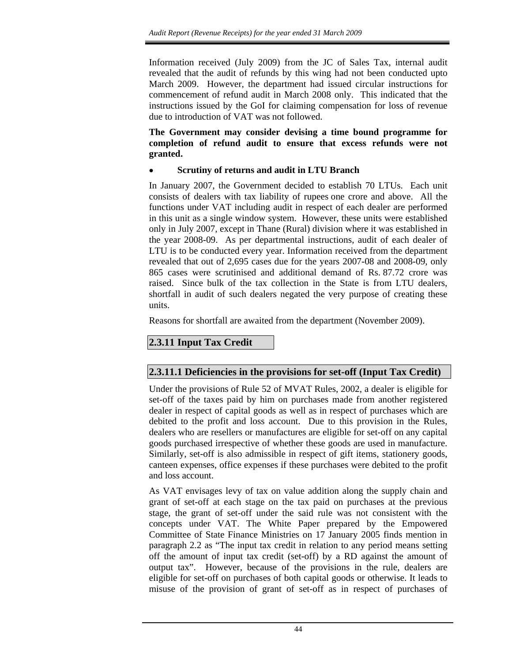Information received (July 2009) from the JC of Sales Tax, internal audit revealed that the audit of refunds by this wing had not been conducted upto March 2009. However, the department had issued circular instructions for commencement of refund audit in March 2008 only. This indicated that the instructions issued by the GoI for claiming compensation for loss of revenue due to introduction of VAT was not followed.

#### **The Government may consider devising a time bound programme for completion of refund audit to ensure that excess refunds were not granted.**

## • **Scrutiny of returns and audit in LTU Branch**

In January 2007, the Government decided to establish 70 LTUs. Each unit consists of dealers with tax liability of rupees one crore and above. All the functions under VAT including audit in respect of each dealer are performed in this unit as a single window system. However, these units were established only in July 2007, except in Thane (Rural) division where it was established in the year 2008-09. As per departmental instructions, audit of each dealer of LTU is to be conducted every year. Information received from the department revealed that out of 2,695 cases due for the years 2007-08 and 2008-09, only 865 cases were scrutinised and additional demand of Rs. 87.72 crore was raised. Since bulk of the tax collection in the State is from LTU dealers, shortfall in audit of such dealers negated the very purpose of creating these units.

Reasons for shortfall are awaited from the department (November 2009).

## **2.3.11 Input Tax Credit**

## **2.3.11.1 Deficiencies in the provisions for set-off (Input Tax Credit)**

Under the provisions of Rule 52 of MVAT Rules, 2002, a dealer is eligible for set-off of the taxes paid by him on purchases made from another registered dealer in respect of capital goods as well as in respect of purchases which are debited to the profit and loss account. Due to this provision in the Rules, dealers who are resellers or manufactures are eligible for set-off on any capital goods purchased irrespective of whether these goods are used in manufacture. Similarly, set-off is also admissible in respect of gift items, stationery goods, canteen expenses, office expenses if these purchases were debited to the profit and loss account.

As VAT envisages levy of tax on value addition along the supply chain and grant of set-off at each stage on the tax paid on purchases at the previous stage, the grant of set-off under the said rule was not consistent with the concepts under VAT. The White Paper prepared by the Empowered Committee of State Finance Ministries on 17 January 2005 finds mention in paragraph 2.2 as "The input tax credit in relation to any period means setting off the amount of input tax credit (set-off) by a RD against the amount of output tax". However, because of the provisions in the rule, dealers are eligible for set-off on purchases of both capital goods or otherwise. It leads to misuse of the provision of grant of set-off as in respect of purchases of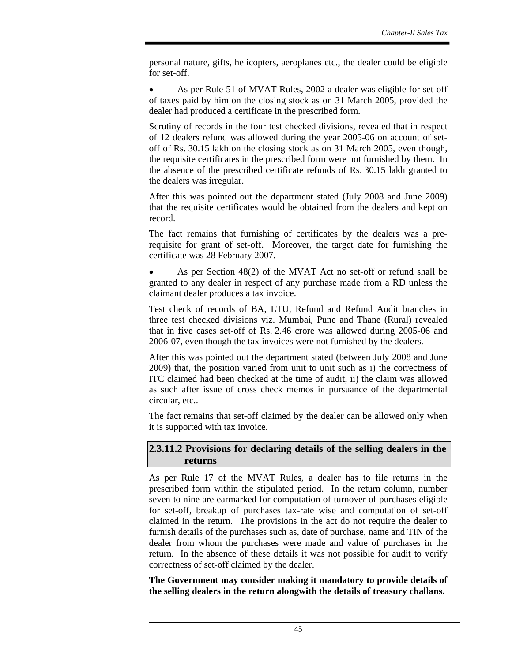personal nature, gifts, helicopters, aeroplanes etc., the dealer could be eligible for set-off.

• As per Rule 51 of MVAT Rules, 2002 a dealer was eligible for set-off of taxes paid by him on the closing stock as on 31 March 2005, provided the dealer had produced a certificate in the prescribed form.

Scrutiny of records in the four test checked divisions, revealed that in respect of 12 dealers refund was allowed during the year 2005-06 on account of setoff of Rs. 30.15 lakh on the closing stock as on 31 March 2005, even though, the requisite certificates in the prescribed form were not furnished by them. In the absence of the prescribed certificate refunds of Rs. 30.15 lakh granted to the dealers was irregular.

After this was pointed out the department stated (July 2008 and June 2009) that the requisite certificates would be obtained from the dealers and kept on record.

The fact remains that furnishing of certificates by the dealers was a prerequisite for grant of set-off. Moreover, the target date for furnishing the certificate was 28 February 2007.

• As per Section 48(2) of the MVAT Act no set-off or refund shall be granted to any dealer in respect of any purchase made from a RD unless the claimant dealer produces a tax invoice.

Test check of records of BA, LTU, Refund and Refund Audit branches in three test checked divisions viz. Mumbai, Pune and Thane (Rural) revealed that in five cases set-off of Rs. 2.46 crore was allowed during 2005-06 and 2006-07, even though the tax invoices were not furnished by the dealers.

After this was pointed out the department stated (between July 2008 and June 2009) that, the position varied from unit to unit such as i) the correctness of ITC claimed had been checked at the time of audit, ii) the claim was allowed as such after issue of cross check memos in pursuance of the departmental circular, etc..

The fact remains that set-off claimed by the dealer can be allowed only when it is supported with tax invoice.

### **2.3.11.2 Provisions for declaring details of the selling dealers in the returns**

As per Rule 17 of the MVAT Rules, a dealer has to file returns in the prescribed form within the stipulated period. In the return column, number seven to nine are earmarked for computation of turnover of purchases eligible for set-off, breakup of purchases tax-rate wise and computation of set-off claimed in the return. The provisions in the act do not require the dealer to furnish details of the purchases such as, date of purchase, name and TIN of the dealer from whom the purchases were made and value of purchases in the return. In the absence of these details it was not possible for audit to verify correctness of set-off claimed by the dealer.

**The Government may consider making it mandatory to provide details of the selling dealers in the return alongwith the details of treasury challans.**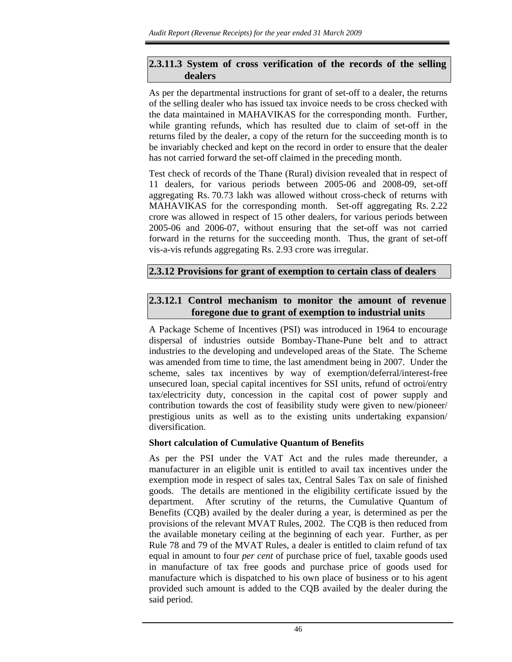### **2.3.11.3 System of cross verification of the records of the selling dealers**

As per the departmental instructions for grant of set-off to a dealer, the returns of the selling dealer who has issued tax invoice needs to be cross checked with the data maintained in MAHAVIKAS for the corresponding month. Further, while granting refunds, which has resulted due to claim of set-off in the returns filed by the dealer, a copy of the return for the succeeding month is to be invariably checked and kept on the record in order to ensure that the dealer has not carried forward the set-off claimed in the preceding month.

Test check of records of the Thane (Rural) division revealed that in respect of 11 dealers, for various periods between 2005-06 and 2008-09, set-off aggregating Rs. 70.73 lakh was allowed without cross-check of returns with MAHAVIKAS for the corresponding month. Set-off aggregating Rs. 2.22 crore was allowed in respect of 15 other dealers, for various periods between 2005-06 and 2006-07, without ensuring that the set-off was not carried forward in the returns for the succeeding month. Thus, the grant of set-off vis-a-vis refunds aggregating Rs. 2.93 crore was irregular.

### **2.3.12 Provisions for grant of exemption to certain class of dealers**

## **2.3.12.1 Control mechanism to monitor the amount of revenue foregone due to grant of exemption to industrial units**

A Package Scheme of Incentives (PSI) was introduced in 1964 to encourage dispersal of industries outside Bombay-Thane-Pune belt and to attract industries to the developing and undeveloped areas of the State. The Scheme was amended from time to time, the last amendment being in 2007. Under the scheme, sales tax incentives by way of exemption/deferral/interest-free unsecured loan, special capital incentives for SSI units, refund of octroi/entry tax/electricity duty, concession in the capital cost of power supply and contribution towards the cost of feasibility study were given to new/pioneer/ prestigious units as well as to the existing units undertaking expansion/ diversification.

#### **Short calculation of Cumulative Quantum of Benefits**

As per the PSI under the VAT Act and the rules made thereunder, a manufacturer in an eligible unit is entitled to avail tax incentives under the exemption mode in respect of sales tax, Central Sales Tax on sale of finished goods. The details are mentioned in the eligibility certificate issued by the department. After scrutiny of the returns, the Cumulative Quantum of Benefits (CQB) availed by the dealer during a year, is determined as per the provisions of the relevant MVAT Rules, 2002. The CQB is then reduced from the available monetary ceiling at the beginning of each year. Further, as per Rule 78 and 79 of the MVAT Rules, a dealer is entitled to claim refund of tax equal in amount to four *per cent* of purchase price of fuel, taxable goods used in manufacture of tax free goods and purchase price of goods used for manufacture which is dispatched to his own place of business or to his agent provided such amount is added to the CQB availed by the dealer during the said period.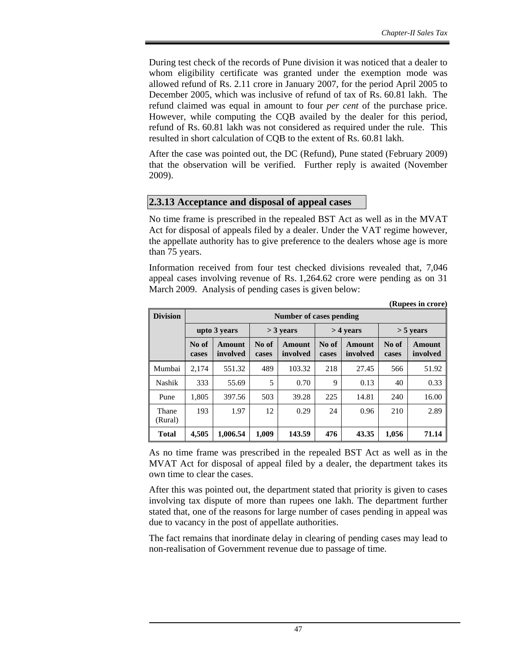During test check of the records of Pune division it was noticed that a dealer to whom eligibility certificate was granted under the exemption mode was allowed refund of Rs. 2.11 crore in January 2007, for the period April 2005 to December 2005, which was inclusive of refund of tax of Rs. 60.81 lakh. The refund claimed was equal in amount to four *per cent* of the purchase price. However, while computing the CQB availed by the dealer for this period, refund of Rs. 60.81 lakh was not considered as required under the rule. This resulted in short calculation of CQB to the extent of Rs. 60.81 lakh.

After the case was pointed out, the DC (Refund), Pune stated (February 2009) that the observation will be verified. Further reply is awaited (November 2009).

#### **2.3.13 Acceptance and disposal of appeal cases**

No time frame is prescribed in the repealed BST Act as well as in the MVAT Act for disposal of appeals filed by a dealer. Under the VAT regime however, the appellate authority has to give preference to the dealers whose age is more than 75 years.

Information received from four test checked divisions revealed that, 7,046 appeal cases involving revenue of Rs. 1,264.62 crore were pending as on 31 March 2009. Analysis of pending cases is given below:

|                  |                |                    |                |                         |                |                           |                | (Rupees in crore)  |
|------------------|----------------|--------------------|----------------|-------------------------|----------------|---------------------------|----------------|--------------------|
| <b>Division</b>  |                |                    |                | Number of cases pending |                |                           |                |                    |
|                  | upto 3 years   |                    |                | $>$ 3 years             |                | $>$ 4 years               |                | $>$ 5 years        |
|                  | No of<br>cases | Amount<br>involved | No of<br>cases | Amount<br>involved      | No of<br>cases | <b>Amount</b><br>involved | No of<br>cases | Amount<br>involved |
| Mumbai           | 2.174          | 551.32             | 489            | 103.32                  | 218            | 27.45                     | 566            | 51.92              |
| Nashik           | 333            | 55.69              | 5              | 0.70                    | 9              | 0.13                      | 40             | 0.33               |
| Pune             | 1,805          | 397.56             | 503            | 39.28                   | 225            | 14.81                     | 240            | 16.00              |
| Thane<br>(Rural) | 193            | 1.97               | 12             | 0.29                    | 24             | 0.96                      | 210            | 2.89               |
| <b>Total</b>     | 4,505          | 1.006.54           | 1.009          | 143.59                  | 476            | 43.35                     | 1,056          | 71.14              |

As no time frame was prescribed in the repealed BST Act as well as in the MVAT Act for disposal of appeal filed by a dealer, the department takes its own time to clear the cases.

After this was pointed out, the department stated that priority is given to cases involving tax dispute of more than rupees one lakh. The department further stated that, one of the reasons for large number of cases pending in appeal was due to vacancy in the post of appellate authorities.

The fact remains that inordinate delay in clearing of pending cases may lead to non-realisation of Government revenue due to passage of time.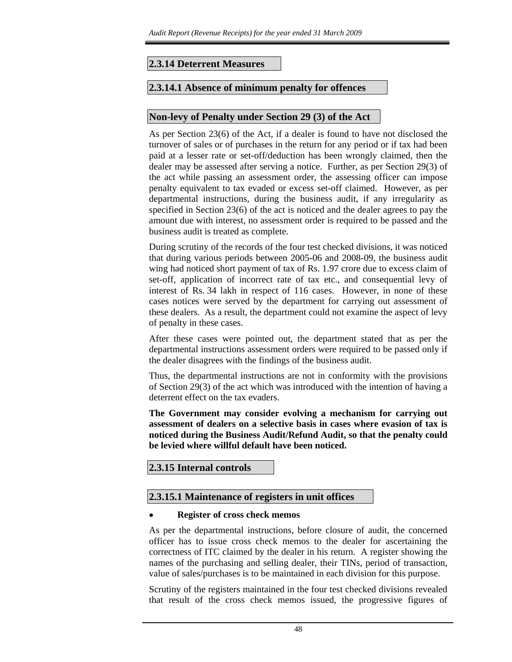### **2.3.14 Deterrent Measures**

#### **2.3.14.1 Absence of minimum penalty for offences**

#### **Non-levy of Penalty under Section 29 (3) of the Act**

As per Section 23(6) of the Act, if a dealer is found to have not disclosed the turnover of sales or of purchases in the return for any period or if tax had been paid at a lesser rate or set-off/deduction has been wrongly claimed, then the dealer may be assessed after serving a notice. Further, as per Section 29(3) of the act while passing an assessment order, the assessing officer can impose penalty equivalent to tax evaded or excess set-off claimed. However, as per departmental instructions, during the business audit, if any irregularity as specified in Section 23(6) of the act is noticed and the dealer agrees to pay the amount due with interest, no assessment order is required to be passed and the business audit is treated as complete.

During scrutiny of the records of the four test checked divisions, it was noticed that during various periods between 2005-06 and 2008-09, the business audit wing had noticed short payment of tax of Rs. 1.97 crore due to excess claim of set-off, application of incorrect rate of tax etc., and consequential levy of interest of Rs. 34 lakh in respect of 116 cases. However, in none of these cases notices were served by the department for carrying out assessment of these dealers. As a result, the department could not examine the aspect of levy of penalty in these cases.

After these cases were pointed out, the department stated that as per the departmental instructions assessment orders were required to be passed only if the dealer disagrees with the findings of the business audit.

Thus, the departmental instructions are not in conformity with the provisions of Section 29(3) of the act which was introduced with the intention of having a deterrent effect on the tax evaders.

**The Government may consider evolving a mechanism for carrying out assessment of dealers on a selective basis in cases where evasion of tax is noticed during the Business Audit/Refund Audit, so that the penalty could be levied where willful default have been noticed.** 

### **2.3.15 Internal controls**

#### **2.3.15.1 Maintenance of registers in unit offices**

#### • **Register of cross check memos**

As per the departmental instructions, before closure of audit, the concerned officer has to issue cross check memos to the dealer for ascertaining the correctness of ITC claimed by the dealer in his return. A register showing the names of the purchasing and selling dealer, their TINs, period of transaction, value of sales/purchases is to be maintained in each division for this purpose.

Scrutiny of the registers maintained in the four test checked divisions revealed that result of the cross check memos issued, the progressive figures of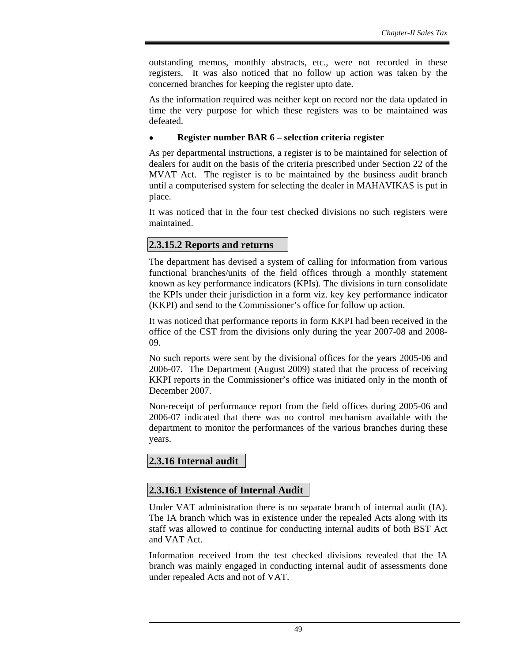outstanding memos, monthly abstracts, etc., were not recorded in these registers. It was also noticed that no follow up action was taken by the concerned branches for keeping the register upto date.

As the information required was neither kept on record nor the data updated in time the very purpose for which these registers was to be maintained was defeated.

#### • **Register number BAR 6 – selection criteria register**

As per departmental instructions, a register is to be maintained for selection of dealers for audit on the basis of the criteria prescribed under Section 22 of the MVAT Act. The register is to be maintained by the business audit branch until a computerised system for selecting the dealer in MAHAVIKAS is put in place.

It was noticed that in the four test checked divisions no such registers were maintained.

#### **2.3.15.2 Reports and returns**

The department has devised a system of calling for information from various functional branches/units of the field offices through a monthly statement known as key performance indicators (KPIs). The divisions in turn consolidate the KPIs under their jurisdiction in a form viz. key key performance indicator (KKPI) and send to the Commissioner's office for follow up action.

It was noticed that performance reports in form KKPI had been received in the office of the CST from the divisions only during the year 2007-08 and 2008- 09.

No such reports were sent by the divisional offices for the years 2005-06 and 2006-07. The Department (August 2009) stated that the process of receiving KKPI reports in the Commissioner's office was initiated only in the month of December 2007.

Non-receipt of performance report from the field offices during 2005-06 and 2006-07 indicated that there was no control mechanism available with the department to monitor the performances of the various branches during these years.

#### **2.3.16 Internal audit**

#### **2.3.16.1 Existence of Internal Audit**

Under VAT administration there is no separate branch of internal audit (IA). The IA branch which was in existence under the repealed Acts along with its staff was allowed to continue for conducting internal audits of both BST Act and VAT Act.

Information received from the test checked divisions revealed that the IA branch was mainly engaged in conducting internal audit of assessments done under repealed Acts and not of VAT.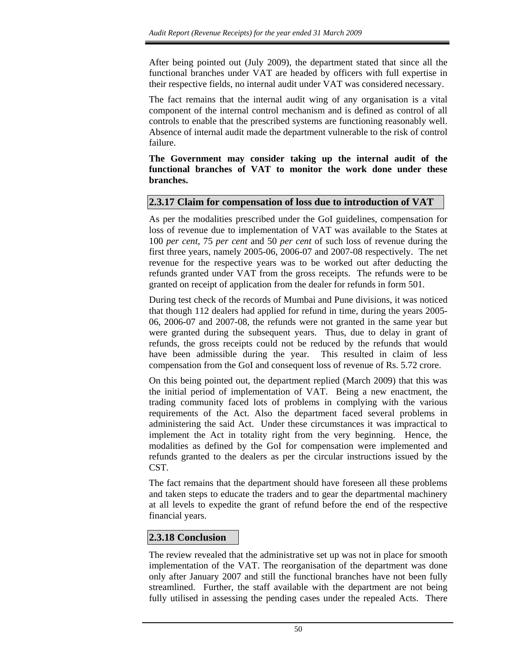After being pointed out (July 2009), the department stated that since all the functional branches under VAT are headed by officers with full expertise in their respective fields, no internal audit under VAT was considered necessary.

The fact remains that the internal audit wing of any organisation is a vital component of the internal control mechanism and is defined as control of all controls to enable that the prescribed systems are functioning reasonably well. Absence of internal audit made the department vulnerable to the risk of control failure.

**The Government may consider taking up the internal audit of the functional branches of VAT to monitor the work done under these branches.** 

## **2.3.17 Claim for compensation of loss due to introduction of VAT**

As per the modalities prescribed under the GoI guidelines, compensation for loss of revenue due to implementation of VAT was available to the States at 100 *per cent*, 75 *per cent* and 50 *per cent* of such loss of revenue during the first three years, namely 2005-06, 2006-07 and 2007-08 respectively. The net revenue for the respective years was to be worked out after deducting the refunds granted under VAT from the gross receipts. The refunds were to be granted on receipt of application from the dealer for refunds in form 501.

During test check of the records of Mumbai and Pune divisions, it was noticed that though 112 dealers had applied for refund in time, during the years 2005- 06, 2006-07 and 2007-08, the refunds were not granted in the same year but were granted during the subsequent years. Thus, due to delay in grant of refunds, the gross receipts could not be reduced by the refunds that would have been admissible during the year. This resulted in claim of less compensation from the GoI and consequent loss of revenue of Rs. 5.72 crore.

On this being pointed out, the department replied (March 2009) that this was the initial period of implementation of VAT. Being a new enactment, the trading community faced lots of problems in complying with the various requirements of the Act. Also the department faced several problems in administering the said Act. Under these circumstances it was impractical to implement the Act in totality right from the very beginning. Hence, the modalities as defined by the GoI for compensation were implemented and refunds granted to the dealers as per the circular instructions issued by the CST.

The fact remains that the department should have foreseen all these problems and taken steps to educate the traders and to gear the departmental machinery at all levels to expedite the grant of refund before the end of the respective financial years.

## **2.3.18 Conclusion**

The review revealed that the administrative set up was not in place for smooth implementation of the VAT. The reorganisation of the department was done only after January 2007 and still the functional branches have not been fully streamlined. Further, the staff available with the department are not being fully utilised in assessing the pending cases under the repealed Acts. There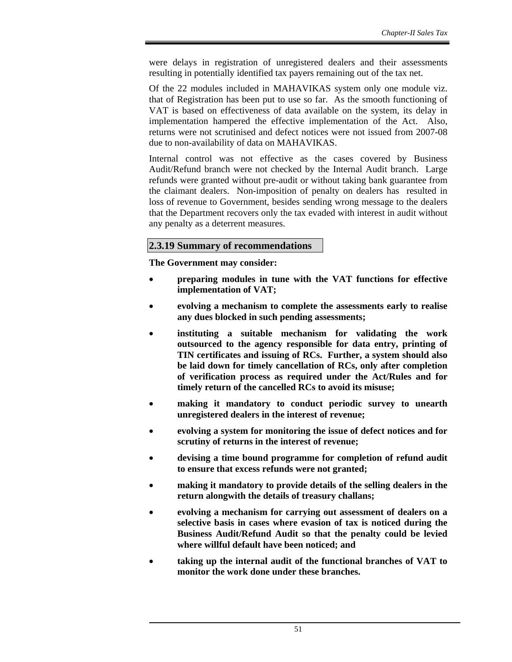were delays in registration of unregistered dealers and their assessments resulting in potentially identified tax payers remaining out of the tax net.

Of the 22 modules included in MAHAVIKAS system only one module viz. that of Registration has been put to use so far. As the smooth functioning of VAT is based on effectiveness of data available on the system, its delay in implementation hampered the effective implementation of the Act. Also, returns were not scrutinised and defect notices were not issued from 2007-08 due to non-availability of data on MAHAVIKAS.

Internal control was not effective as the cases covered by Business Audit/Refund branch were not checked by the Internal Audit branch. Large refunds were granted without pre-audit or without taking bank guarantee from the claimant dealers. Non-imposition of penalty on dealers has resulted in loss of revenue to Government, besides sending wrong message to the dealers that the Department recovers only the tax evaded with interest in audit without any penalty as a deterrent measures.

#### **2.3.19 Summary of recommendations**

**The Government may consider:** 

- **preparing modules in tune with the VAT functions for effective implementation of VAT;**
- **evolving a mechanism to complete the assessments early to realise any dues blocked in such pending assessments;**
- **instituting a suitable mechanism for validating the work outsourced to the agency responsible for data entry, printing of TIN certificates and issuing of RCs. Further, a system should also be laid down for timely cancellation of RCs, only after completion of verification process as required under the Act/Rules and for timely return of the cancelled RCs to avoid its misuse;**
- **making it mandatory to conduct periodic survey to unearth unregistered dealers in the interest of revenue;**
- **evolving a system for monitoring the issue of defect notices and for scrutiny of returns in the interest of revenue;**
- **devising a time bound programme for completion of refund audit to ensure that excess refunds were not granted;**
- **making it mandatory to provide details of the selling dealers in the return alongwith the details of treasury challans;**
- **evolving a mechanism for carrying out assessment of dealers on a selective basis in cases where evasion of tax is noticed during the Business Audit/Refund Audit so that the penalty could be levied where willful default have been noticed; and**
- **taking up the internal audit of the functional branches of VAT to monitor the work done under these branches.**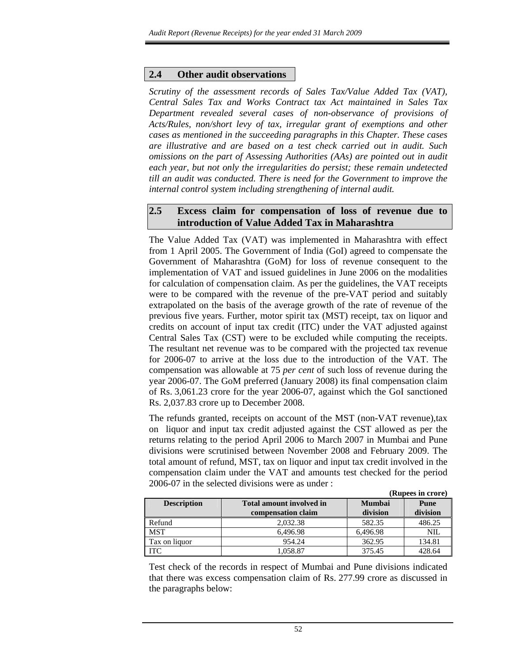## **2.4 Other audit observations**

*Scrutiny of the assessment records of Sales Tax/Value Added Tax (VAT), Central Sales Tax and Works Contract tax Act maintained in Sales Tax Department revealed several cases of non-observance of provisions of Acts/Rules, non/short levy of tax, irregular grant of exemptions and other cases as mentioned in the succeeding paragraphs in this Chapter. These cases are illustrative and are based on a test check carried out in audit. Such omissions on the part of Assessing Authorities (AAs) are pointed out in audit each year, but not only the irregularities do persist; these remain undetected till an audit was conducted. There is need for the Government to improve the internal control system including strengthening of internal audit.* 

## **2.5 Excess claim for compensation of loss of revenue due to introduction of Value Added Tax in Maharashtra**

The Value Added Tax (VAT) was implemented in Maharashtra with effect from 1 April 2005. The Government of India (GoI) agreed to compensate the Government of Maharashtra (GoM) for loss of revenue consequent to the implementation of VAT and issued guidelines in June 2006 on the modalities for calculation of compensation claim. As per the guidelines, the VAT receipts were to be compared with the revenue of the pre-VAT period and suitably extrapolated on the basis of the average growth of the rate of revenue of the previous five years. Further, motor spirit tax (MST) receipt, tax on liquor and credits on account of input tax credit (ITC) under the VAT adjusted against Central Sales Tax (CST) were to be excluded while computing the receipts. The resultant net revenue was to be compared with the projected tax revenue for 2006-07 to arrive at the loss due to the introduction of the VAT. The compensation was allowable at 75 *per cent* of such loss of revenue during the year 2006-07. The GoM preferred (January 2008) its final compensation claim of Rs. 3,061.23 crore for the year 2006-07, against which the GoI sanctioned Rs. 2,037.83 crore up to December 2008.

The refunds granted, receipts on account of the MST (non-VAT revenue),tax on liquor and input tax credit adjusted against the CST allowed as per the returns relating to the period April 2006 to March 2007 in Mumbai and Pune divisions were scrutinised between November 2008 and February 2009. The total amount of refund, MST, tax on liquor and input tax credit involved in the compensation claim under the VAT and amounts test checked for the period 2006-07 in the selected divisions were as under :

**(Rupees in crore)** 

|                    |                                                       |                           | (Kupees III CLOLE) |
|--------------------|-------------------------------------------------------|---------------------------|--------------------|
| <b>Description</b> | <b>Total amount involved in</b><br>compensation claim | <b>Mumbai</b><br>division | Pune<br>division   |
|                    |                                                       |                           |                    |
| Refund             | 2.032.38                                              | 582.35                    | 486.25             |
| <b>MST</b>         | 6.496.98                                              | 6,496.98                  | NIL                |
| Tax on liquor      | 954.24                                                | 362.95                    | 134.81             |
| <b>ITC</b>         | 1.058.87                                              | 375.45                    | 428.64             |

Test check of the records in respect of Mumbai and Pune divisions indicated that there was excess compensation claim of Rs. 277.99 crore as discussed in the paragraphs below: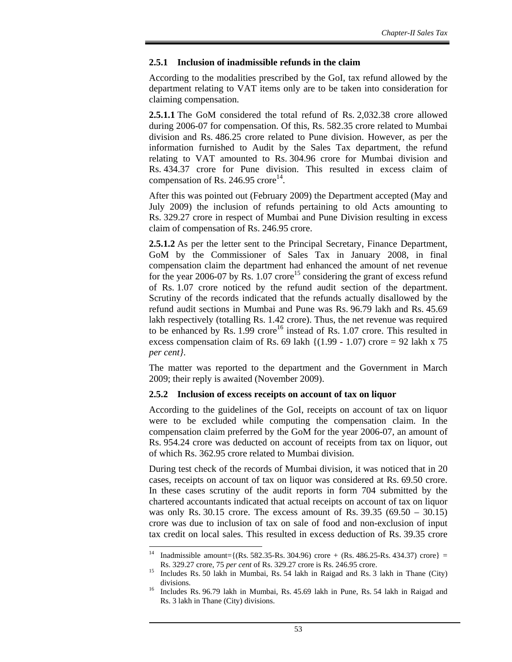#### **2.5.1 Inclusion of inadmissible refunds in the claim**

According to the modalities prescribed by the GoI, tax refund allowed by the department relating to VAT items only are to be taken into consideration for claiming compensation.

**2.5.1.1** The GoM considered the total refund of Rs. 2,032.38 crore allowed during 2006-07 for compensation. Of this, Rs. 582.35 crore related to Mumbai division and Rs. 486.25 crore related to Pune division. However, as per the information furnished to Audit by the Sales Tax department, the refund relating to VAT amounted to Rs. 304.96 crore for Mumbai division and Rs. 434.37 crore for Pune division. This resulted in excess claim of compensation of Rs. 246.95 crore<sup>14</sup>.

After this was pointed out (February 2009) the Department accepted (May and July 2009) the inclusion of refunds pertaining to old Acts amounting to Rs. 329.27 crore in respect of Mumbai and Pune Division resulting in excess claim of compensation of Rs. 246.95 crore.

**2.5.1.2** As per the letter sent to the Principal Secretary, Finance Department, GoM by the Commissioner of Sales Tax in January 2008, in final compensation claim the department had enhanced the amount of net revenue for the year 2006-07 by Rs. 1.07 crore<sup>15</sup> considering the grant of excess refund of Rs. 1.07 crore noticed by the refund audit section of the department. Scrutiny of the records indicated that the refunds actually disallowed by the refund audit sections in Mumbai and Pune was Rs. 96.79 lakh and Rs. 45.69 lakh respectively (totalling Rs. 1.42 crore). Thus, the net revenue was required to be enhanced by Rs.  $1.99$  crore<sup>16</sup> instead of Rs.  $1.07$  crore. This resulted in excess compensation claim of Rs. 69 lakh  $\{(1.99 - 1.07)$  crore = 92 lakh x 75 *per cent}*.

The matter was reported to the department and the Government in March 2009; their reply is awaited (November 2009).

#### **2.5.2 Inclusion of excess receipts on account of tax on liquor**

According to the guidelines of the GoI, receipts on account of tax on liquor were to be excluded while computing the compensation claim. In the compensation claim preferred by the GoM for the year 2006-07, an amount of Rs. 954.24 crore was deducted on account of receipts from tax on liquor, out of which Rs. 362.95 crore related to Mumbai division.

During test check of the records of Mumbai division, it was noticed that in 20 cases, receipts on account of tax on liquor was considered at Rs. 69.50 crore. In these cases scrutiny of the audit reports in form 704 submitted by the chartered accountants indicated that actual receipts on account of tax on liquor was only Rs. 30.15 crore. The excess amount of Rs. 39.35 (69.50 – 30.15) crore was due to inclusion of tax on sale of food and non-exclusion of input tax credit on local sales. This resulted in excess deduction of Rs. 39.35 crore

  $Inadmissible amount={ (Rs. 582.35-Rs. 304.96) core + (Rs. 486.25-Rs. 434.37) core }$ 

Rs. 329.27 crore, 75 *per cent* of Rs. 329.27 crore is Rs. 246.95 crore.<br><sup>15</sup> Includes Rs. 50 lakh in Mumbai, Rs. 54 lakh in Raigad and Rs. 3 lakh in Thane (City) divisions.<br><sup>16</sup> Includes 1

<sup>16</sup> Includes Rs. 96.79 lakh in Mumbai, Rs. 45.69 lakh in Pune, Rs. 54 lakh in Raigad and Rs. 3 lakh in Thane (City) divisions.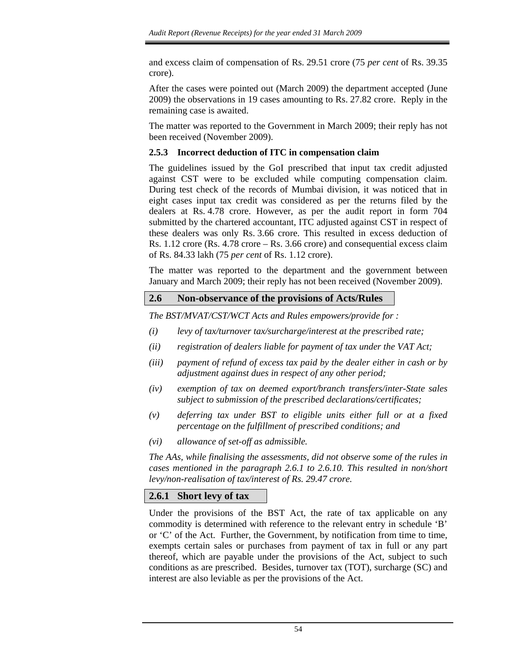and excess claim of compensation of Rs. 29.51 crore (75 *per cent* of Rs. 39.35 crore).

After the cases were pointed out (March 2009) the department accepted (June 2009) the observations in 19 cases amounting to Rs. 27.82 crore. Reply in the remaining case is awaited.

The matter was reported to the Government in March 2009; their reply has not been received (November 2009).

## **2.5.3 Incorrect deduction of ITC in compensation claim**

The guidelines issued by the GoI prescribed that input tax credit adjusted against CST were to be excluded while computing compensation claim. During test check of the records of Mumbai division, it was noticed that in eight cases input tax credit was considered as per the returns filed by the dealers at Rs. 4.78 crore. However, as per the audit report in form 704 submitted by the chartered accountant, ITC adjusted against CST in respect of these dealers was only Rs. 3.66 crore. This resulted in excess deduction of Rs. 1.12 crore (Rs. 4.78 crore – Rs. 3.66 crore) and consequential excess claim of Rs. 84.33 lakh (75 *per cent* of Rs. 1.12 crore).

The matter was reported to the department and the government between January and March 2009; their reply has not been received (November 2009).

## **2.6 Non-observance of the provisions of Acts/Rules**

*The BST/MVAT/CST/WCT Acts and Rules empowers/provide for :* 

- *(i) levy of tax/turnover tax/surcharge/interest at the prescribed rate;*
- *(ii) registration of dealers liable for payment of tax under the VAT Act;*
- *(iii) payment of refund of excess tax paid by the dealer either in cash or by adjustment against dues in respect of any other period;*
- *(iv) exemption of tax on deemed export/branch transfers/inter-State sales subject to submission of the prescribed declarations/certificates;*
- *(v) deferring tax under BST to eligible units either full or at a fixed percentage on the fulfillment of prescribed conditions; and*
- *(vi) allowance of set-off as admissible.*

*The AAs, while finalising the assessments, did not observe some of the rules in cases mentioned in the paragraph 2.6.1 to 2.6.10. This resulted in non/short levy/non-realisation of tax/interest of Rs. 29.47 crore.* 

## **2.6.1 Short levy of tax**

Under the provisions of the BST Act, the rate of tax applicable on any commodity is determined with reference to the relevant entry in schedule 'B' or 'C' of the Act. Further, the Government, by notification from time to time, exempts certain sales or purchases from payment of tax in full or any part thereof, which are payable under the provisions of the Act, subject to such conditions as are prescribed. Besides, turnover tax (TOT), surcharge (SC) and interest are also leviable as per the provisions of the Act.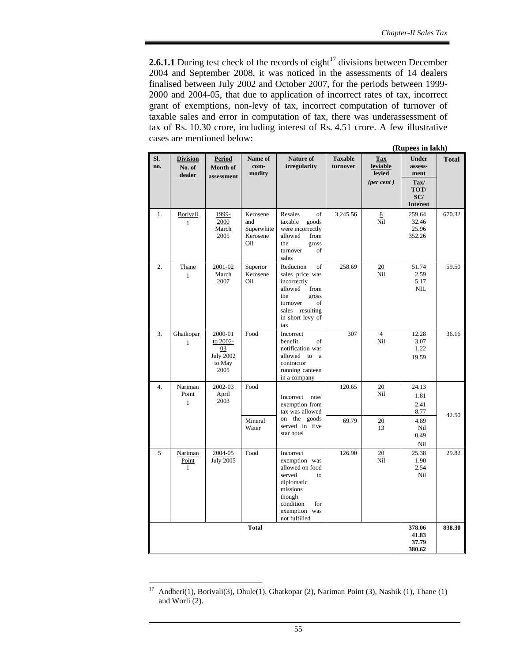**2.6.1.1** During test check of the records of eight<sup>17</sup> divisions between December 2004 and September 2008, it was noticed in the assessments of 14 dealers finalised between July 2002 and October 2007, for the periods between 1999- 2000 and 2004-05, that due to application of incorrect rates of tax, incorrect grant of exemptions, non-levy of tax, incorrect computation of turnover of taxable sales and error in computation of tax, there was underassessment of tax of Rs. 10.30 crore, including interest of Rs. 4.51 crore. A few illustrative cases are mentioned below:

| (Rupees in lakh) |                                     |                                                                 |                                                  |                                                                                                                                                         |                            |                                                         |                                                                   |              |
|------------------|-------------------------------------|-----------------------------------------------------------------|--------------------------------------------------|---------------------------------------------------------------------------------------------------------------------------------------------------------|----------------------------|---------------------------------------------------------|-------------------------------------------------------------------|--------------|
| SI.<br>no.       | <b>Division</b><br>No. of<br>dealer | <b>Period</b><br><b>Month of</b><br>assessment                  | Name of<br>com-<br>modity                        | Nature of<br>irregularity                                                                                                                               | <b>Taxable</b><br>turnover | <b>Tax</b><br>leviable<br>levied<br>$(\text{per cent})$ | <b>Under</b><br>assess-<br>ment<br>$\textbf{Tax}/$<br>TOT/<br>SC/ | <b>Total</b> |
| 1.               | Borivali<br>$\mathbf{1}$            | 1999-<br>2000<br>March<br>2005                                  | Kerosene<br>and<br>Superwhite<br>Kerosene<br>Oil | Resales<br>of<br>taxable<br>goods<br>were incorrectly<br>allowed<br>from<br>the<br>gross<br>turnover<br>of<br>sales                                     | 3,245.56                   | 8<br>Nil                                                | <b>Interest</b><br>259.64<br>32.46<br>25.96<br>352.26             | 670.32       |
| 2.               | Thane<br>1                          | 2001-02<br>March<br>2007                                        | Superior<br>Kerosene<br>Oil                      | Reduction<br>of<br>sales price was<br>incorrectly<br>allowed<br>from<br>the<br>gross<br>turnover<br>of<br>sales resulting<br>in short levy of<br>tax    | 258.69                     | $\overline{20}$<br>Nil                                  | 51.74<br>2.59<br>5.17<br>NIL                                      | 59.50        |
| 3.               | Ghatkopar<br>$\mathbf{1}$           | 2000-01<br>to 2002-<br>03<br><b>July 2002</b><br>to May<br>2005 | Food                                             | Incorrect<br>benefit<br>of<br>notification was<br>allowed to a<br>contractor<br>running canteen<br>in a company                                         | 307                        | $\overline{4}$<br>Nil                                   | 12.28<br>3.07<br>1.22<br>19.59                                    | 36.16        |
| $\overline{4}$ . | Nariman<br>Point<br>$\mathbf{1}$    | 2002-03<br>April<br>2003                                        | Food<br>Mineral<br>Water                         | Incorrect rate/<br>exemption from<br>tax was allowed<br>on the goods<br>served in five                                                                  | 120.65<br>69.79            | 20<br>Nil<br>20<br>13                                   | 24.13<br>1.81<br>2.41<br>8.77<br>4.89<br>Nil                      | 42.50        |
|                  |                                     |                                                                 |                                                  | star hotel                                                                                                                                              |                            |                                                         | 0.49<br>Nil                                                       |              |
| 5                | Nariman<br>Point<br>1               | 2004-05<br><b>July 2005</b>                                     | Food                                             | Incorrect<br>exemption was<br>allowed on food<br>served<br>to<br>diplomatic<br>missions<br>though<br>condition<br>for<br>exemption was<br>not fulfilled | 126.90                     | 20<br>Nil                                               | 25.38<br>1.90<br>2.54<br>Nil                                      | 29.82        |
| <b>Total</b>     |                                     |                                                                 |                                                  |                                                                                                                                                         |                            |                                                         |                                                                   | 838.30       |

 $17\,$ Andheri(1), Borivali(3), Dhule(1), Ghatkopar (2), Nariman Point (3), Nashik (1), Thane (1) and Worli (2).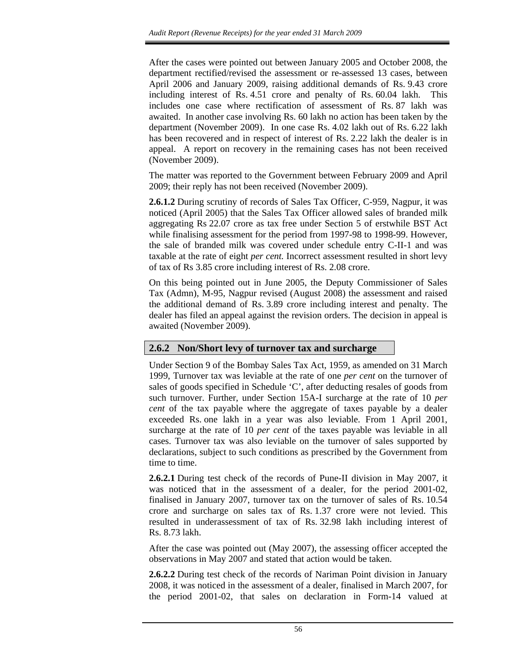After the cases were pointed out between January 2005 and October 2008, the department rectified/revised the assessment or re-assessed 13 cases, between April 2006 and January 2009, raising additional demands of Rs. 9.43 crore including interest of Rs. 4.51 crore and penalty of Rs. 60.04 lakh. This includes one case where rectification of assessment of Rs. 87 lakh was awaited. In another case involving Rs. 60 lakh no action has been taken by the department (November 2009). In one case Rs. 4.02 lakh out of Rs. 6.22 lakh has been recovered and in respect of interest of Rs. 2.22 lakh the dealer is in appeal. A report on recovery in the remaining cases has not been received (November 2009).

The matter was reported to the Government between February 2009 and April 2009; their reply has not been received (November 2009).

**2.6.1.2** During scrutiny of records of Sales Tax Officer, C-959, Nagpur, it was noticed (April 2005) that the Sales Tax Officer allowed sales of branded milk aggregating Rs 22.07 crore as tax free under Section 5 of erstwhile BST Act while finalising assessment for the period from 1997-98 to 1998-99. However, the sale of branded milk was covered under schedule entry C-II-1 and was taxable at the rate of eight *per cent.* Incorrect assessment resulted in short levy of tax of Rs 3.85 crore including interest of Rs. 2.08 crore.

On this being pointed out in June 2005, the Deputy Commissioner of Sales Tax (Admn), M-95, Nagpur revised (August 2008) the assessment and raised the additional demand of Rs. 3.89 crore including interest and penalty. The dealer has filed an appeal against the revision orders. The decision in appeal is awaited (November 2009).

## **2.6.2 Non/Short levy of turnover tax and surcharge**

Under Section 9 of the Bombay Sales Tax Act, 1959, as amended on 31 March 1999, Turnover tax was leviable at the rate of one *per cent* on the turnover of sales of goods specified in Schedule 'C', after deducting resales of goods from such turnover. Further, under Section 15A-I surcharge at the rate of 10 *per cent* of the tax payable where the aggregate of taxes payable by a dealer exceeded Rs. one lakh in a year was also leviable. From 1 April 2001, surcharge at the rate of 10 *per cent* of the taxes payable was leviable in all cases. Turnover tax was also leviable on the turnover of sales supported by declarations, subject to such conditions as prescribed by the Government from time to time.

**2.6.2.1** During test check of the records of Pune-II division in May 2007, it was noticed that in the assessment of a dealer, for the period 2001-02, finalised in January 2007, turnover tax on the turnover of sales of Rs. 10.54 crore and surcharge on sales tax of Rs. 1.37 crore were not levied. This resulted in underassessment of tax of Rs. 32.98 lakh including interest of Rs. 8.73 lakh.

After the case was pointed out (May 2007), the assessing officer accepted the observations in May 2007 and stated that action would be taken.

**2.6.2.2** During test check of the records of Nariman Point division in January 2008, it was noticed in the assessment of a dealer, finalised in March 2007, for the period 2001-02, that sales on declaration in Form-14 valued at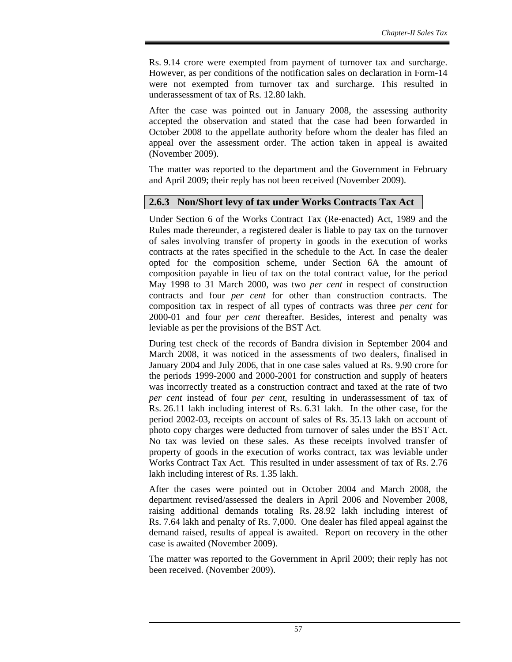Rs. 9.14 crore were exempted from payment of turnover tax and surcharge. However, as per conditions of the notification sales on declaration in Form-14 were not exempted from turnover tax and surcharge. This resulted in underassessment of tax of Rs. 12.80 lakh.

After the case was pointed out in January 2008, the assessing authority accepted the observation and stated that the case had been forwarded in October 2008 to the appellate authority before whom the dealer has filed an appeal over the assessment order. The action taken in appeal is awaited (November 2009).

The matter was reported to the department and the Government in February and April 2009; their reply has not been received (November 2009).

## **2.6.3 Non/Short levy of tax under Works Contracts Tax Act**

Under Section 6 of the Works Contract Tax (Re-enacted) Act, 1989 and the Rules made thereunder, a registered dealer is liable to pay tax on the turnover of sales involving transfer of property in goods in the execution of works contracts at the rates specified in the schedule to the Act. In case the dealer opted for the composition scheme, under Section 6A the amount of composition payable in lieu of tax on the total contract value, for the period May 1998 to 31 March 2000, was two *per cent* in respect of construction contracts and four *per cent* for other than construction contracts. The composition tax in respect of all types of contracts was three *per cent* for 2000-01 and four *per cent* thereafter. Besides, interest and penalty was leviable as per the provisions of the BST Act.

During test check of the records of Bandra division in September 2004 and March 2008, it was noticed in the assessments of two dealers, finalised in January 2004 and July 2006, that in one case sales valued at Rs. 9.90 crore for the periods 1999-2000 and 2000-2001 for construction and supply of heaters was incorrectly treated as a construction contract and taxed at the rate of two *per cent* instead of four *per cent*, resulting in underassessment of tax of Rs. 26.11 lakh including interest of Rs. 6.31 lakh. In the other case, for the period 2002-03, receipts on account of sales of Rs. 35.13 lakh on account of photo copy charges were deducted from turnover of sales under the BST Act. No tax was levied on these sales. As these receipts involved transfer of property of goods in the execution of works contract, tax was leviable under Works Contract Tax Act. This resulted in under assessment of tax of Rs. 2.76 lakh including interest of Rs. 1.35 lakh.

After the cases were pointed out in October 2004 and March 2008, the department revised/assessed the dealers in April 2006 and November 2008, raising additional demands totaling Rs. 28.92 lakh including interest of Rs. 7.64 lakh and penalty of Rs. 7,000. One dealer has filed appeal against the demand raised, results of appeal is awaited. Report on recovery in the other case is awaited (November 2009).

The matter was reported to the Government in April 2009; their reply has not been received. (November 2009).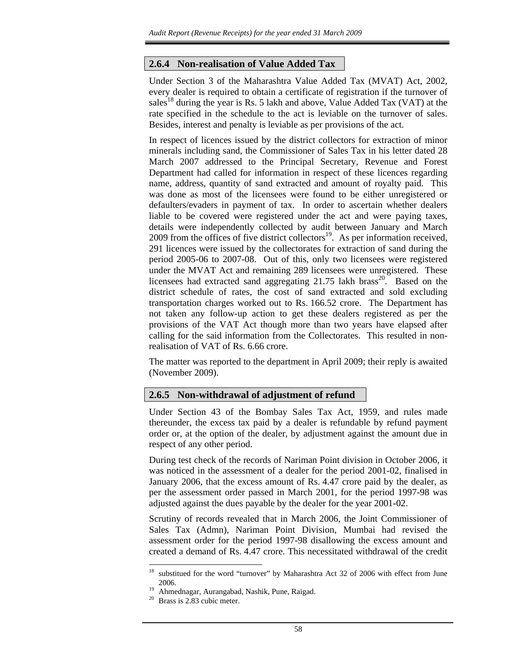#### **2.6.4 Non-realisation of Value Added Tax**

Under Section 3 of the Maharashtra Value Added Tax (MVAT) Act, 2002, every dealer is required to obtain a certificate of registration if the turnover of sales<sup>18</sup> during the year is Rs. 5 lakh and above, Value Added Tax (VAT) at the rate specified in the schedule to the act is leviable on the turnover of sales. Besides, interest and penalty is leviable as per provisions of the act.

In respect of licences issued by the district collectors for extraction of minor minerals including sand, the Commissioner of Sales Tax in his letter dated 28 March 2007 addressed to the Principal Secretary, Revenue and Forest Department had called for information in respect of these licences regarding name, address, quantity of sand extracted and amount of royalty paid. This was done as most of the licensees were found to be either unregistered or defaulters/evaders in payment of tax. In order to ascertain whether dealers liable to be covered were registered under the act and were paying taxes, details were independently collected by audit between January and March 2009 from the offices of five district collectors<sup>19</sup>. As per information received, 291 licences were issued by the collectorates for extraction of sand during the period 2005-06 to 2007-08. Out of this, only two licensees were registered under the MVAT Act and remaining 289 licensees were unregistered. These licensees had extracted sand aggregating  $21.75$  lakh brass<sup>20</sup>. Based on the district schedule of rates, the cost of sand extracted and sold excluding transportation charges worked out to Rs. 166.52 crore. The Department has not taken any follow-up action to get these dealers registered as per the provisions of the VAT Act though more than two years have elapsed after calling for the said information from the Collectorates. This resulted in nonrealisation of VAT of Rs. 6.66 crore.

The matter was reported to the department in April 2009; their reply is awaited (November 2009).

#### **2.6.5 Non-withdrawal of adjustment of refund**

Under Section 43 of the Bombay Sales Tax Act, 1959, and rules made thereunder, the excess tax paid by a dealer is refundable by refund payment order or, at the option of the dealer, by adjustment against the amount due in respect of any other period.

During test check of the records of Nariman Point division in October 2006, it was noticed in the assessment of a dealer for the period 2001-02, finalised in January 2006, that the excess amount of Rs. 4.47 crore paid by the dealer, as per the assessment order passed in March 2001, for the period 1997-98 was adjusted against the dues payable by the dealer for the year 2001-02.

Scrutiny of records revealed that in March 2006, the Joint Commissioner of Sales Tax (Admn), Nariman Point Division, Mumbai had revised the assessment order for the period 1997-98 disallowing the excess amount and created a demand of Rs. 4.47 crore. This necessitated withdrawal of the credit

l

<sup>&</sup>lt;sup>18</sup> substitued for the word "turnover" by Maharashtra Act 32 of 2006 with effect from June  $\frac{2006}{4 \text{ hme}}$ 

<sup>&</sup>lt;sup>19</sup> Ahmednagar, Aurangabad, Nashik, Pune, Raigad.<br><sup>20</sup> Brass is 2.83 cubic meter.

Brass is 2.83 cubic meter.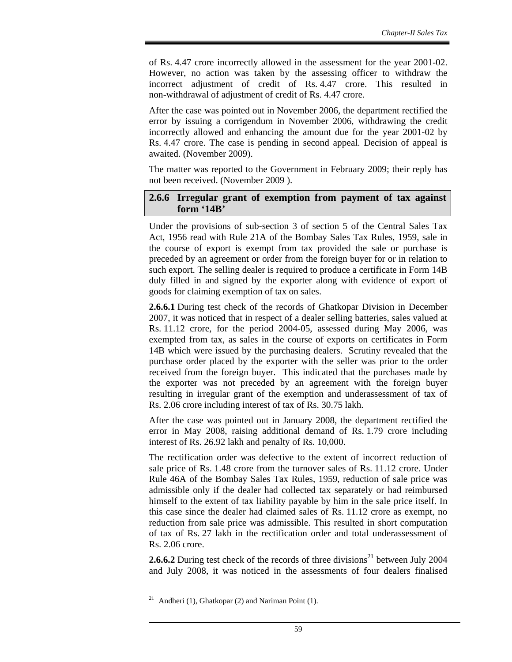of Rs. 4.47 crore incorrectly allowed in the assessment for the year 2001-02. However, no action was taken by the assessing officer to withdraw the incorrect adjustment of credit of Rs. 4.47 crore. This resulted in non-withdrawal of adjustment of credit of Rs. 4.47 crore.

After the case was pointed out in November 2006, the department rectified the error by issuing a corrigendum in November 2006, withdrawing the credit incorrectly allowed and enhancing the amount due for the year 2001-02 by Rs. 4.47 crore. The case is pending in second appeal. Decision of appeal is awaited. (November 2009).

The matter was reported to the Government in February 2009; their reply has not been received. (November 2009 ).

#### **2.6.6 Irregular grant of exemption from payment of tax against form '14B'**

Under the provisions of sub-section 3 of section 5 of the Central Sales Tax Act, 1956 read with Rule 21A of the Bombay Sales Tax Rules, 1959, sale in the course of export is exempt from tax provided the sale or purchase is preceded by an agreement or order from the foreign buyer for or in relation to such export. The selling dealer is required to produce a certificate in Form 14B duly filled in and signed by the exporter along with evidence of export of goods for claiming exemption of tax on sales.

**2.6.6.1** During test check of the records of Ghatkopar Division in December 2007, it was noticed that in respect of a dealer selling batteries, sales valued at Rs. 11.12 crore, for the period 2004-05, assessed during May 2006, was exempted from tax, as sales in the course of exports on certificates in Form 14B which were issued by the purchasing dealers. Scrutiny revealed that the purchase order placed by the exporter with the seller was prior to the order received from the foreign buyer. This indicated that the purchases made by the exporter was not preceded by an agreement with the foreign buyer resulting in irregular grant of the exemption and underassessment of tax of Rs. 2.06 crore including interest of tax of Rs. 30.75 lakh.

After the case was pointed out in January 2008, the department rectified the error in May 2008, raising additional demand of Rs. 1.79 crore including interest of Rs. 26.92 lakh and penalty of Rs. 10,000.

The rectification order was defective to the extent of incorrect reduction of sale price of Rs. 1.48 crore from the turnover sales of Rs. 11.12 crore. Under Rule 46A of the Bombay Sales Tax Rules, 1959, reduction of sale price was admissible only if the dealer had collected tax separately or had reimbursed himself to the extent of tax liability payable by him in the sale price itself. In this case since the dealer had claimed sales of Rs. 11.12 crore as exempt, no reduction from sale price was admissible. This resulted in short computation of tax of Rs. 27 lakh in the rectification order and total underassessment of Rs. 2.06 crore.

**2.6.6.2** During test check of the records of three divisions<sup>21</sup> between July 2004 and July 2008, it was noticed in the assessments of four dealers finalised

 $21\,$ Andheri (1), Ghatkopar (2) and Nariman Point (1).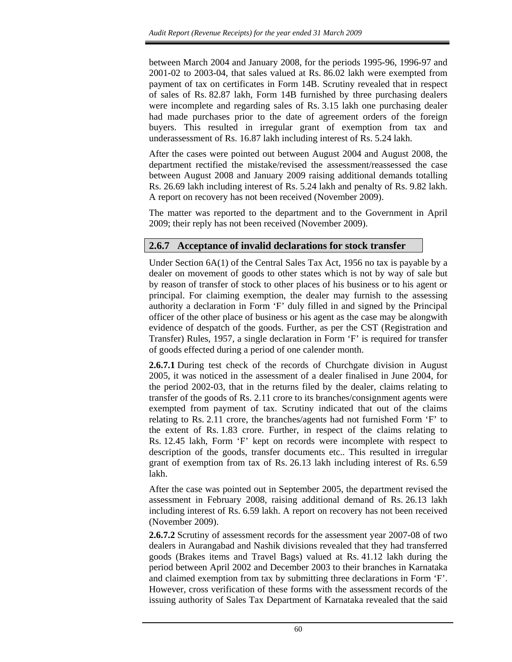between March 2004 and January 2008, for the periods 1995-96, 1996-97 and 2001-02 to 2003-04, that sales valued at Rs. 86.02 lakh were exempted from payment of tax on certificates in Form 14B. Scrutiny revealed that in respect of sales of Rs. 82.87 lakh, Form 14B furnished by three purchasing dealers were incomplete and regarding sales of Rs. 3.15 lakh one purchasing dealer had made purchases prior to the date of agreement orders of the foreign buyers. This resulted in irregular grant of exemption from tax and underassessment of Rs. 16.87 lakh including interest of Rs. 5.24 lakh.

After the cases were pointed out between August 2004 and August 2008, the department rectified the mistake/revised the assessment/reassessed the case between August 2008 and January 2009 raising additional demands totalling Rs. 26.69 lakh including interest of Rs. 5.24 lakh and penalty of Rs. 9.82 lakh. A report on recovery has not been received (November 2009).

The matter was reported to the department and to the Government in April 2009; their reply has not been received (November 2009).

## **2.6.7 Acceptance of invalid declarations for stock transfer**

Under Section 6A(1) of the Central Sales Tax Act, 1956 no tax is payable by a dealer on movement of goods to other states which is not by way of sale but by reason of transfer of stock to other places of his business or to his agent or principal. For claiming exemption, the dealer may furnish to the assessing authority a declaration in Form 'F' duly filled in and signed by the Principal officer of the other place of business or his agent as the case may be alongwith evidence of despatch of the goods. Further, as per the CST (Registration and Transfer) Rules, 1957, a single declaration in Form 'F' is required for transfer of goods effected during a period of one calender month.

**2.6.7.1** During test check of the records of Churchgate division in August 2005, it was noticed in the assessment of a dealer finalised in June 2004, for the period 2002-03, that in the returns filed by the dealer, claims relating to transfer of the goods of Rs. 2.11 crore to its branches/consignment agents were exempted from payment of tax. Scrutiny indicated that out of the claims relating to Rs. 2.11 crore, the branches/agents had not furnished Form 'F' to the extent of Rs. 1.83 crore. Further, in respect of the claims relating to Rs. 12.45 lakh, Form 'F' kept on records were incomplete with respect to description of the goods, transfer documents etc.. This resulted in irregular grant of exemption from tax of Rs. 26.13 lakh including interest of Rs. 6.59 lakh.

After the case was pointed out in September 2005, the department revised the assessment in February 2008, raising additional demand of Rs. 26.13 lakh including interest of Rs. 6.59 lakh. A report on recovery has not been received (November 2009).

**2.6.7.2** Scrutiny of assessment records for the assessment year 2007-08 of two dealers in Aurangabad and Nashik divisions revealed that they had transferred goods (Brakes items and Travel Bags) valued at Rs. 41.12 lakh during the period between April 2002 and December 2003 to their branches in Karnataka and claimed exemption from tax by submitting three declarations in Form 'F'. However, cross verification of these forms with the assessment records of the issuing authority of Sales Tax Department of Karnataka revealed that the said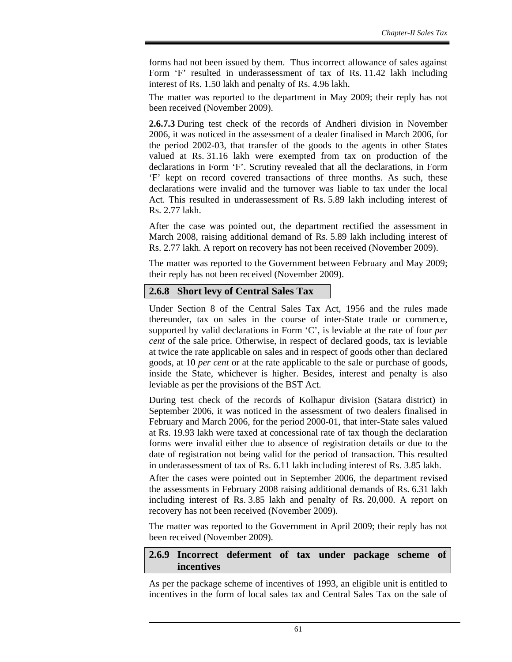forms had not been issued by them. Thus incorrect allowance of sales against Form 'F' resulted in underassessment of tax of Rs. 11.42 lakh including interest of Rs. 1.50 lakh and penalty of Rs. 4.96 lakh.

The matter was reported to the department in May 2009; their reply has not been received (November 2009).

**2.6.7.3** During test check of the records of Andheri division in November 2006, it was noticed in the assessment of a dealer finalised in March 2006, for the period 2002-03, that transfer of the goods to the agents in other States valued at Rs. 31.16 lakh were exempted from tax on production of the declarations in Form 'F'. Scrutiny revealed that all the declarations, in Form 'F' kept on record covered transactions of three months. As such, these declarations were invalid and the turnover was liable to tax under the local Act. This resulted in underassessment of Rs. 5.89 lakh including interest of Rs. 2.77 lakh.

After the case was pointed out, the department rectified the assessment in March 2008, raising additional demand of Rs. 5.89 lakh including interest of Rs. 2.77 lakh. A report on recovery has not been received (November 2009).

The matter was reported to the Government between February and May 2009; their reply has not been received (November 2009).

#### **2.6.8 Short levy of Central Sales Tax**

Under Section 8 of the Central Sales Tax Act, 1956 and the rules made thereunder, tax on sales in the course of inter-State trade or commerce, supported by valid declarations in Form 'C', is leviable at the rate of four *per cent* of the sale price. Otherwise, in respect of declared goods, tax is leviable at twice the rate applicable on sales and in respect of goods other than declared goods, at 10 *per cent* or at the rate applicable to the sale or purchase of goods, inside the State, whichever is higher. Besides, interest and penalty is also leviable as per the provisions of the BST Act.

During test check of the records of Kolhapur division (Satara district) in September 2006, it was noticed in the assessment of two dealers finalised in February and March 2006, for the period 2000-01, that inter-State sales valued at Rs. 19.93 lakh were taxed at concessional rate of tax though the declaration forms were invalid either due to absence of registration details or due to the date of registration not being valid for the period of transaction. This resulted in underassessment of tax of Rs. 6.11 lakh including interest of Rs. 3.85 lakh.

After the cases were pointed out in September 2006, the department revised the assessments in February 2008 raising additional demands of Rs. 6.31 lakh including interest of Rs. 3.85 lakh and penalty of Rs. 20,000. A report on recovery has not been received (November 2009).

The matter was reported to the Government in April 2009; their reply has not been received (November 2009).

#### **2.6.9 Incorrect deferment of tax under package scheme of incentives**

As per the package scheme of incentives of 1993, an eligible unit is entitled to incentives in the form of local sales tax and Central Sales Tax on the sale of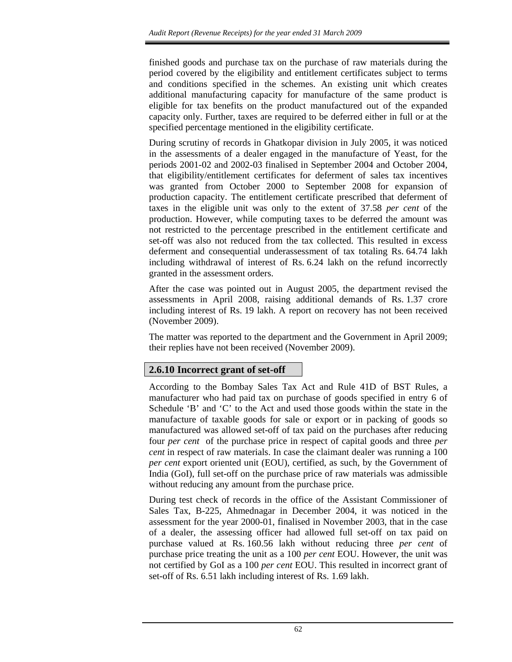finished goods and purchase tax on the purchase of raw materials during the period covered by the eligibility and entitlement certificates subject to terms and conditions specified in the schemes. An existing unit which creates additional manufacturing capacity for manufacture of the same product is eligible for tax benefits on the product manufactured out of the expanded capacity only. Further, taxes are required to be deferred either in full or at the specified percentage mentioned in the eligibility certificate.

During scrutiny of records in Ghatkopar division in July 2005, it was noticed in the assessments of a dealer engaged in the manufacture of Yeast, for the periods 2001-02 and 2002-03 finalised in September 2004 and October 2004, that eligibility/entitlement certificates for deferment of sales tax incentives was granted from October 2000 to September 2008 for expansion of production capacity. The entitlement certificate prescribed that deferment of taxes in the eligible unit was only to the extent of 37.58 *per cent* of the production. However, while computing taxes to be deferred the amount was not restricted to the percentage prescribed in the entitlement certificate and set-off was also not reduced from the tax collected. This resulted in excess deferment and consequential underassessment of tax totaling Rs. 64.74 lakh including withdrawal of interest of Rs. 6.24 lakh on the refund incorrectly granted in the assessment orders.

After the case was pointed out in August 2005, the department revised the assessments in April 2008, raising additional demands of Rs. 1.37 crore including interest of Rs. 19 lakh. A report on recovery has not been received (November 2009).

The matter was reported to the department and the Government in April 2009; their replies have not been received (November 2009).

## **2.6.10 Incorrect grant of set-off**

According to the Bombay Sales Tax Act and Rule 41D of BST Rules, a manufacturer who had paid tax on purchase of goods specified in entry 6 of Schedule 'B' and 'C' to the Act and used those goods within the state in the manufacture of taxable goods for sale or export or in packing of goods so manufactured was allowed set-off of tax paid on the purchases after reducing four *per cent* of the purchase price in respect of capital goods and three *per cent* in respect of raw materials. In case the claimant dealer was running a 100 *per cent* export oriented unit (EOU), certified, as such, by the Government of India (GoI), full set-off on the purchase price of raw materials was admissible without reducing any amount from the purchase price.

During test check of records in the office of the Assistant Commissioner of Sales Tax, B-225, Ahmednagar in December 2004, it was noticed in the assessment for the year 2000-01, finalised in November 2003, that in the case of a dealer, the assessing officer had allowed full set-off on tax paid on purchase valued at Rs. 160.56 lakh without reducing three *per cent* of purchase price treating the unit as a 100 *per cent* EOU. However, the unit was not certified by GoI as a 100 *per cent* EOU. This resulted in incorrect grant of set-off of Rs. 6.51 lakh including interest of Rs. 1.69 lakh.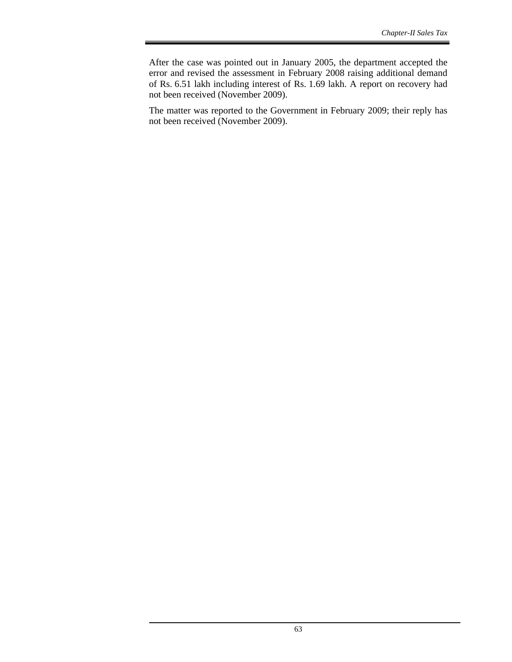After the case was pointed out in January 2005, the department accepted the error and revised the assessment in February 2008 raising additional demand of Rs. 6.51 lakh including interest of Rs. 1.69 lakh. A report on recovery had not been received (November 2009).

The matter was reported to the Government in February 2009; their reply has not been received (November 2009).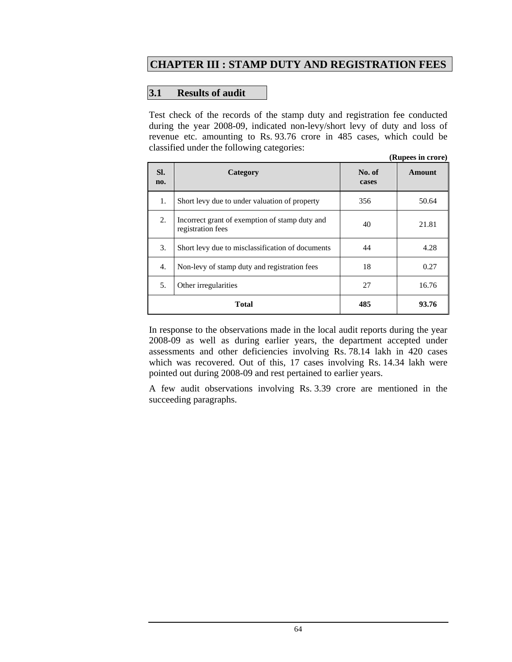# **CHAPTER III : STAMP DUTY AND REGISTRATION FEES**

#### **3.1 Results of audit**

Test check of the records of the stamp duty and registration fee conducted during the year 2008-09, indicated non-levy/short levy of duty and loss of revenue etc. amounting to Rs. 93.76 crore in 485 cases, which could be classified under the following categories: **(Rupees in crore)** 

|            |                                                                     |                 | (Rupees in crore) |
|------------|---------------------------------------------------------------------|-----------------|-------------------|
| SI.<br>no. | Category                                                            | No. of<br>cases | <b>Amount</b>     |
| 1.         | Short levy due to under valuation of property                       | 356             | 50.64             |
| 2.         | Incorrect grant of exemption of stamp duty and<br>registration fees | 40              | 21.81             |
| 3.         | Short levy due to misclassification of documents                    | 44              | 4.28              |
| 4.         | Non-levy of stamp duty and registration fees                        | 18              | 0.27              |
| 5.         | Other irregularities                                                | 27              | 16.76             |
|            | Total                                                               | 485             | 93.76             |

In response to the observations made in the local audit reports during the year 2008-09 as well as during earlier years, the department accepted under assessments and other deficiencies involving Rs. 78.14 lakh in 420 cases which was recovered. Out of this, 17 cases involving Rs. 14.34 lakh were pointed out during 2008-09 and rest pertained to earlier years.

A few audit observations involving Rs. 3.39 crore are mentioned in the succeeding paragraphs.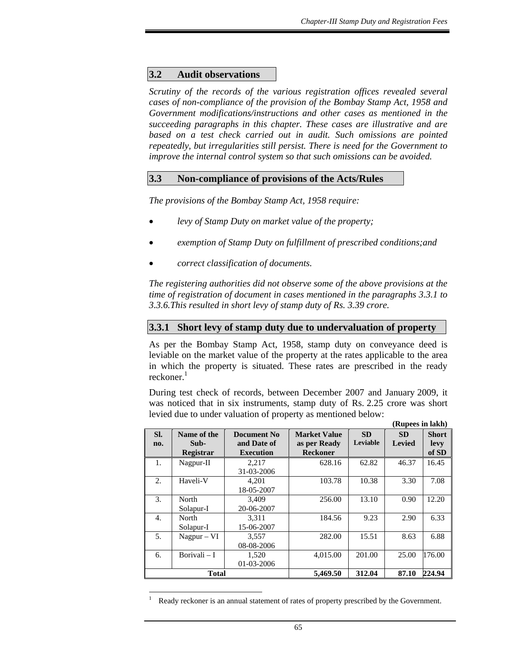#### **3.2 Audit observations**

*Scrutiny of the records of the various registration offices revealed several cases of non-compliance of the provision of the Bombay Stamp Act, 1958 and Government modifications/instructions and other cases as mentioned in the succeeding paragraphs in this chapter. These cases are illustrative and are based on a test check carried out in audit. Such omissions are pointed repeatedly, but irregularities still persist. There is need for the Government to improve the internal control system so that such omissions can be avoided.* 

#### **3.3 Non-compliance of provisions of the Acts/Rules**

*The provisions of the Bombay Stamp Act, 1958 require:* 

- *levy of Stamp Duty on market value of the property;*
- *exemption of Stamp Duty on fulfillment of prescribed conditions;and*
- *correct classification of documents.*

 $\overline{a}$ 

*The registering authorities did not observe some of the above provisions at the time of registration of document in cases mentioned in the paragraphs 3.3.1 to 3.3.6.This resulted in short levy of stamp duty of Rs. 3.39 crore.* 

#### **3.3.1 Short levy of stamp duty due to undervaluation of property**

As per the Bombay Stamp Act, 1958, stamp duty on conveyance deed is leviable on the market value of the property at the rates applicable to the area in which the property is situated. These rates are prescribed in the ready reckoner.<sup>1</sup>

During test check of records, between December 2007 and January 2009, it was noticed that in six instruments, stamp duty of Rs. 2.25 crore was short levied due to under valuation of property as mentioned below:

|            |                                         |                                                       |                                                        |                       | (Rupees in lakh)           |                               |
|------------|-----------------------------------------|-------------------------------------------------------|--------------------------------------------------------|-----------------------|----------------------------|-------------------------------|
| SI.<br>no. | Name of the<br>Sub-<br><b>Registrar</b> | <b>Document No</b><br>and Date of<br><b>Execution</b> | <b>Market Value</b><br>as per Ready<br><b>Reckoner</b> | <b>SD</b><br>Leviable | <b>SD</b><br><b>Levied</b> | <b>Short</b><br>levy<br>of SD |
| 1.         | Nagpur-II                               | 2,217<br>31-03-2006                                   | 628.16                                                 | 62.82                 | 46.37                      | 16.45                         |
| 2.5        | Haveli-V                                | 4.201<br>18-05-2007                                   | 103.78                                                 | 10.38                 | 3.30                       | 7.08                          |
| 3.         | North<br>Solapur-I                      | 3.409<br>20-06-2007                                   | 256.00                                                 | 13.10                 | 0.90                       | 12.20                         |
| 4.         | North<br>Solapur-I                      | 3,311<br>15-06-2007                                   | 184.56                                                 | 9.23                  | 2.90                       | 6.33                          |
| 5.         | $Nagpur - VI$                           | 3,557<br>08-08-2006                                   | 282.00                                                 | 15.51                 | 8.63                       | 6.88                          |
| 6.         | Borivali $-I$                           | 1,520<br>01-03-2006                                   | 4,015.00                                               | 201.00                | 25.00                      | 176.00                        |
|            | Total                                   |                                                       | 5,469.50                                               | 312.04                | 87.10                      | 224.94                        |

1 Ready reckoner is an annual statement of rates of property prescribed by the Government.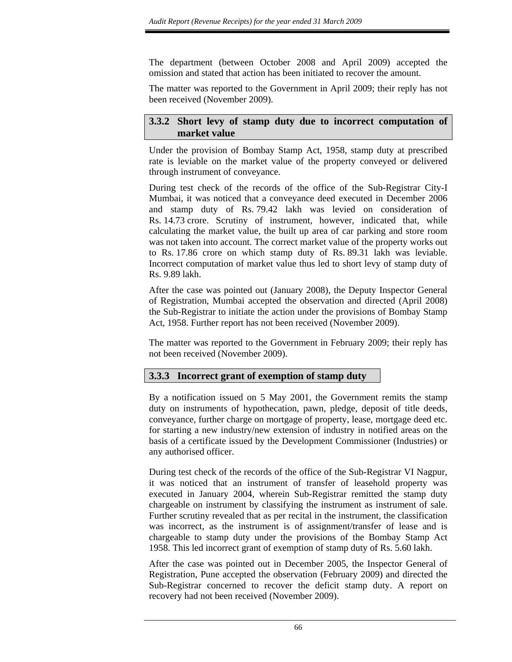The department (between October 2008 and April 2009) accepted the omission and stated that action has been initiated to recover the amount.

The matter was reported to the Government in April 2009; their reply has not been received (November 2009).

## **3.3.2 Short levy of stamp duty due to incorrect computation of market value**

Under the provision of Bombay Stamp Act, 1958, stamp duty at prescribed rate is leviable on the market value of the property conveyed or delivered through instrument of conveyance.

During test check of the records of the office of the Sub-Registrar City-I Mumbai, it was noticed that a conveyance deed executed in December 2006 and stamp duty of Rs. 79.42 lakh was levied on consideration of Rs. 14.73 crore. Scrutiny of instrument, however, indicated that, while calculating the market value, the built up area of car parking and store room was not taken into account. The correct market value of the property works out to Rs. 17.86 crore on which stamp duty of Rs. 89.31 lakh was leviable. Incorrect computation of market value thus led to short levy of stamp duty of Rs. 9.89 lakh.

After the case was pointed out (January 2008), the Deputy Inspector General of Registration, Mumbai accepted the observation and directed (April 2008) the Sub-Registrar to initiate the action under the provisions of Bombay Stamp Act, 1958. Further report has not been received (November 2009).

The matter was reported to the Government in February 2009; their reply has not been received (November 2009).

## **3.3.3 Incorrect grant of exemption of stamp duty**

By a notification issued on 5 May 2001, the Government remits the stamp duty on instruments of hypothecation, pawn, pledge, deposit of title deeds, conveyance, further charge on mortgage of property, lease, mortgage deed etc. for starting a new industry/new extension of industry in notified areas on the basis of a certificate issued by the Development Commissioner (Industries) or any authorised officer.

During test check of the records of the office of the Sub-Registrar VI Nagpur, it was noticed that an instrument of transfer of leasehold property was executed in January 2004, wherein Sub-Registrar remitted the stamp duty chargeable on instrument by classifying the instrument as instrument of sale. Further scrutiny revealed that as per recital in the instrument, the classification was incorrect, as the instrument is of assignment/transfer of lease and is chargeable to stamp duty under the provisions of the Bombay Stamp Act 1958. This led incorrect grant of exemption of stamp duty of Rs. 5.60 lakh.

After the case was pointed out in December 2005, the Inspector General of Registration, Pune accepted the observation (February 2009) and directed the Sub-Registrar concerned to recover the deficit stamp duty. A report on recovery had not been received (November 2009).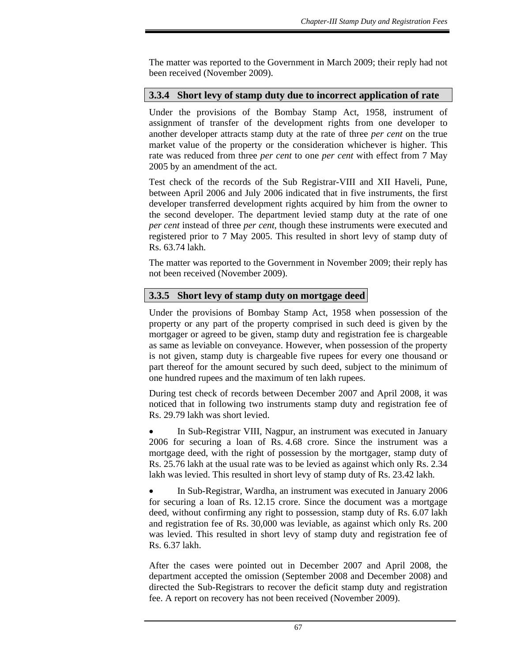The matter was reported to the Government in March 2009; their reply had not been received (November 2009).

#### **3.3.4 Short levy of stamp duty due to incorrect application of rate**

Under the provisions of the Bombay Stamp Act, 1958, instrument of assignment of transfer of the development rights from one developer to another developer attracts stamp duty at the rate of three *per cent* on the true market value of the property or the consideration whichever is higher. This rate was reduced from three *per cent* to one *per cent* with effect from 7 May 2005 by an amendment of the act.

Test check of the records of the Sub Registrar-VIII and XII Haveli, Pune, between April 2006 and July 2006 indicated that in five instruments, the first developer transferred development rights acquired by him from the owner to the second developer. The department levied stamp duty at the rate of one *per cent* instead of three *per cent*, though these instruments were executed and registered prior to 7 May 2005. This resulted in short levy of stamp duty of Rs. 63.74 lakh.

The matter was reported to the Government in November 2009; their reply has not been received (November 2009).

## **3.3.5 Short levy of stamp duty on mortgage deed**

Under the provisions of Bombay Stamp Act, 1958 when possession of the property or any part of the property comprised in such deed is given by the mortgager or agreed to be given, stamp duty and registration fee is chargeable as same as leviable on conveyance. However, when possession of the property is not given, stamp duty is chargeable five rupees for every one thousand or part thereof for the amount secured by such deed, subject to the minimum of one hundred rupees and the maximum of ten lakh rupees.

During test check of records between December 2007 and April 2008, it was noticed that in following two instruments stamp duty and registration fee of Rs. 29.79 lakh was short levied.

• In Sub-Registrar VIII, Nagpur, an instrument was executed in January 2006 for securing a loan of Rs. 4.68 crore. Since the instrument was a mortgage deed, with the right of possession by the mortgager, stamp duty of Rs. 25.76 lakh at the usual rate was to be levied as against which only Rs. 2.34 lakh was levied. This resulted in short levy of stamp duty of Rs. 23.42 lakh.

• In Sub-Registrar, Wardha, an instrument was executed in January 2006 for securing a loan of Rs. 12.15 crore. Since the document was a mortgage deed, without confirming any right to possession, stamp duty of Rs. 6.07 lakh and registration fee of Rs. 30,000 was leviable, as against which only Rs. 200 was levied. This resulted in short levy of stamp duty and registration fee of Rs. 6.37 lakh.

After the cases were pointed out in December 2007 and April 2008, the department accepted the omission (September 2008 and December 2008) and directed the Sub-Registrars to recover the deficit stamp duty and registration fee. A report on recovery has not been received (November 2009).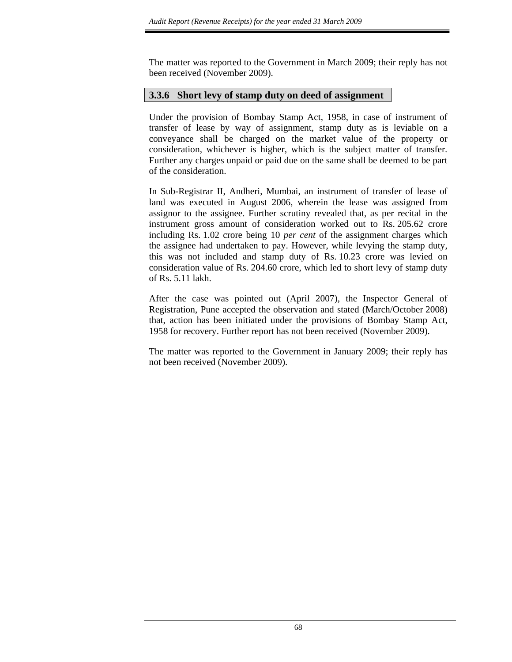The matter was reported to the Government in March 2009; their reply has not been received (November 2009).

#### **3.3.6 Short levy of stamp duty on deed of assignment**

Under the provision of Bombay Stamp Act, 1958, in case of instrument of transfer of lease by way of assignment, stamp duty as is leviable on a conveyance shall be charged on the market value of the property or consideration, whichever is higher, which is the subject matter of transfer. Further any charges unpaid or paid due on the same shall be deemed to be part of the consideration.

In Sub-Registrar II, Andheri, Mumbai, an instrument of transfer of lease of land was executed in August 2006, wherein the lease was assigned from assignor to the assignee. Further scrutiny revealed that, as per recital in the instrument gross amount of consideration worked out to Rs. 205.62 crore including Rs. 1.02 crore being 10 *per cent* of the assignment charges which the assignee had undertaken to pay. However, while levying the stamp duty, this was not included and stamp duty of Rs. 10.23 crore was levied on consideration value of Rs. 204.60 crore, which led to short levy of stamp duty of Rs. 5.11 lakh.

After the case was pointed out (April 2007), the Inspector General of Registration, Pune accepted the observation and stated (March/October 2008) that, action has been initiated under the provisions of Bombay Stamp Act, 1958 for recovery. Further report has not been received (November 2009).

The matter was reported to the Government in January 2009; their reply has not been received (November 2009).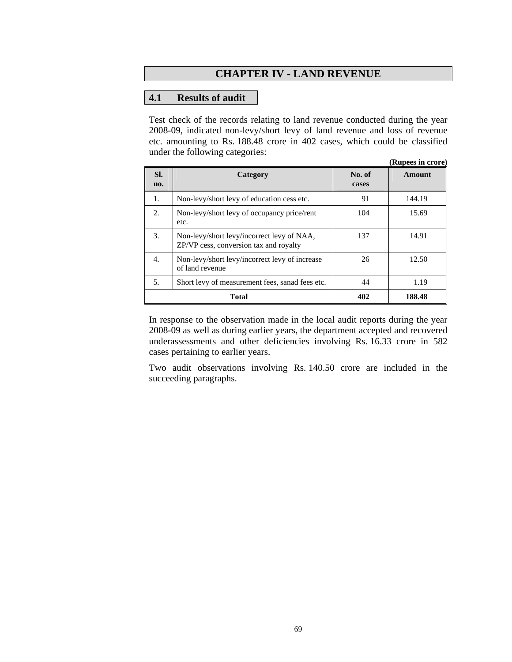# **CHAPTER IV - LAND REVENUE**

#### **4.1 Results of audit**

Test check of the records relating to land revenue conducted during the year 2008-09, indicated non-levy/short levy of land revenue and loss of revenue etc. amounting to Rs. 188.48 crore in 402 cases, which could be classified under the following categories:

|                  |                                                                                      |                 | (Rupees in crore) |
|------------------|--------------------------------------------------------------------------------------|-----------------|-------------------|
| SI.<br>no.       | Category                                                                             | No. of<br>cases | <b>Amount</b>     |
| 1.               | Non-levy/short levy of education cess etc.                                           | 91              | 144.19            |
| 2.               | Non-levy/short levy of occupancy price/rent<br>etc.                                  | 104             | 15.69             |
| 3.               | Non-levy/short levy/incorrect levy of NAA,<br>ZP/VP cess, conversion tax and royalty | 137             | 14.91             |
| $\overline{4}$ . | Non-levy/short levy/incorrect levy of increase<br>of land revenue                    | 26              | 12.50             |
| .5.              | Short levy of measurement fees, sanad fees etc.                                      | 44              | 1.19              |
|                  | Total                                                                                | 402             | 188.48            |

In response to the observation made in the local audit reports during the year 2008-09 as well as during earlier years, the department accepted and recovered underassessments and other deficiencies involving Rs. 16.33 crore in 582 cases pertaining to earlier years.

Two audit observations involving Rs. 140.50 crore are included in the succeeding paragraphs.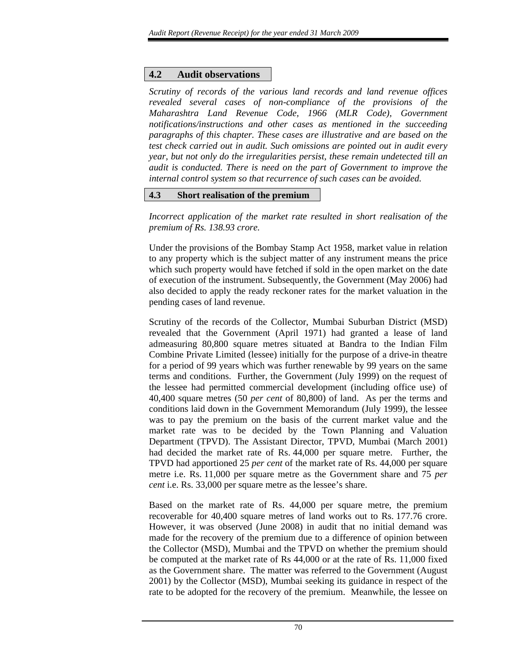## **4.2 Audit observations**

*Scrutiny of records of the various land records and land revenue offices revealed several cases of non-compliance of the provisions of the Maharashtra Land Revenue Code, 1966 (MLR Code), Government notifications/instructions and other cases as mentioned in the succeeding paragraphs of this chapter. These cases are illustrative and are based on the test check carried out in audit. Such omissions are pointed out in audit every year, but not only do the irregularities persist, these remain undetected till an audit is conducted. There is need on the part of Government to improve the internal control system so that recurrence of such cases can be avoided.* 

## **4.3 Short realisation of the premium**

*Incorrect application of the market rate resulted in short realisation of the premium of Rs. 138.93 crore.* 

Under the provisions of the Bombay Stamp Act 1958, market value in relation to any property which is the subject matter of any instrument means the price which such property would have fetched if sold in the open market on the date of execution of the instrument. Subsequently, the Government (May 2006) had also decided to apply the ready reckoner rates for the market valuation in the pending cases of land revenue.

Scrutiny of the records of the Collector, Mumbai Suburban District (MSD) revealed that the Government (April 1971) had granted a lease of land admeasuring 80,800 square metres situated at Bandra to the Indian Film Combine Private Limited (lessee) initially for the purpose of a drive-in theatre for a period of 99 years which was further renewable by 99 years on the same terms and conditions. Further, the Government (July 1999) on the request of the lessee had permitted commercial development (including office use) of 40,400 square metres (50 *per cent* of 80,800) of land. As per the terms and conditions laid down in the Government Memorandum (July 1999), the lessee was to pay the premium on the basis of the current market value and the market rate was to be decided by the Town Planning and Valuation Department (TPVD). The Assistant Director, TPVD, Mumbai (March 2001) had decided the market rate of Rs. 44,000 per square metre. Further, the TPVD had apportioned 25 *per cent* of the market rate of Rs. 44,000 per square metre i.e. Rs. 11,000 per square metre as the Government share and 75 *per cent* i.e. Rs. 33,000 per square metre as the lessee's share.

Based on the market rate of Rs. 44,000 per square metre, the premium recoverable for 40,400 square metres of land works out to Rs. 177.76 crore. However, it was observed (June 2008) in audit that no initial demand was made for the recovery of the premium due to a difference of opinion between the Collector (MSD), Mumbai and the TPVD on whether the premium should be computed at the market rate of Rs 44,000 or at the rate of Rs. 11,000 fixed as the Government share. The matter was referred to the Government (August 2001) by the Collector (MSD), Mumbai seeking its guidance in respect of the rate to be adopted for the recovery of the premium. Meanwhile, the lessee on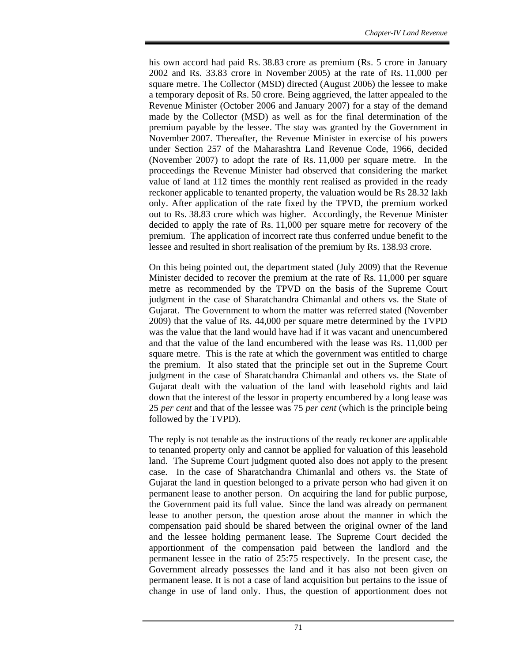his own accord had paid Rs. 38.83 crore as premium (Rs. 5 crore in January 2002 and Rs. 33.83 crore in November 2005) at the rate of Rs. 11,000 per square metre. The Collector (MSD) directed (August 2006) the lessee to make a temporary deposit of Rs. 50 crore. Being aggrieved, the latter appealed to the Revenue Minister (October 2006 and January 2007) for a stay of the demand made by the Collector (MSD) as well as for the final determination of the premium payable by the lessee. The stay was granted by the Government in November 2007. Thereafter, the Revenue Minister in exercise of his powers under Section 257 of the Maharashtra Land Revenue Code, 1966, decided (November 2007) to adopt the rate of Rs. 11,000 per square metre. In the proceedings the Revenue Minister had observed that considering the market value of land at 112 times the monthly rent realised as provided in the ready reckoner applicable to tenanted property, the valuation would be Rs 28.32 lakh only. After application of the rate fixed by the TPVD, the premium worked out to Rs. 38.83 crore which was higher. Accordingly, the Revenue Minister decided to apply the rate of Rs. 11,000 per square metre for recovery of the premium. The application of incorrect rate thus conferred undue benefit to the lessee and resulted in short realisation of the premium by Rs. 138.93 crore.

On this being pointed out, the department stated (July 2009) that the Revenue Minister decided to recover the premium at the rate of Rs. 11,000 per square metre as recommended by the TPVD on the basis of the Supreme Court judgment in the case of Sharatchandra Chimanlal and others vs. the State of Gujarat. The Government to whom the matter was referred stated (November 2009) that the value of Rs. 44,000 per square metre determined by the TVPD was the value that the land would have had if it was vacant and unencumbered and that the value of the land encumbered with the lease was Rs. 11,000 per square metre. This is the rate at which the government was entitled to charge the premium. It also stated that the principle set out in the Supreme Court judgment in the case of Sharatchandra Chimanlal and others vs. the State of Gujarat dealt with the valuation of the land with leasehold rights and laid down that the interest of the lessor in property encumbered by a long lease was 25 *per cent* and that of the lessee was 75 *per cent* (which is the principle being followed by the TVPD).

The reply is not tenable as the instructions of the ready reckoner are applicable to tenanted property only and cannot be applied for valuation of this leasehold land. The Supreme Court judgment quoted also does not apply to the present case. In the case of Sharatchandra Chimanlal and others vs. the State of Gujarat the land in question belonged to a private person who had given it on permanent lease to another person. On acquiring the land for public purpose, the Government paid its full value. Since the land was already on permanent lease to another person, the question arose about the manner in which the compensation paid should be shared between the original owner of the land and the lessee holding permanent lease. The Supreme Court decided the apportionment of the compensation paid between the landlord and the permanent lessee in the ratio of 25:75 respectively. In the present case, the Government already possesses the land and it has also not been given on permanent lease. It is not a case of land acquisition but pertains to the issue of change in use of land only. Thus, the question of apportionment does not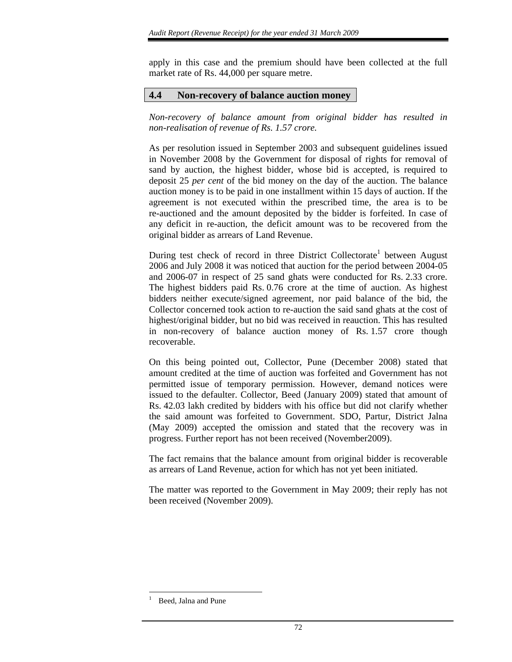apply in this case and the premium should have been collected at the full market rate of Rs. 44,000 per square metre.

### **4.4 Non-recovery of balance auction money**

*Non-recovery of balance amount from original bidder has resulted in non-realisation of revenue of Rs. 1.57 crore.* 

As per resolution issued in September 2003 and subsequent guidelines issued in November 2008 by the Government for disposal of rights for removal of sand by auction, the highest bidder, whose bid is accepted, is required to deposit 25 *per cent* of the bid money on the day of the auction. The balance auction money is to be paid in one installment within 15 days of auction. If the agreement is not executed within the prescribed time, the area is to be re-auctioned and the amount deposited by the bidder is forfeited. In case of any deficit in re-auction, the deficit amount was to be recovered from the original bidder as arrears of Land Revenue.

During test check of record in three District Collectorate<sup>1</sup> between August 2006 and July 2008 it was noticed that auction for the period between 2004-05 and 2006-07 in respect of 25 sand ghats were conducted for Rs. 2.33 crore. The highest bidders paid Rs. 0.76 crore at the time of auction. As highest bidders neither execute/signed agreement, nor paid balance of the bid, the Collector concerned took action to re-auction the said sand ghats at the cost of highest/original bidder, but no bid was received in reauction. This has resulted in non-recovery of balance auction money of Rs. 1.57 crore though recoverable.

On this being pointed out, Collector, Pune (December 2008) stated that amount credited at the time of auction was forfeited and Government has not permitted issue of temporary permission. However, demand notices were issued to the defaulter. Collector, Beed (January 2009) stated that amount of Rs. 42.03 lakh credited by bidders with his office but did not clarify whether the said amount was forfeited to Government. SDO, Partur, District Jalna (May 2009) accepted the omission and stated that the recovery was in progress. Further report has not been received (November2009).

The fact remains that the balance amount from original bidder is recoverable as arrears of Land Revenue, action for which has not yet been initiated.

The matter was reported to the Government in May 2009; their reply has not been received (November 2009).

<sup>1</sup> Beed, Jalna and Pune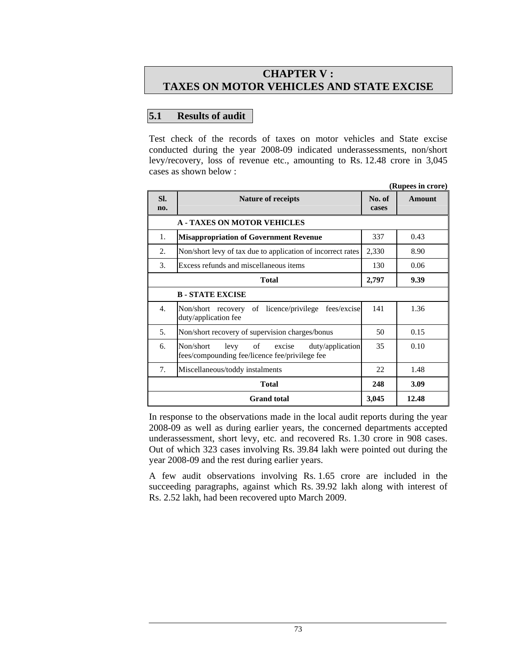# **CHAPTER V : TAXES ON MOTOR VEHICLES AND STATE EXCISE**

## **5.1 Results of audit**

Test check of the records of taxes on motor vehicles and State excise conducted during the year 2008-09 indicated underassessments, non/short levy/recovery, loss of revenue etc., amounting to Rs. 12.48 crore in 3,045 cases as shown below :

|                       | (Rupees in crore)                                                                                 |                 |               |  |  |  |
|-----------------------|---------------------------------------------------------------------------------------------------|-----------------|---------------|--|--|--|
| SI.<br>no.            | <b>Nature of receipts</b>                                                                         | No. of<br>cases | <b>Amount</b> |  |  |  |
|                       | <b>A - TAXES ON MOTOR VEHICLES</b>                                                                |                 |               |  |  |  |
| 1.                    | <b>Misappropriation of Government Revenue</b>                                                     |                 | 0.43          |  |  |  |
| 2.                    | Non/short levy of tax due to application of incorrect rates                                       | 2,330           | 8.90          |  |  |  |
| 3.                    | Excess refunds and miscellaneous items                                                            | 130             | 0.06          |  |  |  |
|                       | Total                                                                                             | 2,797           | 9.39          |  |  |  |
| <b>B-STATE EXCISE</b> |                                                                                                   |                 |               |  |  |  |
| 4.                    | Non/short recovery<br>of licence/privilege fees/excise<br>duty/application fee                    | 141             | 1.36          |  |  |  |
| 5.                    | Non/short recovery of supervision charges/bonus                                                   | 50              | 0.15          |  |  |  |
| 6.                    | Non/short<br>levy of excise<br>duty/application<br>fees/compounding fee/licence fee/privilege fee | 35              | 0.10          |  |  |  |
| 7.                    | Miscellaneous/toddy instalments                                                                   | 22.             | 1.48          |  |  |  |
| <b>Total</b>          |                                                                                                   |                 | 3.09          |  |  |  |
| <b>Grand</b> total    |                                                                                                   |                 | 12.48         |  |  |  |

In response to the observations made in the local audit reports during the year 2008-09 as well as during earlier years, the concerned departments accepted underassessment, short levy, etc. and recovered Rs. 1.30 crore in 908 cases. Out of which 323 cases involving Rs. 39.84 lakh were pointed out during the year 2008-09 and the rest during earlier years.

A few audit observations involving Rs. 1.65 crore are included in the succeeding paragraphs, against which Rs. 39.92 lakh along with interest of Rs. 2.52 lakh, had been recovered upto March 2009.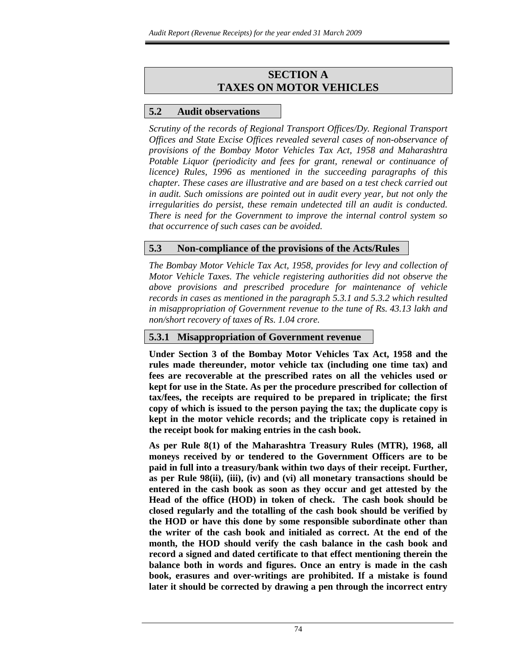# **SECTION A TAXES ON MOTOR VEHICLES**

## **5.2 Audit observations**

*Scrutiny of the records of Regional Transport Offices/Dy. Regional Transport Offices and State Excise Offices revealed several cases of non-observance of provisions of the Bombay Motor Vehicles Tax Act, 1958 and Maharashtra Potable Liquor (periodicity and fees for grant, renewal or continuance of licence) Rules, 1996 as mentioned in the succeeding paragraphs of this chapter. These cases are illustrative and are based on a test check carried out in audit. Such omissions are pointed out in audit every year, but not only the irregularities do persist, these remain undetected till an audit is conducted. There is need for the Government to improve the internal control system so that occurrence of such cases can be avoided.* 

## **5.3 Non-compliance of the provisions of the Acts/Rules**

*The Bombay Motor Vehicle Tax Act, 1958, provides for levy and collection of Motor Vehicle Taxes. The vehicle registering authorities did not observe the above provisions and prescribed procedure for maintenance of vehicle records in cases as mentioned in the paragraph 5.3.1 and 5.3.2 which resulted in misappropriation of Government revenue to the tune of Rs. 43.13 lakh and non/short recovery of taxes of Rs. 1.04 crore.* 

## **5.3.1 Misappropriation of Government revenue**

**Under Section 3 of the Bombay Motor Vehicles Tax Act, 1958 and the rules made thereunder, motor vehicle tax (including one time tax) and fees are recoverable at the prescribed rates on all the vehicles used or kept for use in the State. As per the procedure prescribed for collection of tax/fees, the receipts are required to be prepared in triplicate; the first copy of which is issued to the person paying the tax; the duplicate copy is kept in the motor vehicle records; and the triplicate copy is retained in the receipt book for making entries in the cash book.** 

**As per Rule 8(1) of the Maharashtra Treasury Rules (MTR), 1968, all moneys received by or tendered to the Government Officers are to be paid in full into a treasury/bank within two days of their receipt. Further, as per Rule 98(ii), (iii), (iv) and (vi) all monetary transactions should be entered in the cash book as soon as they occur and get attested by the Head of the office (HOD) in token of check. The cash book should be closed regularly and the totalling of the cash book should be verified by the HOD or have this done by some responsible subordinate other than the writer of the cash book and initialed as correct. At the end of the month, the HOD should verify the cash balance in the cash book and record a signed and dated certificate to that effect mentioning therein the balance both in words and figures. Once an entry is made in the cash book, erasures and over-writings are prohibited. If a mistake is found later it should be corrected by drawing a pen through the incorrect entry**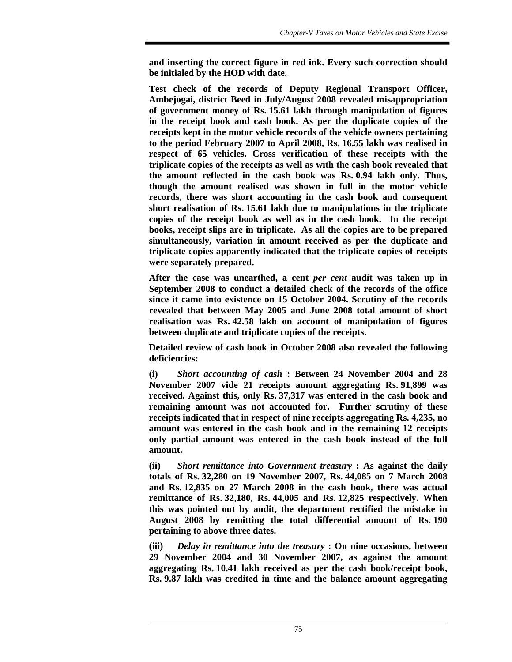**and inserting the correct figure in red ink. Every such correction should be initialed by the HOD with date.** 

**Test check of the records of Deputy Regional Transport Officer, Ambejogai, district Beed in July/August 2008 revealed misappropriation of government money of Rs. 15.61 lakh through manipulation of figures in the receipt book and cash book. As per the duplicate copies of the receipts kept in the motor vehicle records of the vehicle owners pertaining to the period February 2007 to April 2008, Rs. 16.55 lakh was realised in respect of 65 vehicles. Cross verification of these receipts with the triplicate copies of the receipts as well as with the cash book revealed that the amount reflected in the cash book was Rs. 0.94 lakh only. Thus, though the amount realised was shown in full in the motor vehicle records, there was short accounting in the cash book and consequent short realisation of Rs. 15.61 lakh due to manipulations in the triplicate copies of the receipt book as well as in the cash book. In the receipt books, receipt slips are in triplicate. As all the copies are to be prepared simultaneously, variation in amount received as per the duplicate and triplicate copies apparently indicated that the triplicate copies of receipts were separately prepared.** 

**After the case was unearthed, a cent** *per cent* **audit was taken up in September 2008 to conduct a detailed check of the records of the office since it came into existence on 15 October 2004. Scrutiny of the records revealed that between May 2005 and June 2008 total amount of short realisation was Rs. 42.58 lakh on account of manipulation of figures between duplicate and triplicate copies of the receipts.** 

**Detailed review of cash book in October 2008 also revealed the following deficiencies:** 

**(i)** *Short accounting of cash* **: Between 24 November 2004 and 28 November 2007 vide 21 receipts amount aggregating Rs. 91,899 was received. Against this, only Rs. 37,317 was entered in the cash book and remaining amount was not accounted for. Further scrutiny of these receipts indicated that in respect of nine receipts aggregating Rs. 4,235, no amount was entered in the cash book and in the remaining 12 receipts only partial amount was entered in the cash book instead of the full amount.** 

**(ii)** *Short remittance into Government treasury* **: As against the daily totals of Rs. 32,280 on 19 November 2007, Rs. 44,085 on 7 March 2008 and Rs. 12,835 on 27 March 2008 in the cash book, there was actual remittance of Rs. 32,180, Rs. 44,005 and Rs. 12,825 respectively. When this was pointed out by audit, the department rectified the mistake in August 2008 by remitting the total differential amount of Rs. 190 pertaining to above three dates.** 

**(iii)** *Delay in remittance into the treasury* **: On nine occasions, between 29 November 2004 and 30 November 2007, as against the amount aggregating Rs. 10.41 lakh received as per the cash book/receipt book, Rs. 9.87 lakh was credited in time and the balance amount aggregating**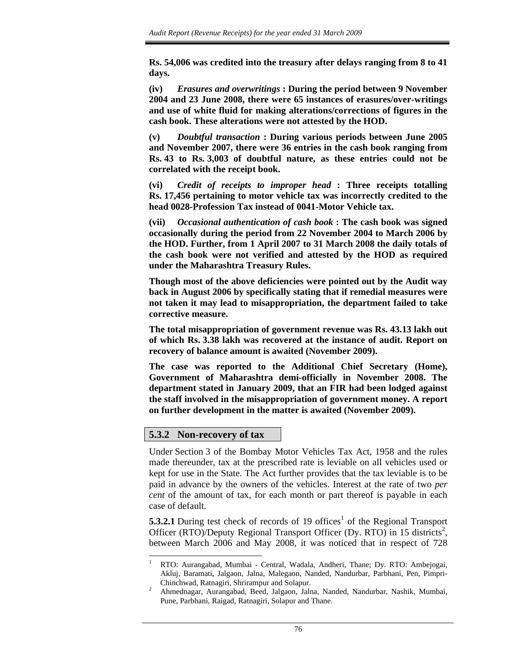**Rs. 54,006 was credited into the treasury after delays ranging from 8 to 41 days.** 

**(iv)** *Erasures and overwritings* **: During the period between 9 November 2004 and 23 June 2008, there were 65 instances of erasures/over-writings and use of white fluid for making alterations/corrections of figures in the cash book. These alterations were not attested by the HOD.** 

**(v)** *Doubtful transaction* **: During various periods between June 2005 and November 2007, there were 36 entries in the cash book ranging from Rs. 43 to Rs. 3,003 of doubtful nature, as these entries could not be correlated with the receipt book.** 

**(vi)** *Credit of receipts to improper head* **: Three receipts totalling Rs. 17,456 pertaining to motor vehicle tax was incorrectly credited to the head 0028-Profession Tax instead of 0041-Motor Vehicle tax.** 

**(vii)** *Occasional authentication of cash book* **: The cash book was signed occasionally during the period from 22 November 2004 to March 2006 by the HOD. Further, from 1 April 2007 to 31 March 2008 the daily totals of the cash book were not verified and attested by the HOD as required under the Maharashtra Treasury Rules.** 

**Though most of the above deficiencies were pointed out by the Audit way back in August 2006 by specifically stating that if remedial measures were not taken it may lead to misappropriation, the department failed to take corrective measure.** 

**The total misappropriation of government revenue was Rs. 43.13 lakh out of which Rs. 3.38 lakh was recovered at the instance of audit. Report on recovery of balance amount is awaited (November 2009).** 

**The case was reported to the Additional Chief Secretary (Home), Government of Maharashtra demi-officially in November 2008. The department stated in January 2009, that an FIR had been lodged against the staff involved in the misappropriation of government money. A report on further development in the matter is awaited (November 2009).**

#### **5.3.2 Non-recovery of tax**

Under Section 3 of the Bombay Motor Vehicles Tax Act, 1958 and the rules made thereunder, tax at the prescribed rate is leviable on all vehicles used or kept for use in the State. The Act further provides that the tax leviable is to be paid in advance by the owners of the vehicles. Interest at the rate of two *per cent* of the amount of tax, for each month or part thereof is payable in each case of default.

**5.3.2.1** During test check of records of 19 offices<sup>1</sup> of the Regional Transport Officer (RTO)/Deputy Regional Transport Officer (Dy. RTO) in 15 districts<sup>2</sup>, between March 2006 and May 2008, it was noticed that in respect of 728

l 1 RTO: Aurangabad, Mumbai - Central, Wadala, Andheri, Thane; Dy. RTO: Ambejogai, Akluj, Baramati, Jalgaon, Jalna, Malegaon, Nanded, Nandurbar, Parbhani, Pen, Pimpri- Chinchwad, Ratnagiri, Shrirampur and Solapur.

<sup>2</sup> Ahmednagar, Aurangabad, Beed, Jalgaon, Jalna, Nanded, Nandurbar, Nashik, Mumbai, Pune, Parbhani, Raigad, Ratnagiri, Solapur and Thane.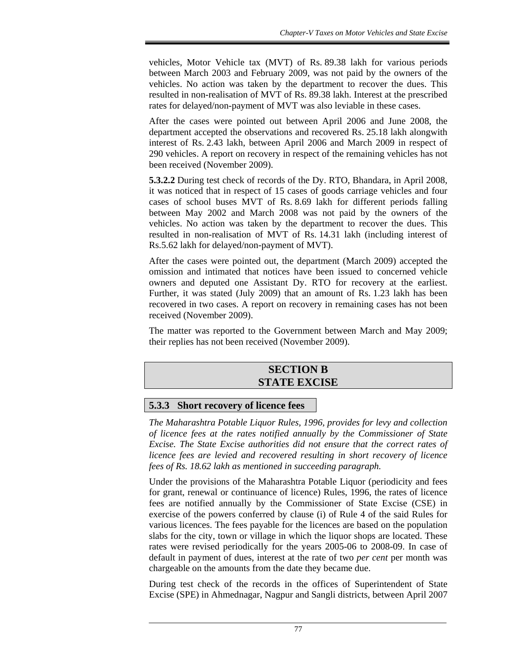vehicles, Motor Vehicle tax (MVT) of Rs. 89.38 lakh for various periods between March 2003 and February 2009, was not paid by the owners of the vehicles. No action was taken by the department to recover the dues. This resulted in non-realisation of MVT of Rs. 89.38 lakh. Interest at the prescribed rates for delayed/non-payment of MVT was also leviable in these cases.

After the cases were pointed out between April 2006 and June 2008, the department accepted the observations and recovered Rs. 25.18 lakh alongwith interest of Rs. 2.43 lakh, between April 2006 and March 2009 in respect of 290 vehicles. A report on recovery in respect of the remaining vehicles has not been received (November 2009).

**5.3.2.2** During test check of records of the Dy. RTO, Bhandara, in April 2008, it was noticed that in respect of 15 cases of goods carriage vehicles and four cases of school buses MVT of Rs. 8.69 lakh for different periods falling between May 2002 and March 2008 was not paid by the owners of the vehicles. No action was taken by the department to recover the dues. This resulted in non-realisation of MVT of Rs. 14.31 lakh (including interest of Rs.5.62 lakh for delayed/non-payment of MVT).

After the cases were pointed out, the department (March 2009) accepted the omission and intimated that notices have been issued to concerned vehicle owners and deputed one Assistant Dy. RTO for recovery at the earliest. Further, it was stated (July 2009) that an amount of Rs. 1.23 lakh has been recovered in two cases. A report on recovery in remaining cases has not been received (November 2009).

The matter was reported to the Government between March and May 2009; their replies has not been received (November 2009).

## **SECTION B STATE EXCISE**

## **5.3.3 Short recovery of licence fees**

*The Maharashtra Potable Liquor Rules, 1996, provides for levy and collection of licence fees at the rates notified annually by the Commissioner of State Excise. The State Excise authorities did not ensure that the correct rates of licence fees are levied and recovered resulting in short recovery of licence fees of Rs. 18.62 lakh as mentioned in succeeding paragraph.* 

Under the provisions of the Maharashtra Potable Liquor (periodicity and fees for grant, renewal or continuance of licence) Rules, 1996, the rates of licence fees are notified annually by the Commissioner of State Excise (CSE) in exercise of the powers conferred by clause (i) of Rule 4 of the said Rules for various licences. The fees payable for the licences are based on the population slabs for the city, town or village in which the liquor shops are located. These rates were revised periodically for the years 2005-06 to 2008-09. In case of default in payment of dues, interest at the rate of two *per cent* per month was chargeable on the amounts from the date they became due.

During test check of the records in the offices of Superintendent of State Excise (SPE) in Ahmednagar, Nagpur and Sangli districts, between April 2007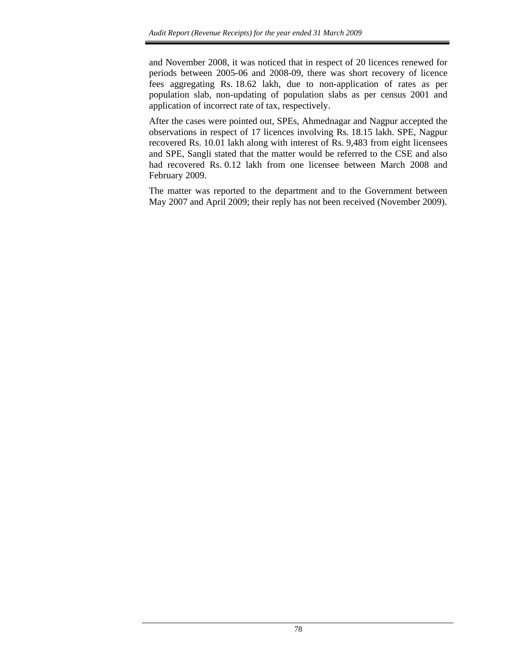and November 2008, it was noticed that in respect of 20 licences renewed for periods between 2005-06 and 2008-09, there was short recovery of licence fees aggregating Rs. 18.62 lakh, due to non-application of rates as per population slab, non-updating of population slabs as per census 2001 and application of incorrect rate of tax, respectively.

After the cases were pointed out, SPEs, Ahmednagar and Nagpur accepted the observations in respect of 17 licences involving Rs. 18.15 lakh. SPE, Nagpur recovered Rs. 10.01 lakh along with interest of Rs. 9,483 from eight licensees and SPE, Sangli stated that the matter would be referred to the CSE and also had recovered Rs. 0.12 lakh from one licensee between March 2008 and February 2009.

The matter was reported to the department and to the Government between May 2007 and April 2009; their reply has not been received (November 2009).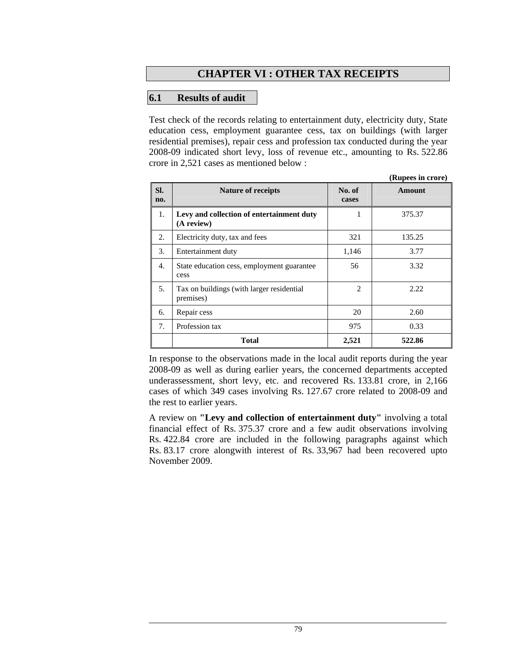# **CHAPTER VI : OTHER TAX RECEIPTS**

### **6.1 Results of audit**

Test check of the records relating to entertainment duty, electricity duty, State education cess, employment guarantee cess, tax on buildings (with larger residential premises), repair cess and profession tax conducted during the year 2008-09 indicated short levy, loss of revenue etc., amounting to Rs. 522.86 crore in 2,521 cases as mentioned below :

|            |                                                         |                 | (Rupees in crore) |
|------------|---------------------------------------------------------|-----------------|-------------------|
| SI.<br>no. | <b>Nature of receipts</b>                               | No. of<br>cases | <b>Amount</b>     |
| 1.         | Levy and collection of entertainment duty<br>(A review) | 1               | 375.37            |
| 2.         | Electricity duty, tax and fees                          | 321             | 135.25            |
| 3.         | Entertainment duty                                      | 1,146           | 3.77              |
| 4.         | State education cess, employment guarantee<br>cess      | 56              | 3.32              |
| 5.         | Tax on buildings (with larger residential<br>premises)  | 2               | 2.22              |
| 6.         | Repair cess                                             | 20              | 2.60              |
| 7.         | Profession tax                                          | 975             | 0.33              |
|            | <b>Total</b>                                            | 2,521           | 522.86            |

In response to the observations made in the local audit reports during the year 2008-09 as well as during earlier years, the concerned departments accepted underassessment, short levy, etc. and recovered Rs. 133.81 crore, in 2,166 cases of which 349 cases involving Rs. 127.67 crore related to 2008-09 and the rest to earlier years.

A review on **"Levy and collection of entertainment duty"** involving a total financial effect of Rs. 375.37 crore and a few audit observations involving Rs. 422.84 crore are included in the following paragraphs against which Rs. 83.17 crore alongwith interest of Rs. 33,967 had been recovered upto November 2009.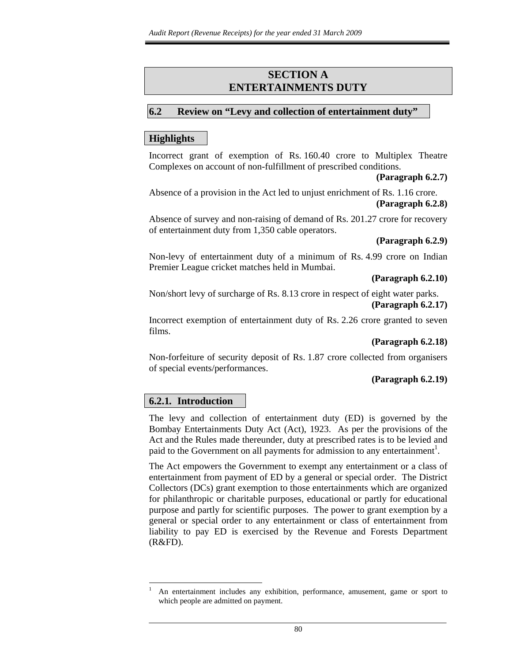## **SECTION A ENTERTAINMENTS DUTY**

#### **6.2 Review on "Levy and collection of entertainment duty"**

#### **Highlights**

Incorrect grant of exemption of Rs. 160.40 crore to Multiplex Theatre Complexes on account of non-fulfillment of prescribed conditions.

#### **(Paragraph 6.2.7)**

Absence of a provision in the Act led to unjust enrichment of Rs. 1.16 crore. **(Paragraph 6.2.8)** 

Absence of survey and non-raising of demand of Rs. 201.27 crore for recovery of entertainment duty from 1,350 cable operators.

#### **(Paragraph 6.2.9)**

Non-levy of entertainment duty of a minimum of Rs. 4.99 crore on Indian Premier League cricket matches held in Mumbai.

#### **(Paragraph 6.2.10)**

Non/short levy of surcharge of Rs. 8.13 crore in respect of eight water parks. **(Paragraph 6.2.17)** 

Incorrect exemption of entertainment duty of Rs. 2.26 crore granted to seven films.

#### **(Paragraph 6.2.18)**

Non-forfeiture of security deposit of Rs. 1.87 crore collected from organisers of special events/performances.

#### **(Paragraph 6.2.19)**

#### **6.2.1***.* **Introduction**

l

The levy and collection of entertainment duty (ED) is governed by the Bombay Entertainments Duty Act (Act), 1923. As per the provisions of the Act and the Rules made thereunder, duty at prescribed rates is to be levied and paid to the Government on all payments for admission to any entertainment<sup>1</sup>.

The Act empowers the Government to exempt any entertainment or a class of entertainment from payment of ED by a general or special order. The District Collectors (DCs) grant exemption to those entertainments which are organized for philanthropic or charitable purposes, educational or partly for educational purpose and partly for scientific purposes. The power to grant exemption by a general or special order to any entertainment or class of entertainment from liability to pay ED is exercised by the Revenue and Forests Department (R&FD).

<sup>1</sup> An entertainment includes any exhibition, performance, amusement, game or sport to which people are admitted on payment.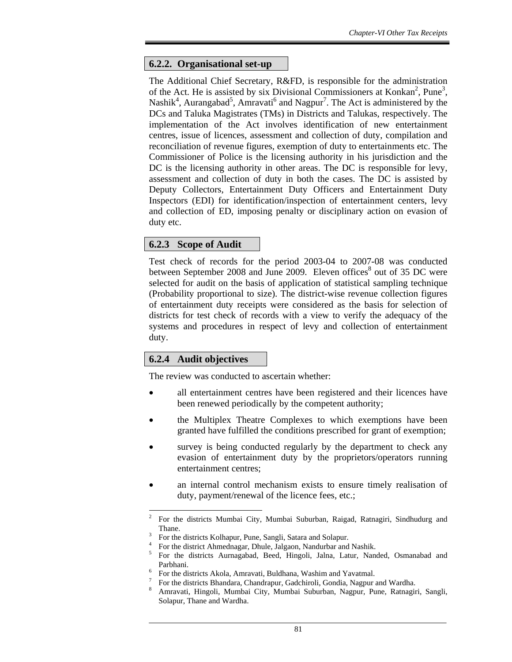### **6.2.2. Organisational set-up**

The Additional Chief Secretary, R&FD, is responsible for the administration of the Act. He is assisted by six Divisional Commissioners at Konkan<sup>2</sup>, Pune<sup>3</sup>, Nashik<sup>4</sup>, Aurangabad<sup>5</sup>, Amravati<sup>6</sup> and Nagpur<sup>7</sup>. The Act is administered by the DCs and Taluka Magistrates (TMs) in Districts and Talukas, respectively. The implementation of the Act involves identification of new entertainment centres, issue of licences, assessment and collection of duty, compilation and reconciliation of revenue figures, exemption of duty to entertainments etc. The Commissioner of Police is the licensing authority in his jurisdiction and the DC is the licensing authority in other areas. The DC is responsible for levy, assessment and collection of duty in both the cases. The DC is assisted by Deputy Collectors, Entertainment Duty Officers and Entertainment Duty Inspectors (EDI) for identification/inspection of entertainment centers, levy and collection of ED, imposing penalty or disciplinary action on evasion of duty etc.

#### **6.2.3 Scope of Audit**

Test check of records for the period 2003-04 to 2007-08 was conducted between September 2008 and June 2009. Eleven offices<sup>8</sup> out of 35 DC were selected for audit on the basis of application of statistical sampling technique (Probability proportional to size). The district-wise revenue collection figures of entertainment duty receipts were considered as the basis for selection of districts for test check of records with a view to verify the adequacy of the systems and procedures in respect of levy and collection of entertainment duty.

## **6.2.4 Audit objectives**

l

The review was conducted to ascertain whether:

- all entertainment centres have been registered and their licences have been renewed periodically by the competent authority;
- the Multiplex Theatre Complexes to which exemptions have been granted have fulfilled the conditions prescribed for grant of exemption;
- survey is being conducted regularly by the department to check any evasion of entertainment duty by the proprietors/operators running entertainment centres;
- an internal control mechanism exists to ensure timely realisation of duty, payment/renewal of the licence fees, etc.;

<sup>2</sup> For the districts Mumbai City, Mumbai Suburban, Raigad, Ratnagiri, Sindhudurg and Thane.

<sup>3</sup> For the districts Kolhapur, Pune, Sangli, Satara and Solapur.

<sup>4</sup> For the district Ahmednagar, Dhule, Jalgaon, Nandurbar and Nashik.

<sup>5</sup> For the districts Aurnagabad, Beed, Hingoli, Jalna, Latur, Nanded, Osmanabad and Parbhani.

<sup>6</sup> For the districts Akola, Amravati, Buldhana, Washim and Yavatmal.

<sup>7</sup> For the districts Bhandara, Chandrapur, Gadchiroli, Gondia, Nagpur and Wardha.

<sup>8</sup> Amravati, Hingoli, Mumbai City, Mumbai Suburban, Nagpur, Pune, Ratnagiri, Sangli, Solapur, Thane and Wardha.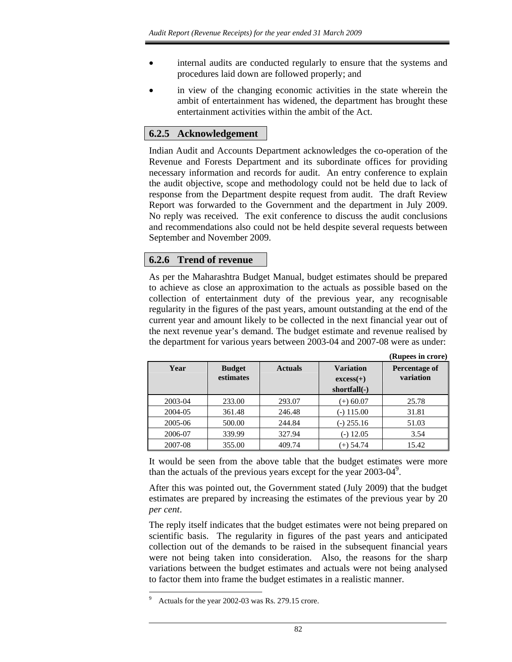- internal audits are conducted regularly to ensure that the systems and procedures laid down are followed properly; and
- in view of the changing economic activities in the state wherein the ambit of entertainment has widened, the department has brought these entertainment activities within the ambit of the Act.

# **6.2.5 Acknowledgement**

Indian Audit and Accounts Department acknowledges the co-operation of the Revenue and Forests Department and its subordinate offices for providing necessary information and records for audit. An entry conference to explain the audit objective, scope and methodology could not be held due to lack of response from the Department despite request from audit. The draft Review Report was forwarded to the Government and the department in July 2009. No reply was received. The exit conference to discuss the audit conclusions and recommendations also could not be held despite several requests between September and November 2009.

## **6.2.6 Trend of revenue**

As per the Maharashtra Budget Manual, budget estimates should be prepared to achieve as close an approximation to the actuals as possible based on the collection of entertainment duty of the previous year, any recognisable regularity in the figures of the past years, amount outstanding at the end of the current year and amount likely to be collected in the next financial year out of the next revenue year's demand. The budget estimate and revenue realised by the department for various years between 2003-04 and 2007-08 were as under:

|         |                            |                |                                                 | (Rupees in crore)          |
|---------|----------------------------|----------------|-------------------------------------------------|----------------------------|
| Year    | <b>Budget</b><br>estimates | <b>Actuals</b> | <b>Variation</b><br>$excess(+)$<br>shortfall(-) | Percentage of<br>variation |
| 2003-04 | 233.00                     | 293.07         | $(+) 60.07$                                     | 25.78                      |
| 2004-05 | 361.48                     | 246.48         | $(-)$ 115.00                                    | 31.81                      |
| 2005-06 | 500.00                     | 244.84         | $(-)$ 255.16                                    | 51.03                      |
| 2006-07 | 339.99                     | 327.94         | $(-)$ 12.05                                     | 3.54                       |
| 2007-08 | 355.00                     | 409.74         | $(+)$ 54.74                                     | 15.42                      |

It would be seen from the above table that the budget estimates were more than the actuals of the previous years except for the year  $2003-04^9$ .

After this was pointed out, the Government stated (July 2009) that the budget estimates are prepared by increasing the estimates of the previous year by 20 *per cent*.

The reply itself indicates that the budget estimates were not being prepared on scientific basis. The regularity in figures of the past years and anticipated collection out of the demands to be raised in the subsequent financial years were not being taken into consideration. Also, the reasons for the sharp variations between the budget estimates and actuals were not being analysed to factor them into frame the budget estimates in a realistic manner.

<sup>9</sup> Actuals for the year 2002-03 was Rs. 279.15 crore.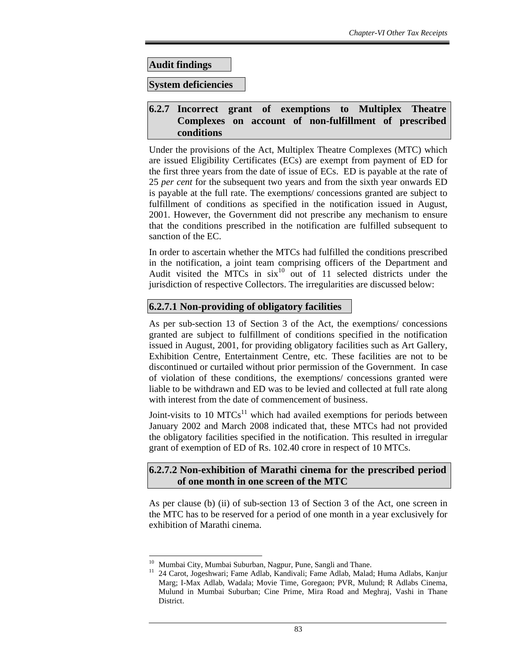**Audit findings** 

**System deficiencies** 

## **6.2.7 Incorrect grant of exemptions to Multiplex Theatre Complexes on account of non-fulfillment of prescribed conditions**

Under the provisions of the Act, Multiplex Theatre Complexes (MTC) which are issued Eligibility Certificates (ECs) are exempt from payment of ED for the first three years from the date of issue of ECs. ED is payable at the rate of 25 *per cent* for the subsequent two years and from the sixth year onwards ED is payable at the full rate. The exemptions/ concessions granted are subject to fulfillment of conditions as specified in the notification issued in August, 2001. However, the Government did not prescribe any mechanism to ensure that the conditions prescribed in the notification are fulfilled subsequent to sanction of the EC.

In order to ascertain whether the MTCs had fulfilled the conditions prescribed in the notification, a joint team comprising officers of the Department and Audit visited the  $\overrightarrow{MTCs}$  in  $\sin^{-10}$  out of 11 selected districts under the jurisdiction of respective Collectors. The irregularities are discussed below:

## **6.2.7.1 Non-providing of obligatory facilities**

As per sub-section 13 of Section 3 of the Act, the exemptions/ concessions granted are subject to fulfillment of conditions specified in the notification issued in August, 2001, for providing obligatory facilities such as Art Gallery, Exhibition Centre, Entertainment Centre, etc. These facilities are not to be discontinued or curtailed without prior permission of the Government. In case of violation of these conditions, the exemptions/ concessions granted were liable to be withdrawn and ED was to be levied and collected at full rate along with interest from the date of commencement of business.

Joint-visits to 10  $MTCs<sup>11</sup>$  which had availed exemptions for periods between January 2002 and March 2008 indicated that, these MTCs had not provided the obligatory facilities specified in the notification. This resulted in irregular grant of exemption of ED of Rs. 102.40 crore in respect of 10 MTCs.

## **6.2.7.2 Non-exhibition of Marathi cinema for the prescribed period of one month in one screen of the MTC**

As per clause (b) (ii) of sub-section 13 of Section 3 of the Act, one screen in the MTC has to be reserved for a period of one month in a year exclusively for exhibition of Marathi cinema.

<sup>&</sup>lt;sup>10</sup> Mumbai City, Mumbai Suburban, Nagpur, Pune, Sangli and Thane.

<sup>&</sup>lt;sup>11</sup> 24 Carot, Jogeshwari; Fame Adlab, Kandivali; Fame Adlab, Malad; Huma Adlabs, Kanjur Marg; I-Max Adlab, Wadala; Movie Time, Goregaon; PVR, Mulund; R Adlabs Cinema, Mulund in Mumbai Suburban; Cine Prime, Mira Road and Meghraj, Vashi in Thane District.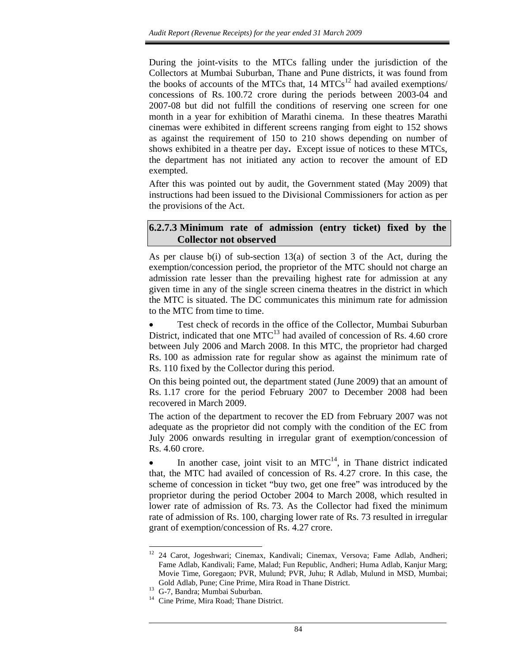During the joint-visits to the MTCs falling under the jurisdiction of the Collectors at Mumbai Suburban, Thane and Pune districts, it was found from the books of accounts of the MTCs that,  $14 \text{ MTCs}^{12}$  had availed exemptions/ concessions of Rs. 100.72 crore during the periods between 2003-04 and 2007-08 but did not fulfill the conditions of reserving one screen for one month in a year for exhibition of Marathi cinema. In these theatres Marathi cinemas were exhibited in different screens ranging from eight to 152 shows as against the requirement of 150 to 210 shows depending on number of shows exhibited in a theatre per day**.** Except issue of notices to these MTCs, the department has not initiated any action to recover the amount of ED exempted.

After this was pointed out by audit, the Government stated (May 2009) that instructions had been issued to the Divisional Commissioners for action as per the provisions of the Act.

#### **6.2.7.3 Minimum rate of admission (entry ticket) fixed by the Collector not observed**

As per clause b(i) of sub-section 13(a) of section 3 of the Act, during the exemption/concession period, the proprietor of the MTC should not charge an admission rate lesser than the prevailing highest rate for admission at any given time in any of the single screen cinema theatres in the district in which the MTC is situated. The DC communicates this minimum rate for admission to the MTC from time to time.

• Test check of records in the office of the Collector, Mumbai Suburban District, indicated that one  $MTC^{13}$  had availed of concession of Rs. 4.60 crore between July 2006 and March 2008. In this MTC, the proprietor had charged Rs. 100 as admission rate for regular show as against the minimum rate of Rs. 110 fixed by the Collector during this period.

On this being pointed out, the department stated (June 2009) that an amount of Rs. 1.17 crore for the period February 2007 to December 2008 had been recovered in March 2009.

The action of the department to recover the ED from February 2007 was not adequate as the proprietor did not comply with the condition of the EC from July 2006 onwards resulting in irregular grant of exemption/concession of Rs. 4.60 crore.

In another case, joint visit to an  $MTC^{14}$ , in Thane district indicated that, the MTC had availed of concession of Rs. 4.27 crore. In this case, the scheme of concession in ticket "buy two, get one free" was introduced by the proprietor during the period October 2004 to March 2008, which resulted in lower rate of admission of Rs. 73. As the Collector had fixed the minimum rate of admission of Rs. 100, charging lower rate of Rs. 73 resulted in irregular grant of exemption/concession of Rs. 4.27 crore.

<sup>&</sup>lt;sup>12</sup> 24 Carot, Jogeshwari; Cinemax, Kandivali; Cinemax, Versova; Fame Adlab, Andheri; Fame Adlab, Kandivali; Fame, Malad; Fun Republic, Andheri; Huma Adlab, Kanjur Marg; Movie Time, Goregaon; PVR, Mulund; PVR, Juhu; R Adlab, Mulund in MSD, Mumbai; Gold Adlab, Pune; Cine Prime, Mira Road in Thane District.

<sup>&</sup>lt;sup>13</sup> G-7, Bandra; Mumbai Suburban.

<sup>&</sup>lt;sup>14</sup> Cine Prime, Mira Road; Thane District.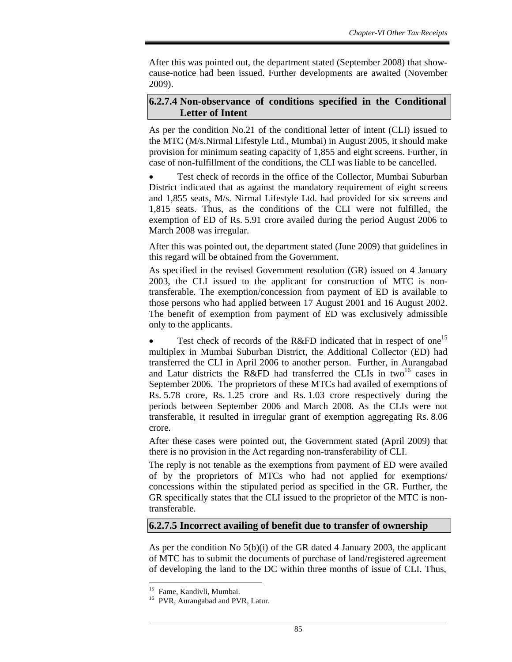After this was pointed out, the department stated (September 2008) that showcause-notice had been issued. Further developments are awaited (November 2009).

### **6.2.7.4 Non-observance of conditions specified in the Conditional Letter of Intent**

As per the condition No.21 of the conditional letter of intent (CLI) issued to the MTC (M/s.Nirmal Lifestyle Ltd., Mumbai) in August 2005, it should make provision for minimum seating capacity of 1,855 and eight screens. Further, in case of non-fulfillment of the conditions, the CLI was liable to be cancelled.

• Test check of records in the office of the Collector, Mumbai Suburban District indicated that as against the mandatory requirement of eight screens and 1,855 seats, M/s. Nirmal Lifestyle Ltd. had provided for six screens and 1,815 seats. Thus, as the conditions of the CLI were not fulfilled, the exemption of ED of Rs. 5.91 crore availed during the period August 2006 to March 2008 was irregular.

After this was pointed out, the department stated (June 2009) that guidelines in this regard will be obtained from the Government.

As specified in the revised Government resolution (GR) issued on 4 January 2003, the CLI issued to the applicant for construction of MTC is nontransferable. The exemption/concession from payment of ED is available to those persons who had applied between 17 August 2001 and 16 August 2002. The benefit of exemption from payment of ED was exclusively admissible only to the applicants.

• Test check of records of the R&FD indicated that in respect of one<sup>15</sup> multiplex in Mumbai Suburban District, the Additional Collector (ED) had transferred the CLI in April 2006 to another person. Further, in Aurangabad and Latur districts the R&FD had transferred the CLIs in two<sup>16</sup> cases in September 2006. The proprietors of these MTCs had availed of exemptions of Rs. 5.78 crore, Rs. 1.25 crore and Rs. 1.03 crore respectively during the periods between September 2006 and March 2008. As the CLIs were not transferable, it resulted in irregular grant of exemption aggregating Rs. 8.06 crore.

After these cases were pointed out, the Government stated (April 2009) that there is no provision in the Act regarding non-transferability of CLI.

The reply is not tenable as the exemptions from payment of ED were availed of by the proprietors of MTCs who had not applied for exemptions/ concessions within the stipulated period as specified in the GR. Further, the GR specifically states that the CLI issued to the proprietor of the MTC is nontransferable.

#### **6.2.7.5 Incorrect availing of benefit due to transfer of ownership**

As per the condition No 5(b)(i) of the GR dated 4 January 2003, the applicant of MTC has to submit the documents of purchase of land/registered agreement of developing the land to the DC within three months of issue of CLI. Thus,

 $\overline{a}$ 15 Fame, Kandivli, Mumbai.

<sup>&</sup>lt;sup>16</sup> PVR, Aurangabad and PVR, Latur.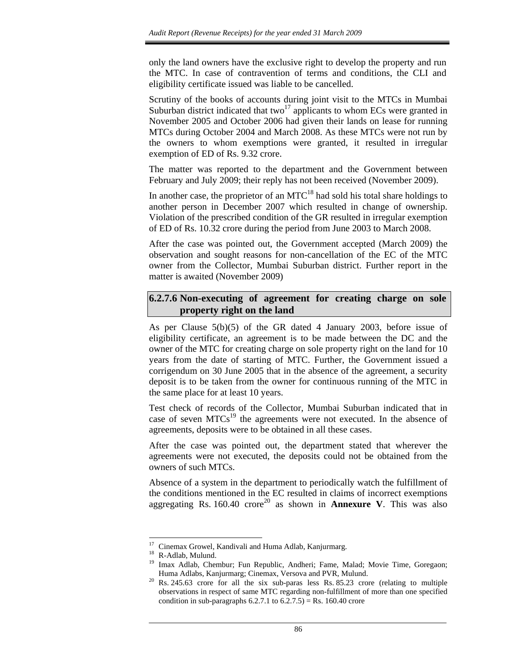only the land owners have the exclusive right to develop the property and run the MTC. In case of contravention of terms and conditions, the CLI and eligibility certificate issued was liable to be cancelled.

Scrutiny of the books of accounts during joint visit to the MTCs in Mumbai Suburban district indicated that two<sup>17</sup> applicants to whom ECs were granted in November 2005 and October 2006 had given their lands on lease for running MTCs during October 2004 and March 2008. As these MTCs were not run by the owners to whom exemptions were granted, it resulted in irregular exemption of ED of Rs. 9.32 crore.

The matter was reported to the department and the Government between February and July 2009; their reply has not been received (November 2009).

In another case, the proprietor of an  $MTC^{18}$  had sold his total share holdings to another person in December 2007 which resulted in change of ownership. Violation of the prescribed condition of the GR resulted in irregular exemption of ED of Rs. 10.32 crore during the period from June 2003 to March 2008.

After the case was pointed out, the Government accepted (March 2009) the observation and sought reasons for non-cancellation of the EC of the MTC owner from the Collector, Mumbai Suburban district. Further report in the matter is awaited (November 2009)

#### **6.2.7.6 Non-executing of agreement for creating charge on sole property right on the land**

As per Clause 5(b)(5) of the GR dated 4 January 2003, before issue of eligibility certificate, an agreement is to be made between the DC and the owner of the MTC for creating charge on sole property right on the land for 10 years from the date of starting of MTC. Further, the Government issued a corrigendum on 30 June 2005 that in the absence of the agreement, a security deposit is to be taken from the owner for continuous running of the MTC in the same place for at least 10 years.

Test check of records of the Collector, Mumbai Suburban indicated that in case of seven  $MTCs<sup>19</sup>$  the agreements were not executed. In the absence of agreements, deposits were to be obtained in all these cases.

After the case was pointed out, the department stated that wherever the agreements were not executed, the deposits could not be obtained from the owners of such MTCs.

Absence of a system in the department to periodically watch the fulfillment of the conditions mentioned in the EC resulted in claims of incorrect exemptions aggregating Rs.  $160.40$  crore<sup>20</sup> as shown in **Annexure V**. This was also

<sup>&</sup>lt;sup>17</sup> Cinemax Growel, Kandivali and Huma Adlab, Kanjurmarg.

<sup>18</sup> R-Adlab, Mulund.

<sup>&</sup>lt;sup>19</sup> Imax Adlab, Chembur; Fun Republic, Andheri; Fame, Malad; Movie Time, Goregaon; Huma Adlabs, Kanjurmarg; Cinemax, Versova and PVR, Mulund.

Rs. 245.63 crore for all the six sub-paras less Rs. 85.23 crore (relating to multiple observations in respect of same MTC regarding non-fulfillment of more than one specified condition in sub-paragraphs  $6.2.7.1$  to  $6.2.7.5$ ) = Rs. 160.40 crore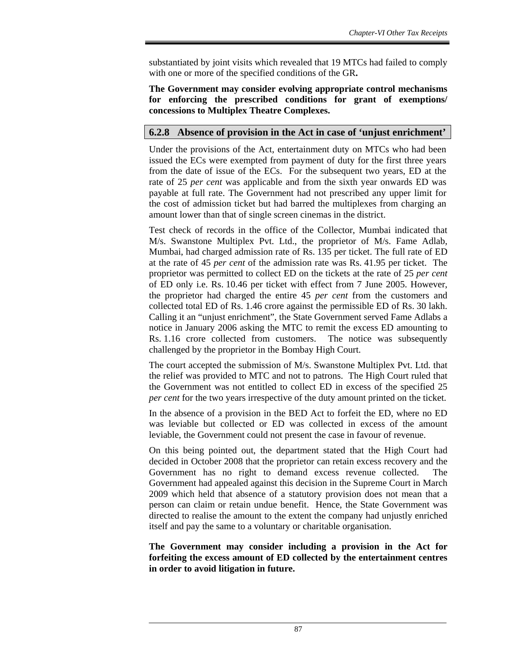substantiated by joint visits which revealed that 19 MTCs had failed to comply with one or more of the specified conditions of the GR**.**

**The Government may consider evolving appropriate control mechanisms for enforcing the prescribed conditions for grant of exemptions/ concessions to Multiplex Theatre Complexes.** 

## **6.2.8 Absence of provision in the Act in case of 'unjust enrichment'**

Under the provisions of the Act, entertainment duty on MTCs who had been issued the ECs were exempted from payment of duty for the first three years from the date of issue of the ECs. For the subsequent two years, ED at the rate of 25 *per cent* was applicable and from the sixth year onwards ED was payable at full rate. The Government had not prescribed any upper limit for the cost of admission ticket but had barred the multiplexes from charging an amount lower than that of single screen cinemas in the district.

Test check of records in the office of the Collector, Mumbai indicated that M/s. Swanstone Multiplex Pvt. Ltd., the proprietor of M/s. Fame Adlab, Mumbai, had charged admission rate of Rs. 135 per ticket. The full rate of ED at the rate of 45 *per cent* of the admission rate was Rs. 41.95 per ticket. The proprietor was permitted to collect ED on the tickets at the rate of 25 *per cent* of ED only i.e. Rs. 10.46 per ticket with effect from 7 June 2005. However, the proprietor had charged the entire 45 *per cent* from the customers and collected total ED of Rs. 1.46 crore against the permissible ED of Rs. 30 lakh. Calling it an "unjust enrichment", the State Government served Fame Adlabs a notice in January 2006 asking the MTC to remit the excess ED amounting to Rs. 1.16 crore collected from customers. The notice was subsequently challenged by the proprietor in the Bombay High Court.

The court accepted the submission of M/s. Swanstone Multiplex Pvt. Ltd. that the relief was provided to MTC and not to patrons. The High Court ruled that the Government was not entitled to collect ED in excess of the specified 25 *per cent* for the two years irrespective of the duty amount printed on the ticket.

In the absence of a provision in the BED Act to forfeit the ED, where no ED was leviable but collected or ED was collected in excess of the amount leviable, the Government could not present the case in favour of revenue.

On this being pointed out, the department stated that the High Court had decided in October 2008 that the proprietor can retain excess recovery and the Government has no right to demand excess revenue collected. The Government had appealed against this decision in the Supreme Court in March 2009 which held that absence of a statutory provision does not mean that a person can claim or retain undue benefit. Hence, the State Government was directed to realise the amount to the extent the company had unjustly enriched itself and pay the same to a voluntary or charitable organisation.

**The Government may consider including a provision in the Act for forfeiting the excess amount of ED collected by the entertainment centres in order to avoid litigation in future.**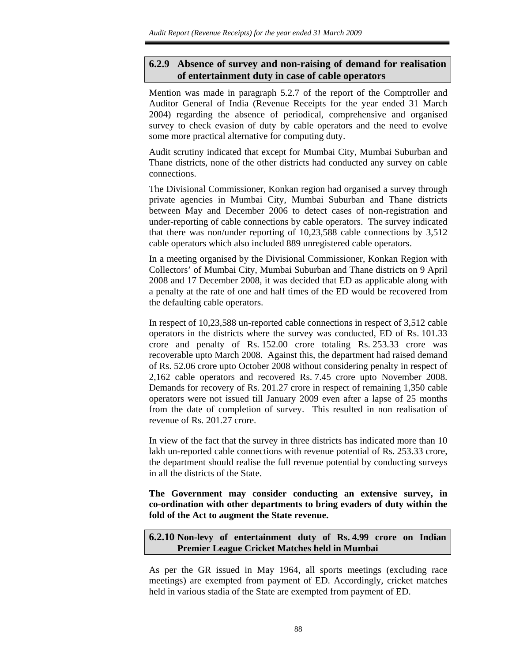### **6.2.9 Absence of survey and non-raising of demand for realisation of entertainment duty in case of cable operators**

Mention was made in paragraph 5.2.7 of the report of the Comptroller and Auditor General of India (Revenue Receipts for the year ended 31 March 2004) regarding the absence of periodical, comprehensive and organised survey to check evasion of duty by cable operators and the need to evolve some more practical alternative for computing duty.

Audit scrutiny indicated that except for Mumbai City, Mumbai Suburban and Thane districts, none of the other districts had conducted any survey on cable connections.

The Divisional Commissioner, Konkan region had organised a survey through private agencies in Mumbai City, Mumbai Suburban and Thane districts between May and December 2006 to detect cases of non-registration and under-reporting of cable connections by cable operators. The survey indicated that there was non/under reporting of 10,23,588 cable connections by 3,512 cable operators which also included 889 unregistered cable operators.

In a meeting organised by the Divisional Commissioner, Konkan Region with Collectors' of Mumbai City, Mumbai Suburban and Thane districts on 9 April 2008 and 17 December 2008, it was decided that ED as applicable along with a penalty at the rate of one and half times of the ED would be recovered from the defaulting cable operators.

In respect of 10,23,588 un-reported cable connections in respect of 3,512 cable operators in the districts where the survey was conducted, ED of Rs. 101.33 crore and penalty of Rs. 152.00 crore totaling Rs. 253.33 crore was recoverable upto March 2008. Against this, the department had raised demand of Rs. 52.06 crore upto October 2008 without considering penalty in respect of 2,162 cable operators and recovered Rs. 7.45 crore upto November 2008. Demands for recovery of Rs. 201.27 crore in respect of remaining 1,350 cable operators were not issued till January 2009 even after a lapse of 25 months from the date of completion of survey. This resulted in non realisation of revenue of Rs. 201.27 crore.

In view of the fact that the survey in three districts has indicated more than 10 lakh un-reported cable connections with revenue potential of Rs. 253.33 crore, the department should realise the full revenue potential by conducting surveys in all the districts of the State.

**The Government may consider conducting an extensive survey, in co-ordination with other departments to bring evaders of duty within the fold of the Act to augment the State revenue.** 

**6.2.10 Non-levy of entertainment duty of Rs. 4.99 crore on Indian Premier League Cricket Matches held in Mumbai**

As per the GR issued in May 1964, all sports meetings (excluding race meetings) are exempted from payment of ED. Accordingly, cricket matches held in various stadia of the State are exempted from payment of ED.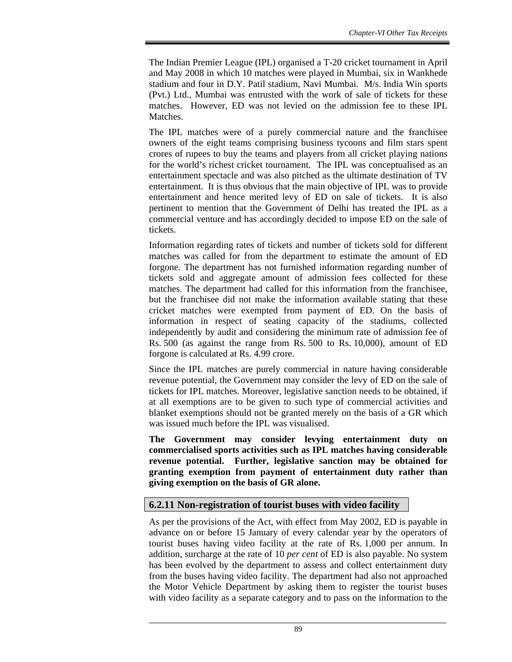The Indian Premier League (IPL) organised a T-20 cricket tournament in April and May 2008 in which 10 matches were played in Mumbai, six in Wankhede stadium and four in D.Y. Patil stadium, Navi Mumbai. M/s. India Win sports (Pvt.) Ltd., Mumbai was entrusted with the work of sale of tickets for these matches. However, ED was not levied on the admission fee to these IPL Matches.

The IPL matches were of a purely commercial nature and the franchisee owners of the eight teams comprising business tycoons and film stars spent crores of rupees to buy the teams and players from all cricket playing nations for the world's richest cricket tournament. The IPL was conceptualised as an entertainment spectacle and was also pitched as the ultimate destination of TV entertainment. It is thus obvious that the main objective of IPL was to provide entertainment and hence merited levy of ED on sale of tickets. It is also pertinent to mention that the Government of Delhi has treated the IPL as a commercial venture and has accordingly decided to impose ED on the sale of tickets.

Information regarding rates of tickets and number of tickets sold for different matches was called for from the department to estimate the amount of ED forgone. The department has not furnished information regarding number of tickets sold and aggregate amount of admission fees collected for these matches. The department had called for this information from the franchisee, but the franchisee did not make the information available stating that these cricket matches were exempted from payment of ED. On the basis of information in respect of seating capacity of the stadiums, collected independently by audit and considering the minimum rate of admission fee of Rs. 500 (as against the range from Rs. 500 to Rs. 10,000), amount of ED forgone is calculated at Rs. 4.99 crore.

Since the IPL matches are purely commercial in nature having considerable revenue potential, the Government may consider the levy of ED on the sale of tickets for IPL matches. Moreover, legislative sanction needs to be obtained, if at all exemptions are to be given to such type of commercial activities and blanket exemptions should not be granted merely on the basis of a GR which was issued much before the IPL was visualised.

**The Government may consider levying entertainment duty on commercialised sports activities such as IPL matches having considerable revenue potential. Further, legislative sanction may be obtained for granting exemption from payment of entertainment duty rather than giving exemption on the basis of GR alone.** 

## **6.2.11 Non-registration of tourist buses with video facility**

As per the provisions of the Act, with effect from May 2002, ED is payable in advance on or before 15 January of every calendar year by the operators of tourist buses having video facility at the rate of Rs. 1,000 per annum. In addition, surcharge at the rate of 10 *per cent* of ED is also payable. No system has been evolved by the department to assess and collect entertainment duty from the buses having video facility. The department had also not approached the Motor Vehicle Department by asking them to register the tourist buses with video facility as a separate category and to pass on the information to the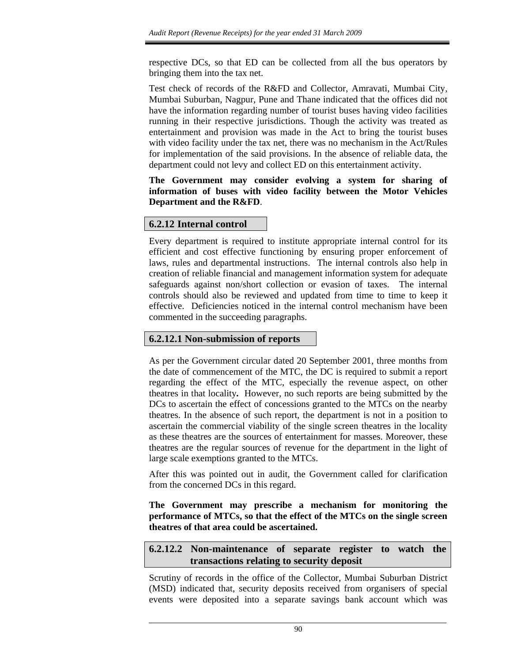respective DCs, so that ED can be collected from all the bus operators by bringing them into the tax net.

Test check of records of the R&FD and Collector, Amravati, Mumbai City, Mumbai Suburban, Nagpur, Pune and Thane indicated that the offices did not have the information regarding number of tourist buses having video facilities running in their respective jurisdictions. Though the activity was treated as entertainment and provision was made in the Act to bring the tourist buses with video facility under the tax net, there was no mechanism in the Act/Rules for implementation of the said provisions. In the absence of reliable data, the department could not levy and collect ED on this entertainment activity.

**The Government may consider evolving a system for sharing of information of buses with video facility between the Motor Vehicles Department and the R&FD**.

## **6.2.12 Internal control**

Every department is required to institute appropriate internal control for its efficient and cost effective functioning by ensuring proper enforcement of laws, rules and departmental instructions. The internal controls also help in creation of reliable financial and management information system for adequate safeguards against non/short collection or evasion of taxes. The internal controls should also be reviewed and updated from time to time to keep it effective. Deficiencies noticed in the internal control mechanism have been commented in the succeeding paragraphs.

## **6.2.12.1 Non-submission of reports**

As per the Government circular dated 20 September 2001, three months from the date of commencement of the MTC, the DC is required to submit a report regarding the effect of the MTC, especially the revenue aspect, on other theatres in that locality*.* However, no such reports are being submitted by the DCs to ascertain the effect of concessions granted to the MTCs on the nearby theatres. In the absence of such report, the department is not in a position to ascertain the commercial viability of the single screen theatres in the locality as these theatres are the sources of entertainment for masses. Moreover, these theatres are the regular sources of revenue for the department in the light of large scale exemptions granted to the MTCs.

After this was pointed out in audit, the Government called for clarification from the concerned DCs in this regard.

**The Government may prescribe a mechanism for monitoring the performance of MTCs, so that the effect of the MTCs on the single screen theatres of that area could be ascertained.** 

## **6.2.12.2 Non-maintenance of separate register to watch the transactions relating to security deposit**

Scrutiny of records in the office of the Collector, Mumbai Suburban District (MSD) indicated that, security deposits received from organisers of special events were deposited into a separate savings bank account which was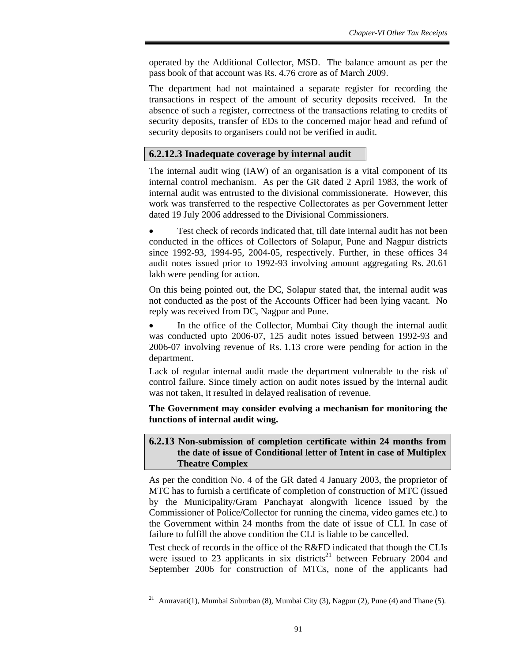operated by the Additional Collector, MSD. The balance amount as per the pass book of that account was Rs. 4.76 crore as of March 2009.

The department had not maintained a separate register for recording the transactions in respect of the amount of security deposits received. In the absence of such a register, correctness of the transactions relating to credits of security deposits, transfer of EDs to the concerned major head and refund of security deposits to organisers could not be verified in audit.

## **6.2.12.3 Inadequate coverage by internal audit**

The internal audit wing (IAW) of an organisation is a vital component of its internal control mechanism. As per the GR dated 2 April 1983, the work of internal audit was entrusted to the divisional commissionerate. However, this work was transferred to the respective Collectorates as per Government letter dated 19 July 2006 addressed to the Divisional Commissioners.

Test check of records indicated that, till date internal audit has not been conducted in the offices of Collectors of Solapur, Pune and Nagpur districts since 1992-93, 1994-95, 2004-05, respectively. Further, in these offices 34 audit notes issued prior to 1992-93 involving amount aggregating Rs. 20.61 lakh were pending for action.

On this being pointed out, the DC, Solapur stated that, the internal audit was not conducted as the post of the Accounts Officer had been lying vacant. No reply was received from DC, Nagpur and Pune.

• In the office of the Collector, Mumbai City though the internal audit was conducted upto 2006-07, 125 audit notes issued between 1992-93 and 2006-07 involving revenue of Rs. 1.13 crore were pending for action in the department.

Lack of regular internal audit made the department vulnerable to the risk of control failure. Since timely action on audit notes issued by the internal audit was not taken, it resulted in delayed realisation of revenue.

**The Government may consider evolving a mechanism for monitoring the functions of internal audit wing.** 

#### **6.2.13 Non-submission of completion certificate within 24 months from the date of issue of Conditional letter of Intent in case of Multiplex Theatre Complex**

As per the condition No. 4 of the GR dated 4 January 2003, the proprietor of MTC has to furnish a certificate of completion of construction of MTC (issued by the Municipality/Gram Panchayat alongwith licence issued by the Commissioner of Police/Collector for running the cinema, video games etc.) to the Government within 24 months from the date of issue of CLI. In case of failure to fulfill the above condition the CLI is liable to be cancelled.

Test check of records in the office of the R&FD indicated that though the CLIs were issued to 23 applicants in six districts<sup>21</sup> between February 2004 and September 2006 for construction of MTCs, none of the applicants had

 $21\,$ Amravati(1), Mumbai Suburban (8), Mumbai City (3), Nagpur (2), Pune (4) and Thane (5).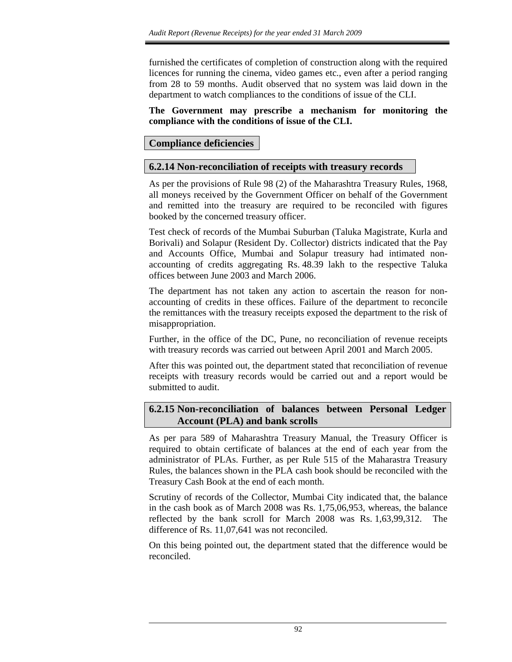furnished the certificates of completion of construction along with the required licences for running the cinema, video games etc., even after a period ranging from 28 to 59 months. Audit observed that no system was laid down in the department to watch compliances to the conditions of issue of the CLI.

#### **The Government may prescribe a mechanism for monitoring the compliance with the conditions of issue of the CLI.**

## **Compliance deficiencies**

## **6.2.14 Non-reconciliation of receipts with treasury records**

As per the provisions of Rule 98 (2) of the Maharashtra Treasury Rules, 1968, all moneys received by the Government Officer on behalf of the Government and remitted into the treasury are required to be reconciled with figures booked by the concerned treasury officer.

Test check of records of the Mumbai Suburban (Taluka Magistrate, Kurla and Borivali) and Solapur (Resident Dy. Collector) districts indicated that the Pay and Accounts Office, Mumbai and Solapur treasury had intimated nonaccounting of credits aggregating Rs. 48.39 lakh to the respective Taluka offices between June 2003 and March 2006.

The department has not taken any action to ascertain the reason for nonaccounting of credits in these offices. Failure of the department to reconcile the remittances with the treasury receipts exposed the department to the risk of misappropriation.

Further, in the office of the DC, Pune, no reconciliation of revenue receipts with treasury records was carried out between April 2001 and March 2005.

After this was pointed out, the department stated that reconciliation of revenue receipts with treasury records would be carried out and a report would be submitted to audit.

## **6.2.15 Non-reconciliation of balances between Personal Ledger Account (PLA) and bank scrolls**

As per para 589 of Maharashtra Treasury Manual, the Treasury Officer is required to obtain certificate of balances at the end of each year from the administrator of PLAs. Further, as per Rule 515 of the Maharastra Treasury Rules, the balances shown in the PLA cash book should be reconciled with the Treasury Cash Book at the end of each month.

Scrutiny of records of the Collector, Mumbai City indicated that, the balance in the cash book as of March 2008 was Rs. 1,75,06,953, whereas, the balance reflected by the bank scroll for March 2008 was Rs. 1,63,99,312. The difference of Rs. 11,07,641 was not reconciled.

On this being pointed out, the department stated that the difference would be reconciled.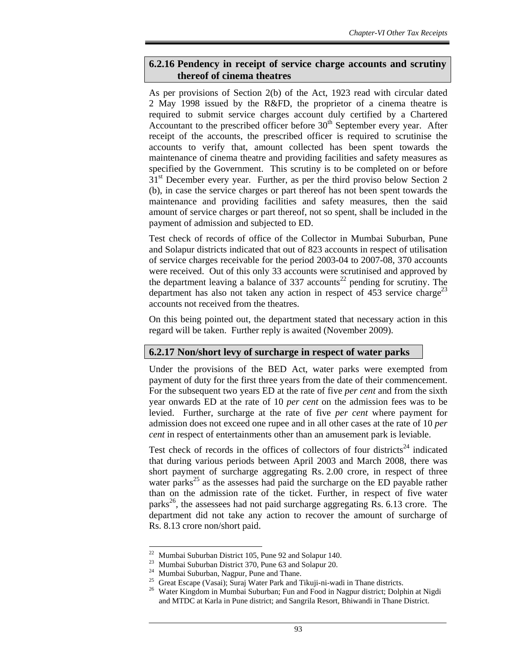## **6.2.16 Pendency in receipt of service charge accounts and scrutiny thereof of cinema theatres**

As per provisions of Section 2(b) of the Act, 1923 read with circular dated 2 May 1998 issued by the R&FD, the proprietor of a cinema theatre is required to submit service charges account duly certified by a Chartered Accountant to the prescribed officer before  $30<sup>th</sup>$  September every year. After receipt of the accounts, the prescribed officer is required to scrutinise the accounts to verify that, amount collected has been spent towards the maintenance of cinema theatre and providing facilities and safety measures as specified by the Government. This scrutiny is to be completed on or before 31<sup>st</sup> December every year. Further, as per the third proviso below Section 2 (b), in case the service charges or part thereof has not been spent towards the maintenance and providing facilities and safety measures, then the said amount of service charges or part thereof, not so spent, shall be included in the payment of admission and subjected to ED.

Test check of records of office of the Collector in Mumbai Suburban, Pune and Solapur districts indicated that out of 823 accounts in respect of utilisation of service charges receivable for the period 2003-04 to 2007-08, 370 accounts were received. Out of this only 33 accounts were scrutinised and approved by the department leaving a balance of 337 accounts<sup>22</sup> pending for scrutiny. The department has also not taken any action in respect of  $453$  service charge<sup>23</sup> accounts not received from the theatres.

On this being pointed out, the department stated that necessary action in this regard will be taken. Further reply is awaited (November 2009).

## **6.2.17 Non/short levy of surcharge in respect of water parks**

Under the provisions of the BED Act, water parks were exempted from payment of duty for the first three years from the date of their commencement. For the subsequent two years ED at the rate of five *per cent* and from the sixth year onwards ED at the rate of 10 *per cent* on the admission fees was to be levied. Further, surcharge at the rate of five *per cent* where payment for admission does not exceed one rupee and in all other cases at the rate of 10 *per cent* in respect of entertainments other than an amusement park is leviable.

Test check of records in the offices of collectors of four districts<sup>24</sup> indicated that during various periods between April 2003 and March 2008, there was short payment of surcharge aggregating Rs. 2.00 crore, in respect of three water parks $^{25}$  as the assesses had paid the surcharge on the ED payable rather than on the admission rate of the ticket. Further, in respect of five water parks<sup>26</sup>, the assessees had not paid surcharge aggregating Rs. 6.13 crore. The department did not take any action to recover the amount of surcharge of Rs. 8.13 crore non/short paid.

 $22$  Mumbai Suburban District 105, Pune 92 and Solapur 140.

<sup>23</sup> Mumbai Suburban District 370, Pune 63 and Solapur 20.

<sup>&</sup>lt;sup>24</sup> Mumbai Suburban, Nagpur, Pune and Thane.

<sup>&</sup>lt;sup>25</sup> Great Escape (Vasai); Suraj Water Park and Tikuji-ni-wadi in Thane districts.

<sup>&</sup>lt;sup>26</sup> Water Kingdom in Mumbai Suburban; Fun and Food in Nagpur district; Dolphin at Nigdi and MTDC at Karla in Pune district; and Sangrila Resort, Bhiwandi in Thane District.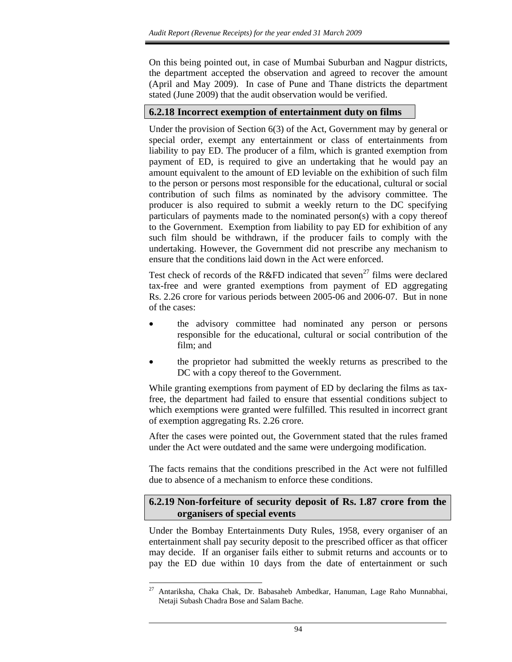On this being pointed out, in case of Mumbai Suburban and Nagpur districts, the department accepted the observation and agreed to recover the amount (April and May 2009). In case of Pune and Thane districts the department stated (June 2009) that the audit observation would be verified.

#### **6.2.18 Incorrect exemption of entertainment duty on films**

Under the provision of Section 6(3) of the Act, Government may by general or special order, exempt any entertainment or class of entertainments from liability to pay ED. The producer of a film, which is granted exemption from payment of ED, is required to give an undertaking that he would pay an amount equivalent to the amount of ED leviable on the exhibition of such film to the person or persons most responsible for the educational, cultural or social contribution of such films as nominated by the advisory committee. The producer is also required to submit a weekly return to the DC specifying particulars of payments made to the nominated person(s) with a copy thereof to the Government. Exemption from liability to pay ED for exhibition of any such film should be withdrawn, if the producer fails to comply with the undertaking. However, the Government did not prescribe any mechanism to ensure that the conditions laid down in the Act were enforced.

Test check of records of the R&FD indicated that seven<sup>27</sup> films were declared tax-free and were granted exemptions from payment of ED aggregating Rs. 2.26 crore for various periods between 2005-06 and 2006-07. But in none of the cases:

- the advisory committee had nominated any person or persons responsible for the educational, cultural or social contribution of the film; and
- the proprietor had submitted the weekly returns as prescribed to the DC with a copy thereof to the Government.

While granting exemptions from payment of ED by declaring the films as taxfree, the department had failed to ensure that essential conditions subject to which exemptions were granted were fulfilled. This resulted in incorrect grant of exemption aggregating Rs. 2.26 crore.

After the cases were pointed out, the Government stated that the rules framed under the Act were outdated and the same were undergoing modification.

The facts remains that the conditions prescribed in the Act were not fulfilled due to absence of a mechanism to enforce these conditions.

#### **6.2.19 Non-forfeiture of security deposit of Rs. 1.87 crore from the organisers of special events**

Under the Bombay Entertainments Duty Rules, 1958, every organiser of an entertainment shall pay security deposit to the prescribed officer as that officer may decide. If an organiser fails either to submit returns and accounts or to pay the ED due within 10 days from the date of entertainment or such

<sup>27</sup> Antariksha, Chaka Chak, Dr. Babasaheb Ambedkar, Hanuman, Lage Raho Munnabhai, Netaji Subash Chadra Bose and Salam Bache.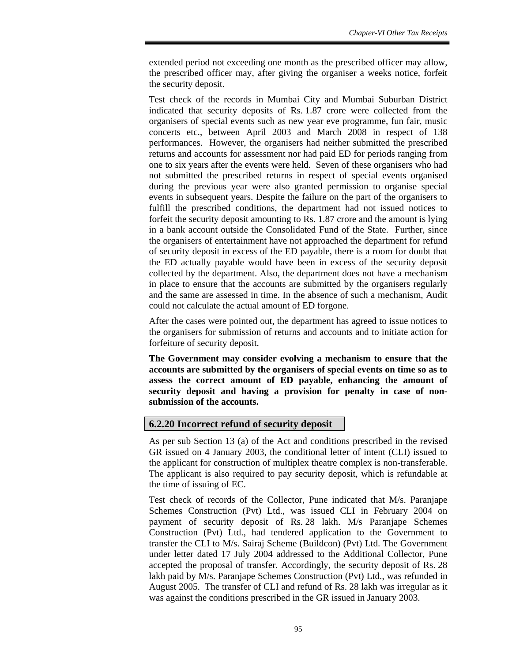extended period not exceeding one month as the prescribed officer may allow, the prescribed officer may, after giving the organiser a weeks notice, forfeit the security deposit.

Test check of the records in Mumbai City and Mumbai Suburban District indicated that security deposits of Rs. 1.87 crore were collected from the organisers of special events such as new year eve programme, fun fair, music concerts etc., between April 2003 and March 2008 in respect of 138 performances. However, the organisers had neither submitted the prescribed returns and accounts for assessment nor had paid ED for periods ranging from one to six years after the events were held. Seven of these organisers who had not submitted the prescribed returns in respect of special events organised during the previous year were also granted permission to organise special events in subsequent years. Despite the failure on the part of the organisers to fulfill the prescribed conditions, the department had not issued notices to forfeit the security deposit amounting to Rs. 1.87 crore and the amount is lying in a bank account outside the Consolidated Fund of the State. Further, since the organisers of entertainment have not approached the department for refund of security deposit in excess of the ED payable, there is a room for doubt that the ED actually payable would have been in excess of the security deposit collected by the department. Also, the department does not have a mechanism in place to ensure that the accounts are submitted by the organisers regularly and the same are assessed in time. In the absence of such a mechanism, Audit could not calculate the actual amount of ED forgone.

After the cases were pointed out, the department has agreed to issue notices to the organisers for submission of returns and accounts and to initiate action for forfeiture of security deposit.

**The Government may consider evolving a mechanism to ensure that the accounts are submitted by the organisers of special events on time so as to assess the correct amount of ED payable, enhancing the amount of security deposit and having a provision for penalty in case of nonsubmission of the accounts.** 

## **6.2.20 Incorrect refund of security deposit**

As per sub Section 13 (a) of the Act and conditions prescribed in the revised GR issued on 4 January 2003, the conditional letter of intent (CLI) issued to the applicant for construction of multiplex theatre complex is non-transferable. The applicant is also required to pay security deposit, which is refundable at the time of issuing of EC.

Test check of records of the Collector, Pune indicated that M/s. Paranjape Schemes Construction (Pvt) Ltd., was issued CLI in February 2004 on payment of security deposit of Rs. 28 lakh. M/s Paranjape Schemes Construction (Pvt) Ltd., had tendered application to the Government to transfer the CLI to M/s. Sairaj Scheme (Buildcon) (Pvt) Ltd. The Government under letter dated 17 July 2004 addressed to the Additional Collector, Pune accepted the proposal of transfer. Accordingly, the security deposit of Rs. 28 lakh paid by M/s. Paranjape Schemes Construction (Pvt) Ltd., was refunded in August 2005. The transfer of CLI and refund of Rs. 28 lakh was irregular as it was against the conditions prescribed in the GR issued in January 2003.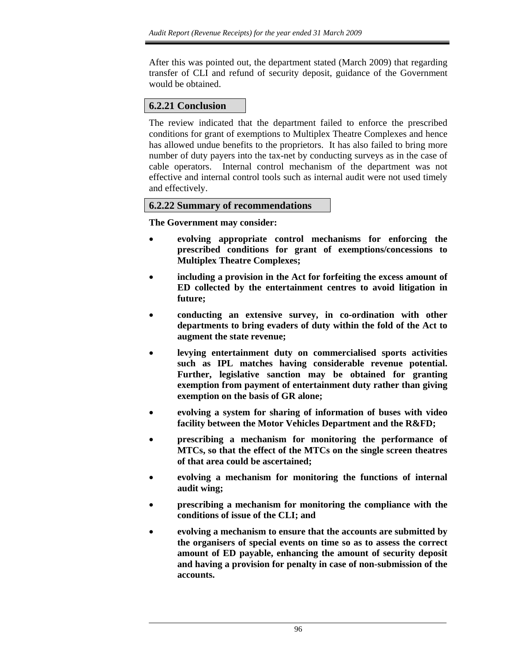After this was pointed out, the department stated (March 2009) that regarding transfer of CLI and refund of security deposit, guidance of the Government would be obtained.

## **6.2.21 Conclusion**

The review indicated that the department failed to enforce the prescribed conditions for grant of exemptions to Multiplex Theatre Complexes and hence has allowed undue benefits to the proprietors. It has also failed to bring more number of duty payers into the tax-net by conducting surveys as in the case of cable operators. Internal control mechanism of the department was not effective and internal control tools such as internal audit were not used timely and effectively.

#### **6.2.22 Summary of recommendations**

**The Government may consider:** 

- **evolving appropriate control mechanisms for enforcing the prescribed conditions for grant of exemptions/concessions to Multiplex Theatre Complexes;**
- **including a provision in the Act for forfeiting the excess amount of ED collected by the entertainment centres to avoid litigation in future;**
- **conducting an extensive survey, in co-ordination with other departments to bring evaders of duty within the fold of the Act to augment the state revenue;**
- **levying entertainment duty on commercialised sports activities such as IPL matches having considerable revenue potential. Further, legislative sanction may be obtained for granting exemption from payment of entertainment duty rather than giving exemption on the basis of GR alone;**
- **evolving a system for sharing of information of buses with video facility between the Motor Vehicles Department and the R&FD;**
- **prescribing a mechanism for monitoring the performance of MTCs, so that the effect of the MTCs on the single screen theatres of that area could be ascertained;**
- **evolving a mechanism for monitoring the functions of internal audit wing;**
- **prescribing a mechanism for monitoring the compliance with the conditions of issue of the CLI; and**
- **evolving a mechanism to ensure that the accounts are submitted by the organisers of special events on time so as to assess the correct amount of ED payable, enhancing the amount of security deposit and having a provision for penalty in case of non-submission of the accounts.**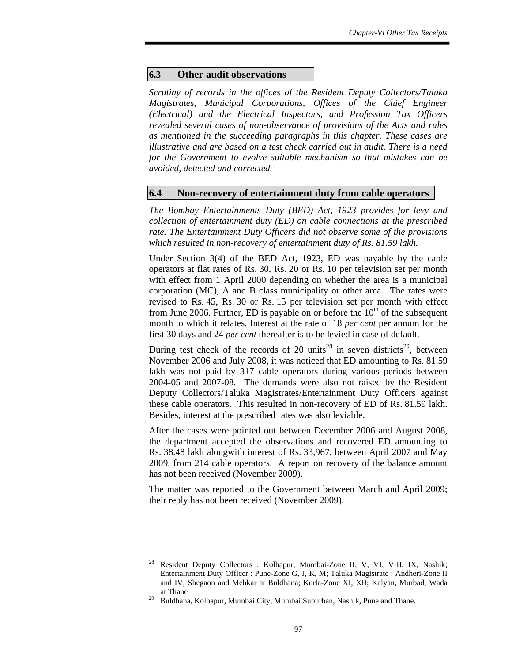#### **6.3 Other audit observations**

*Scrutiny of records in the offices of the Resident Deputy Collectors/Taluka Magistrates, Municipal Corporations, Offices of the Chief Engineer (Electrical) and the Electrical Inspectors, and Profession Tax Officers revealed several cases of non-observance of provisions of the Acts and rules as mentioned in the succeeding paragraphs in this chapter. These cases are illustrative and are based on a test check carried out in audit. There is a need for the Government to evolve suitable mechanism so that mistakes can be avoided, detected and corrected.* 

#### **6.4 Non-recovery of entertainment duty from cable operators**

*The Bombay Entertainments Duty (BED) Act, 1923 provides for levy and collection of entertainment duty (ED) on cable connections at the prescribed rate. The Entertainment Duty Officers did not observe some of the provisions which resulted in non-recovery of entertainment duty of Rs. 81.59 lakh.* 

Under Section 3(4) of the BED Act, 1923, ED was payable by the cable operators at flat rates of Rs. 30, Rs. 20 or Rs. 10 per television set per month with effect from 1 April 2000 depending on whether the area is a municipal corporation (MC), A and B class municipality or other area. The rates were revised to Rs. 45, Rs. 30 or Rs. 15 per television set per month with effect from June 2006. Further, ED is payable on or before the  $10<sup>th</sup>$  of the subsequent month to which it relates. Interest at the rate of 18 *per cent* per annum for the first 30 days and 24 *per cent* thereafter is to be levied in case of default.

During test check of the records of 20 units<sup>28</sup> in seven districts<sup>29</sup>, between November 2006 and July 2008, it was noticed that ED amounting to Rs. 81.59 lakh was not paid by 317 cable operators during various periods between 2004-05 and 2007-08. The demands were also not raised by the Resident Deputy Collectors/Taluka Magistrates/Entertainment Duty Officers against these cable operators. This resulted in non-recovery of ED of Rs. 81.59 lakh. Besides, interest at the prescribed rates was also leviable.

After the cases were pointed out between December 2006 and August 2008, the department accepted the observations and recovered ED amounting to Rs. 38.48 lakh alongwith interest of Rs. 33,967, between April 2007 and May 2009, from 214 cable operators. A report on recovery of the balance amount has not been received (November 2009).

The matter was reported to the Government between March and April 2009; their reply has not been received (November 2009).

 $\overline{a}$ 28 Resident Deputy Collectors : Kolhapur, Mumbai-Zone II, V, VI, VIII, IX, Nashik; Entertainment Duty Officer : Pune-Zone G, J, K, M; Taluka Magistrate : Andheri-Zone II and IV; Shegaon and Mehkar at Buldhana; Kurla-Zone XI, XII; Kalyan, Murbad, Wada at Thane

Buldhana, Kolhapur, Mumbai City, Mumbai Suburban, Nashik, Pune and Thane.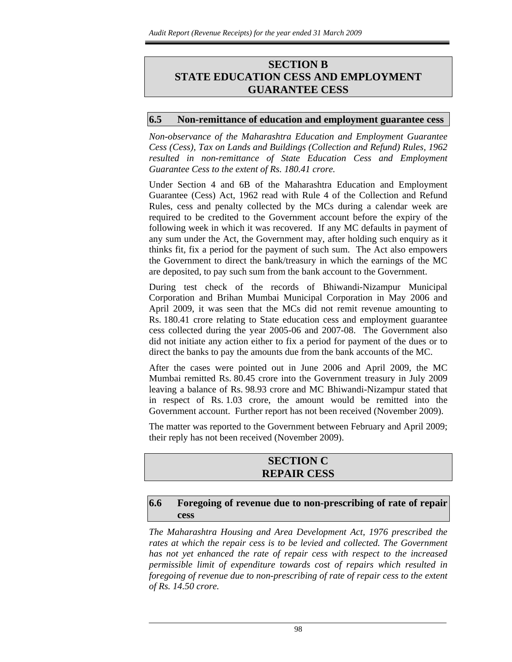## **SECTION B STATE EDUCATION CESS AND EMPLOYMENT GUARANTEE CESS**

#### **6.5 Non-remittance of education and employment guarantee cess**

*Non-observance of the Maharashtra Education and Employment Guarantee Cess (Cess), Tax on Lands and Buildings (Collection and Refund) Rules, 1962 resulted in non-remittance of State Education Cess and Employment Guarantee Cess to the extent of Rs. 180.41 crore.* 

Under Section 4 and 6B of the Maharashtra Education and Employment Guarantee (Cess) Act, 1962 read with Rule 4 of the Collection and Refund Rules, cess and penalty collected by the MCs during a calendar week are required to be credited to the Government account before the expiry of the following week in which it was recovered. If any MC defaults in payment of any sum under the Act, the Government may, after holding such enquiry as it thinks fit, fix a period for the payment of such sum. The Act also empowers the Government to direct the bank/treasury in which the earnings of the MC are deposited, to pay such sum from the bank account to the Government.

During test check of the records of Bhiwandi-Nizampur Municipal Corporation and Brihan Mumbai Municipal Corporation in May 2006 and April 2009, it was seen that the MCs did not remit revenue amounting to Rs. 180.41 crore relating to State education cess and employment guarantee cess collected during the year 2005-06 and 2007-08. The Government also did not initiate any action either to fix a period for payment of the dues or to direct the banks to pay the amounts due from the bank accounts of the MC.

After the cases were pointed out in June 2006 and April 2009, the MC Mumbai remitted Rs. 80.45 crore into the Government treasury in July 2009 leaving a balance of Rs. 98.93 crore and MC Bhiwandi-Nizampur stated that in respect of Rs. 1.03 crore, the amount would be remitted into the Government account. Further report has not been received (November 2009).

The matter was reported to the Government between February and April 2009; their reply has not been received (November 2009).

#### **SECTION C REPAIR CESS**

#### **6.6 Foregoing of revenue due to non-prescribing of rate of repair cess**

*The Maharashtra Housing and Area Development Act, 1976 prescribed the rates at which the repair cess is to be levied and collected. The Government has not yet enhanced the rate of repair cess with respect to the increased permissible limit of expenditure towards cost of repairs which resulted in foregoing of revenue due to non-prescribing of rate of repair cess to the extent of Rs. 14.50 crore.*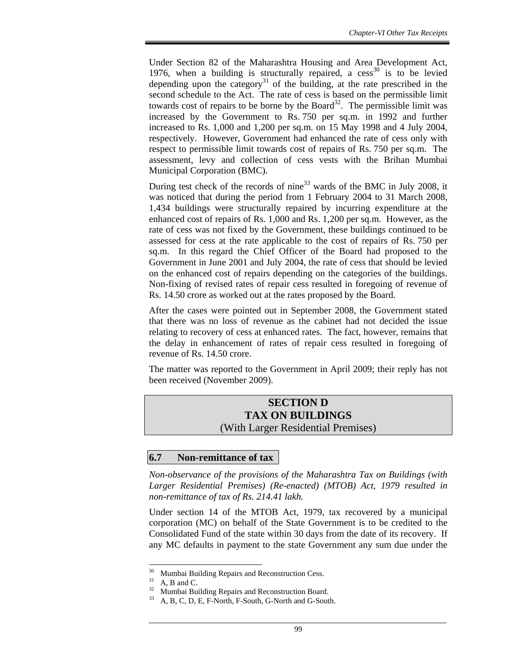Under Section 82 of the Maharashtra Housing and Area Development Act, 1976, when a building is structurally repaired, a  $cess<sup>30</sup>$  is to be levied depending upon the category<sup>31</sup> of the building, at the rate prescribed in the second schedule to the Act. The rate of cess is based on the permissible limit towards cost of repairs to be borne by the Board<sup>32</sup>. The permissible limit was increased by the Government to Rs. 750 per sq.m. in 1992 and further increased to Rs. 1,000 and 1,200 per sq.m. on 15 May 1998 and 4 July 2004, respectively. However, Government had enhanced the rate of cess only with respect to permissible limit towards cost of repairs of Rs. 750 per sq.m. The assessment, levy and collection of cess vests with the Brihan Mumbai Municipal Corporation (BMC).

During test check of the records of nine<sup>33</sup> wards of the BMC in July 2008, it was noticed that during the period from 1 February 2004 to 31 March 2008, 1,434 buildings were structurally repaired by incurring expenditure at the enhanced cost of repairs of Rs. 1,000 and Rs. 1,200 per sq.m. However, as the rate of cess was not fixed by the Government, these buildings continued to be assessed for cess at the rate applicable to the cost of repairs of Rs. 750 per sq.m. In this regard the Chief Officer of the Board had proposed to the Government in June 2001 and July 2004, the rate of cess that should be levied on the enhanced cost of repairs depending on the categories of the buildings. Non-fixing of revised rates of repair cess resulted in foregoing of revenue of Rs. 14.50 crore as worked out at the rates proposed by the Board.

After the cases were pointed out in September 2008, the Government stated that there was no loss of revenue as the cabinet had not decided the issue relating to recovery of cess at enhanced rates. The fact, however, remains that the delay in enhancement of rates of repair cess resulted in foregoing of revenue of Rs. 14.50 crore.

The matter was reported to the Government in April 2009; their reply has not been received (November 2009).

## **SECTION D TAX ON BUILDINGS**  (With Larger Residential Premises)

## **6.7 Non-remittance of tax**

*Non-observance of the provisions of the Maharashtra Tax on Buildings (with Larger Residential Premises) (Re-enacted) (MTOB) Act, 1979 resulted in non-remittance of tax of Rs. 214.41 lakh.* 

Under section 14 of the MTOB Act, 1979, tax recovered by a municipal corporation (MC) on behalf of the State Government is to be credited to the Consolidated Fund of the state within 30 days from the date of its recovery. If any MC defaults in payment to the state Government any sum due under the

<sup>&</sup>lt;sup>30</sup> Mumbai Building Repairs and Reconstruction Cess.<br><sup>31</sup> A B and C

 $\frac{31}{32}$  A, B and C.

<sup>&</sup>lt;sup>32</sup> Mumbai Building Repairs and Reconstruction Board.<br><sup>33</sup> A B C D E E North E South G North and G Sout

A, B, C, D, E, F-North, F-South, G-North and G-South.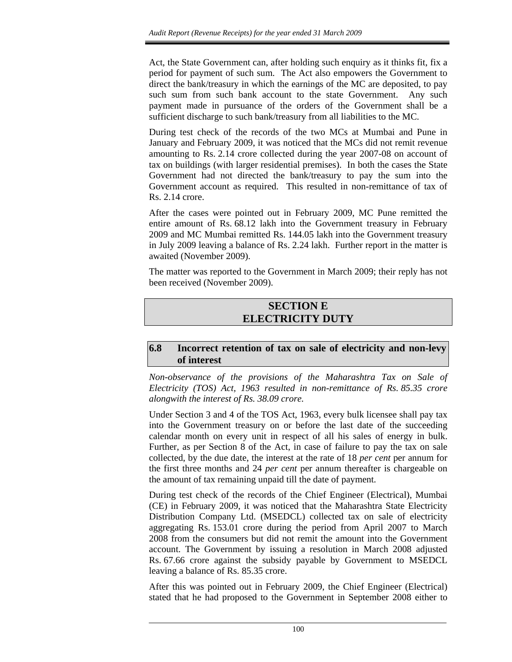Act, the State Government can, after holding such enquiry as it thinks fit, fix a period for payment of such sum. The Act also empowers the Government to direct the bank/treasury in which the earnings of the MC are deposited, to pay such sum from such bank account to the state Government. Any such payment made in pursuance of the orders of the Government shall be a sufficient discharge to such bank/treasury from all liabilities to the MC.

During test check of the records of the two MCs at Mumbai and Pune in January and February 2009, it was noticed that the MCs did not remit revenue amounting to Rs. 2.14 crore collected during the year 2007-08 on account of tax on buildings (with larger residential premises). In both the cases the State Government had not directed the bank/treasury to pay the sum into the Government account as required. This resulted in non-remittance of tax of Rs. 2.14 crore.

After the cases were pointed out in February 2009, MC Pune remitted the entire amount of Rs. 68.12 lakh into the Government treasury in February 2009 and MC Mumbai remitted Rs. 144.05 lakh into the Government treasury in July 2009 leaving a balance of Rs. 2.24 lakh. Further report in the matter is awaited (November 2009).

The matter was reported to the Government in March 2009; their reply has not been received (November 2009).

## **SECTION E ELECTRICITY DUTY**

## **6.8 Incorrect retention of tax on sale of electricity and non-levy of interest**

*Non-observance of the provisions of the Maharashtra Tax on Sale of Electricity (TOS) Act, 1963 resulted in non-remittance of Rs. 85.35 crore alongwith the interest of Rs. 38.09 crore.* 

Under Section 3 and 4 of the TOS Act, 1963, every bulk licensee shall pay tax into the Government treasury on or before the last date of the succeeding calendar month on every unit in respect of all his sales of energy in bulk. Further, as per Section 8 of the Act, in case of failure to pay the tax on sale collected, by the due date, the interest at the rate of 18 *per cent* per annum for the first three months and 24 *per cent* per annum thereafter is chargeable on the amount of tax remaining unpaid till the date of payment.

During test check of the records of the Chief Engineer (Electrical), Mumbai (CE) in February 2009, it was noticed that the Maharashtra State Electricity Distribution Company Ltd. (MSEDCL) collected tax on sale of electricity aggregating Rs. 153.01 crore during the period from April 2007 to March 2008 from the consumers but did not remit the amount into the Government account. The Government by issuing a resolution in March 2008 adjusted Rs. 67.66 crore against the subsidy payable by Government to MSEDCL leaving a balance of Rs. 85.35 crore.

After this was pointed out in February 2009, the Chief Engineer (Electrical) stated that he had proposed to the Government in September 2008 either to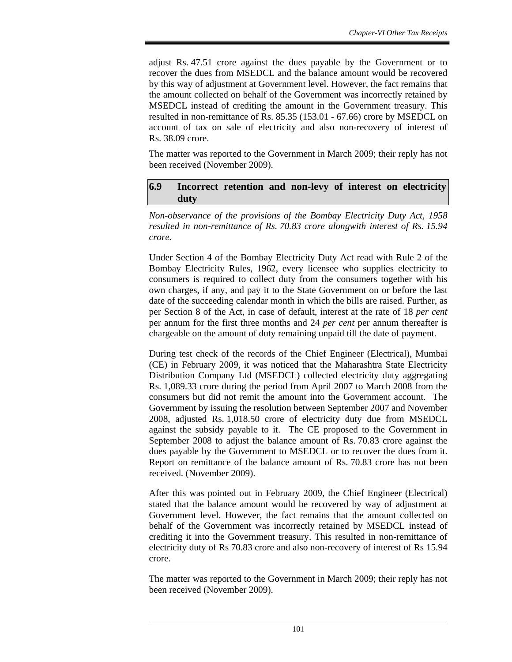adjust Rs. 47.51 crore against the dues payable by the Government or to recover the dues from MSEDCL and the balance amount would be recovered by this way of adjustment at Government level. However, the fact remains that the amount collected on behalf of the Government was incorrectly retained by MSEDCL instead of crediting the amount in the Government treasury. This resulted in non-remittance of Rs. 85.35 (153.01 - 67.66) crore by MSEDCL on account of tax on sale of electricity and also non-recovery of interest of Rs. 38.09 crore.

The matter was reported to the Government in March 2009; their reply has not been received (November 2009).

#### **6.9 Incorrect retention and non-levy of interest on electricity duty**

*Non-observance of the provisions of the Bombay Electricity Duty Act, 1958 resulted in non-remittance of Rs. 70.83 crore alongwith interest of Rs. 15.94 crore.* 

Under Section 4 of the Bombay Electricity Duty Act read with Rule 2 of the Bombay Electricity Rules, 1962, every licensee who supplies electricity to consumers is required to collect duty from the consumers together with his own charges, if any, and pay it to the State Government on or before the last date of the succeeding calendar month in which the bills are raised. Further, as per Section 8 of the Act, in case of default, interest at the rate of 18 *per cent* per annum for the first three months and 24 *per cent* per annum thereafter is chargeable on the amount of duty remaining unpaid till the date of payment.

During test check of the records of the Chief Engineer (Electrical), Mumbai (CE) in February 2009, it was noticed that the Maharashtra State Electricity Distribution Company Ltd (MSEDCL) collected electricity duty aggregating Rs. 1,089.33 crore during the period from April 2007 to March 2008 from the consumers but did not remit the amount into the Government account. The Government by issuing the resolution between September 2007 and November 2008, adjusted Rs. 1,018.50 crore of electricity duty due from MSEDCL against the subsidy payable to it. The CE proposed to the Government in September 2008 to adjust the balance amount of Rs. 70.83 crore against the dues payable by the Government to MSEDCL or to recover the dues from it. Report on remittance of the balance amount of Rs. 70.83 crore has not been received. (November 2009).

After this was pointed out in February 2009, the Chief Engineer (Electrical) stated that the balance amount would be recovered by way of adjustment at Government level. However, the fact remains that the amount collected on behalf of the Government was incorrectly retained by MSEDCL instead of crediting it into the Government treasury. This resulted in non-remittance of electricity duty of Rs 70.83 crore and also non-recovery of interest of Rs 15.94 crore.

The matter was reported to the Government in March 2009; their reply has not been received (November 2009).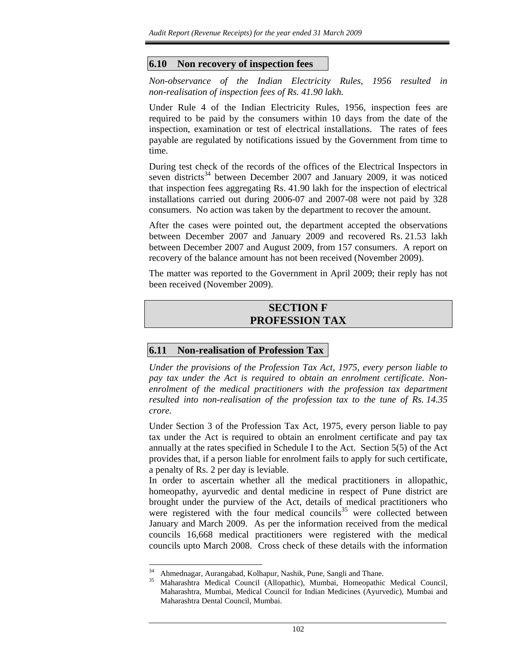## **6.10 Non recovery of inspection fees**

*Non-observance of the Indian Electricity Rules, 1956 resulted in non-realisation of inspection fees of Rs. 41.90 lakh.* 

Under Rule 4 of the Indian Electricity Rules, 1956, inspection fees are required to be paid by the consumers within 10 days from the date of the inspection, examination or test of electrical installations. The rates of fees payable are regulated by notifications issued by the Government from time to time.

During test check of the records of the offices of the Electrical Inspectors in seven districts<sup>34</sup> between December 2007 and January 2009, it was noticed that inspection fees aggregating Rs. 41.90 lakh for the inspection of electrical installations carried out during 2006-07 and 2007-08 were not paid by 328 consumers. No action was taken by the department to recover the amount.

After the cases were pointed out, the department accepted the observations between December 2007 and January 2009 and recovered Rs. 21.53 lakh between December 2007 and August 2009, from 157 consumers. A report on recovery of the balance amount has not been received (November 2009).

The matter was reported to the Government in April 2009; their reply has not been received (November 2009).

## **SECTION F PROFESSION TAX**

## **6.11 Non-realisation of Profession Tax**

*Under the provisions of the Profession Tax Act, 1975, every person liable to pay tax under the Act is required to obtain an enrolment certificate. Nonenrolment of the medical practitioners with the profession tax department resulted into non-realisation of the profession tax to the tune of Rs. 14.35 crore.* 

Under Section 3 of the Profession Tax Act, 1975, every person liable to pay tax under the Act is required to obtain an enrolment certificate and pay tax annually at the rates specified in Schedule I to the Act. Section 5(5) of the Act provides that, if a person liable for enrolment fails to apply for such certificate, a penalty of Rs. 2 per day is leviable.

In order to ascertain whether all the medical practitioners in allopathic, homeopathy, ayurvedic and dental medicine in respect of Pune district are brought under the purview of the Act, details of medical practitioners who were registered with the four medical councils $35$  were collected between January and March 2009. As per the information received from the medical councils 16,668 medical practitioners were registered with the medical councils upto March 2008. Cross check of these details with the information

l

<sup>&</sup>lt;sup>34</sup> Ahmednagar, Aurangabad, Kolhapur, Nashik, Pune, Sangli and Thane.<br><sup>35</sup> Maharashtra Medical Council (Allopathic), Mumbai, Homeopathic

<sup>35</sup> Maharashtra Medical Council (Allopathic), Mumbai, Homeopathic Medical Council, Maharashtra, Mumbai, Medical Council for Indian Medicines (Ayurvedic), Mumbai and Maharashtra Dental Council, Mumbai.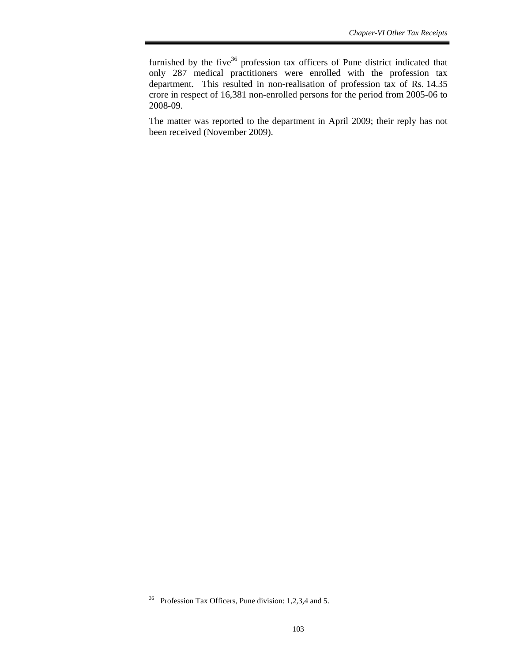furnished by the five<sup>36</sup> profession tax officers of Pune district indicated that only 287 medical practitioners were enrolled with the profession tax department. This resulted in non-realisation of profession tax of Rs. 14.35 crore in respect of 16,381 non-enrolled persons for the period from 2005-06 to 2008-09.

The matter was reported to the department in April 2009; their reply has not been received (November 2009).

 $36\,$ Profession Tax Officers, Pune division: 1,2,3,4 and 5.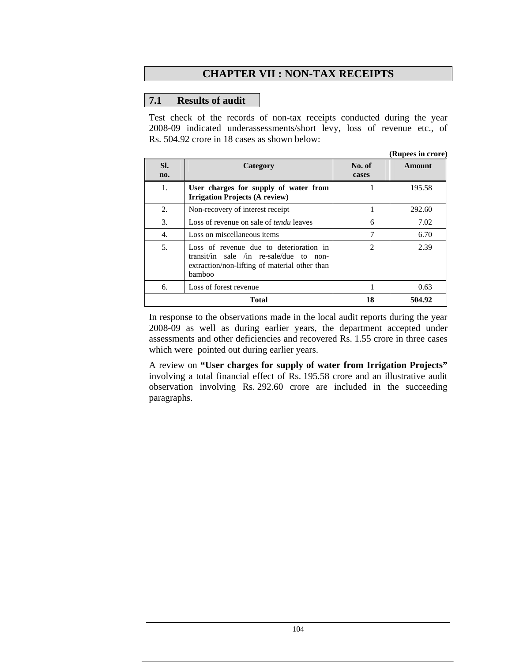## **CHAPTER VII : NON-TAX RECEIPTS**

## **7.1 Results of audit**

Test check of the records of non-tax receipts conducted during the year 2008-09 indicated underassessments/short levy, loss of revenue etc., of Rs. 504.92 crore in 18 cases as shown below:

|            |                                                                                                                                               |                 | (Rupees in crore) |
|------------|-----------------------------------------------------------------------------------------------------------------------------------------------|-----------------|-------------------|
| SI.<br>no. | Category                                                                                                                                      | No. of<br>cases | Amount            |
| 1.         | User charges for supply of water from<br><b>Irrigation Projects (A review)</b>                                                                |                 | 195.58            |
| 2.         | Non-recovery of interest receipt                                                                                                              |                 | 292.60            |
| 3.         | Loss of revenue on sale of <i>tendu</i> leaves                                                                                                | 6               | 7.02              |
| 4.         | Loss on miscellaneous items                                                                                                                   | 7               | 6.70              |
| 5.         | Loss of revenue due to deterioration in<br>transit/in sale /in re-sale/due to non-<br>extraction/non-lifting of material other than<br>bamboo | $\overline{c}$  | 2.39              |
| 6.         | Loss of forest revenue                                                                                                                        | 1               | 0.63              |
|            | Total                                                                                                                                         | 18              | 504.92            |

In response to the observations made in the local audit reports during the year 2008-09 as well as during earlier years, the department accepted under assessments and other deficiencies and recovered Rs. 1.55 crore in three cases which were pointed out during earlier years.

A review on **"User charges for supply of water from Irrigation Projects"**  involving a total financial effect of Rs. 195.58 crore and an illustrative audit observation involving Rs. 292.60 crore are included in the succeeding paragraphs.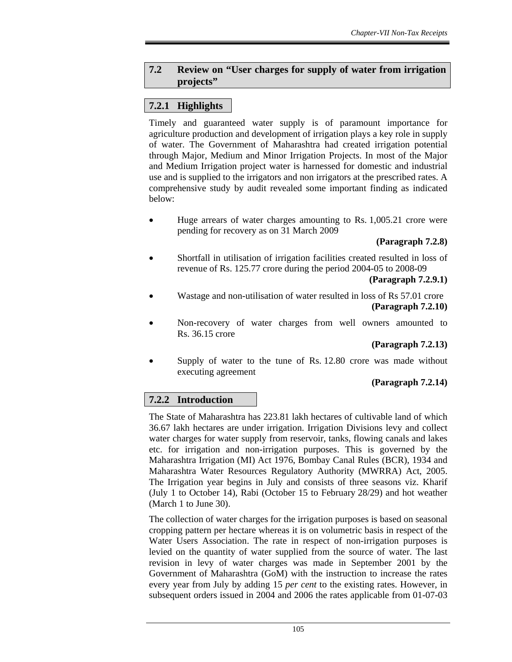## **7.2 Review on "User charges for supply of water from irrigation projects"**

## **7.2.1 Highlights**

Timely and guaranteed water supply is of paramount importance for agriculture production and development of irrigation plays a key role in supply of water. The Government of Maharashtra had created irrigation potential through Major, Medium and Minor Irrigation Projects. In most of the Major and Medium Irrigation project water is harnessed for domestic and industrial use and is supplied to the irrigators and non irrigators at the prescribed rates. A comprehensive study by audit revealed some important finding as indicated below:

• Huge arrears of water charges amounting to Rs. 1,005.21 crore were pending for recovery as on 31 March 2009

## **(Paragraph 7.2.8)**

• Shortfall in utilisation of irrigation facilities created resulted in loss of revenue of Rs. 125.77 crore during the period 2004-05 to 2008-09

#### **(Paragraph 7.2.9.1)**

- Wastage and non-utilisation of water resulted in loss of Rs 57.01 crore **(Paragraph 7.2.10)**
- Non-recovery of water charges from well owners amounted to Rs. 36.15 crore

## **(Paragraph 7.2.13)**

• Supply of water to the tune of Rs. 12.80 crore was made without executing agreement

## **(Paragraph 7.2.14)**

## **7.2.2 Introduction**

The State of Maharashtra has 223.81 lakh hectares of cultivable land of which 36.67 lakh hectares are under irrigation. Irrigation Divisions levy and collect water charges for water supply from reservoir, tanks, flowing canals and lakes etc. for irrigation and non-irrigation purposes. This is governed by the Maharashtra Irrigation (MI) Act 1976, Bombay Canal Rules (BCR), 1934 and Maharashtra Water Resources Regulatory Authority (MWRRA) Act, 2005. The Irrigation year begins in July and consists of three seasons viz. Kharif (July 1 to October 14), Rabi (October 15 to February 28/29) and hot weather (March 1 to June 30).

The collection of water charges for the irrigation purposes is based on seasonal cropping pattern per hectare whereas it is on volumetric basis in respect of the Water Users Association. The rate in respect of non-irrigation purposes is levied on the quantity of water supplied from the source of water. The last revision in levy of water charges was made in September 2001 by the Government of Maharashtra (GoM) with the instruction to increase the rates every year from July by adding 15 *per cent* to the existing rates. However, in subsequent orders issued in 2004 and 2006 the rates applicable from 01-07-03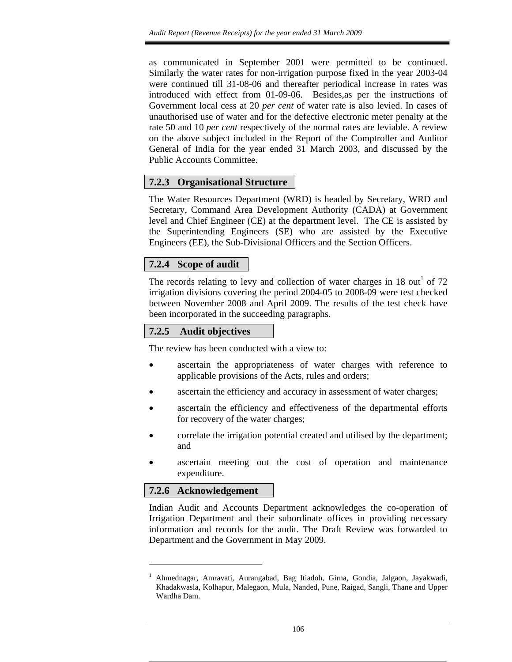as communicated in September 2001 were permitted to be continued. Similarly the water rates for non-irrigation purpose fixed in the year 2003-04 were continued till 31-08-06 and thereafter periodical increase in rates was introduced with effect from 01-09-06. Besides,as per the instructions of Government local cess at 20 *per cent* of water rate is also levied. In cases of unauthorised use of water and for the defective electronic meter penalty at the rate 50 and 10 *per cent* respectively of the normal rates are leviable. A review on the above subject included in the Report of the Comptroller and Auditor General of India for the year ended 31 March 2003, and discussed by the Public Accounts Committee.

## **7.2.3 Organisational Structure**

The Water Resources Department (WRD) is headed by Secretary, WRD and Secretary, Command Area Development Authority (CADA) at Government level and Chief Engineer (CE) at the department level. The CE is assisted by the Superintending Engineers (SE) who are assisted by the Executive Engineers (EE), the Sub-Divisional Officers and the Section Officers.

## **7.2.4 Scope of audit**

The records relating to levy and collection of water charges in 18 out<sup>1</sup> of 72 irrigation divisions covering the period 2004-05 to 2008-09 were test checked between November 2008 and April 2009. The results of the test check have been incorporated in the succeeding paragraphs.

## **7.2.5 Audit objectives**

The review has been conducted with a view to:

- ascertain the appropriateness of water charges with reference to applicable provisions of the Acts, rules and orders;
- ascertain the efficiency and accuracy in assessment of water charges;
- ascertain the efficiency and effectiveness of the departmental efforts for recovery of the water charges;
- correlate the irrigation potential created and utilised by the department; and
- ascertain meeting out the cost of operation and maintenance expenditure.

## **7.2.6 Acknowledgement**

l

Indian Audit and Accounts Department acknowledges the co-operation of Irrigation Department and their subordinate offices in providing necessary information and records for the audit. The Draft Review was forwarded to Department and the Government in May 2009.

<sup>&</sup>lt;sup>1</sup> Ahmednagar, Amravati, Aurangabad, Bag Itiadoh, Girna, Gondia, Jalgaon, Jayakwadi, Khadakwasla, Kolhapur, Malegaon, Mula, Nanded, Pune, Raigad, Sangli, Thane and Upper Wardha Dam.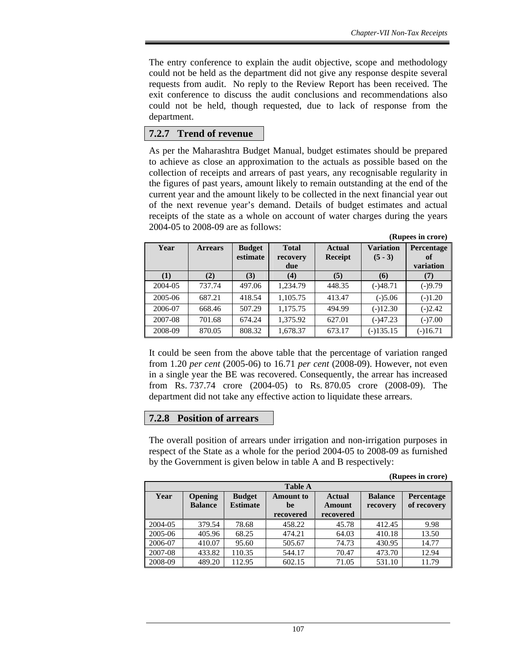The entry conference to explain the audit objective, scope and methodology could not be held as the department did not give any response despite several requests from audit. No reply to the Review Report has been received. The exit conference to discuss the audit conclusions and recommendations also could not be held, though requested, due to lack of response from the department.

## **7.2.7 Trend of revenue**

As per the Maharashtra Budget Manual, budget estimates should be prepared to achieve as close an approximation to the actuals as possible based on the collection of receipts and arrears of past years, any recognisable regularity in the figures of past years, amount likely to remain outstanding at the end of the current year and the amount likely to be collected in the next financial year out of the next revenue year's demand. Details of budget estimates and actual receipts of the state as a whole on account of water charges during the years 2004-05 to 2008-09 are as follows:

|         |                |                           |                                 |                                 |                               | (Rupees in crore)             |
|---------|----------------|---------------------------|---------------------------------|---------------------------------|-------------------------------|-------------------------------|
| Year    | <b>Arrears</b> | <b>Budget</b><br>estimate | <b>Total</b><br>recovery<br>due | <b>Actual</b><br><b>Receipt</b> | <b>Variation</b><br>$(5 - 3)$ | Percentage<br>of<br>variation |
| (1)     | (2)            | (3)                       | (4)                             | (5)                             | (6)                           | (7)                           |
| 2004-05 | 737.74         | 497.06                    | 1,234.79                        | 448.35                          | $(-)48.71$                    | $(-)9.79$                     |
| 2005-06 | 687.21         | 418.54                    | 1,105.75                        | 413.47                          | $(-)5.06$                     | $(-)1.20$                     |
| 2006-07 | 668.46         | 507.29                    | 1,175.75                        | 494.99                          | $(-)12.30$                    | $(-)2.42$                     |
| 2007-08 | 701.68         | 674.24                    | 1,375.92                        | 627.01                          | $(-)47.23$                    | $(-)7.00$                     |
| 2008-09 | 870.05         | 808.32                    | 1,678.37                        | 673.17                          | $(-)135.15$                   | $(-)16.71$                    |

It could be seen from the above table that the percentage of variation ranged from 1.20 *per cent* (2005-06) to 16.71 *per cent* (2008-09). However, not even in a single year the BE was recovered. Consequently, the arrear has increased from Rs. 737.74 crore (2004-05) to Rs. 870.05 crore (2008-09). The department did not take any effective action to liquidate these arrears.

## **7.2.8 Position of arrears**

The overall position of arrears under irrigation and non-irrigation purposes in respect of the State as a whole for the period 2004-05 to 2008-09 as furnished by the Government is given below in table A and B respectively:

**(Rupees in crore)** 

|         | <b>Table A</b>                   |                                  |                 |                                |                            |                           |  |
|---------|----------------------------------|----------------------------------|-----------------|--------------------------------|----------------------------|---------------------------|--|
| Year    | <b>Opening</b><br><b>Balance</b> | <b>Budget</b><br><b>Estimate</b> | Amount to<br>be | <b>Actual</b><br><b>Amount</b> | <b>Balance</b><br>recovery | Percentage<br>of recovery |  |
|         |                                  |                                  | recovered       | recovered                      |                            |                           |  |
| 2004-05 | 379.54                           | 78.68                            | 458.22          | 45.78                          | 412.45                     | 9.98                      |  |
| 2005-06 | 405.96                           | 68.25                            | 474.21          | 64.03                          | 410.18                     | 13.50                     |  |
| 2006-07 | 410.07                           | 95.60                            | 505.67          | 74.73                          | 430.95                     | 14.77                     |  |
| 2007-08 | 433.82                           | 110.35                           | 544.17          | 70.47                          | 473.70                     | 12.94                     |  |
| 2008-09 | 489.20                           | 112.95                           | 602.15          | 71.05                          | 531.10                     | 11.79                     |  |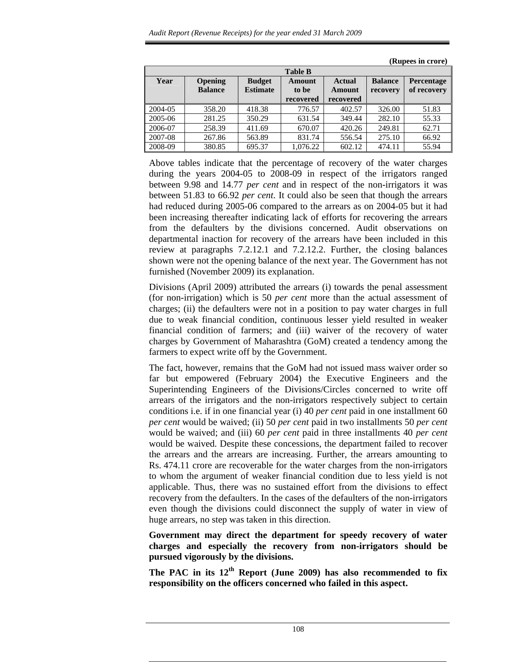|         |                |                 |           |               |                | $(1.00)$ in $(0.00)$ |  |
|---------|----------------|-----------------|-----------|---------------|----------------|----------------------|--|
|         | <b>Table B</b> |                 |           |               |                |                      |  |
| Year    | <b>Opening</b> | <b>Budget</b>   | Amount    | <b>Actual</b> | <b>Balance</b> | <b>Percentage</b>    |  |
|         | <b>Balance</b> | <b>Estimate</b> | to be     | Amount        | recovery       | of recovery          |  |
|         |                |                 | recovered | recovered     |                |                      |  |
| 2004-05 | 358.20         | 418.38          | 776.57    | 402.57        | 326.00         | 51.83                |  |
| 2005-06 | 281.25         | 350.29          | 631.54    | 349.44        | 282.10         | 55.33                |  |
| 2006-07 | 258.39         | 411.69          | 670.07    | 420.26        | 249.81         | 62.71                |  |
| 2007-08 | 267.86         | 563.89          | 831.74    | 556.54        | 275.10         | 66.92                |  |
| 2008-09 | 380.85         | 695.37          | 1.076.22  | 602.12        | 474.11         | 55.94                |  |

**(Rupees in crore)** 

Above tables indicate that the percentage of recovery of the water charges during the years 2004-05 to 2008-09 in respect of the irrigators ranged between 9.98 and 14.77 *per cent* and in respect of the non-irrigators it was between 51.83 to 66.92 *per cent*. It could also be seen that though the arrears had reduced during 2005-06 compared to the arrears as on 2004-05 but it had been increasing thereafter indicating lack of efforts for recovering the arrears from the defaulters by the divisions concerned. Audit observations on departmental inaction for recovery of the arrears have been included in this review at paragraphs 7.2.12.1 and 7.2.12.2. Further, the closing balances shown were not the opening balance of the next year. The Government has not furnished (November 2009) its explanation.

Divisions (April 2009) attributed the arrears (i) towards the penal assessment (for non-irrigation) which is 50 *per cent* more than the actual assessment of charges; (ii) the defaulters were not in a position to pay water charges in full due to weak financial condition, continuous lesser yield resulted in weaker financial condition of farmers; and (iii) waiver of the recovery of water charges by Government of Maharashtra (GoM) created a tendency among the farmers to expect write off by the Government.

The fact, however, remains that the GoM had not issued mass waiver order so far but empowered (February 2004) the Executive Engineers and the Superintending Engineers of the Divisions/Circles concerned to write off arrears of the irrigators and the non-irrigators respectively subject to certain conditions i.e. if in one financial year (i) 40 *per cent* paid in one installment 60 *per cent* would be waived; (ii) 50 *per cent* paid in two installments 50 *per cent*  would be waived; and (iii) 60 *per cent* paid in three installments 40 *per cent*  would be waived. Despite these concessions, the department failed to recover the arrears and the arrears are increasing. Further, the arrears amounting to Rs. 474.11 crore are recoverable for the water charges from the non-irrigators to whom the argument of weaker financial condition due to less yield is not applicable. Thus, there was no sustained effort from the divisions to effect recovery from the defaulters. In the cases of the defaulters of the non-irrigators even though the divisions could disconnect the supply of water in view of huge arrears, no step was taken in this direction.

**Government may direct the department for speedy recovery of water charges and especially the recovery from non-irrigators should be pursued vigorously by the divisions.** 

**The PAC in its 12th Report (June 2009) has also recommended to fix responsibility on the officers concerned who failed in this aspect.**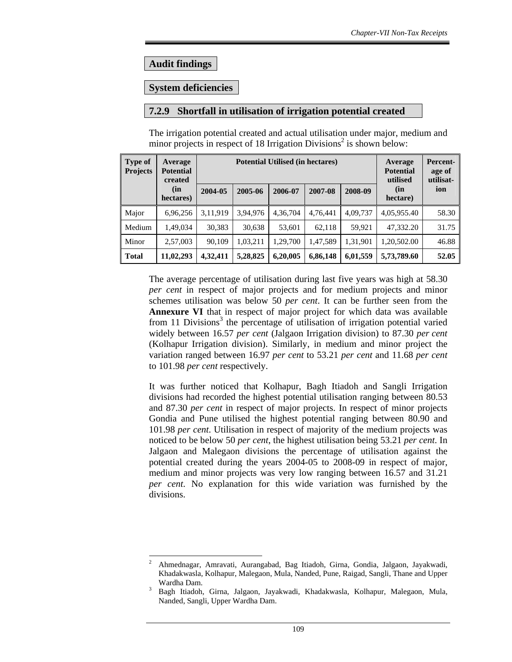## **Audit findings**

## **System deficiencies**

## **7.2.9 Shortfall in utilisation of irrigation potential created**

| <b>Type of</b><br><b>Projects</b> | Average<br><b>Potential</b><br>created | <b>Potential Utilised (in hectares)</b> |          |          |          |          | Average<br><b>Potential</b><br>utilised | Percent-<br>age of<br>utilisat- |  |
|-----------------------------------|----------------------------------------|-----------------------------------------|----------|----------|----------|----------|-----------------------------------------|---------------------------------|--|
|                                   | (in<br>hectares)                       | 2004-05                                 | 2005-06  | 2006-07  | 2007-08  | 2008-09  | (in<br>ion<br>hectare)                  |                                 |  |
| Major                             | 6,96,256                               | 3,11,919                                | 3,94,976 | 4,36,704 | 4,76,441 | 4,09,737 | 4,05,955.40                             | 58.30                           |  |
| Medium                            | 1,49,034                               | 30,383                                  | 30,638   | 53,601   | 62,118   | 59.921   | 47.332.20                               | 31.75                           |  |
| Minor                             | 2,57,003                               | 90,109                                  | 1,03,211 | 1,29,700 | 1,47,589 | 1,31,901 | 1,20,502.00                             | 46.88                           |  |
| <b>Total</b>                      | 11,02,293                              | 4,32,411                                | 5,28,825 | 6,20,005 | 6,86,148 | 6,01,559 | 5,73,789.60                             | 52.05                           |  |

The irrigation potential created and actual utilisation under major, medium and minor projects in respect of 18 Irrigation Divisions<sup>2</sup> is shown below:

The average percentage of utilisation during last five years was high at 58.30 *per cent* in respect of major projects and for medium projects and minor schemes utilisation was below 50 *per cent*. It can be further seen from the **Annexure VI** that in respect of major project for which data was available from 11 Divisions<sup>3</sup> the percentage of utilisation of irrigation potential varied widely between 16.57 *per cent* (Jalgaon Irrigation division) to 87.30 *per cent* (Kolhapur Irrigation division). Similarly, in medium and minor project the variation ranged between 16.97 *per cent* to 53.21 *per cent* and 11.68 *per cent* to 101.98 *per cent* respectively.

It was further noticed that Kolhapur, Bagh Itiadoh and Sangli Irrigation divisions had recorded the highest potential utilisation ranging between 80.53 and 87.30 *per cent* in respect of major projects. In respect of minor projects Gondia and Pune utilised the highest potential ranging between 80.90 and 101.98 *per cent*. Utilisation in respect of majority of the medium projects was noticed to be below 50 *per cent*, the highest utilisation being 53.21 *per cent*. In Jalgaon and Malegaon divisions the percentage of utilisation against the potential created during the years 2004-05 to 2008-09 in respect of major, medium and minor projects was very low ranging between 16.57 and 31.21 *per cent*. No explanation for this wide variation was furnished by the divisions.

l 2 Ahmednagar, Amravati, Aurangabad, Bag Itiadoh, Girna, Gondia, Jalgaon, Jayakwadi, Khadakwasla, Kolhapur, Malegaon, Mula, Nanded, Pune, Raigad, Sangli, Thane and Upper Wardha Dam.

<sup>3</sup> Bagh Itiadoh, Girna, Jalgaon, Jayakwadi, Khadakwasla, Kolhapur, Malegaon, Mula, Nanded, Sangli, Upper Wardha Dam.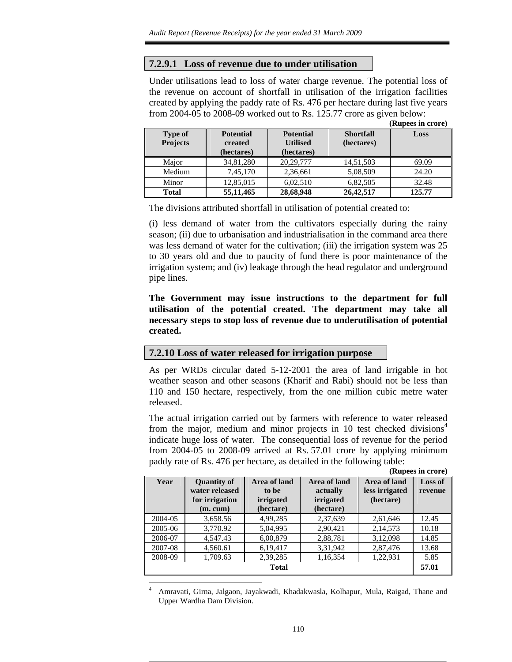## **7.2.9.1 Loss of revenue due to under utilisation**

Under utilisations lead to loss of water charge revenue. The potential loss of the revenue on account of shortfall in utilisation of the irrigation facilities created by applying the paddy rate of Rs. 476 per hectare during last five years from 2004-05 to 2008-09 worked out to Rs. 125.77 crore as given below:

|                                   |                                           |                                                   |                                | (Rupees in crore) |
|-----------------------------------|-------------------------------------------|---------------------------------------------------|--------------------------------|-------------------|
| <b>Type of</b><br><b>Projects</b> | <b>Potential</b><br>created<br>(hectares) | <b>Potential</b><br><b>Utilised</b><br>(hectares) | <b>Shortfall</b><br>(hectares) | Loss              |
| Major                             | 34,81,280                                 | 20,29,777                                         | 14,51,503                      | 69.09             |
| Medium                            | 7,45,170                                  | 2,36,661                                          | 5,08,509                       | 24.20             |
| Minor                             | 12,85,015                                 | 6,02,510                                          | 6,82,505                       | 32.48             |
| <b>Total</b>                      | 55, 11, 465                               | 28,68,948                                         | 26, 42, 517                    | 125.77            |

The divisions attributed shortfall in utilisation of potential created to:

(i) less demand of water from the cultivators especially during the rainy season; (ii) due to urbanisation and industrialisation in the command area there was less demand of water for the cultivation; (iii) the irrigation system was 25 to 30 years old and due to paucity of fund there is poor maintenance of the irrigation system; and (iv) leakage through the head regulator and underground pipe lines.

**The Government may issue instructions to the department for full utilisation of the potential created. The department may take all necessary steps to stop loss of revenue due to underutilisation of potential created.** 

#### **7.2.10 Loss of water released for irrigation purpose**

As per WRDs circular dated 5-12-2001 the area of land irrigable in hot weather season and other seasons (Kharif and Rabi) should not be less than 110 and 150 hectare, respectively, from the one million cubic metre water released.

The actual irrigation carried out by farmers with reference to water released from the major, medium and minor projects in 10 test checked divisions<sup>4</sup> indicate huge loss of water. The consequential loss of revenue for the period from 2004-05 to 2008-09 arrived at Rs. 57.01 crore by applying minimum paddy rate of Rs. 476 per hectare, as detailed in the following table:

**(Rupees in crore)**

| Year    | <b>Quantity of</b><br>water released<br>for irrigation<br>(m. cum) | Area of land<br>to be<br>irrigated<br>(hectare) | Area of land<br>actually<br>irrigated<br>(hectare) | Area of land<br>less irrigated<br>(hectare) | <b>Loss of</b><br>revenue |
|---------|--------------------------------------------------------------------|-------------------------------------------------|----------------------------------------------------|---------------------------------------------|---------------------------|
| 2004-05 | 3,658.56                                                           | 4,99,285                                        | 2,37,639                                           | 2,61,646                                    | 12.45                     |
| 2005-06 | 3,770.92                                                           | 5,04,995                                        | 2,90,421                                           | 2,14,573                                    | 10.18                     |
| 2006-07 | 4,547.43                                                           | 6,00,879                                        | 2,88,781                                           | 3,12,098                                    | 14.85                     |
| 2007-08 | 4,560.61                                                           | 6,19,417                                        | 3,31,942                                           | 2,87,476                                    | 13.68                     |
| 2008-09 | 1,709.63                                                           | 2,39,285                                        | 1,16,354                                           | 1,22,931                                    | 5.85                      |
|         |                                                                    | <b>Total</b>                                    |                                                    |                                             | 57.01                     |

<sup>4</sup> Amravati, Girna, Jalgaon, Jayakwadi, Khadakwasla, Kolhapur, Mula, Raigad, Thane and Upper Wardha Dam Division.

l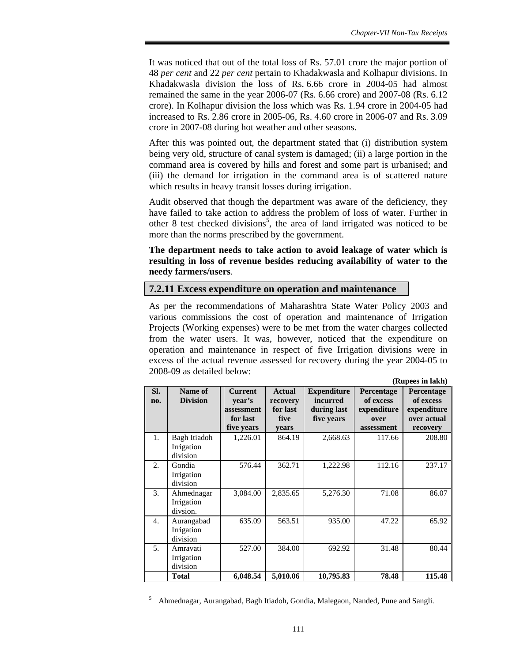It was noticed that out of the total loss of Rs. 57.01 crore the major portion of 48 *per cent* and 22 *per cent* pertain to Khadakwasla and Kolhapur divisions. In Khadakwasla division the loss of Rs. 6.66 crore in 2004-05 had almost remained the same in the year 2006-07 (Rs. 6.66 crore) and 2007-08 (Rs. 6.12 crore). In Kolhapur division the loss which was Rs. 1.94 crore in 2004-05 had increased to Rs. 2.86 crore in 2005-06, Rs. 4.60 crore in 2006-07 and Rs. 3.09 crore in 2007-08 during hot weather and other seasons.

After this was pointed out, the department stated that (i) distribution system being very old, structure of canal system is damaged; (ii) a large portion in the command area is covered by hills and forest and some part is urbanised; and (iii) the demand for irrigation in the command area is of scattered nature which results in heavy transit losses during irrigation.

Audit observed that though the department was aware of the deficiency, they have failed to take action to address the problem of loss of water. Further in other 8 test checked divisions<sup>5</sup>, the area of land irrigated was noticed to be more than the norms prescribed by the government.

**The department needs to take action to avoid leakage of water which is resulting in loss of revenue besides reducing availability of water to the needy farmers/users**.

#### **7.2.11 Excess expenditure on operation and maintenance**

As per the recommendations of Maharashtra State Water Policy 2003 and various commissions the cost of operation and maintenance of Irrigation Projects (Working expenses) were to be met from the water charges collected from the water users. It was, however, noticed that the expenditure on operation and maintenance in respect of five Irrigation divisions were in excess of the actual revenue assessed for recovery during the year 2004-05 to 2008-09 as detailed below:

|                |                                        |                                                                  |                                                        |                                                             |                                                              | (Rupees in lakh)                                                  |
|----------------|----------------------------------------|------------------------------------------------------------------|--------------------------------------------------------|-------------------------------------------------------------|--------------------------------------------------------------|-------------------------------------------------------------------|
| SI.<br>no.     | Name of<br><b>Division</b>             | <b>Current</b><br>vear's<br>assessment<br>for last<br>five years | <b>Actual</b><br>recovery<br>for last<br>five<br>years | <b>Expenditure</b><br>incurred<br>during last<br>five years | Percentage<br>of excess<br>expenditure<br>over<br>assessment | Percentage<br>of excess<br>expenditure<br>over actual<br>recovery |
| 1.             | Bagh Itiadoh<br>Irrigation<br>division | 1,226.01                                                         | 864.19                                                 | 2,668.63                                                    | 117.66                                                       | 208.80                                                            |
| 2.             | Gondia<br>Irrigation<br>division       | 576.44                                                           | 362.71                                                 | 1,222.98                                                    | 112.16                                                       | 237.17                                                            |
| 3.             | Ahmednagar<br>Irrigation<br>divsion.   | 3,084.00                                                         | 2,835.65                                               | 5,276.30                                                    | 71.08                                                        | 86.07                                                             |
| 4.             | Aurangabad<br>Irrigation<br>division   | 635.09                                                           | 563.51                                                 | 935.00                                                      | 47.22                                                        | 65.92                                                             |
| 5 <sub>1</sub> | Amravati<br>Irrigation<br>division     | 527.00                                                           | 384.00                                                 | 692.92                                                      | 31.48                                                        | 80.44                                                             |
|                | <b>Total</b>                           | 6,048.54                                                         | 5,010.06                                               | 10,795.83                                                   | 78.48                                                        | 115.48                                                            |

5 Ahmednagar, Aurangabad, Bagh Itiadoh, Gondia, Malegaon, Nanded, Pune and Sangli.

 $\overline{a}$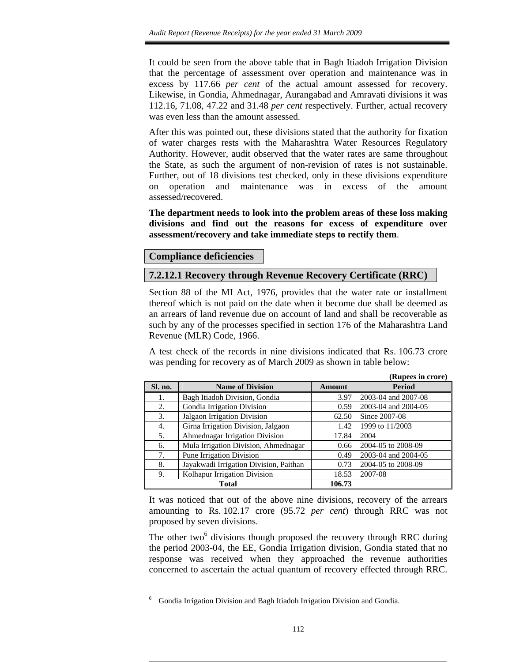It could be seen from the above table that in Bagh Itiadoh Irrigation Division that the percentage of assessment over operation and maintenance was in excess by 117.66 *per cent* of the actual amount assessed for recovery. Likewise, in Gondia, Ahmednagar, Aurangabad and Amravati divisions it was 112.16, 71.08, 47.22 and 31.48 *per cent* respectively. Further, actual recovery was even less than the amount assessed.

After this was pointed out, these divisions stated that the authority for fixation of water charges rests with the Maharashtra Water Resources Regulatory Authority. However, audit observed that the water rates are same throughout the State, as such the argument of non-revision of rates is not sustainable. Further, out of 18 divisions test checked, only in these divisions expenditure on operation and maintenance was in excess of the amount assessed/recovered.

**The department needs to look into the problem areas of these loss making divisions and find out the reasons for excess of expenditure over assessment/recovery and take immediate steps to rectify them**.

## **Compliance deficiencies**

 $\overline{a}$ 

## **7.2.12.1 Recovery through Revenue Recovery Certificate (RRC)**

Section 88 of the MI Act, 1976, provides that the water rate or installment thereof which is not paid on the date when it become due shall be deemed as an arrears of land revenue due on account of land and shall be recoverable as such by any of the processes specified in section 176 of the Maharashtra Land Revenue (MLR) Code, 1966.

A test check of the records in nine divisions indicated that Rs. 106.73 crore was pending for recovery as of March 2009 as shown in table below:

|         |                                        |               | (Rupees in crore)   |
|---------|----------------------------------------|---------------|---------------------|
| Sl. no. | <b>Name of Division</b>                | <b>Amount</b> | Period              |
| 1.      | Bagh Itiadoh Division, Gondia          | 3.97          | 2003-04 and 2007-08 |
| 2.      | Gondia Irrigation Division             | 0.59          | 2003-04 and 2004-05 |
| 3.      | Jalgaon Irrigation Division            | 62.50         | Since 2007-08       |
| 4.      | Girna Irrigation Division, Jalgaon     | 1.42          | 1999 to 11/2003     |
| 5.      | Ahmednagar Irrigation Division         | 17.84         | 2004                |
| 6.      | Mula Irrigation Division, Ahmednagar   | 0.66          | 2004-05 to 2008-09  |
| 7.      | Pune Irrigation Division               | 0.49          | 2003-04 and 2004-05 |
| 8.      | Jayakwadi Irrigation Division, Paithan | 0.73          | 2004-05 to 2008-09  |
| 9.      | Kolhapur Irrigation Division           | 18.53         | 2007-08             |
|         | <b>Total</b>                           | 106.73        |                     |

It was noticed that out of the above nine divisions, recovery of the arrears amounting to Rs. 102.17 crore (95.72 *per cent*) through RRC was not proposed by seven divisions.

The other two $<sup>6</sup>$  divisions though proposed the recovery through RRC during</sup> the period 2003-04, the EE, Gondia Irrigation division, Gondia stated that no response was received when they approached the revenue authorities concerned to ascertain the actual quantum of recovery effected through RRC.

<sup>6</sup> Gondia Irrigation Division and Bagh Itiadoh Irrigation Division and Gondia.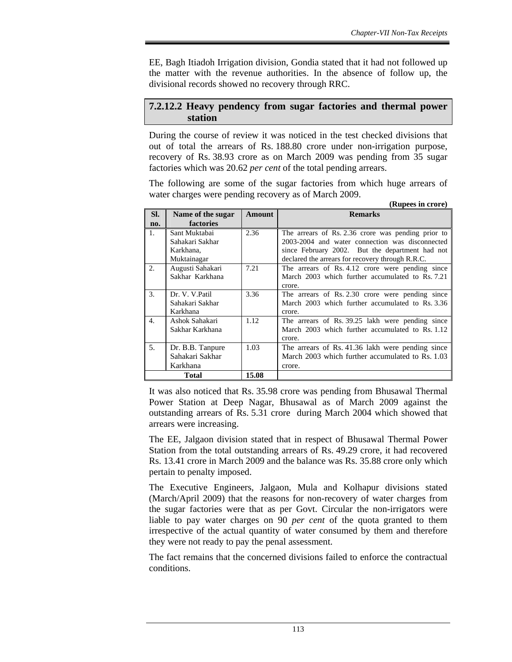EE, Bagh Itiadoh Irrigation division, Gondia stated that it had not followed up the matter with the revenue authorities. In the absence of follow up, the divisional records showed no recovery through RRC.

## **7.2.12.2 Heavy pendency from sugar factories and thermal power station**

During the course of review it was noticed in the test checked divisions that out of total the arrears of Rs. 188.80 crore under non-irrigation purpose, recovery of Rs. 38.93 crore as on March 2009 was pending from 35 sugar factories which was 20.62 *per cent* of the total pending arrears.

The following are some of the sugar factories from which huge arrears of water charges were pending recovery as of March 2009. **(Rupees in crore)** 

|     |                   |        | (Kupees in Crore)                                  |
|-----|-------------------|--------|----------------------------------------------------|
| SI. | Name of the sugar | Amount | <b>Remarks</b>                                     |
| no. | factories         |        |                                                    |
| 1.  | Sant Muktabai     | 2.36   | The arrears of Rs. 2.36 crore was pending prior to |
|     | Sahakari Sakhar   |        | 2003-2004 and water connection was disconnected    |
|     | Karkhana,         |        | since February 2002. But the department had not    |
|     | Muktainagar       |        | declared the arrears for recovery through R.R.C.   |
| 2.  | Augusti Sahakari  | 7.21   | The arrears of Rs. 4.12 crore were pending since   |
|     | Sakhar Karkhana   |        | March 2003 which further accumulated to Rs. 7.21   |
|     |                   |        | crore.                                             |
| 3.  | Dr. V. V. Patil   | 3.36   | The arrears of Rs. 2.30 crore were pending since   |
|     | Sahakari Sakhar   |        | March 2003 which further accumulated to Rs. 3.36   |
|     | Karkhana          |        | crore.                                             |
| 4.  | Ashok Sahakari    | 1.12   | The arrears of Rs. 39.25 lakh were pending since   |
|     | Sakhar Karkhana   |        | March 2003 which further accumulated to Rs. 1.12   |
|     |                   |        | crore.                                             |
| 5.  | Dr. B.B. Tanpure  | 1.03   | The arrears of Rs. 41.36 lakh were pending since   |
|     | Sahakari Sakhar   |        | March 2003 which further accumulated to Rs. 1.03   |
|     | Karkhana          |        | crore.                                             |
|     | Total             | 15.08  |                                                    |

It was also noticed that Rs. 35.98 crore was pending from Bhusawal Thermal Power Station at Deep Nagar, Bhusawal as of March 2009 against the outstanding arrears of Rs. 5.31 crore during March 2004 which showed that arrears were increasing.

The EE, Jalgaon division stated that in respect of Bhusawal Thermal Power Station from the total outstanding arrears of Rs. 49.29 crore, it had recovered Rs. 13.41 crore in March 2009 and the balance was Rs. 35.88 crore only which pertain to penalty imposed.

The Executive Engineers, Jalgaon, Mula and Kolhapur divisions stated (March/April 2009) that the reasons for non-recovery of water charges from the sugar factories were that as per Govt. Circular the non-irrigators were liable to pay water charges on 90 *per cent* of the quota granted to them irrespective of the actual quantity of water consumed by them and therefore they were not ready to pay the penal assessment.

The fact remains that the concerned divisions failed to enforce the contractual conditions.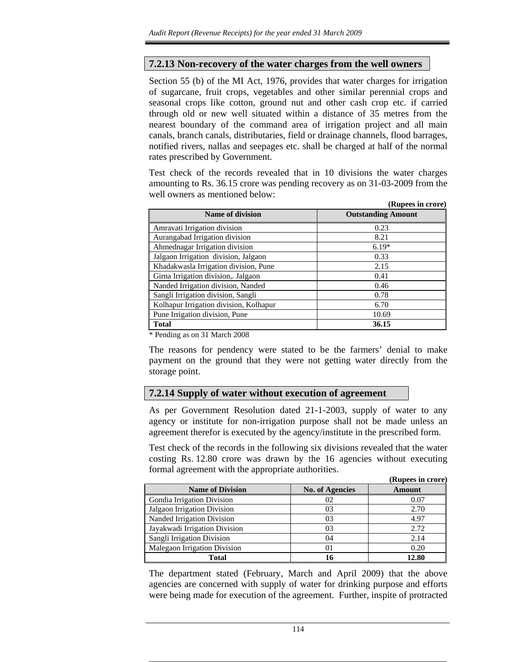## **7.2.13 Non-recovery of the water charges from the well owners**

Section 55 (b) of the MI Act, 1976, provides that water charges for irrigation of sugarcane, fruit crops, vegetables and other similar perennial crops and seasonal crops like cotton, ground nut and other cash crop etc. if carried through old or new well situated within a distance of 35 metres from the nearest boundary of the command area of irrigation project and all main canals, branch canals, distributaries, field or drainage channels, flood barrages, notified rivers, nallas and seepages etc. shall be charged at half of the normal rates prescribed by Government.

Test check of the records revealed that in 10 divisions the water charges amounting to Rs. 36.15 crore was pending recovery as on 31-03-2009 from the well owners as mentioned below:

|                                        | (Rupees in crore)         |
|----------------------------------------|---------------------------|
| Name of division                       | <b>Outstanding Amount</b> |
| Amravati Irrigation division           | 0.23                      |
| Aurangabad Irrigation division         | 8.21                      |
| Ahmednagar Irrigation division         | $6.19*$                   |
| Jalgaon Irrigation division, Jalgaon   | 0.33                      |
| Khadakwasla Irrigation division, Pune  | 2.15                      |
| Girna Irrigation division,. Jalgaon    | 0.41                      |
| Nanded Irrigation division, Nanded     | 0.46                      |
| Sangli Irrigation division, Sangli     | 0.78                      |
| Kolhapur Irrigation division, Kolhapur | 6.70                      |
| Pune Irrigation division, Pune         | 10.69                     |
| <b>Total</b>                           | 36.15                     |

\* Pending as on 31 March 2008

The reasons for pendency were stated to be the farmers' denial to make payment on the ground that they were not getting water directly from the storage point.

## **7.2.14 Supply of water without execution of agreement**

As per Government Resolution dated 21-1-2003, supply of water to any agency or institute for non-irrigation purpose shall not be made unless an agreement therefor is executed by the agency/institute in the prescribed form.

Test check of the records in the following six divisions revealed that the water costing Rs. 12.80 crore was drawn by the 16 agencies without executing formal agreement with the appropriate authorities.

|                               |                        | (Rupees in crore) |
|-------------------------------|------------------------|-------------------|
| <b>Name of Division</b>       | <b>No. of Agencies</b> | <b>Amount</b>     |
| Gondia Irrigation Division    | 02                     | 0.07              |
| Jalgaon Irrigation Division   | 03                     | 2.70              |
| Nanded Irrigation Division    | 03                     | 4.97              |
| Jayakwadi Irrigation Division | 03                     | 2.72              |
| Sangli Irrigation Division    | 04                     | 2.14              |
| Malegaon Irrigation Division  | 01                     | 0.20              |
| Total                         | 16                     | 12.80             |

The department stated (February, March and April 2009) that the above agencies are concerned with supply of water for drinking purpose and efforts were being made for execution of the agreement. Further, inspite of protracted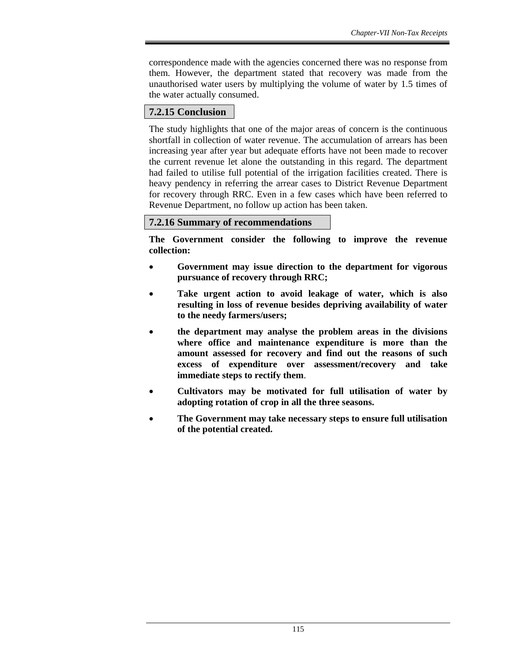correspondence made with the agencies concerned there was no response from them. However, the department stated that recovery was made from the unauthorised water users by multiplying the volume of water by 1.5 times of the water actually consumed.

## **7.2.15 Conclusion**

The study highlights that one of the major areas of concern is the continuous shortfall in collection of water revenue. The accumulation of arrears has been increasing year after year but adequate efforts have not been made to recover the current revenue let alone the outstanding in this regard. The department had failed to utilise full potential of the irrigation facilities created. There is heavy pendency in referring the arrear cases to District Revenue Department for recovery through RRC. Even in a few cases which have been referred to Revenue Department, no follow up action has been taken.

## **7.2.16 Summary of recommendations**

**The Government consider the following to improve the revenue collection:** 

- **Government may issue direction to the department for vigorous pursuance of recovery through RRC;**
- **Take urgent action to avoid leakage of water, which is also resulting in loss of revenue besides depriving availability of water to the needy farmers/users;**
- **the department may analyse the problem areas in the divisions where office and maintenance expenditure is more than the amount assessed for recovery and find out the reasons of such excess of expenditure over assessment/recovery and take immediate steps to rectify them**.
- **Cultivators may be motivated for full utilisation of water by adopting rotation of crop in all the three seasons.**
- **The Government may take necessary steps to ensure full utilisation of the potential created.**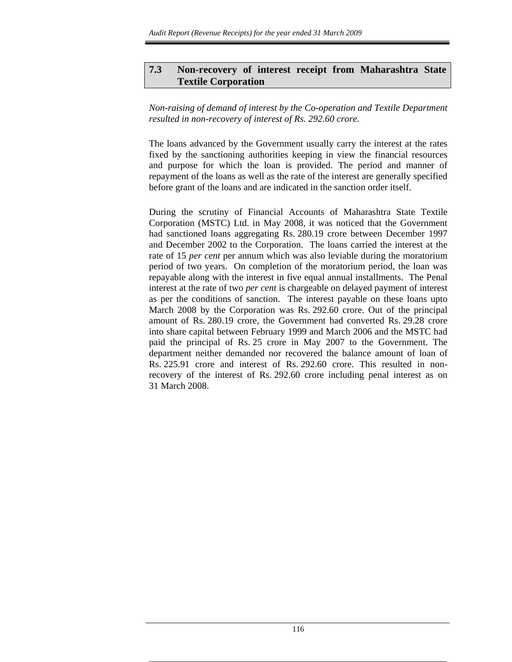## **7.3 Non-recovery of interest receipt from Maharashtra State Textile Corporation**

### *Non-raising of demand of interest by the Co-operation and Textile Department resulted in non-recovery of interest of Rs. 292.60 crore.*

The loans advanced by the Government usually carry the interest at the rates fixed by the sanctioning authorities keeping in view the financial resources and purpose for which the loan is provided. The period and manner of repayment of the loans as well as the rate of the interest are generally specified before grant of the loans and are indicated in the sanction order itself.

During the scrutiny of Financial Accounts of Maharashtra State Textile Corporation (MSTC) Ltd. in May 2008, it was noticed that the Government had sanctioned loans aggregating Rs. 280.19 crore between December 1997 and December 2002 to the Corporation. The loans carried the interest at the rate of 15 *per cent* per annum which was also leviable during the moratorium period of two years. On completion of the moratorium period, the loan was repayable along with the interest in five equal annual installments. The Penal interest at the rate of two *per cent* is chargeable on delayed payment of interest as per the conditions of sanction. The interest payable on these loans upto March 2008 by the Corporation was Rs. 292.60 crore. Out of the principal amount of Rs. 280.19 crore, the Government had converted Rs. 29.28 crore into share capital between February 1999 and March 2006 and the MSTC had paid the principal of Rs. 25 crore in May 2007 to the Government. The department neither demanded nor recovered the balance amount of loan of Rs. 225.91 crore and interest of Rs. 292.60 crore. This resulted in nonrecovery of the interest of Rs. 292.60 crore including penal interest as on 31 March 2008.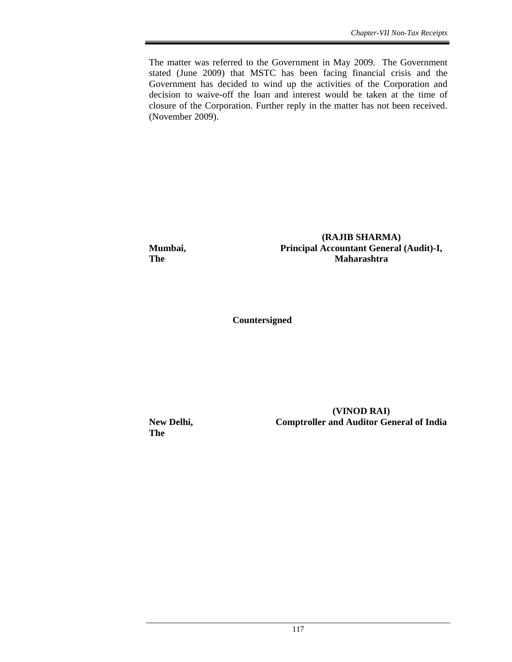The matter was referred to the Government in May 2009. The Government stated (June 2009) that MSTC has been facing financial crisis and the Government has decided to wind up the activities of the Corporation and decision to waive-off the loan and interest would be taken at the time of closure of the Corporation. Further reply in the matter has not been received. (November 2009).

**(RAJIB SHARMA) Mumbai, Principal Accountant General (Audit)-I, The Maharashtra** *Maharashtra* 

 **Countersigned** 

**The** 

 **(VINOD RAI) New Delhi, Comptroller and Auditor General of India**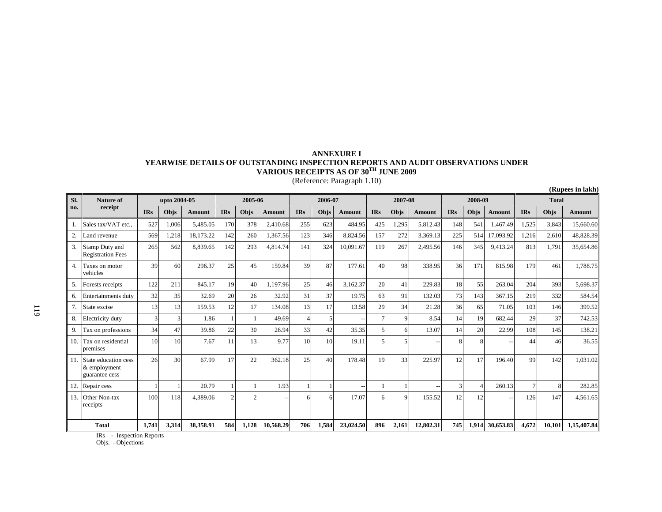# **ANNEXURE I YEARWISE DETAILS OF OUTSTANDING INSPECTION REPORTS AND AUDIT OBSERVATIONS UNDER**<br>VARIOUS RECEIPTS AS OF 30<sup>TH</sup> JUNE 2009<br>(Reference: Paragraph 1.10)

| SI. | Nature of                                                 | upto 2004-05 |       |           | 2005-06    |                 | 2006-07   |            |       | 2007-08                  |            |             | 2008-09   |            |       | <b>Total</b> |            |        |             |
|-----|-----------------------------------------------------------|--------------|-------|-----------|------------|-----------------|-----------|------------|-------|--------------------------|------------|-------------|-----------|------------|-------|--------------|------------|--------|-------------|
| no. | receipt                                                   | <b>IRs</b>   | Objs  | Amount    | <b>IRs</b> | Objs            | Amount    | <b>IRs</b> | Objs  | Amount                   | <b>IRs</b> | Objs        | Amount    | <b>IRs</b> | Objs  | Amount       | <b>IRs</b> | Objs   | Amount      |
|     | Sales tax/VAT etc                                         | 527          | 1,006 | 5,485.05  | 170        | 378             | 2,410.68  | 255        | 623   | 484.95                   | 425        | 1,295       | 5,812.43  | 148        | 541   | 1,467.49     | 1,525      | 3,843  | 15,660.60   |
|     | Land revenue                                              | 569          | 1,218 | 18,173.22 | 142        | 260             | 1,367.56  | 123        | 346   | 8,824.56                 | 157        | 272         | 3,369.13  | 225        | 514   | 17,093.92    | 1,216      | 2,610  | 48,828.39   |
| 3.  | Stamp Duty and<br><b>Registration Fees</b>                | 265          | 562   | 8,839.65  | 142        | 293             | 4,814.74  | 141        | 324   | 10,091.67                | 119        | 267         | 2,495.56  | 146        | 345   | 9,413.24     | 813        | 1,791  | 35,654.86   |
| 4.  | Taxes on motor<br>vehicles                                | 39           | 60    | 296.37    | 25         | 45              | 159.84    | 39         | 87    | 177.61                   | 40         | 98          | 338.95    | 36         | 171   | 815.98       | 179        | 461    | 1.788.75    |
| 5.  | Forests receipts                                          | 122          | 211   | 845.17    | 19         | 40              | 1.197.96  | 25         | 46    | 3,162.37                 | 20         | 41          | 229.83    | 18         | 55    | 263.04       | 204        | 393    | 5,698.37    |
| 6.  | <b>Entertainments duty</b>                                | 32           | 35    | 32.69     | 20         | 26              | 32.92     | 31         | 37    | 19.75                    | 63         | 91          | 132.03    | 73         | 143   | 367.15       | 219        | 332    | 584.54      |
| 7.  | State excise                                              | 13           | 13    | 159.53    | 12         | 17              | 134.08    | 13         | 17    | 13.58                    | 29         | 34          | 21.28     | 36         | 65    | 71.05        | 103        | 146    | 399.52      |
| 8.  | Electricity duty                                          |              | 3     | 1.86      |            |                 | 49.69     |            |       |                          |            | 9           | 8.54      | 14         | 19    | 682.44       | 29         | 37     | 742.53      |
| 9.  | Tax on professions                                        | 34           | 47    | 39.86     | 22         | 30 <sup>1</sup> | 26.94     | 33         | 42    | 35.35                    |            | 6           | 13.07     | 14         | 20    | 22.99        | 108        | 145    | 138.21      |
| 10. | <b>Tax on residential</b><br>premises                     | 10           | 10    | 7.67      | 11         | 13              | 9.77      | 10         | 10    | 19.11                    |            |             |           | 8          | 8     |              | 44         | 46     | 36.55       |
|     | State education cess<br>$\&$ employment<br>guarantee cess | 26           | 30    | 67.99     | 17         | 22              | 362.18    | 25         | 40    | 178.48                   | 19         | 33          | 225.97    | 12         | 17    | 196.40       | 99         | 142    | 1.031.02    |
|     | Repair cess                                               |              |       | 20.79     |            |                 | 1.93      |            |       | $\overline{\phantom{m}}$ |            |             |           | 3          |       | 260.13       |            | 8      | 282.85      |
| 13. | Other Non-tax<br>receipts                                 | 100          | 118   | 4,389.06  |            |                 | $\sim$    |            |       | 17.07                    | 6          | $\mathbf Q$ | 155.52    | 12         | 12    |              | 126        | 147    | 4,561.65    |
|     | <b>Total</b>                                              | 1,741        | 3,314 | 38.358.91 | 584        | 1,128           | 10,568.29 | 706        | 1,584 | 23,024.50                | 896        | 2,161       | 12,802.31 | 745        | 1.914 | 30,653.83    | 4.672      | 10,101 | 1,15,407.84 |

**(Rupees in lakh)**

IRs - Inspection Reports

Objs. - Objections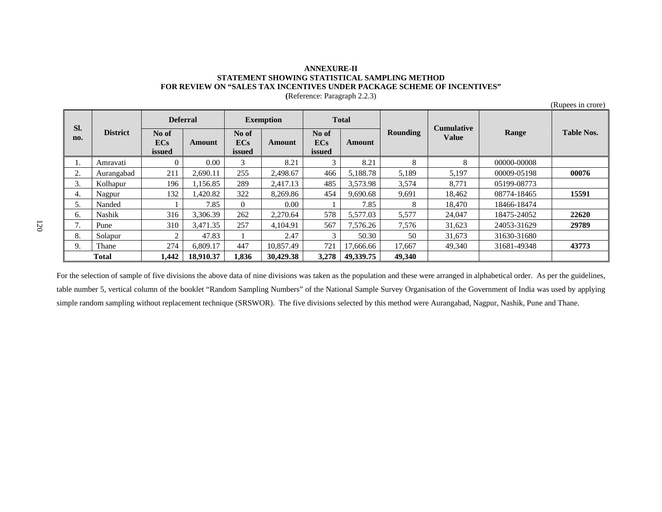#### **ANNEXURE-II STATEMENT SHOWING STATISTICAL SAMPLING METHOD FOR REVIEW ON "SALES TAX INCENTIVES UNDER PACKAGE SCHEME OF INCENTIVES"**

| SI.          |                 | <b>Deferral</b>        |           | <b>Exemption</b>              |           | <b>Total</b>                  |           |                 | <b>Cumulative</b> |             |                   |  |
|--------------|-----------------|------------------------|-----------|-------------------------------|-----------|-------------------------------|-----------|-----------------|-------------------|-------------|-------------------|--|
| no.          | <b>District</b> | No of<br>ECs<br>issued | Amount    | No of<br><b>ECs</b><br>issued | Amount    | No of<br><b>ECs</b><br>issued | Amount    | <b>Rounding</b> | <b>Value</b>      | Range       | <b>Table Nos.</b> |  |
|              | Amravati        | $\Omega$               | 0.00      | $\mathcal{Z}$                 | 8.21      | 3                             | 8.21      | 8               | 8                 | 00000-00008 |                   |  |
| 2.           | Aurangabad      | 211                    | 2.690.11  | 255                           | 2,498.67  | 466                           | 5,188.78  | 5,189           | 5,197             | 00009-05198 | 00076             |  |
| 3.           | Kolhapur        | 196                    | 1.156.85  | 289                           | 2,417.13  | 485                           | 3,573.98  | 3,574           | 8.771             | 05199-08773 |                   |  |
| 4.           | Nagpur          | 132                    | 1.420.82  | 322                           | 8.269.86  | 454                           | 9.690.68  | 9,691           | 18.462            | 08774-18465 | 15591             |  |
| 5.           | Nanded          |                        | 7.85      | $\Omega$                      | 0.00      |                               | 7.85      | 8               | 18.470            | 18466-18474 |                   |  |
| 6.           | <b>Nashik</b>   | 316                    | 3.306.39  | 262                           | 2.270.64  | 578                           | 5,577.03  | 5,577           | 24,047            | 18475-24052 | 22620             |  |
| 7.           | Pune            | 310                    | 3.471.35  | 257                           | 4.104.91  | 567                           | 7.576.26  | 7,576           | 31,623            | 24053-31629 | 29789             |  |
| 8.           | Solapur         | 2                      | 47.83     |                               | 2.47      | 3                             | 50.30     | 50              | 31,673            | 31630-31680 |                   |  |
| 9.           | Thane           | 274                    | 6.809.17  | 447                           | 10.857.49 | 721                           | 17.666.66 | 17.667          | 49.340            | 31681-49348 | 43773             |  |
| <b>Total</b> |                 | 1,442                  | 18.910.37 | 1,836                         | 30,429.38 | 3.278                         | 49,339.75 | 49,340          |                   |             |                   |  |

**(**Reference: Paragraph 2.2.3)

(Rupees in crore)

For the selection of sample of five divisions the above data of nine divisions was taken as the population and these were arranged in alphabetical order. As per the guidelines, table number 5, vertical column of the booklet "Random Sampling Numbers" of the National Sample Survey Organisation of the Government of India was used by applying simple random sampling without replacement technique (SRSWOR). The five divisions selected by this method were Aurangabad, Nagpur, Nashik, Pune and Thane.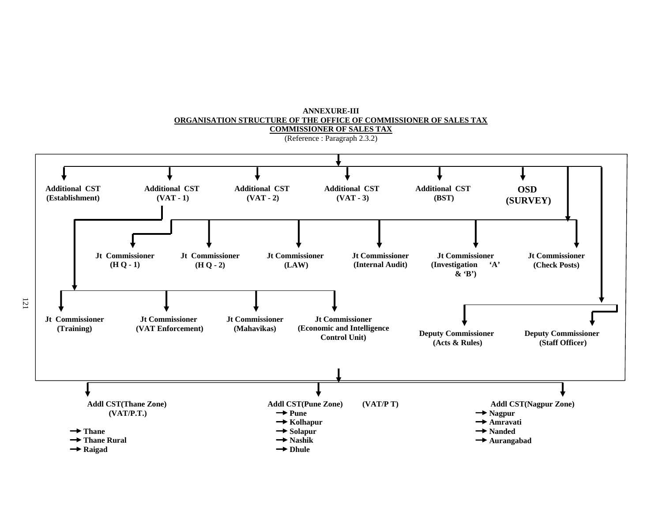

 **ANNEXURE-III ORGANISATION STRUCTURE OF THE OFFICE OF COMMISSIONER OF SALES TAX**

121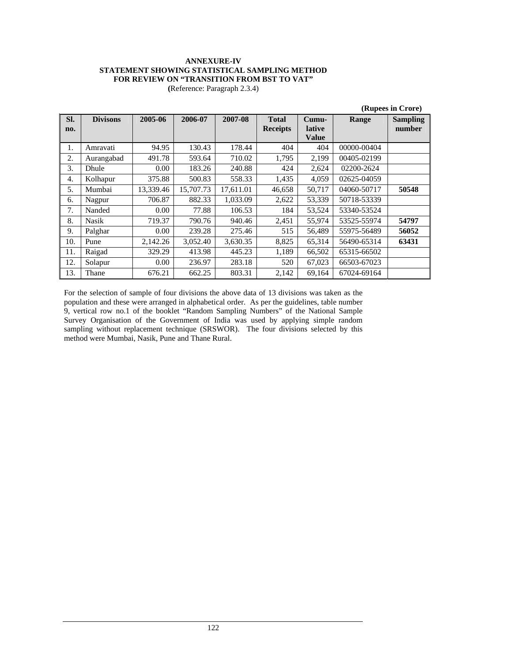#### **ANNEXURE-IV STATEMENT SHOWING STATISTICAL SAMPLING METHOD FOR REVIEW ON "TRANSITION FROM BST TO VAT"**

**(**Reference: Paragraph 2.3.4)

|            |                 |           |           |           |                                 |                                 |             | (Rupees in Crore)         |
|------------|-----------------|-----------|-----------|-----------|---------------------------------|---------------------------------|-------------|---------------------------|
| SI.<br>no. | <b>Divisons</b> | 2005-06   | 2006-07   | 2007-08   | <b>Total</b><br><b>Receipts</b> | Cumu-<br>lative<br><b>Value</b> | Range       | <b>Sampling</b><br>number |
| 1.         | Amravati        | 94.95     | 130.43    | 178.44    | 404                             | 404                             | 00000-00404 |                           |
| 2.         | Aurangabad      | 491.78    | 593.64    | 710.02    | 1,795                           | 2,199                           | 00405-02199 |                           |
| 3.         | Dhule           | 0.00      | 183.26    | 240.88    | 424                             | 2,624                           | 02200-2624  |                           |
| 4.         | Kolhapur        | 375.88    | 500.83    | 558.33    | 1,435                           | 4,059                           | 02625-04059 |                           |
| 5.         | Mumbai          | 13,339.46 | 15,707.73 | 17,611.01 | 46,658                          | 50,717                          | 04060-50717 | 50548                     |
| 6.         | Nagpur          | 706.87    | 882.33    | 1,033.09  | 2,622                           | 53,339                          | 50718-53339 |                           |
| 7.         | Nanded          | 0.00      | 77.88     | 106.53    | 184                             | 53,524                          | 53340-53524 |                           |
| 8.         | <b>Nasik</b>    | 719.37    | 790.76    | 940.46    | 2,451                           | 55,974                          | 53525-55974 | 54797                     |
| 9.         | Palghar         | 0.00      | 239.28    | 275.46    | 515                             | 56,489                          | 55975-56489 | 56052                     |
| 10.        | Pune            | 2,142.26  | 3,052.40  | 3,630.35  | 8,825                           | 65,314                          | 56490-65314 | 63431                     |
| 11.        | Raigad          | 329.29    | 413.98    | 445.23    | 1,189                           | 66,502                          | 65315-66502 |                           |
| 12.        | Solapur         | 0.00      | 236.97    | 283.18    | 520                             | 67,023                          | 66503-67023 |                           |
| 13.        | Thane           | 676.21    | 662.25    | 803.31    | 2,142                           | 69,164                          | 67024-69164 |                           |

For the selection of sample of four divisions the above data of 13 divisions was taken as the population and these were arranged in alphabetical order. As per the guidelines, table number 9, vertical row no.1 of the booklet "Random Sampling Numbers" of the National Sample Survey Organisation of the Government of India was used by applying simple random sampling without replacement technique (SRSWOR). The four divisions selected by this method were Mumbai, Nasik, Pune and Thane Rural.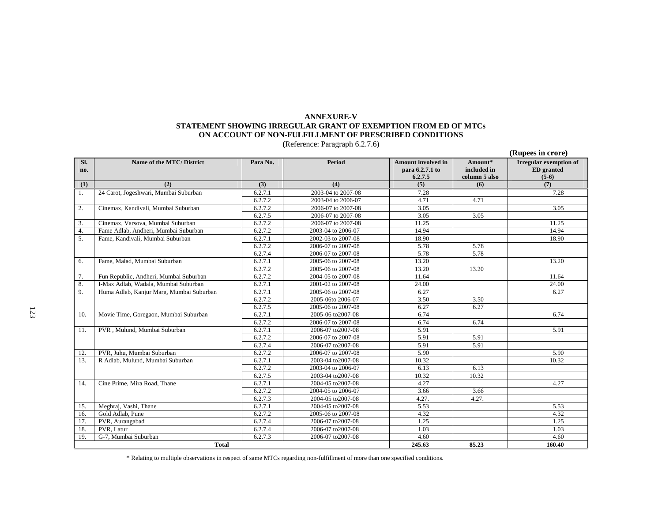#### **ANNEXURE-V STATEMENT SHOWING IRREGULAR GRANT OF EXEMPTION FROM ED OF MTCs ON ACCOUNT OF NON-FULFILLMENT OF PRESCRIBED CONDITIONS**

**(**Reference: Paragraph 6.2.7.6)

|            |                                          |                      |                    |                                                         |                                         | (Rupees in crore)                                             |
|------------|------------------------------------------|----------------------|--------------------|---------------------------------------------------------|-----------------------------------------|---------------------------------------------------------------|
| Sl.<br>no. | Name of the MTC/ District                | Para No.             | Period             | <b>Amount involved in</b><br>para 6.2.7.1 to<br>6.2.7.5 | Amount*<br>included in<br>column 5 also | <b>Irregular exemption of</b><br><b>ED</b> granted<br>$(5-6)$ |
| (1)        | (2)                                      | (3)                  | (4)                | (5)                                                     | (6)                                     | (7)                                                           |
|            | 24 Carot, Jogeshwari, Mumbai Suburban    | 6.2.7.1              | 2003-04 to 2007-08 | 7.28                                                    |                                         | 7.28                                                          |
|            |                                          | 6.2.7.2              | 2003-04 to 2006-07 | 4.71                                                    | 4.71                                    |                                                               |
| 2.         | Cinemax, Kandivali, Mumbai Suburban      | 6.2.7.2              | 2006-07 to 2007-08 | 3.05                                                    |                                         | 3.05                                                          |
|            |                                          | 6.2.7.5              | 2006-07 to 2007-08 | 3.05                                                    | 3.05                                    |                                                               |
| 3.         | Cinemax, Varsova, Mumbai Suburban        | 6.2.7.2              | 2006-07 to 2007-08 | 11.25                                                   |                                         | 11.25                                                         |
| 4.         | Fame Adlab, Andheri, Mumbai Suburban     | 6.2.7.2              | 2003-04 to 2006-07 | 14.94                                                   |                                         | 14.94                                                         |
| 5.         | Fame, Kandivali, Mumbai Suburban         | 6.2.7.1              | 2002-03 to 2007-08 | 18.90                                                   |                                         | 18.90                                                         |
|            |                                          | 6.2.7.2              | 2006-07 to 2007-08 | 5.78                                                    | 5.78                                    |                                                               |
|            |                                          | 6.2.7.4              | 2006-07 to 2007-08 | 5.78                                                    | 5.78                                    |                                                               |
| 6.         | Fame, Malad, Mumbai Suburban             | 6.2.7.1              | 2005-06 to 2007-08 | 13.20                                                   |                                         | 13.20                                                         |
|            |                                          | 6.2.7.2              | 2005-06 to 2007-08 | 13.20                                                   | 13.20                                   |                                                               |
| 7.         | Fun Republic, Andheri, Mumbai Suburban   | 6.2.7.2              | 2004-05 to 2007-08 | 11.64                                                   |                                         | 11.64                                                         |
| 8.         | I-Max Adlab, Wadala, Mumbai Suburban     | 6.2.7.1              | 2001-02 to 2007-08 | 24.00                                                   |                                         | 24.00                                                         |
| 9.         | Huma Adlab, Kanjur Marg, Mumbai Suburban | 6.2.7.1              | 2005-06 to 2007-08 | 6.27                                                    |                                         | 6.27                                                          |
|            |                                          | 6.2.7.2              | 2005-06to 2006-07  | 3.50                                                    | 3.50                                    |                                                               |
|            |                                          | 6.2.7.5              | 2005-06 to 2007-08 | 6.27                                                    | 6.27                                    |                                                               |
| 10.        | Movie Time, Goregaon, Mumbai Suburban    | 6.2.7.1              | 2005-06 to 2007-08 | 6.74                                                    |                                         | 6.74                                                          |
|            |                                          | 6.2.7.2              | 2006-07 to 2007-08 | 6.74                                                    | 6.74                                    |                                                               |
| 11.        | PVR, Mulund, Mumbai Suburban             | 6.2.7.1              | 2006-07 to 2007-08 | 5.91                                                    |                                         | 5.91                                                          |
|            |                                          | 6.2.7.2              | 2006-07 to 2007-08 | 5.91                                                    | 5.91                                    |                                                               |
|            |                                          | 6.2.7.4              | 2006-07 to 2007-08 | 5.91                                                    | 5.91                                    |                                                               |
| 12.        | PVR, Juhu, Mumbai Suburban               | $6.\overline{2.7.2}$ | 2006-07 to 2007-08 | 5.90                                                    |                                         | 5.90                                                          |
| 13.        | R Adlab, Mulund, Mumbai Suburban         | 6.2.7.1              | 2003-04 to 2007-08 | 10.32                                                   |                                         | 10.32                                                         |
|            |                                          | 6.2.7.2              | 2003-04 to 2006-07 | 6.13                                                    | 6.13                                    |                                                               |
|            |                                          | 6.2.7.5              | 2003-04 to 2007-08 | 10.32                                                   | 10.32                                   |                                                               |
| 14.        | Cine Prime, Mira Road, Thane             | 6.2.7.1              | 2004-05 to 2007-08 | 4.27                                                    |                                         | 4.27                                                          |
|            |                                          | 6.2.7.2              | 2004-05 to 2006-07 | 3.66                                                    | 3.66                                    |                                                               |
|            |                                          | 6.2.7.3              | 2004-05 to 2007-08 | 4.27.                                                   | 4.27.                                   |                                                               |
| 15.        | Meghraj, Vashi, Thane                    | 6.2.7.1              | 2004-05 to 2007-08 | 5.53                                                    |                                         | 5.53                                                          |
| 16.        | Gold Adlab, Pune                         | 6.2.7.2              | 2005-06 to 2007-08 | 4.32                                                    |                                         | 4.32                                                          |
| 17.        | PVR, Aurangabad                          | 6.2.7.4              | 2006-07 to 2007-08 | 1.25                                                    |                                         | 1.25                                                          |
| 18.        | PVR, Latur                               | 6.2.7.4              | 2006-07 to 2007-08 | 1.03                                                    |                                         | 1.03                                                          |
| 19.        | G-7. Mumbai Suburban                     | 6.2.7.3              | 2006-07 to 2007-08 | 4.60                                                    |                                         | 4.60                                                          |
|            | <b>Total</b>                             |                      |                    | 245.63                                                  | 85.23                                   | 160.40                                                        |

\* Relating to multiple observations in respect of same MTCs regarding non-fulfillment of more than one specified conditions.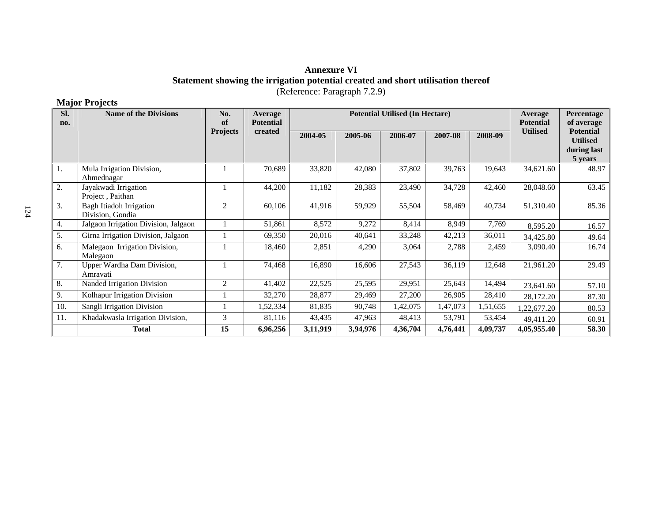### **Annexure VI Statement showing the irrigation potential created and short utilisation thereof**  (Reference: Paragraph 7.2.9)

## **Major Projects**

| SI.<br>no. | <b>Name of the Divisions</b>                | No.<br>of       | <b>Average</b><br><b>Potential</b> | Average<br><b>Potential</b> | Percentage<br>of average |          |          |          |                 |                                                               |
|------------|---------------------------------------------|-----------------|------------------------------------|-----------------------------|--------------------------|----------|----------|----------|-----------------|---------------------------------------------------------------|
|            |                                             | <b>Projects</b> | created                            | 2004-05                     | 2005-06                  | 2006-07  | 2007-08  | 2008-09  | <b>Utilised</b> | <b>Potential</b><br><b>Utilised</b><br>during last<br>5 years |
| 1.         | Mula Irrigation Division,<br>Ahmednagar     |                 | 70,689                             | 33,820                      | 42,080                   | 37,802   | 39,763   | 19,643   | 34,621.60       | 48.97                                                         |
| 2.         | Jayakwadi Irrigation<br>Project, Paithan    |                 | 44,200                             | 11,182                      | 28,383                   | 23,490   | 34,728   | 42,460   | 28,048.60       | 63.45                                                         |
| 3.         | Bagh Itiadoh Irrigation<br>Division, Gondia | $\overline{c}$  | 60,106                             | 41,916                      | 59,929                   | 55,504   | 58,469   | 40,734   | 51,310.40       | 85.36                                                         |
| 4.         | Jalgaon Irrigation Division, Jalgaon        |                 | 51,861                             | 8,572                       | 9,272                    | 8,414    | 8,949    | 7,769    | 8,595.20        | 16.57                                                         |
| 5.         | Girna Irrigation Division, Jalgaon          |                 | 69,350                             | 20,016                      | 40,641                   | 33,248   | 42,213   | 36,011   | 34,425.80       | 49.64                                                         |
| 6.         | Malegaon Irrigation Division,<br>Malegaon   |                 | 18,460                             | 2,851                       | 4,290                    | 3,064    | 2,788    | 2,459    | 3,090.40        | 16.74                                                         |
| 7.         | Upper Wardha Dam Division,<br>Amravati      |                 | 74,468                             | 16,890                      | 16,606                   | 27,543   | 36,119   | 12,648   | 21,961.20       | 29.49                                                         |
| 8.         | Nanded Irrigation Division                  | 2               | 41,402                             | 22,525                      | 25,595                   | 29,951   | 25,643   | 14,494   | 23,641.60       | 57.10                                                         |
| 9.         | Kolhapur Irrigation Division                |                 | 32,270                             | 28,877                      | 29,469                   | 27,200   | 26,905   | 28,410   | 28,172.20       | 87.30                                                         |
| 10.        | Sangli Irrigation Division                  |                 | 1,52,334                           | 81,835                      | 90,748                   | 1,42,075 | 1,47,073 | 1,51,655 | 1,22,677.20     | 80.53                                                         |
| 11.        | Khadakwasla Irrigation Division,            | 3               | 81,116                             | 43,435                      | 47,963                   | 48,413   | 53,791   | 53,454   | 49,411.20       | 60.91                                                         |
|            | <b>Total</b>                                | 15              | 6,96,256                           | 3,11,919                    | 3,94,976                 | 4,36,704 | 4,76,441 | 4,09,737 | 4,05,955.40     | 58.30                                                         |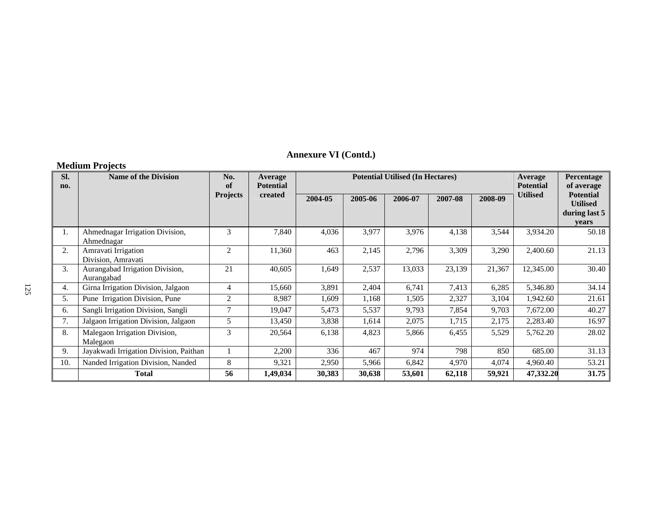## **Annexure VI (Contd.)**

## **Medium Projects**

| SI.<br>no. | <b>Name of the Division</b>                   | No.<br>of      | <b>Average</b><br><b>Potential</b> |        | <b>Potential Utilised (In Hectares)</b> |         | Average<br><b>Potential</b> | Percentage<br>of average<br><b>Potential</b> |                 |                                           |
|------------|-----------------------------------------------|----------------|------------------------------------|--------|-----------------------------------------|---------|-----------------------------|----------------------------------------------|-----------------|-------------------------------------------|
|            |                                               |                | <b>Projects</b><br>created         |        | 2005-06                                 | 2006-07 | 2007-08                     | 2008-09                                      | <b>Utilised</b> | <b>Utilised</b><br>during last 5<br>years |
| 1.         | Ahmednagar Irrigation Division,<br>Ahmednagar | 3              | 7,840                              | 4,036  | 3,977                                   | 3,976   | 4,138                       | 3,544                                        | 3,934.20        | 50.18                                     |
| 2.         | Amravati Irrigation<br>Division, Amravati     | $\overline{2}$ | 11,360                             | 463    | 2,145                                   | 2,796   | 3,309                       | 3,290                                        | 2,400.60        | 21.13                                     |
| 3.         | Aurangabad Irrigation Division,<br>Aurangabad | 21             | 40,605                             | 1,649  | 2,537                                   | 13,033  | 23,139                      | 21,367                                       | 12,345.00       | 30.40                                     |
| 4.         | Girna Irrigation Division, Jalgaon            | $\overline{4}$ | 15,660                             | 3,891  | 2,404                                   | 6,741   | 7,413                       | 6,285                                        | 5,346.80        | 34.14                                     |
| 5.         | Pune Irrigation Division, Pune                | 2              | 8,987                              | 1,609  | 1,168                                   | 1,505   | 2,327                       | 3,104                                        | 1,942.60        | 21.61                                     |
| 6.         | Sangli Irrigation Division, Sangli            | $\overline{7}$ | 19,047                             | 5,473  | 5,537                                   | 9,793   | 7,854                       | 9,703                                        | 7,672.00        | 40.27                                     |
| 7.         | Jalgaon Irrigation Division, Jalgaon          | 5              | 13,450                             | 3,838  | 1,614                                   | 2,075   | 1,715                       | 2,175                                        | 2,283.40        | 16.97                                     |
| 8.         | Malegaon Irrigation Division,<br>Malegaon     | 3              | 20,564                             | 6,138  | 4,823                                   | 5,866   | 6,455                       | 5,529                                        | 5,762.20        | 28.02                                     |
| 9.         | Jayakwadi Irrigation Division, Paithan        |                | 2,200                              | 336    | 467                                     | 974     | 798                         | 850                                          | 685.00          | 31.13                                     |
| 10.        | Nanded Irrigation Division, Nanded            | 8              | 9,321                              | 2,950  | 5,966                                   | 6,842   | 4,970                       | 4,074                                        | 4,960.40        | 53.21                                     |
|            | <b>Total</b>                                  | 56             | 1,49,034                           | 30,383 | 30,638                                  | 53,601  | 62,118                      | 59,921                                       | 47,332.20       | 31.75                                     |